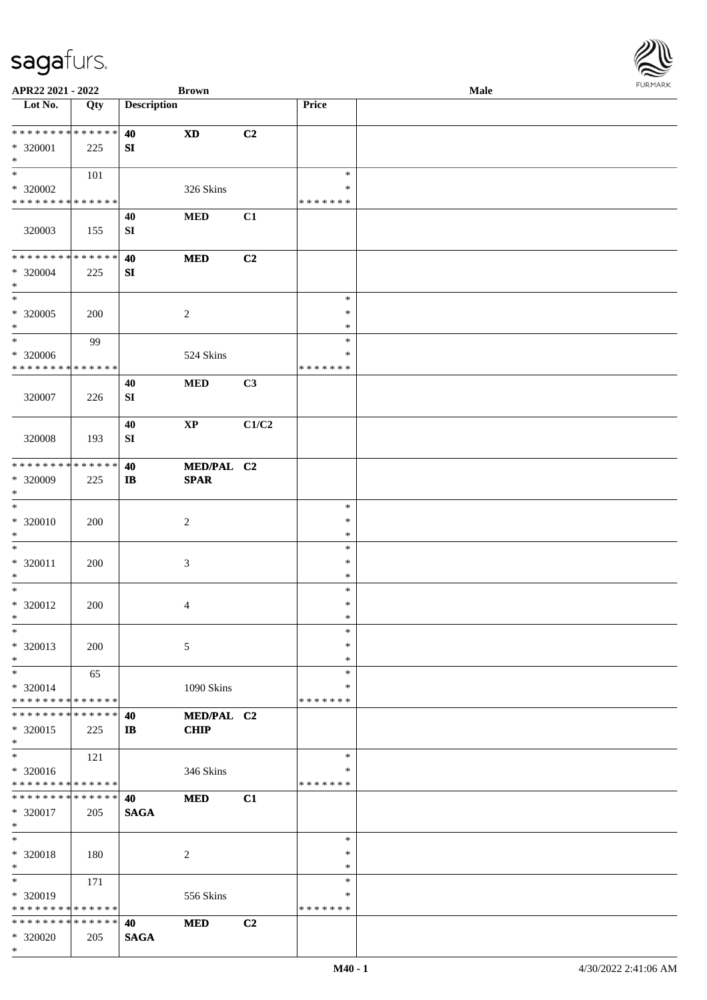| APR22 2021 - 2022                          |               |                    | <b>Brown</b>           |       |               | Male | $1 \times 1 \times 1 \times 1 \times 1$ |
|--------------------------------------------|---------------|--------------------|------------------------|-------|---------------|------|-----------------------------------------|
| Lot No.                                    | Qty           | <b>Description</b> |                        |       | Price         |      |                                         |
|                                            |               |                    |                        |       |               |      |                                         |
| * * * * * * * * * * * * * * *              |               | 40                 | <b>XD</b>              | C2    |               |      |                                         |
| * 320001                                   | 225           | SI                 |                        |       |               |      |                                         |
| $*$<br>$*$                                 |               |                    |                        |       | $\ast$        |      |                                         |
|                                            | 101           |                    |                        |       | $\ast$        |      |                                         |
| * 320002<br>* * * * * * * * * * * * * *    |               |                    | 326 Skins              |       | * * * * * * * |      |                                         |
|                                            |               |                    |                        |       |               |      |                                         |
|                                            |               | 40                 | <b>MED</b>             | C1    |               |      |                                         |
| 320003                                     | 155           | SI                 |                        |       |               |      |                                         |
| * * * * * * * * <mark>* * * * * * *</mark> |               | 40                 | <b>MED</b>             | C2    |               |      |                                         |
| * 320004                                   |               | ${\bf S}{\bf I}$   |                        |       |               |      |                                         |
| $*$                                        | 225           |                    |                        |       |               |      |                                         |
| $\ast$                                     |               |                    |                        |       | $\ast$        |      |                                         |
| * 320005                                   | 200           |                    | 2                      |       | $\ast$        |      |                                         |
| $*$                                        |               |                    |                        |       | $\ast$        |      |                                         |
| $*$                                        | 99            |                    |                        |       | $\ast$        |      |                                         |
| * 320006                                   |               |                    | 524 Skins              |       | ∗             |      |                                         |
| * * * * * * * * * * * * * *                |               |                    |                        |       | * * * * * * * |      |                                         |
|                                            |               | 40                 | <b>MED</b>             | C3    |               |      |                                         |
| 320007                                     | 226           | ${\bf SI}$         |                        |       |               |      |                                         |
|                                            |               |                    |                        |       |               |      |                                         |
|                                            |               | 40                 | $\mathbf{X}\mathbf{P}$ | C1/C2 |               |      |                                         |
| 320008                                     | 193           | ${\bf SI}$         |                        |       |               |      |                                         |
|                                            |               |                    |                        |       |               |      |                                         |
| * * * * * * * * <mark>* * * * * *</mark>   |               | 40                 | MED/PAL C2             |       |               |      |                                         |
| * 320009                                   | 225           | $\mathbf{I}$       | <b>SPAR</b>            |       |               |      |                                         |
| $\ast$                                     |               |                    |                        |       |               |      |                                         |
| $*$                                        |               |                    |                        |       | $\ast$        |      |                                         |
| * 320010                                   | 200           |                    | 2                      |       | $\ast$        |      |                                         |
| $\ast$                                     |               |                    |                        |       | $\ast$        |      |                                         |
| $*$                                        |               |                    |                        |       | $\ast$        |      |                                         |
| * 320011                                   | 200           |                    | 3                      |       | $\ast$        |      |                                         |
| $*$                                        |               |                    |                        |       | $\ast$        |      |                                         |
| $*$                                        |               |                    |                        |       | $\ast$        |      |                                         |
| * 320012                                   | 200           |                    | 4                      |       | $\ast$        |      |                                         |
| $*$                                        |               |                    |                        |       | $\ast$        |      |                                         |
| $*$                                        |               |                    |                        |       | $\ast$        |      |                                         |
| * 320013                                   | 200           |                    | 5                      |       | $\ast$        |      |                                         |
| $*$                                        |               |                    |                        |       | $\ast$        |      |                                         |
| $*$                                        | 65            |                    |                        |       | $\ast$        |      |                                         |
| * 320014                                   |               |                    | 1090 Skins             |       | ∗             |      |                                         |
| * * * * * * * * * * * * * * *              |               |                    |                        |       | * * * * * * * |      |                                         |
| * * * * * * * * * * * * * * *              |               | 40                 | MED/PAL C2             |       |               |      |                                         |
| * 320015                                   | 225           | $\mathbf{I}$       | <b>CHIP</b>            |       |               |      |                                         |
| $\ast$                                     |               |                    |                        |       |               |      |                                         |
| $*$                                        | 121           |                    |                        |       | $\ast$        |      |                                         |
| * 320016                                   |               |                    | 346 Skins              |       | *             |      |                                         |
| * * * * * * * * <mark>* * * * * *</mark>   |               |                    |                        |       | * * * * * * * |      |                                         |
| * * * * * * * * <mark>* * * * * * *</mark> |               | 40                 | <b>MED</b>             | C1    |               |      |                                         |
| * 320017                                   | 205           | <b>SAGA</b>        |                        |       |               |      |                                         |
| $\ast$                                     |               |                    |                        |       |               |      |                                         |
| $*$                                        |               |                    |                        |       | $\ast$        |      |                                         |
| * 320018                                   | 180           |                    | $\overline{c}$         |       | $\ast$        |      |                                         |
| $*$                                        |               |                    |                        |       | $\ast$        |      |                                         |
| $*$                                        | 171           |                    |                        |       | $\ast$        |      |                                         |
| * 320019                                   |               |                    | 556 Skins              |       | ∗             |      |                                         |
| * * * * * * * * <mark>* * * * * *</mark>   |               |                    |                        |       | * * * * * * * |      |                                         |
| * * * * * * * *                            | * * * * * * * | 40                 | <b>MED</b>             | C2    |               |      |                                         |
| * 320020                                   | 205           | <b>SAGA</b>        |                        |       |               |      |                                         |
| $\ast$                                     |               |                    |                        |       |               |      |                                         |

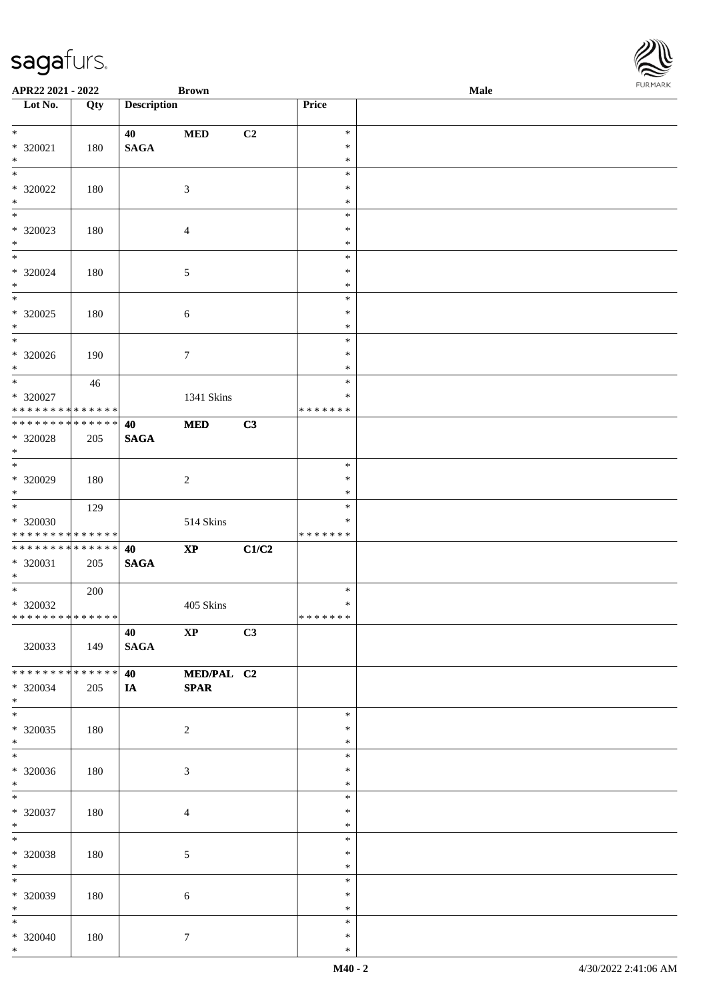| APR22 2021 - 2022                                                                   |     |                             | <b>Brown</b>              |       |                              | <b>Male</b> |  |
|-------------------------------------------------------------------------------------|-----|-----------------------------|---------------------------|-------|------------------------------|-------------|--|
| Lot No.                                                                             | Qty | <b>Description</b>          |                           |       | Price                        |             |  |
| $\ddot{x}$<br>* 320021<br>$*$                                                       | 180 | 40<br><b>SAGA</b>           | <b>MED</b>                | C2    | $\ast$<br>$\ast$<br>$\ast$   |             |  |
| $\overline{\ast}$<br>* 320022<br>$\ast$                                             | 180 |                             | 3                         |       | $\ast$<br>$\ast$<br>$\ast$   |             |  |
| * 320023<br>$\ast$                                                                  | 180 |                             | $\overline{4}$            |       | $\ast$<br>$\ast$<br>$\ast$   |             |  |
| $\overline{\mathbf{r}}$<br>* 320024<br>$*$                                          | 180 |                             | $\mathfrak{S}$            |       | $\ast$<br>$\ast$<br>$\ast$   |             |  |
| * 320025<br>$*$                                                                     | 180 |                             | $\sqrt{6}$                |       | $\ast$<br>$\ast$<br>$\ast$   |             |  |
| $*$<br>$* 320026$<br>$*$                                                            | 190 |                             | $\boldsymbol{7}$          |       | $\ast$<br>$\ast$<br>$\ast$   |             |  |
| $\ddot{x}$<br>$* 320027$<br>* * * * * * * * <mark>* * * * * *</mark>                | 46  |                             | 1341 Skins                |       | $\ast$<br>∗<br>* * * * * * * |             |  |
| * 320028<br>$\ast$                                                                  | 205 | 40<br><b>SAGA</b>           | <b>MED</b>                | C3    |                              |             |  |
| $*$<br>* 320029<br>$\ast$                                                           | 180 |                             | 2                         |       | $\ast$<br>$\ast$<br>$\ast$   |             |  |
| $* 320030$<br>* * * * * * * * <mark>* * * * * *</mark>                              | 129 |                             | 514 Skins                 |       | $\ast$<br>∗<br>* * * * * * * |             |  |
| * * * * * * * * <mark>* * * * * * *</mark><br>* 320031<br>$*$                       | 205 | 40<br><b>SAGA</b>           | $\mathbf{X}\mathbf{P}$    | C1/C2 |                              |             |  |
| $\overline{\mathbf{r}}$<br>$* 320032$<br>* * * * * * * * <mark>* * * * * * *</mark> | 200 |                             | 405 Skins                 |       | $\ast$<br>$\ast$<br>*******  |             |  |
| 320033                                                                              | 149 | 40 XP<br><b>SAGA</b>        |                           | C3    |                              |             |  |
| * * * * * * * * * * * * * * <mark>*</mark><br>* 320034<br>$\ast$                    | 205 | 40 - 10<br>$I$ $\mathbf{A}$ | MED/PAL C2<br><b>SPAR</b> |       |                              |             |  |
| $*$<br>* 320035<br>$*$                                                              | 180 |                             | 2                         |       | $\ast$<br>$\ast$<br>$\ast$   |             |  |
| $\ddot{x}$<br>$* 320036$<br>$*$                                                     | 180 |                             | 3                         |       | $\ast$<br>$\ast$<br>$\ast$   |             |  |
| $*$<br>* 320037<br>$*$ $-$                                                          | 180 |                             | $\overline{4}$            |       | $\ast$<br>$\ast$<br>$\ast$   |             |  |
| $*$<br>* 320038<br>$*$                                                              | 180 |                             | 5                         |       | $\ast$<br>$\ast$<br>$\ast$   |             |  |
| $\overline{\ast}$<br>* 320039<br>$*$                                                | 180 |                             | $6\phantom{.}6$           |       | $\ast$<br>$\ast$<br>$\ast$   |             |  |
| $*$<br>* 320040<br>$*$                                                              | 180 |                             | $\tau$                    |       | $\ast$<br>$\ast$<br>$\ast$   |             |  |

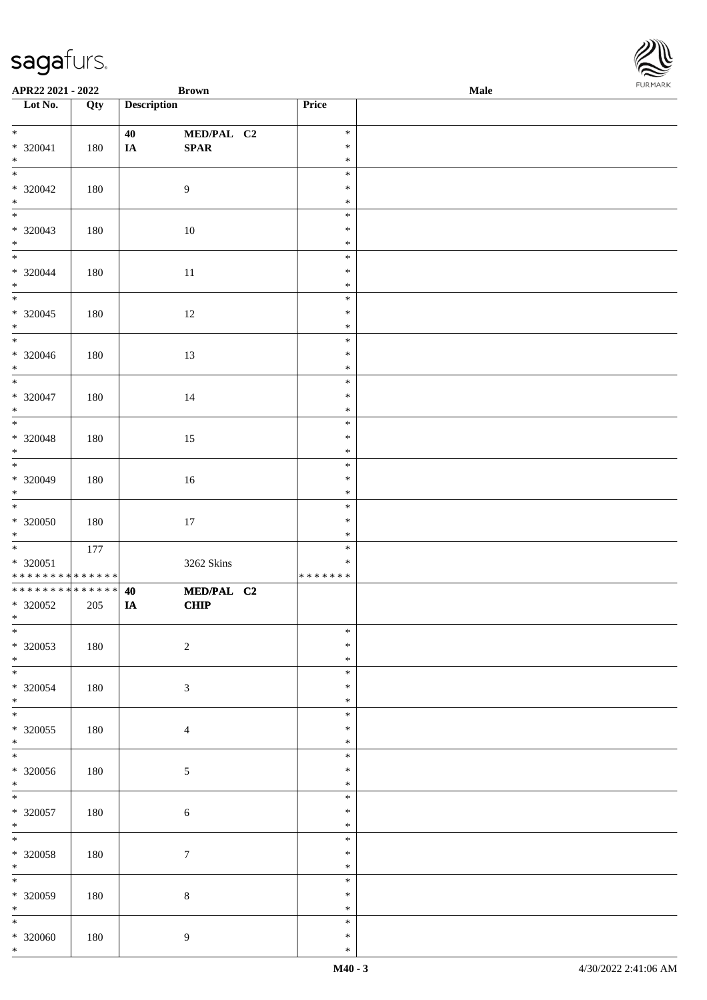| APR22 2021 - 2022                                                 |     |                    | <b>Brown</b>              |                                   | <b>Male</b> |  |
|-------------------------------------------------------------------|-----|--------------------|---------------------------|-----------------------------------|-------------|--|
| Lot No.                                                           | Qty | <b>Description</b> |                           | Price                             |             |  |
| $*$<br>* 320041<br>$*$                                            | 180 | 40<br>$I\!\!A$     | MED/PAL C2<br>SPAR        | $\ast$<br>$\ast$<br>$\ast$        |             |  |
| $* 320042$<br>$*$                                                 | 180 |                    | $\overline{9}$            | $\ast$<br>$\ast$<br>$\ast$        |             |  |
| * 320043<br>$*$                                                   | 180 |                    | 10                        | $\ast$<br>$\ast$<br>$\ast$        |             |  |
| $\overline{\mathbf{r}}$<br>$* 320044$<br>$*$                      | 180 |                    | $11\,$                    | $\ast$<br>$\ast$<br>$\ast$        |             |  |
| $\overline{\phantom{0}}$<br>* 320045<br>$*$                       | 180 |                    | 12                        | $\ast$<br>$\ast$<br>$\ast$        |             |  |
| * 320046<br>$*$                                                   | 180 |                    | 13                        | $\ast$<br>$\ast$<br>$\ast$        |             |  |
| $* 320047$<br>$*$                                                 | 180 |                    | 14                        | $\ast$<br>$\ast$<br>$\ast$        |             |  |
| $* 320048$<br>$*$                                                 | 180 |                    | 15                        | $\ast$<br>$\ast$<br>$\ast$        |             |  |
| $* 320049$<br>$\ast$                                              | 180 |                    | 16                        | $\ast$<br>$\ast$<br>$\ast$        |             |  |
| $*$<br>$* 320050$<br>$*$                                          | 180 |                    | $17\,$                    | $\ast$<br>$\ast$<br>$\ast$        |             |  |
| $* 320051$<br>* * * * * * * * <mark>* * * * * * *</mark>          | 177 |                    | 3262 Skins                | $\ast$<br>$\ast$<br>* * * * * * * |             |  |
| * * * * * * * * <mark>* * * * * * *</mark><br>* 320052<br>$*$ $-$ | 205 | 40<br>IA           | MED/PAL C2<br><b>CHIP</b> |                                   |             |  |
| $\ast$<br>* 320053<br>$*$                                         | 180 |                    | $\sqrt{2}$                | $\ast$<br>$\ast$<br>$\ast$        |             |  |
| $\overline{\phantom{0}}$<br>* 320054<br>$\ast$                    | 180 |                    | $\mathfrak{Z}$            | $\ast$<br>$\ast$<br>$\ast$        |             |  |
| $*$<br>* 320055<br>$*$                                            | 180 |                    | $\overline{4}$            | $\ast$<br>$\ast$<br>$\ast$        |             |  |
| $\overline{\ast}$<br>$* 320056$<br>$*$                            | 180 |                    | $\mathfrak{S}$            | $\ast$<br>$\ast$<br>$\ast$        |             |  |
| $* 320057$<br>$*$ $-$                                             | 180 |                    | $\sqrt{6}$                | $\ast$<br>$\ast$<br>$\ast$        |             |  |
| $\ddot{x}$<br>* 320058<br>$*$                                     | 180 |                    | $7\phantom{.0}$           | $\ast$<br>$\ast$<br>$\ast$        |             |  |
| $\overline{\mathbf{r}}$<br>$* 320059$<br>$*$                      | 180 |                    | $8\,$                     | $\ast$<br>$\ast$<br>$\ast$        |             |  |
| $\overline{\ast}$<br>* 320060<br>$\ast$                           | 180 |                    | 9                         | $\ast$<br>$\ast$<br>$\ast$        |             |  |

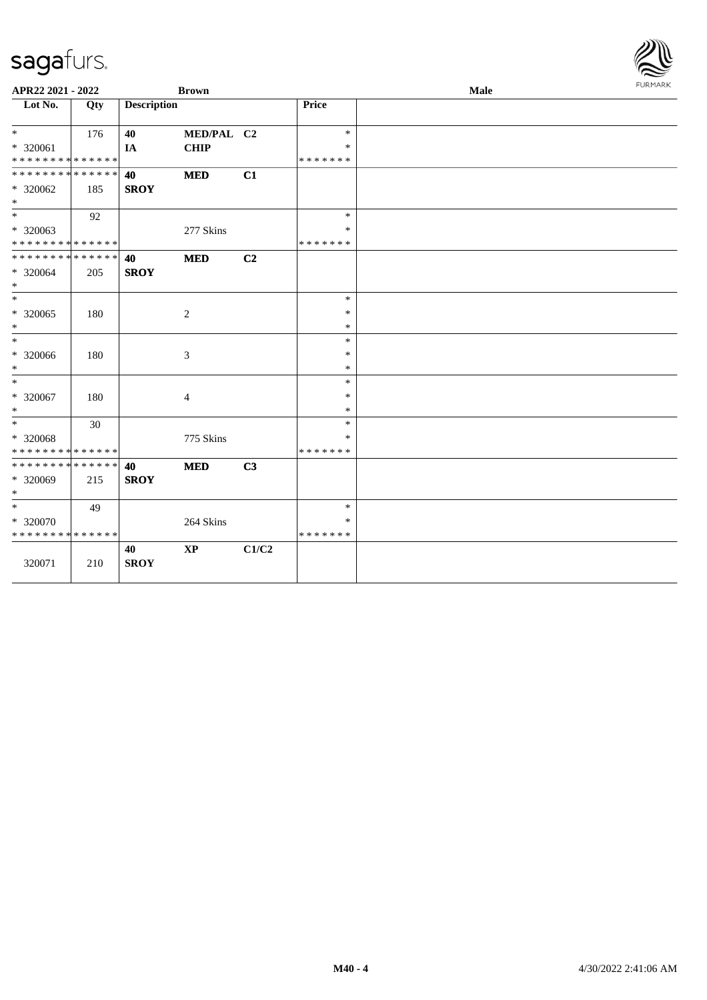| APR22 2021 - 2022                                                        |     |                    | <b>Brown</b> |       |                              | Male | <b>FURMARK</b> |
|--------------------------------------------------------------------------|-----|--------------------|--------------|-------|------------------------------|------|----------------|
| Lot No.                                                                  | Qty | <b>Description</b> |              |       | Price                        |      |                |
| $*$                                                                      | 176 | 40                 | MED/PAL C2   |       | $\ast$                       |      |                |
| * 320061<br>* * * * * * * * <mark>* * * * * * *</mark>                   |     | IA                 | <b>CHIP</b>  |       | *<br>* * * * * * *           |      |                |
| * * * * * * * * <mark>* * * * * * *</mark><br>* 320062<br>$*$            | 185 | 40<br><b>SROY</b>  | <b>MED</b>   | C1    |                              |      |                |
| $\frac{1}{1}$<br>* 320063                                                | 92  |                    | 277 Skins    |       | $\ast$<br>*                  |      |                |
| * * * * * * * * * * * * * *<br>* * * * * * * * * * * * * * *<br>* 320064 | 205 | 40<br><b>SROY</b>  | <b>MED</b>   | C2    | * * * * * * *                |      |                |
| $*$<br>$*$                                                               |     |                    |              |       | $\ast$                       |      |                |
| * 320065<br>$*$<br>$*$                                                   | 180 |                    | 2            |       | $\ast$<br>$\ast$<br>$\ast$   |      |                |
| * 320066<br>$*$                                                          | 180 |                    | 3            |       | $\ast$<br>$\ast$             |      |                |
| $*$<br>* 320067<br>$\ast$                                                | 180 |                    | 4            |       | $\ast$<br>$\ast$<br>$\ast$   |      |                |
| $*$<br>* 320068<br>* * * * * * * * * * * * * *                           | 30  |                    | 775 Skins    |       | $\ast$<br>*<br>*******       |      |                |
| * * * * * * * * <mark>* * * * * * *</mark><br>* 320069<br>$*$            | 215 | 40<br><b>SROY</b>  | <b>MED</b>   | C3    |                              |      |                |
| $*$<br>* 320070<br>* * * * * * * * * * * * * *                           | 49  |                    | 264 Skins    |       | $\ast$<br>*<br>* * * * * * * |      |                |
| 320071                                                                   | 210 | 40<br><b>SROY</b>  | <b>XP</b>    | C1/C2 |                              |      |                |

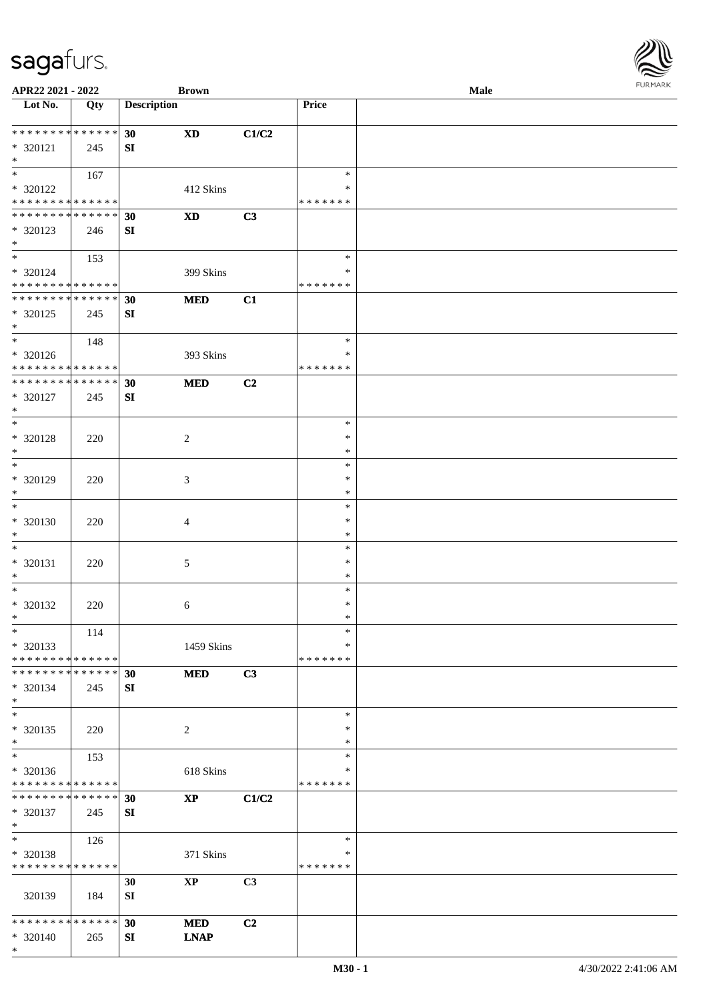**APR22 2021 - 2022 Brown Male**

\* \*

\* \*

\* \*

\* \*

\*

\*

\*

\*

\*

\*

\*

\*

\*

\* \*

\*

\*

\* \*

\*

\* 320138

\* \* \* \* \* \* \* \* \* \* \* \* \* \* \* 320137 245

\* \* \* \* \* \* \* \* \* \* \* \* \* \*

320139 184

\* \* \* \* \* \* \* \* \* \* \* \* \* \* \* 320140 265

126

**SI**

**SI**

371 Skins

**30 XP C3**

**30 MED C2**

**SI LNAP**

| APR22 2021 - 2022                                  |     |                    | <b>Brown</b>           |                |                    | Male |  |  |  |  |
|----------------------------------------------------|-----|--------------------|------------------------|----------------|--------------------|------|--|--|--|--|
| Lot No.                                            | Qty | <b>Description</b> |                        |                | Price              |      |  |  |  |  |
| * * * * * * * * * * * * * * *                      |     | 30                 | <b>XD</b>              | C1/C2          |                    |      |  |  |  |  |
| * 320121                                           | 245 | SI                 |                        |                |                    |      |  |  |  |  |
| $*$                                                |     |                    |                        |                |                    |      |  |  |  |  |
| $*$ $-$                                            | 167 |                    |                        |                | $\ast$             |      |  |  |  |  |
| * 320122                                           |     |                    | 412 Skins              |                | *                  |      |  |  |  |  |
| * * * * * * * * <mark>* * * * * * *</mark>         |     |                    |                        |                | * * * * * * *      |      |  |  |  |  |
| * * * * * * * * * * * * * * <mark>*</mark>         |     | 30                 | <b>XD</b>              | C3             |                    |      |  |  |  |  |
| * 320123                                           | 246 | SI                 |                        |                |                    |      |  |  |  |  |
| $\ast$                                             |     |                    |                        |                |                    |      |  |  |  |  |
| $\ast$ and $\ast$                                  | 153 |                    |                        |                | $\ast$             |      |  |  |  |  |
| $* 320124$<br>* * * * * * * * * * * * * * *        |     |                    | 399 Skins              |                | ∗<br>* * * * * * * |      |  |  |  |  |
| ************** 30                                  |     |                    | <b>MED</b>             | C1             |                    |      |  |  |  |  |
| * 320125                                           | 245 | SI                 |                        |                |                    |      |  |  |  |  |
| $\ast$                                             |     |                    |                        |                |                    |      |  |  |  |  |
| $*$                                                | 148 |                    |                        |                | $\ast$             |      |  |  |  |  |
| * 320126                                           |     |                    | 393 Skins              |                | $\ast$             |      |  |  |  |  |
| * * * * * * * * <mark>* * * * * * *</mark>         |     |                    |                        |                | * * * * * * *      |      |  |  |  |  |
|                                                    |     |                    | <b>MED</b>             | C <sub>2</sub> |                    |      |  |  |  |  |
| * 320127                                           | 245 | SI                 |                        |                |                    |      |  |  |  |  |
| $\ast$                                             |     |                    |                        |                |                    |      |  |  |  |  |
| $\ddot{x}$                                         |     |                    |                        |                | $\ast$             |      |  |  |  |  |
| * 320128                                           | 220 |                    | 2                      |                | $\ast$             |      |  |  |  |  |
| $*$                                                |     |                    |                        |                | $\ast$             |      |  |  |  |  |
| $\ddot{x}$                                         |     |                    |                        |                | $\ast$             |      |  |  |  |  |
| * 320129                                           | 220 |                    | 3                      |                | $\ast$             |      |  |  |  |  |
| $*$                                                |     |                    |                        |                | $\ast$             |      |  |  |  |  |
| $\ast$                                             |     |                    |                        |                | $\ast$             |      |  |  |  |  |
| * 320130                                           | 220 |                    | $\overline{4}$         |                | $\ast$<br>$\ast$   |      |  |  |  |  |
| $\ast$<br>$\ast$                                   |     |                    |                        |                | $\ast$             |      |  |  |  |  |
| * 320131                                           |     |                    |                        |                | $\ast$             |      |  |  |  |  |
| $\ast$                                             | 220 |                    | 5                      |                | $\ast$             |      |  |  |  |  |
| $*$                                                |     |                    |                        |                | $\ast$             |      |  |  |  |  |
| * 320132                                           | 220 |                    | 6                      |                | $\ast$             |      |  |  |  |  |
| ∗                                                  |     |                    |                        |                | ∗                  |      |  |  |  |  |
| $\ast$                                             | 114 |                    |                        |                | $\ast$             |      |  |  |  |  |
| * 320133                                           |     |                    | 1459 Skins             |                | ∗                  |      |  |  |  |  |
| * * * * * * * * <mark>* * * * * * *</mark>         |     |                    |                        |                | * * * * * * *      |      |  |  |  |  |
| * * * * * * * * * * * * * * <mark>*</mark>         |     | 30                 | <b>MED</b>             | C3             |                    |      |  |  |  |  |
| * 320134                                           | 245 | SI                 |                        |                |                    |      |  |  |  |  |
| $\ast$                                             |     |                    |                        |                |                    |      |  |  |  |  |
| $*$                                                |     |                    |                        |                | $\ast$             |      |  |  |  |  |
| * 320135                                           | 220 |                    | 2                      |                | $\ast$             |      |  |  |  |  |
| $*$                                                |     |                    |                        |                | $\ast$             |      |  |  |  |  |
| $\ast$                                             | 153 |                    |                        |                | $\ast$             |      |  |  |  |  |
| * 320136                                           |     |                    | 618 Skins              |                | $\ast$             |      |  |  |  |  |
| * * * * * * * * * * * * * * *<br>************** 30 |     |                    |                        |                | * * * * * * *      |      |  |  |  |  |
|                                                    |     | $\mathbf{r}$       | $\mathbf{X}\mathbf{P}$ | C1/C2          |                    |      |  |  |  |  |

\* \* \* \* \* \* \* \* \*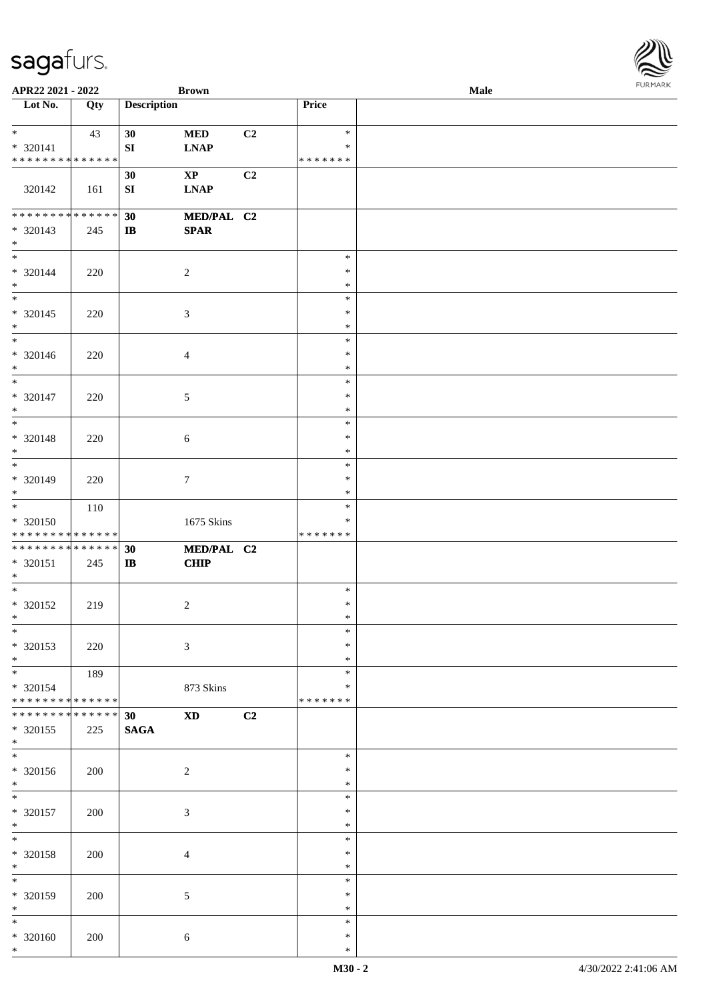| APR22 2021 - 2022                                             |                      |                        | <b>Brown</b>                 |    |                                   | Male |  |
|---------------------------------------------------------------|----------------------|------------------------|------------------------------|----|-----------------------------------|------|--|
| Lot No.                                                       | Qty                  | <b>Description</b>     |                              |    | Price                             |      |  |
| $*$<br>* 320141<br>* * * * * * * * * * * * * *                | 43                   | 30<br>${\bf S}{\bf I}$ | <b>MED</b><br><b>LNAP</b>    | C2 | $\ast$<br>$\ast$<br>* * * * * * * |      |  |
| 320142                                                        | 161                  | 30<br>${\bf S}{\bf I}$ | $\mathbf{XP}$<br><b>LNAP</b> | C2 |                                   |      |  |
| * * * * * * * * <mark>* * * * * * *</mark><br>* 320143<br>$*$ | 245                  | 30<br>$\mathbf{I}$     | MED/PAL C2<br><b>SPAR</b>    |    |                                   |      |  |
| $\overline{\ast}$<br>$* 320144$<br>$*$                        | 220                  |                        | $\sqrt{2}$                   |    | $\ast$<br>$\ast$<br>$\ast$        |      |  |
| $_{*}$<br>$* 320145$<br>$*$                                   | 220                  |                        | $\mathfrak{Z}$               |    | $\ast$<br>$\ast$<br>$\ast$        |      |  |
| $*$<br>* 320146<br>$*$                                        | 220                  |                        | $\overline{4}$               |    | $\ast$<br>$\ast$<br>$\ast$        |      |  |
| $*$<br>* 320147<br>$*$                                        | 220                  |                        | 5                            |    | $\ast$<br>$\ast$<br>$\ast$        |      |  |
| $*$<br>* 320148<br>$*$                                        | 220                  |                        | 6                            |    | $\ast$<br>$\ast$<br>$\ast$        |      |  |
| $\overline{\phantom{0}}$<br>* 320149<br>$*$                   | 220                  |                        | $\tau$                       |    | $\ast$<br>$\ast$<br>$\ast$        |      |  |
| $*$<br>* 320150<br>* * * * * * * * * * * * * *                | 110                  |                        | 1675 Skins                   |    | $\ast$<br>∗<br>* * * * * * *      |      |  |
| * * * * * * * * <mark>* * * * * * *</mark><br>* 320151<br>$*$ | 245                  | 30<br>$\bf I\bf B$     | MED/PAL C2<br><b>CHIP</b>    |    |                                   |      |  |
| $*$<br>* 320152<br>$*$ $-$                                    | 219                  |                        | 2                            |    | $\ast$<br>$\ast$<br>$\ast$        |      |  |
| $*$<br>* 320153<br>$*$                                        | 220                  |                        | 3                            |    | $\ast$<br>$\ast$<br>$\ast$        |      |  |
| $*$<br>* 320154<br>* * * * * * * * <mark>* * * * * * *</mark> | 189                  |                        | 873 Skins                    |    | $\ast$<br>$\ast$<br>* * * * * * * |      |  |
| * * * * * * * *<br>* 320155<br>$*$                            | * * * * * *  <br>225 | 30<br><b>SAGA</b>      | <b>XD</b>                    | C2 |                                   |      |  |
| $*$<br>* 320156<br>$*$                                        | 200                  |                        | $\overline{c}$               |    | $\ast$<br>$\ast$<br>$\ast$        |      |  |
| $\ast$<br>* 320157<br>$*$                                     | 200                  |                        | $\mathfrak{Z}$               |    | $\ast$<br>$\ast$<br>$\ast$        |      |  |
| $*$<br>* 320158<br>$*$                                        | 200                  |                        | $\overline{4}$               |    | $\ast$<br>$\ast$<br>$\ast$        |      |  |
| $*$<br>* 320159<br>$*$                                        | 200                  |                        | $\mathfrak{S}$               |    | $\ast$<br>$\ast$<br>$\ast$        |      |  |
| $*$<br>* 320160<br>$*$                                        | 200                  |                        | $\sqrt{6}$                   |    | $\ast$<br>$\ast$<br>$\ast$        |      |  |

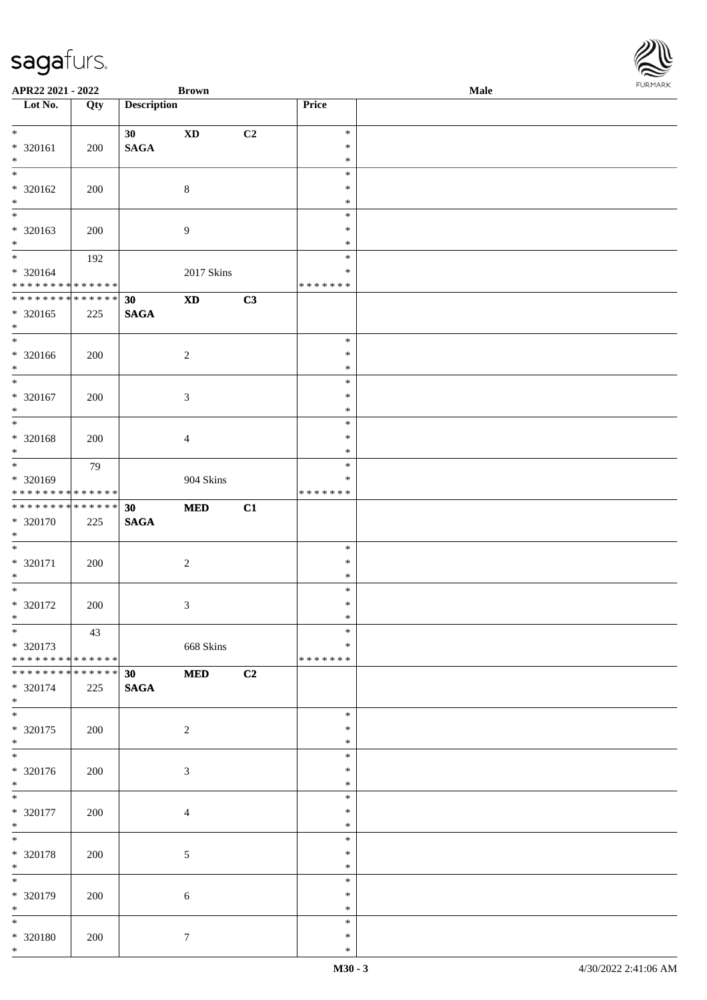| APR22 2021 - 2022                                                                        |             |                    | <b>Brown</b>               |                |                  | Male |  |
|------------------------------------------------------------------------------------------|-------------|--------------------|----------------------------|----------------|------------------|------|--|
| Lot No.                                                                                  | Qty         | <b>Description</b> |                            |                | Price            |      |  |
| $\ddot{x}$                                                                               |             |                    |                            |                |                  |      |  |
|                                                                                          |             | 30                 | $\boldsymbol{\mathrm{XD}}$ | C2             | $\ast$<br>$\ast$ |      |  |
| * 320161<br>$*$                                                                          | 200         | <b>SAGA</b>        |                            |                | $\ast$           |      |  |
| $\overline{\ast}$                                                                        |             |                    |                            |                | $\ast$           |      |  |
| * 320162                                                                                 | 200         |                    | $\,8\,$                    |                | $\ast$           |      |  |
| $*$                                                                                      |             |                    |                            |                | $\ast$           |      |  |
|                                                                                          |             |                    |                            |                | $\ast$           |      |  |
| * 320163                                                                                 | 200         |                    | $\overline{9}$             |                | $\ast$           |      |  |
| $\ast$                                                                                   |             |                    |                            |                | $\ast$           |      |  |
| $\ddot{x}$                                                                               | 192         |                    |                            |                | $\ast$           |      |  |
| * 320164                                                                                 |             |                    | 2017 Skins                 |                | $\ast$           |      |  |
| * * * * * * * * <mark>* * * * * * *</mark>                                               |             |                    |                            |                | * * * * * * *    |      |  |
| * * * * * * * * * * * * * *                                                              |             | 30                 | $\mathbf{X}\mathbf{D}$     | C3             |                  |      |  |
| * 320165                                                                                 | 225         | <b>SAGA</b>        |                            |                |                  |      |  |
| $*$                                                                                      |             |                    |                            |                |                  |      |  |
| $*$                                                                                      |             |                    |                            |                | $\ast$           |      |  |
| * 320166                                                                                 | 200         |                    | $\overline{c}$             |                | $\ast$           |      |  |
| $*$                                                                                      |             |                    |                            |                | $\ast$           |      |  |
| $\overline{\ast}$                                                                        |             |                    |                            |                | $\ast$           |      |  |
| * 320167                                                                                 | 200         |                    | $\mathfrak{Z}$             |                | $\ast$           |      |  |
| $*$                                                                                      |             |                    |                            |                | $\ast$           |      |  |
| $\overline{\ast}$                                                                        |             |                    |                            |                | $\ast$           |      |  |
| * 320168                                                                                 | 200         |                    | $\overline{4}$             |                | $\ast$           |      |  |
| $*$                                                                                      |             |                    |                            |                | $\ast$           |      |  |
|                                                                                          | 79          |                    |                            |                | $\ast$           |      |  |
| * 320169                                                                                 |             |                    | 904 Skins                  |                | ∗                |      |  |
| * * * * * * * * <mark>* * * * * * *</mark><br>* * * * * * * * <mark>* * * * * * *</mark> |             |                    |                            |                | * * * * * * *    |      |  |
|                                                                                          |             | 30                 | $\bf MED$                  | C1             |                  |      |  |
| * 320170<br>$\ast$                                                                       | 225         | <b>SAGA</b>        |                            |                |                  |      |  |
| $\ast$                                                                                   |             |                    |                            |                | $\ast$           |      |  |
| * 320171                                                                                 | 200         |                    | $\overline{c}$             |                | $\ast$           |      |  |
| $*$                                                                                      |             |                    |                            |                | $\ast$           |      |  |
| $\ddot{x}$                                                                               |             |                    |                            |                | $\ast$           |      |  |
| * 320172                                                                                 | 200         |                    | $\mathfrak{Z}$             |                | $\ast$           |      |  |
| $\ast$                                                                                   |             |                    |                            |                | $\ast$           |      |  |
| $*$                                                                                      | 43          |                    |                            |                | $\ast$           |      |  |
| * 320173                                                                                 |             |                    | 668 Skins                  |                | $\ast$           |      |  |
| * * * * * * * * <mark>* * * * * * *</mark>                                               |             |                    |                            |                | * * * * * * *    |      |  |
| * * * * * * * * <mark>*</mark>                                                           | * * * * * * | 30                 | $\bf MED$                  | C <sub>2</sub> |                  |      |  |
| * 320174                                                                                 | 225         | <b>SAGA</b>        |                            |                |                  |      |  |
| $*$                                                                                      |             |                    |                            |                |                  |      |  |
| $*$                                                                                      |             |                    |                            |                | $\ast$           |      |  |
| * 320175                                                                                 | 200         |                    | $\overline{2}$             |                | $\ast$           |      |  |
| $\ast$<br>$\overline{\ast}$                                                              |             |                    |                            |                | $\ast$           |      |  |
|                                                                                          |             |                    |                            |                | $\ast$           |      |  |
| * 320176                                                                                 | 200         |                    | $\sqrt{3}$                 |                | $\ast$           |      |  |
| $\ast$<br>$*$                                                                            |             |                    |                            |                | $\ast$<br>$\ast$ |      |  |
|                                                                                          |             |                    |                            |                | $\ast$           |      |  |
| * 320177<br>$*$                                                                          | 200         |                    | $\overline{4}$             |                | $\ast$           |      |  |
| $*$                                                                                      |             |                    |                            |                | $\ast$           |      |  |
| * 320178                                                                                 | 200         |                    | $\mathfrak{S}$             |                | $\ast$           |      |  |
| $*$                                                                                      |             |                    |                            |                | $\ast$           |      |  |
|                                                                                          |             |                    |                            |                | $\ast$           |      |  |
| * 320179                                                                                 | 200         |                    | 6                          |                | $\ast$           |      |  |
| $*$                                                                                      |             |                    |                            |                | $\ast$           |      |  |
| $*$                                                                                      |             |                    |                            |                | $\ast$           |      |  |
| * 320180                                                                                 | 200         |                    | $7\phantom{.0}$            |                | $\ast$           |      |  |
| $\ast$                                                                                   |             |                    |                            |                | $\ast$           |      |  |

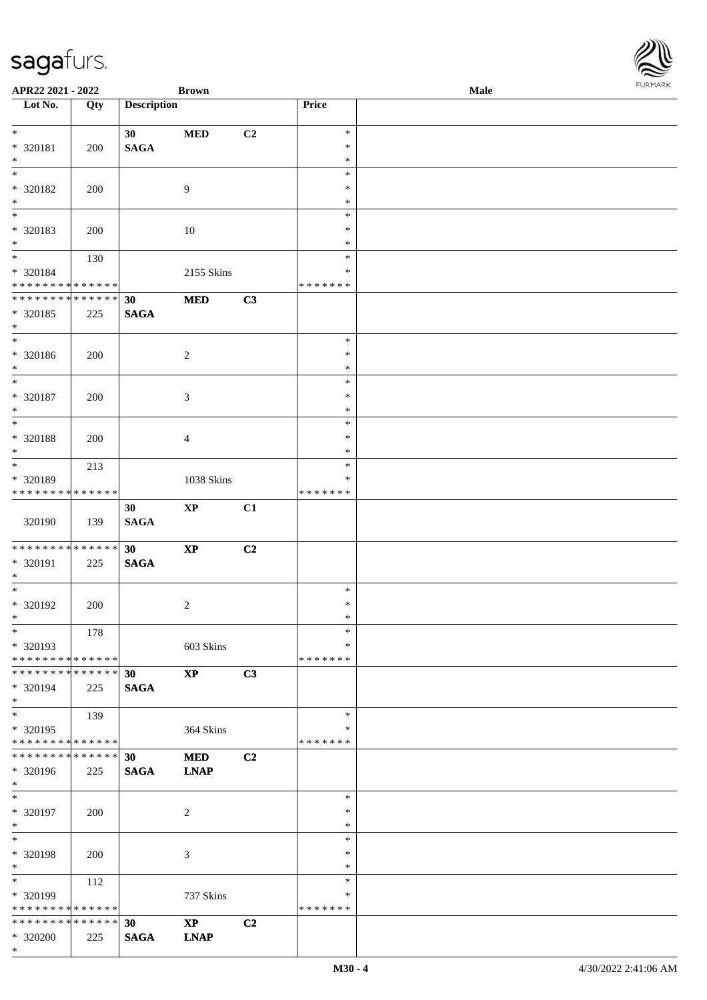| APR22 2021 - 2022                          |             |                    | <b>Brown</b>                   |    |                  | Male | <b>FUNITANN</b> |
|--------------------------------------------|-------------|--------------------|--------------------------------|----|------------------|------|-----------------|
| Lot No.                                    | Qty         | <b>Description</b> |                                |    | Price            |      |                 |
| $*$                                        |             |                    |                                |    | $\ast$           |      |                 |
| * 320181                                   | 200         | 30<br><b>SAGA</b>  | <b>MED</b>                     | C2 | $\ast$           |      |                 |
| $*$                                        |             |                    |                                |    | $\ast$           |      |                 |
| $\overline{\phantom{0}}$                   |             |                    |                                |    | $\ast$           |      |                 |
| * 320182                                   | 200         |                    | 9                              |    | $\ast$           |      |                 |
| $*$                                        |             |                    |                                |    | $\ast$           |      |                 |
|                                            |             |                    |                                |    | $\ast$           |      |                 |
| * 320183                                   | 200         |                    | 10                             |    | $\ast$           |      |                 |
| $\ast$<br>$*$                              |             |                    |                                |    | $\ast$<br>$\ast$ |      |                 |
| * 320184                                   | 130         |                    | 2155 Skins                     |    | $\ast$           |      |                 |
| * * * * * * * * <mark>* * * * * * *</mark> |             |                    |                                |    | * * * * * * *    |      |                 |
| * * * * * * * * * * * * * *                |             | 30                 | <b>MED</b>                     | C3 |                  |      |                 |
| * 320185                                   | 225         | <b>SAGA</b>        |                                |    |                  |      |                 |
| $*$                                        |             |                    |                                |    |                  |      |                 |
| $\overline{\phantom{0}}$                   |             |                    |                                |    | $\ast$           |      |                 |
| * 320186                                   | 200         |                    | $\overline{2}$                 |    | $\ast$           |      |                 |
| $*$<br>$*$                                 |             |                    |                                |    | $\ast$           |      |                 |
|                                            |             |                    |                                |    | $\ast$           |      |                 |
| $* 320187$<br>$*$                          | 200         |                    | 3                              |    | $\ast$<br>$\ast$ |      |                 |
| $\overline{\phantom{0}}$                   |             |                    |                                |    | $\ast$           |      |                 |
| * 320188                                   | 200         |                    | $\overline{4}$                 |    | $\ast$           |      |                 |
| $*$                                        |             |                    |                                |    | $\ast$           |      |                 |
| $\overline{\ast}$                          | 213         |                    |                                |    | $\ast$           |      |                 |
| * 320189                                   |             |                    | 1038 Skins                     |    | $\ast$           |      |                 |
| * * * * * * * *                            | * * * * * * |                    |                                |    | * * * * * * *    |      |                 |
|                                            |             | 30                 | $\mathbf{XP}$                  | C1 |                  |      |                 |
| 320190                                     | 139         | <b>SAGA</b>        |                                |    |                  |      |                 |
| * * * * * * * * <mark>* * * * * * *</mark> |             |                    |                                |    |                  |      |                 |
| * 320191                                   | 225         | 30<br><b>SAGA</b>  | $\bold{XP}$                    | C2 |                  |      |                 |
| $*$                                        |             |                    |                                |    |                  |      |                 |
| $\overline{\mathbf{r}}$                    |             |                    |                                |    | $\ast$           |      |                 |
| * 320192                                   | 200         |                    | $\sqrt{2}$                     |    | $\ast$           |      |                 |
| $\ddot{x}$                                 |             |                    |                                |    | $\ast$           |      |                 |
| $\ast$                                     | 178         |                    |                                |    | $\ast$           |      |                 |
| * 320193                                   |             |                    | 603 Skins                      |    | $\ast$           |      |                 |
| * * * * * * * * <mark>* * * * * *</mark>   |             |                    |                                |    | * * * * * * *    |      |                 |
| * * * * * * * * <mark>* * * * * * *</mark> |             | 30                 | $\boldsymbol{X}\boldsymbol{P}$ | C3 |                  |      |                 |
| * 320194<br>$\ast$                         | 225         | <b>SAGA</b>        |                                |    |                  |      |                 |
|                                            | 139         |                    |                                |    | $\ast$           |      |                 |
| * 320195                                   |             |                    | 364 Skins                      |    | ∗                |      |                 |
| * * * * * * * * <mark>* * * * * * *</mark> |             |                    |                                |    | * * * * * * *    |      |                 |
| * * * * * * * *                            | * * * * * * | 30                 | <b>MED</b>                     | C2 |                  |      |                 |
| * 320196                                   | 225         | <b>SAGA</b>        | <b>LNAP</b>                    |    |                  |      |                 |
| $\ast$                                     |             |                    |                                |    |                  |      |                 |
| $*$                                        |             |                    |                                |    | $\ast$           |      |                 |
| * 320197                                   | 200         |                    | 2                              |    | $\ast$           |      |                 |
| $*$<br>$*$                                 |             |                    |                                |    | $\ast$<br>$\ast$ |      |                 |
| * 320198                                   | 200         |                    | 3                              |    | $\ast$           |      |                 |
| $*$                                        |             |                    |                                |    | $\ast$           |      |                 |
| $\overline{\ast}$                          | 112         |                    |                                |    | $\ast$           |      |                 |
| * 320199                                   |             |                    | 737 Skins                      |    | ∗                |      |                 |
| * * * * * * * * <mark>* * * * * *</mark>   |             |                    |                                |    | * * * * * * *    |      |                 |
| * * * * * * * * <mark>* * * * * *</mark>   |             | 30                 | $\mathbf{X}\mathbf{P}$         | C2 |                  |      |                 |
| * 320200                                   | 225         | <b>SAGA</b>        | <b>LNAP</b>                    |    |                  |      |                 |
| $*$                                        |             |                    |                                |    |                  |      |                 |

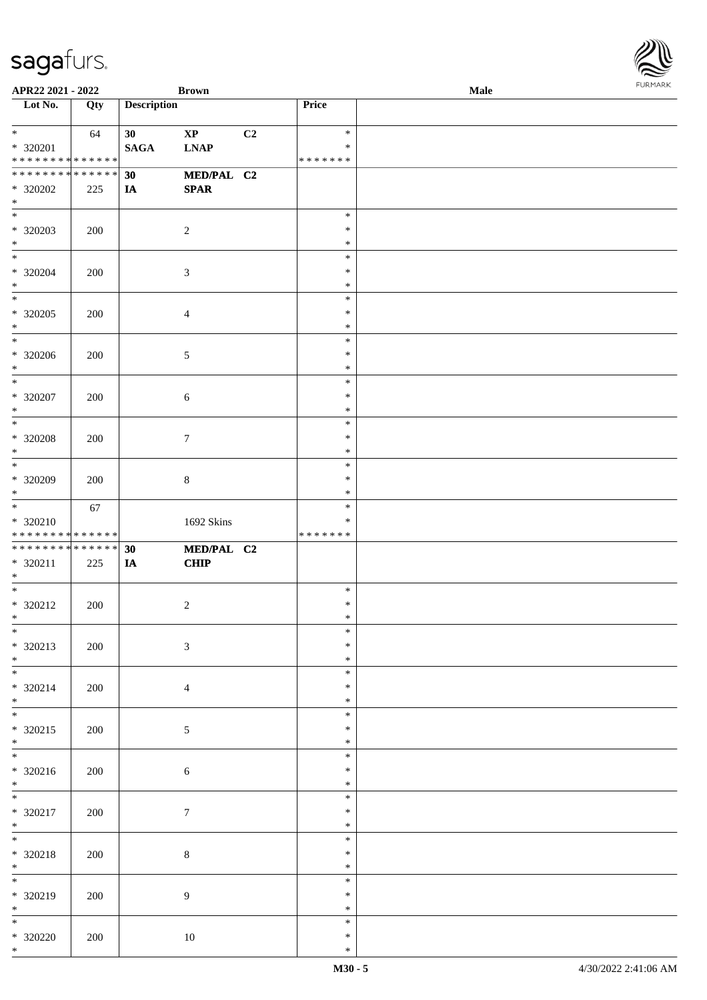| APR22 2021 - 2022                                                  |     |                    | <b>Brown</b>                          |    |                                   | Male |  |
|--------------------------------------------------------------------|-----|--------------------|---------------------------------------|----|-----------------------------------|------|--|
| Lot No.                                                            | Qty | <b>Description</b> |                                       |    | Price                             |      |  |
| $*$<br>* 320201<br>* * * * * * * * <mark>* * * * * *</mark>        | 64  | 30<br><b>SAGA</b>  | $\mathbf{X}\mathbf{P}$<br><b>LNAP</b> | C2 | $\ast$<br>$\ast$<br>* * * * * * * |      |  |
| * * * * * * * * <mark>* * * * * *</mark><br>* 320202<br>$\ast$     | 225 | 30<br>IA           | MED/PAL C2<br><b>SPAR</b>             |    |                                   |      |  |
| $\overline{\phantom{0}}$<br>* 320203<br>$*$                        | 200 |                    | $\overline{c}$                        |    | $\ast$<br>$\ast$<br>$\ast$        |      |  |
| $*$<br>* 320204<br>$*$                                             | 200 |                    | $\sqrt{3}$                            |    | $\ast$<br>$\ast$<br>$\ast$        |      |  |
| $\overline{\mathbf{r}}$<br>* 320205<br>$*$                         | 200 |                    | $\overline{4}$                        |    | $\ast$<br>$\ast$<br>$\ast$        |      |  |
| $* 320206$<br>$\ast$<br>$\overline{\ast}$                          | 200 |                    | $\sqrt{5}$                            |    | $\ast$<br>$\ast$<br>$\ast$        |      |  |
| $* 320207$<br>$*$<br>$\overline{\mathbf{r}}$                       | 200 |                    | 6                                     |    | $\ast$<br>$\ast$<br>$\ast$        |      |  |
| * 320208<br>$\ast$                                                 | 200 |                    | $\tau$                                |    | $\ast$<br>$\ast$<br>$\ast$        |      |  |
| * 320209<br>$\ast$                                                 | 200 |                    | 8                                     |    | $\ast$<br>$\ast$<br>$\ast$        |      |  |
| $*$<br>$* 320210$<br>* * * * * * * * <mark>* * * * * * *</mark>    | 67  |                    | 1692 Skins                            |    | $\ast$<br>∗<br>* * * * * * *      |      |  |
| * * * * * * * * <mark>* * * * * * *</mark><br>$* 320211$<br>$\ast$ | 225 | 30<br>IA           | MED/PAL C2<br><b>CHIP</b>             |    |                                   |      |  |
| $*$<br>* 320212<br>$*$ $-$                                         | 200 |                    | $\sqrt{2}$                            |    | $\ast$<br>$\ast$<br>$\ast$        |      |  |
| $\overline{\ast}$<br>* 320213<br>$*$                               | 200 |                    | $\mathfrak{Z}$                        |    | $\ast$<br>$\ast$<br>$\ast$        |      |  |
| * 320214<br>$*$                                                    | 200 |                    | $\overline{4}$                        |    | $\ast$<br>$\ast$<br>$\ast$        |      |  |
| $*$<br>* 320215<br>$*$                                             | 200 |                    | 5                                     |    | $\ast$<br>$\ast$<br>$\ast$        |      |  |
| $\overline{\ast}$<br>$* 320216$<br>$*$                             | 200 |                    | 6                                     |    | $\ast$<br>$\ast$<br>$\ast$        |      |  |
| $\overline{\mathbf{r}}$<br>* 320217<br>$*$                         | 200 |                    | $\tau$                                |    | $\ast$<br>$\ast$<br>$\ast$        |      |  |
| $*$<br>* 320218<br>$*$                                             | 200 |                    | $8\,$                                 |    | $\ast$<br>$\ast$<br>$\ast$        |      |  |
| * 320219<br>$*$                                                    | 200 |                    | 9                                     |    | $\ast$<br>$\ast$<br>$\ast$        |      |  |
| $\overline{\mathbf{r}}$<br>* 320220<br>$*$                         | 200 |                    | 10                                    |    | $\ast$<br>$\ast$<br>$\ast$        |      |  |

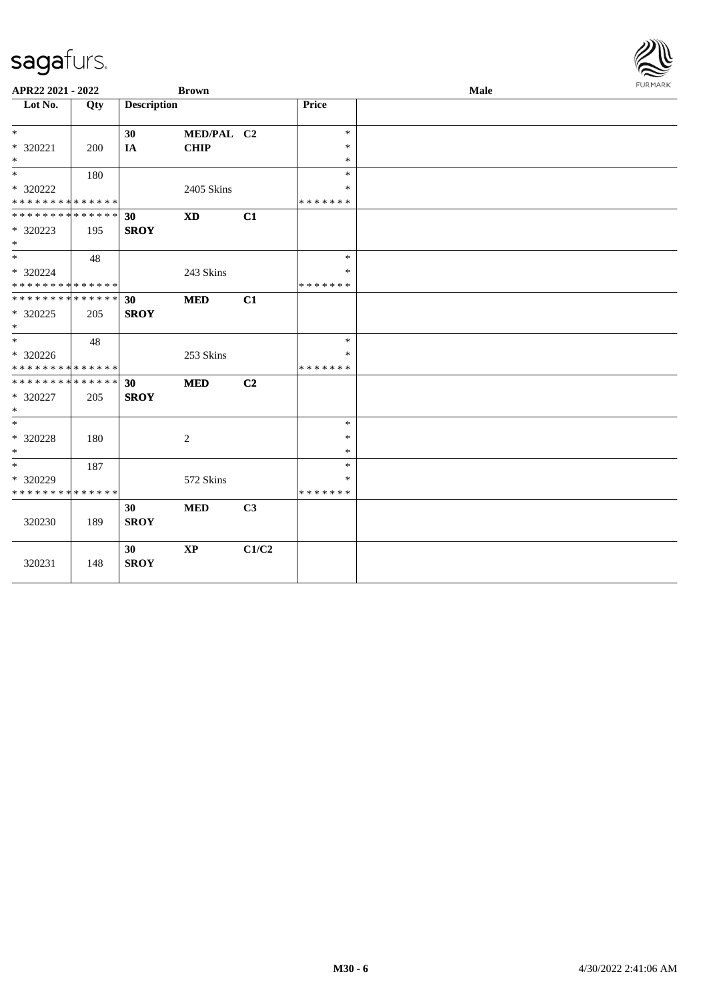| APR22 2021 - 2022             |     |                    | <b>Brown</b> |                |                  | Male | <b>FURMARK</b> |
|-------------------------------|-----|--------------------|--------------|----------------|------------------|------|----------------|
| Lot No.                       | Qty | <b>Description</b> |              |                | <b>Price</b>     |      |                |
|                               |     |                    |              |                |                  |      |                |
| $*$                           |     | 30                 | MED/PAL C2   |                | $\ast$           |      |                |
| * 320221<br>$*$               | 200 | IA                 | <b>CHIP</b>  |                | $\ast$<br>$\ast$ |      |                |
| $*$                           | 180 |                    |              |                | $\ast$           |      |                |
| * 320222                      |     |                    | 2405 Skins   |                | $\ast$           |      |                |
| * * * * * * * * * * * * * *   |     |                    |              |                | * * * * * * *    |      |                |
| * * * * * * * * * * * * * * * |     | 30                 | <b>XD</b>    | C1             |                  |      |                |
| * 320223                      | 195 | <b>SROY</b>        |              |                |                  |      |                |
| $*$                           |     |                    |              |                |                  |      |                |
| $*$                           | 48  |                    |              |                | $\ast$           |      |                |
| * 320224                      |     |                    | 243 Skins    |                | *                |      |                |
| * * * * * * * * * * * * * *   |     |                    |              |                | *******          |      |                |
| * * * * * * * * * * * * * * * |     | 30                 | <b>MED</b>   | C1             |                  |      |                |
| * 320225                      | 205 | <b>SROY</b>        |              |                |                  |      |                |
| $\ast$                        |     |                    |              |                |                  |      |                |
| $\ast$                        | 48  |                    |              |                | $\ast$           |      |                |
| * 320226                      |     |                    | 253 Skins    |                | *                |      |                |
| * * * * * * * * * * * * * *   |     |                    |              |                | * * * * * * *    |      |                |
| * * * * * * * * * * * * * * * |     | 30                 | <b>MED</b>   | C <sub>2</sub> |                  |      |                |
| * 320227<br>$\ast$            | 205 | <b>SROY</b>        |              |                |                  |      |                |
| $*$                           |     |                    |              |                | $\ast$           |      |                |
| $* 320228$                    | 180 |                    | 2            |                | $\ast$           |      |                |
| $*$                           |     |                    |              |                | $\ast$           |      |                |
| $*$                           | 187 |                    |              |                | $\ast$           |      |                |
| * 320229                      |     |                    | 572 Skins    |                | $\ast$           |      |                |
| * * * * * * * * * * * * * *   |     |                    |              |                | *******          |      |                |
|                               |     | 30                 | <b>MED</b>   | C <sub>3</sub> |                  |      |                |
| 320230                        | 189 | <b>SROY</b>        |              |                |                  |      |                |
|                               |     |                    |              |                |                  |      |                |
|                               |     | 30                 | <b>XP</b>    | C1/C2          |                  |      |                |
| 320231                        | 148 | <b>SROY</b>        |              |                |                  |      |                |
|                               |     |                    |              |                |                  |      |                |

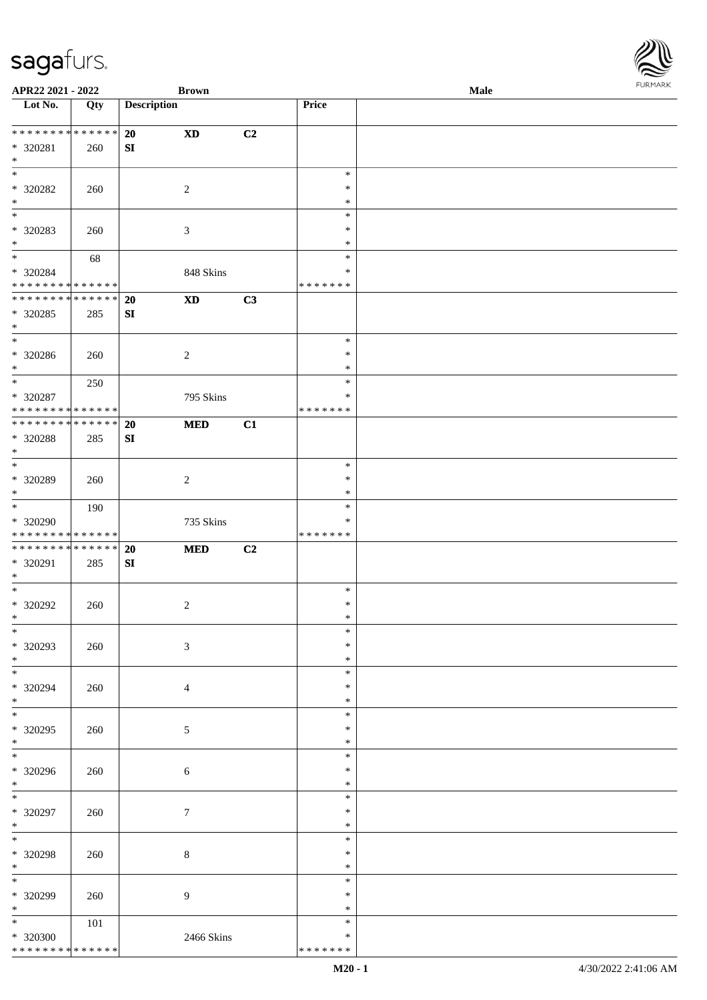| APR22 2021 - 2022                          |         |                    | <b>Brown</b>               |                |               | Male |
|--------------------------------------------|---------|--------------------|----------------------------|----------------|---------------|------|
| Lot No.                                    | Qty     | <b>Description</b> |                            |                | Price         |      |
|                                            |         |                    |                            |                |               |      |
| * * * * * * * * * * * * * *                |         | 20                 | <b>XD</b>                  | C2             |               |      |
| * 320281                                   | 260     | ${\bf S}{\bf I}$   |                            |                |               |      |
| $\ast$                                     |         |                    |                            |                |               |      |
| $\ast$                                     |         |                    |                            |                | $\ast$        |      |
| * 320282                                   |         |                    | $\overline{2}$             |                | $\ast$        |      |
| $\ast$                                     | 260     |                    |                            |                |               |      |
| $\overline{\phantom{0}}$                   |         |                    |                            |                | $\ast$        |      |
|                                            |         |                    |                            |                | $\ast$        |      |
| * 320283                                   | 260     |                    | $\mathfrak{Z}$             |                | $\ast$        |      |
| $*$                                        |         |                    |                            |                | $\ast$        |      |
| $\overline{\ast}$                          | 68      |                    |                            |                | $\ast$        |      |
| * 320284                                   |         |                    | 848 Skins                  |                | $\ast$        |      |
| * * * * * * * * * * * * * *                |         |                    |                            |                | * * * * * * * |      |
| ******** <mark>******</mark>               |         | <b>20</b>          | $\boldsymbol{\mathrm{XD}}$ | C3             |               |      |
| * 320285                                   | 285     | ${\bf S}{\bf I}$   |                            |                |               |      |
| $*$                                        |         |                    |                            |                |               |      |
| $*$                                        |         |                    |                            |                | $\ast$        |      |
| $* 320286$                                 |         |                    |                            |                | $\ast$        |      |
| $*$                                        | 260     |                    | $\sqrt{2}$                 |                | $\ast$        |      |
|                                            |         |                    |                            |                |               |      |
| $\ast$                                     | 250     |                    |                            |                | $\ast$        |      |
| * 320287                                   |         |                    | 795 Skins                  |                | $\ast$        |      |
| ******** <mark>******</mark>               |         |                    |                            |                | * * * * * * * |      |
| **************                             |         | 20                 | $\bf MED$                  | C1             |               |      |
| * 320288                                   | 285     | ${\bf S}{\bf I}$   |                            |                |               |      |
| $*$                                        |         |                    |                            |                |               |      |
| $\ast$                                     |         |                    |                            |                | $\ast$        |      |
| * 320289                                   | 260     |                    | $\sqrt{2}$                 |                | $\ast$        |      |
| $*$                                        |         |                    |                            |                | $\ast$        |      |
| $\ast$                                     |         |                    |                            |                | $\ast$        |      |
|                                            | 190     |                    |                            |                |               |      |
| * 320290                                   |         |                    | 735 Skins                  |                | $\ast$        |      |
| * * * * * * * * <mark>* * * * * * *</mark> |         |                    |                            |                | * * * * * * * |      |
| * * * * * * * * * * * * * *                |         | 20                 | $\bf MED$                  | C <sub>2</sub> |               |      |
| * 320291                                   | 285     | SI                 |                            |                |               |      |
| $*$                                        |         |                    |                            |                |               |      |
| $*$                                        |         |                    |                            |                | $\ast$        |      |
| $* 320292$                                 | 260     |                    | $\sqrt{2}$                 |                | $\ast$        |      |
| $*$                                        |         |                    |                            |                | $\ast$        |      |
| $\ast$                                     |         |                    |                            |                | $\ast$        |      |
| * 320293                                   | 260     |                    | $\mathfrak{Z}$             |                | $\ast$        |      |
| $*$                                        |         |                    |                            |                | $\ast$        |      |
| $\overline{\phantom{0}}$                   |         |                    |                            |                |               |      |
|                                            |         |                    |                            |                | $\ast$        |      |
| * 320294                                   | 260     |                    | $\overline{4}$             |                | $\ast$        |      |
| $*$                                        |         |                    |                            |                | $\ast$        |      |
| $*$                                        |         |                    |                            |                | $\ast$        |      |
| $* 320295$                                 | $260\,$ |                    | 5                          |                | $\ast$        |      |
| $*$                                        |         |                    |                            |                | $\ast$        |      |
| $\overline{\phantom{0}}$                   |         |                    |                            |                | $\ast$        |      |
| $* 320296$                                 | 260     |                    | $\sqrt{6}$                 |                | $\ast$        |      |
| $*$                                        |         |                    |                            |                | $\ast$        |      |
| $\overline{\phantom{0}}$                   |         |                    |                            |                | $\ast$        |      |
| * 320297                                   |         |                    | $\boldsymbol{7}$           |                | $\ast$        |      |
|                                            | 260     |                    |                            |                |               |      |
| $*$                                        |         |                    |                            |                | $\ast$        |      |
| $\ast$                                     |         |                    |                            |                | $\ast$        |      |
| * 320298                                   | 260     |                    | 8                          |                | $\ast$        |      |
| $\ast$                                     |         |                    |                            |                | $\ast$        |      |
| $\overline{\phantom{a}^*}$                 |         |                    |                            |                | $\ast$        |      |
| * 320299                                   | 260     |                    | $\overline{9}$             |                | $\ast$        |      |
| $*$                                        |         |                    |                            |                | $\ast$        |      |
| $*$                                        | 101     |                    |                            |                | $\ast$        |      |
| * 320300                                   |         |                    | 2466 Skins                 |                | $\ast$        |      |
| ******** <mark>******</mark>               |         |                    |                            |                | * * * * * * * |      |
|                                            |         |                    |                            |                |               |      |

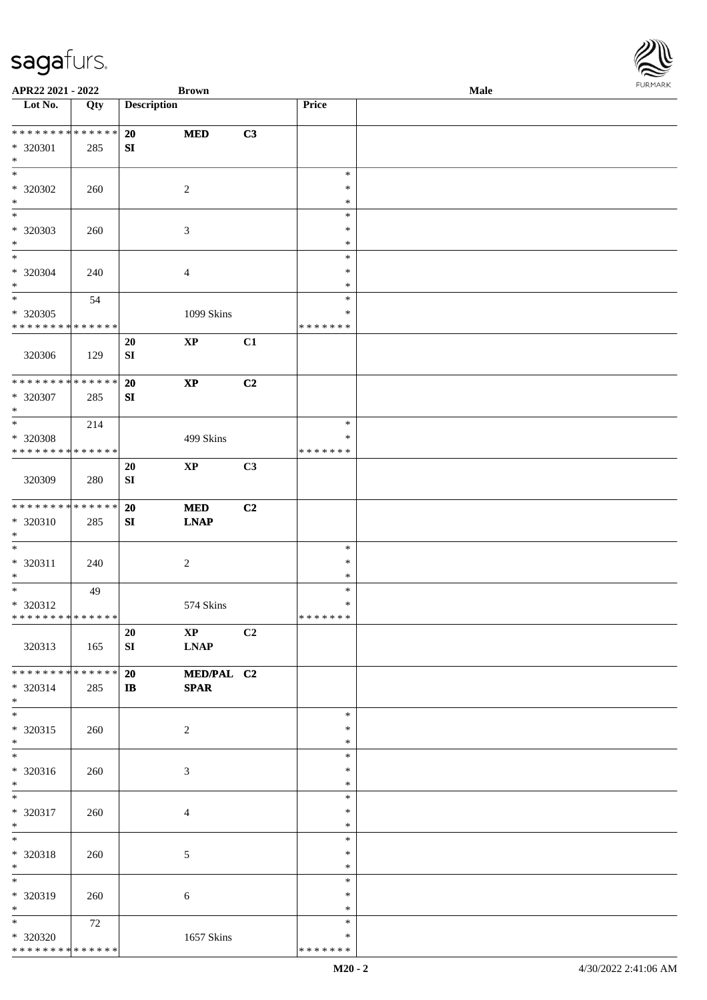| APR22 2021 - 2022                                                          |     |                        | <b>Brown</b>                          |    |                                   | <b>Male</b> |  |
|----------------------------------------------------------------------------|-----|------------------------|---------------------------------------|----|-----------------------------------|-------------|--|
| Lot No.                                                                    | Qty | <b>Description</b>     |                                       |    | Price                             |             |  |
| **************<br>* 320301<br>$\ast$                                       | 285 | 20<br>${\bf S}{\bf I}$ | <b>MED</b>                            | C3 |                                   |             |  |
| $\overline{\ast}$<br>* 320302<br>$\ast$                                    | 260 |                        | $\overline{c}$                        |    | $\ast$<br>$\ast$<br>$\ast$        |             |  |
| $\overline{\phantom{0}}$<br>* 320303<br>$\ast$<br>$\overline{\phantom{0}}$ | 260 |                        | $\mathfrak{Z}$                        |    | $\ast$<br>$\ast$<br>$\ast$        |             |  |
| $* 320304$<br>$\ast$                                                       | 240 |                        | $\overline{4}$                        |    | $\ast$<br>$\ast$<br>$\ast$        |             |  |
| $\overline{\ast}$<br>* 320305<br>* * * * * * * * * * * * * *               | 54  |                        | 1099 Skins                            |    | $\ast$<br>$\ast$<br>* * * * * * * |             |  |
| 320306                                                                     | 129 | 20<br>${\bf S}{\bf I}$ | $\mathbf{X}\mathbf{P}$                | C1 |                                   |             |  |
| ******** <mark>******</mark><br>$* 320307$<br>$\ast$                       | 285 | 20<br>SI               | $\bold{XP}$                           | C2 |                                   |             |  |
| $\ast$<br>* 320308<br>* * * * * * * * * * * * * *                          | 214 |                        | 499 Skins                             |    | $\ast$<br>$\ast$<br>* * * * * * * |             |  |
| 320309                                                                     | 280 | 20<br>${\bf S}{\bf I}$ | $\mathbf{X}\mathbf{P}$                | C3 |                                   |             |  |
| * * * * * * * * * * * * * *<br>* 320310<br>$\ast$                          | 285 | 20<br>${\bf S}{\bf I}$ | $\bf MED$<br><b>LNAP</b>              | C2 |                                   |             |  |
| $\overline{\phantom{0}}$<br>$* 320311$<br>$\ast$                           | 240 |                        | $\sqrt{2}$                            |    | $\ast$<br>$\ast$<br>$\ast$        |             |  |
| $\ast$<br>* 320312<br>**************                                       | 49  |                        | 574 Skins                             |    | $\ast$<br>$\ast$<br>*******       |             |  |
| 320313                                                                     | 165 | 20<br>SI               | $\mathbf{X}\mathbf{P}$<br><b>LNAP</b> | C2 |                                   |             |  |
| ******** <mark>******</mark><br>* 320314<br>$*$                            | 285 | 20<br>$\mathbf{I}$     | MED/PAL C2<br><b>SPAR</b>             |    |                                   |             |  |
| $*$<br>* 320315<br>$*$                                                     | 260 |                        | $\overline{2}$                        |    | $\ast$<br>$\ast$<br>$\ast$        |             |  |
| $*$<br>* 320316<br>$*$                                                     | 260 |                        | 3                                     |    | $\ast$<br>$\ast$<br>$\ast$        |             |  |
| $\overline{\phantom{0}}$<br>* 320317<br>$*$                                | 260 |                        | $\overline{4}$                        |    | $\ast$<br>$\ast$<br>$\ast$        |             |  |
| $*$<br>* 320318<br>$*$                                                     | 260 |                        | $\mathfrak{S}$                        |    | $\ast$<br>$\ast$<br>$\ast$        |             |  |
| $\ast$<br>* 320319<br>$*$                                                  | 260 |                        | 6                                     |    | $\ast$<br>$\ast$<br>$\ast$        |             |  |
| $\overline{\phantom{0}}$<br>* 320320<br>* * * * * * * * * * * * * *        | 72  |                        | 1657 Skins                            |    | $\ast$<br>$\ast$<br>* * * * * * * |             |  |

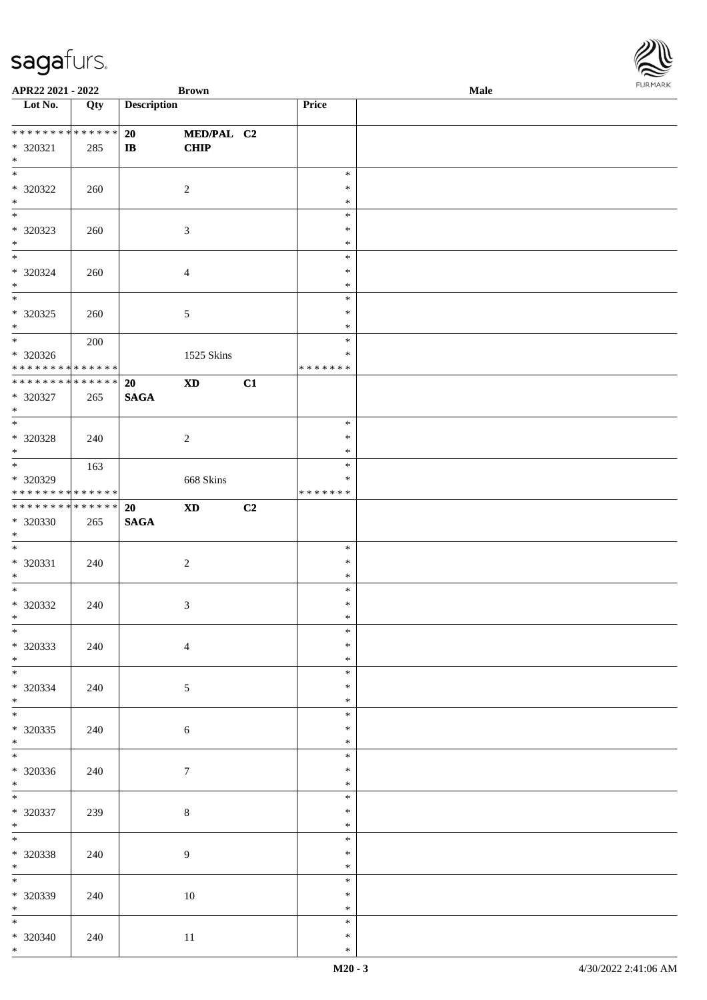| APR22 2021 - 2022                                                |     |                    | <b>Brown</b>               |    |                                   | Male |  |
|------------------------------------------------------------------|-----|--------------------|----------------------------|----|-----------------------------------|------|--|
| Lot $No.$                                                        | Qty | <b>Description</b> |                            |    | Price                             |      |  |
| ******** <mark>******</mark><br>* 320321                         | 285 | 20<br>$\mathbf{I}$ | MED/PAL C2<br><b>CHIP</b>  |    |                                   |      |  |
| $*$<br>$\overline{\ }$                                           |     |                    |                            |    | $\ast$                            |      |  |
| * 320322<br>$*$                                                  | 260 |                    | $\overline{2}$             |    | $\ast$<br>$\ast$<br>$\ast$        |      |  |
| * 320323<br>$\ast$                                               | 260 |                    | $\mathfrak{Z}$             |    | $\ast$<br>$\ast$                  |      |  |
| $\overline{\phantom{0}}$<br>* 320324<br>$*$                      | 260 |                    | $\overline{4}$             |    | $\ast$<br>$\ast$<br>$\ast$        |      |  |
| $\overline{\ }$<br>* 320325<br>$*$                               | 260 |                    | $\mathfrak{S}$             |    | $\ast$<br>$\ast$<br>$\ast$        |      |  |
| $*$<br>* 320326<br>* * * * * * * * <mark>* * * * * * *</mark>    | 200 |                    | 1525 Skins                 |    | $\ast$<br>$\ast$<br>* * * * * * * |      |  |
| ******** <mark>******</mark><br>* 320327<br>$*$                  | 265 | 20<br><b>SAGA</b>  | $\boldsymbol{\mathrm{XD}}$ | C1 |                                   |      |  |
| $\overline{\ast}$<br>$* 320328$<br>$*$                           | 240 |                    | 2                          |    | $\ast$<br>$\ast$<br>$\ast$        |      |  |
| * 320329<br>* * * * * * * * <mark>* * * * * * *</mark>           | 163 |                    | 668 Skins                  |    | $\ast$<br>∗<br>* * * * * * *      |      |  |
| * * * * * * * * <mark>* * * * * * *</mark><br>* 320330<br>$\ast$ | 265 | 20<br><b>SAGA</b>  | $\boldsymbol{\mathrm{XD}}$ | C2 |                                   |      |  |
| $\ast$<br>* 320331<br>$*$                                        | 240 |                    | $\overline{2}$             |    | $\ast$<br>$\ast$<br>$\ast$        |      |  |
| $*$<br>* 320332<br>$\ddot{x}$                                    | 240 |                    | $\mathfrak{Z}$             |    | $\ast$<br>$\ast$<br>$\ast$        |      |  |
| $*$<br>* 320333<br>$*$ $-$                                       | 240 |                    | $\overline{4}$             |    | $\ast$<br>$\ast$<br>$\ast$        |      |  |
| $*$<br>* 320334<br>$*$ $-$                                       | 240 |                    | 5                          |    | $\ast$<br>$\ast$<br>$\ast$        |      |  |
| $\ddot{x}$<br>* 320335<br>$*$                                    | 240 |                    | 6                          |    | $\ast$<br>$\ast$<br>$\ast$        |      |  |
| $*$<br>* 320336<br>$*$                                           | 240 |                    | $\tau$                     |    | $\ast$<br>$\ast$<br>$\ast$        |      |  |
| $*$<br>* 320337<br>$*$                                           | 239 |                    | $8\,$                      |    | $\ast$<br>$\ast$<br>$\ast$        |      |  |
| $*$<br>* 320338<br>$*$                                           | 240 |                    | 9                          |    | $\ast$<br>$\ast$<br>$\ast$        |      |  |
| $\overline{\mathbf{r}}$<br>* 320339<br>$*$                       | 240 |                    | 10                         |    | $\ast$<br>$\ast$<br>$\ast$        |      |  |
| $*$<br>* 320340<br>$*$                                           | 240 |                    | 11                         |    | $\ast$<br>$\ast$<br>$\ast$        |      |  |

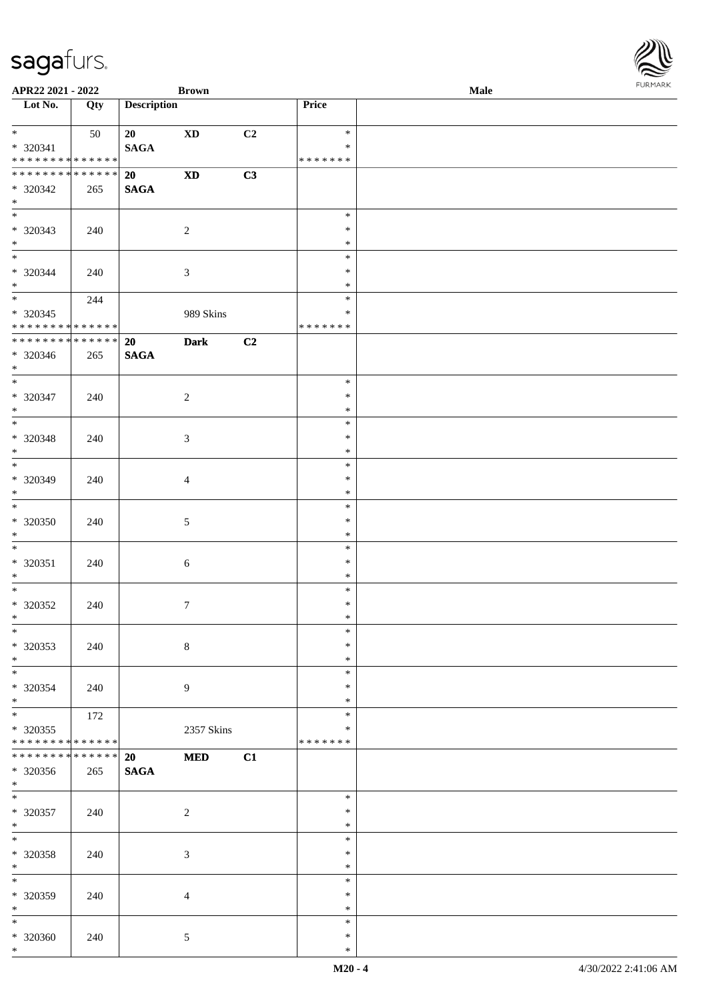| APR22 2021 - 2022                                                             |                    |                          | <b>Brown</b>   |    |                                   | Male |  |
|-------------------------------------------------------------------------------|--------------------|--------------------------|----------------|----|-----------------------------------|------|--|
| Lot No.                                                                       | Qty                | <b>Description</b>       |                |    | <b>Price</b>                      |      |  |
| $*$<br>* 320341<br>* * * * * * * * <mark>* * * * * * *</mark>                 | 50                 | 20<br><b>SAGA</b>        | <b>XD</b>      | C2 | $\ast$<br>$\ast$<br>* * * * * * * |      |  |
| * * * * * * * * <mark>* * * * * * *</mark><br>* 320342<br>$\ast$              | 265                | 20<br><b>SAGA</b>        | <b>XD</b>      | C3 |                                   |      |  |
| * 320343<br>$*$                                                               | 240                |                          | $\overline{2}$ |    | $\ast$<br>$\ast$<br>$\ast$        |      |  |
| $*$<br>* 320344<br>$*$                                                        | 240                |                          | $\sqrt{3}$     |    | $\ast$<br>$\ast$<br>$\ast$        |      |  |
| $\overline{\ast}$<br>$* 320345$<br>* * * * * * * * <mark>* * * * * * *</mark> | 244                |                          | 989 Skins      |    | $\ast$<br>$\ast$<br>* * * * * * * |      |  |
| * 320346<br>$\ast$                                                            | 265                | 20<br><b>SAGA</b>        | <b>Dark</b>    | C2 |                                   |      |  |
| $\overline{\phantom{0}}$<br>* 320347<br>$*$                                   | 240                |                          | 2              |    | $\ast$<br>$\ast$<br>$\ast$        |      |  |
| * 320348<br>$\ast$                                                            | 240                |                          | 3              |    | $\ast$<br>$\ast$<br>$\ast$        |      |  |
| $*$<br>* 320349<br>$\ast$                                                     | 240                |                          | 4              |    | $\ast$<br>$\ast$<br>$\ast$        |      |  |
| $\ddot{x}$<br>* 320350<br>$*$                                                 | 240                |                          | $5\,$          |    | $\ast$<br>$\ast$<br>$\ast$        |      |  |
| $\ast$<br>$* 320351$<br>$*$                                                   | 240                |                          | $\sqrt{6}$     |    | $\ast$<br>$\ast$<br>$\ast$        |      |  |
| * 320352<br>$\ast$                                                            | 240                |                          | $\overline{7}$ |    | $\ast$<br>$\ast$<br>$\ast$        |      |  |
| $\ddot{x}$<br>* 320353<br>$*$                                                 | 240                |                          | $\,8\,$        |    | $\ast$<br>$\ast$<br>$\ast$        |      |  |
| $*$<br>* 320354<br>$*$                                                        | 240                |                          | 9              |    | $\ast$<br>$\ast$<br>$\ast$        |      |  |
| $\ddot{x}$<br>* 320355<br>* * * * * * * * <mark>* * * * * * *</mark>          | 172                |                          | 2357 Skins     |    | $\ast$<br>$\ast$<br>* * * * * * * |      |  |
| * * * * * * * * <mark>*</mark><br>* 320356<br>$*$                             | * * * * * *<br>265 | <b>20</b><br><b>SAGA</b> | <b>MED</b>     | C1 |                                   |      |  |
| $\overline{\mathbf{r}}$<br>* 320357<br>$*$                                    | 240                |                          | $\sqrt{2}$     |    | $\ast$<br>$\ast$<br>$\ast$        |      |  |
| $*$<br>* 320358<br>$\ast$                                                     | 240                |                          | $\mathfrak{Z}$ |    | $\ast$<br>$\ast$<br>$\ast$        |      |  |
| $\overline{\ }$<br>* 320359<br>$*$                                            | 240                |                          | $\overline{4}$ |    | $\ast$<br>$\ast$<br>$\ast$        |      |  |
| $*$<br>* 320360<br>$\ast$                                                     | 240                |                          | $\overline{5}$ |    | $\ast$<br>$\ast$<br>$\ast$        |      |  |

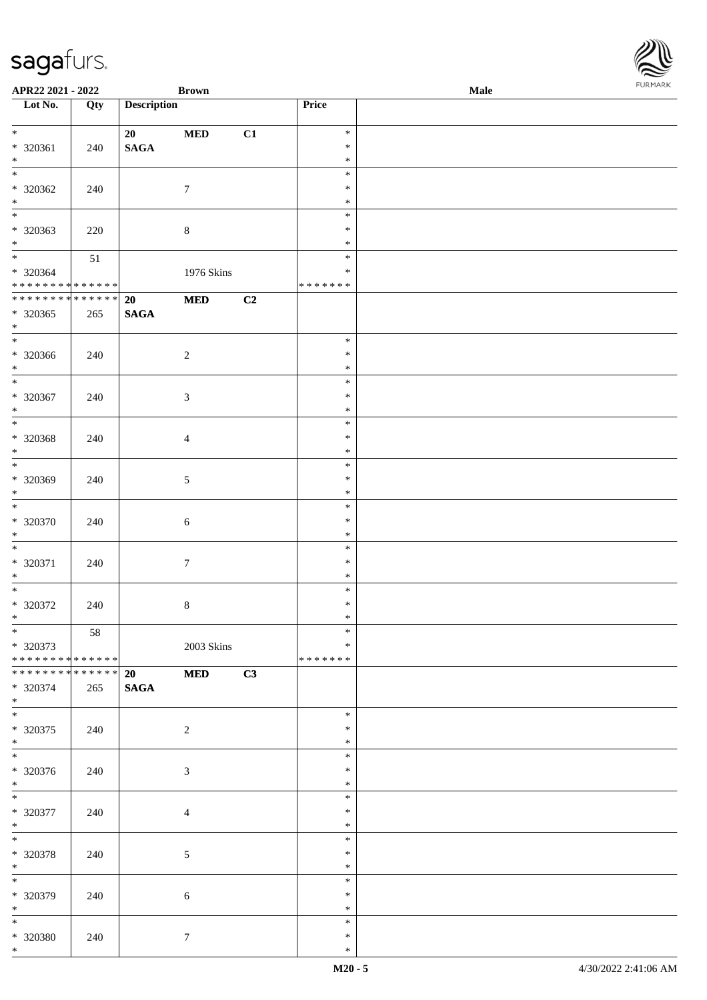| APR22 2021 - 2022                          |     |                    | <b>Brown</b>   |    |                  | Male |  |
|--------------------------------------------|-----|--------------------|----------------|----|------------------|------|--|
| Lot No.                                    | Qty | <b>Description</b> |                |    | Price            |      |  |
|                                            |     |                    |                |    |                  |      |  |
| $\ddot{x}$                                 |     | 20                 | $\bf MED$      | C1 | $\ast$           |      |  |
| * 320361                                   | 240 | <b>SAGA</b>        |                |    | $\ast$           |      |  |
| $*$<br>$\overline{\ast}$                   |     |                    |                |    | $\ast$           |      |  |
|                                            |     |                    |                |    | $\ast$           |      |  |
| * 320362                                   | 240 |                    | $\tau$         |    | $\ast$           |      |  |
| $*$                                        |     |                    |                |    | $\ast$<br>$\ast$ |      |  |
|                                            |     |                    |                |    | $\ast$           |      |  |
| * 320363<br>$\ast$                         | 220 |                    | $\,8\,$        |    | $\ast$           |      |  |
| $\ddot{x}$                                 | 51  |                    |                |    | $\ast$           |      |  |
| * 320364                                   |     |                    | 1976 Skins     |    | $\ast$           |      |  |
| * * * * * * * * <mark>* * * * * * *</mark> |     |                    |                |    | * * * * * * *    |      |  |
| * * * * * * * * * * * * * *                |     | 20                 | $\bf MED$      | C2 |                  |      |  |
| * 320365                                   | 265 | <b>SAGA</b>        |                |    |                  |      |  |
| $*$                                        |     |                    |                |    |                  |      |  |
| $\overline{\ }$                            |     |                    |                |    | $\ast$           |      |  |
| * 320366                                   | 240 |                    | $\overline{2}$ |    | $\ast$           |      |  |
| $*$                                        |     |                    |                |    | $\ast$           |      |  |
|                                            |     |                    |                |    | $\ast$           |      |  |
| * 320367                                   | 240 |                    | 3              |    | $\ast$           |      |  |
| $*$                                        |     |                    |                |    | $\ast$           |      |  |
| $\overline{\ast}$                          |     |                    |                |    | $\ast$           |      |  |
| * 320368                                   | 240 |                    | $\overline{4}$ |    | $\ast$           |      |  |
| $*$                                        |     |                    |                |    | $\ast$           |      |  |
| $\overline{\phantom{0}}$                   |     |                    |                |    | $\ast$           |      |  |
| * 320369                                   | 240 |                    | 5              |    | $\ast$           |      |  |
| $\ast$<br>$*$                              |     |                    |                |    | $\ast$           |      |  |
|                                            |     |                    |                |    | $\ast$           |      |  |
| * 320370<br>$\ast$                         | 240 |                    | $\sqrt{6}$     |    | $\ast$<br>$\ast$ |      |  |
| $*$                                        |     |                    |                |    | $\ast$           |      |  |
| * 320371                                   | 240 |                    | $\overline{7}$ |    | $\ast$           |      |  |
| $*$                                        |     |                    |                |    | $\ast$           |      |  |
| $\ddot{x}$                                 |     |                    |                |    | $\ast$           |      |  |
| * 320372                                   | 240 |                    | $\,8\,$        |    | $\ast$           |      |  |
| $\ast$                                     |     |                    |                |    | $\ast$           |      |  |
| $*$                                        | 58  |                    |                |    | $\ast$           |      |  |
| * 320373                                   |     |                    | 2003 Skins     |    | $\ast$           |      |  |
| * * * * * * * * * * * * * * <mark>*</mark> |     |                    |                |    | * * * * * * *    |      |  |
| * * * * * * * * <mark>* * * * * * *</mark> |     | 20                 | <b>MED</b>     | C3 |                  |      |  |
| * 320374                                   | 265 | <b>SAGA</b>        |                |    |                  |      |  |
| $*$                                        |     |                    |                |    |                  |      |  |
|                                            |     |                    |                |    | $\ast$           |      |  |
| * 320375<br>$\ast$                         | 240 |                    | 2              |    | $\ast$<br>$\ast$ |      |  |
|                                            |     |                    |                |    | $\ast$           |      |  |
| * 320376                                   | 240 |                    | $\mathfrak{Z}$ |    | $\ast$           |      |  |
| $*$                                        |     |                    |                |    | $\ast$           |      |  |
| $\ddot{x}$                                 |     |                    |                |    | $\ast$           |      |  |
| * 320377                                   | 240 |                    | $\overline{4}$ |    | $\ast$           |      |  |
| $*$                                        |     |                    |                |    | $\ast$           |      |  |
| $\ddot{x}$                                 |     |                    |                |    | $\ast$           |      |  |
| * 320378                                   | 240 |                    | $\mathfrak{S}$ |    | $\ast$           |      |  |
| $*$                                        |     |                    |                |    | $\ast$           |      |  |
| $\overline{\mathbf{r}}$                    |     |                    |                |    | $\ast$           |      |  |
| * 320379                                   | 240 |                    | $\sqrt{6}$     |    | $\ast$           |      |  |
| $*$                                        |     |                    |                |    | $\ast$           |      |  |
| $\overline{\ast}$                          |     |                    |                |    | $\ast$           |      |  |
| * 320380                                   | 240 |                    | $\tau$         |    | $\ast$           |      |  |
| $\ast$                                     |     |                    |                |    | $\ast$           |      |  |

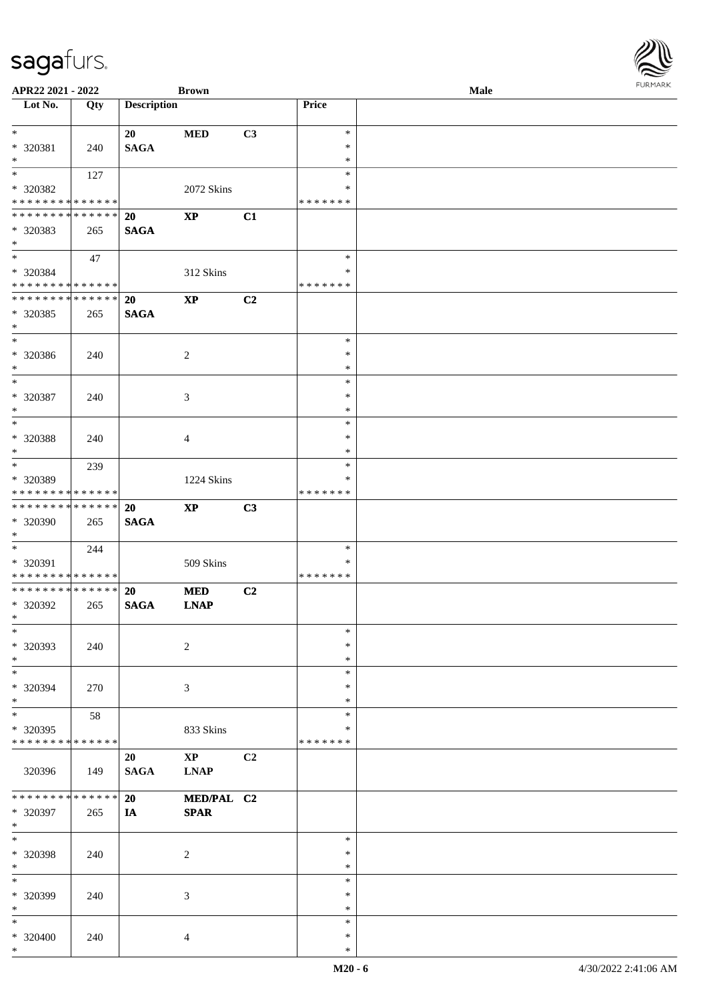| APR22 2021 - 2022                                    |             |                    | <b>Brown</b>           |                |                    | Male | <b>FUNITANN</b> |
|------------------------------------------------------|-------------|--------------------|------------------------|----------------|--------------------|------|-----------------|
| Lot No.                                              | Qty         | <b>Description</b> |                        |                | Price              |      |                 |
| $\ast$                                               |             |                    |                        |                |                    |      |                 |
|                                                      |             | 20                 | <b>MED</b>             | C3             | $\ast$<br>$\ast$   |      |                 |
| * 320381<br>$\ast$                                   | 240         | <b>SAGA</b>        |                        |                | $\ast$             |      |                 |
| $\overline{\ast}$                                    | 127         |                    |                        |                | $\ast$             |      |                 |
| * 320382                                             |             |                    | 2072 Skins             |                | ∗                  |      |                 |
| * * * * * * * * <mark>* * * * * *</mark>             |             |                    |                        |                | * * * * * * *      |      |                 |
| * * * * * * * * <mark>* * * * * * *</mark>           |             | 20                 | $\mathbf{X}\mathbf{P}$ | C1             |                    |      |                 |
| * 320383                                             | 265         | <b>SAGA</b>        |                        |                |                    |      |                 |
| $\ast$                                               |             |                    |                        |                |                    |      |                 |
| $\ddot{x}$                                           | 47          |                    |                        |                | $\ast$             |      |                 |
| * 320384                                             |             |                    | 312 Skins              |                | $\ast$             |      |                 |
| * * * * * * * * <mark>* * * * * *</mark>             |             |                    |                        |                | * * * * * * *      |      |                 |
| * * * * * * * * <mark>* * * * * * *</mark>           |             | 20                 | $\bold{XP}$            | C2             |                    |      |                 |
| * 320385                                             | 265         | <b>SAGA</b>        |                        |                |                    |      |                 |
| $\ast$<br>$*$                                        |             |                    |                        |                |                    |      |                 |
|                                                      |             |                    |                        |                | $\ast$<br>$\ast$   |      |                 |
| * 320386<br>$*$                                      | 240         |                    | $\overline{2}$         |                | $\ast$             |      |                 |
| $*$                                                  |             |                    |                        |                | $\ast$             |      |                 |
| * 320387                                             | 240         |                    | 3                      |                | $\ast$             |      |                 |
| $*$                                                  |             |                    |                        |                | $\ast$             |      |                 |
|                                                      |             |                    |                        |                | $\ast$             |      |                 |
| * 320388                                             | 240         |                    | 4                      |                | $\ast$             |      |                 |
| $*$                                                  |             |                    |                        |                | $\ast$             |      |                 |
| $*$                                                  | 239         |                    |                        |                | $\ast$             |      |                 |
| * 320389                                             |             |                    | 1224 Skins             |                | $\ast$             |      |                 |
| * * * * * * * * <mark>* * * * * *</mark>             |             |                    |                        |                | * * * * * * *      |      |                 |
| * * * * * * * * <mark>* * * * * * *</mark>           |             | <b>20</b>          | $\mathbf{X}\mathbf{P}$ | C3             |                    |      |                 |
| * 320390                                             | 265         | <b>SAGA</b>        |                        |                |                    |      |                 |
| $\ast$<br>$\overline{\ast}$                          |             |                    |                        |                |                    |      |                 |
|                                                      | 244         |                    |                        |                | $\ast$<br>$\ast$   |      |                 |
| * 320391<br>* * * * * * * * <mark>* * * * * *</mark> |             |                    | 509 Skins              |                | *******            |      |                 |
| * * * * * * * * <mark>* * * * * * *</mark>           |             | <b>20</b>          | <b>MED</b>             | C2             |                    |      |                 |
| * 320392                                             | 265         | <b>SAGA</b>        | <b>LNAP</b>            |                |                    |      |                 |
| $\ast$                                               |             |                    |                        |                |                    |      |                 |
| $\ast$                                               |             |                    |                        |                | $\ast$             |      |                 |
| * 320393                                             | 240         |                    | $\overline{2}$         |                | $\ast$             |      |                 |
| $*$                                                  |             |                    |                        |                | $\ast$             |      |                 |
|                                                      |             |                    |                        |                | $\ast$             |      |                 |
| * 320394                                             | 270         |                    | 3                      |                | $\ast$             |      |                 |
| $*$                                                  |             |                    |                        |                | $\ast$             |      |                 |
| $*$                                                  | 58          |                    |                        |                | $\ast$             |      |                 |
| * 320395<br>* * * * * * * *                          | ******      |                    | 833 Skins              |                | ∗<br>* * * * * * * |      |                 |
|                                                      |             | 20                 | $\mathbf{XP}$          | C <sub>2</sub> |                    |      |                 |
| 320396                                               | 149         | SAGA               | <b>LNAP</b>            |                |                    |      |                 |
|                                                      |             |                    |                        |                |                    |      |                 |
| * * * * * * * *                                      | * * * * * * | 20                 | MED/PAL C2             |                |                    |      |                 |
| * 320397                                             | 265         | IA                 | <b>SPAR</b>            |                |                    |      |                 |
| $*$                                                  |             |                    |                        |                |                    |      |                 |
| $\ast$                                               |             |                    |                        |                | $\ast$             |      |                 |
| * 320398                                             | 240         |                    | $\overline{2}$         |                | $\ast$             |      |                 |
| $*$                                                  |             |                    |                        |                | $\ast$             |      |                 |
| $*$                                                  |             |                    |                        |                | $\ast$             |      |                 |
| * 320399<br>$\ast$                                   | 240         |                    | 3                      |                | $\ast$<br>$\ast$   |      |                 |
| $\ast$                                               |             |                    |                        |                | $\ast$             |      |                 |
| $* 320400$                                           | 240         |                    | $\overline{4}$         |                | $\ast$             |      |                 |
| $*$                                                  |             |                    |                        |                | $\ast$             |      |                 |
|                                                      |             |                    |                        |                |                    |      |                 |

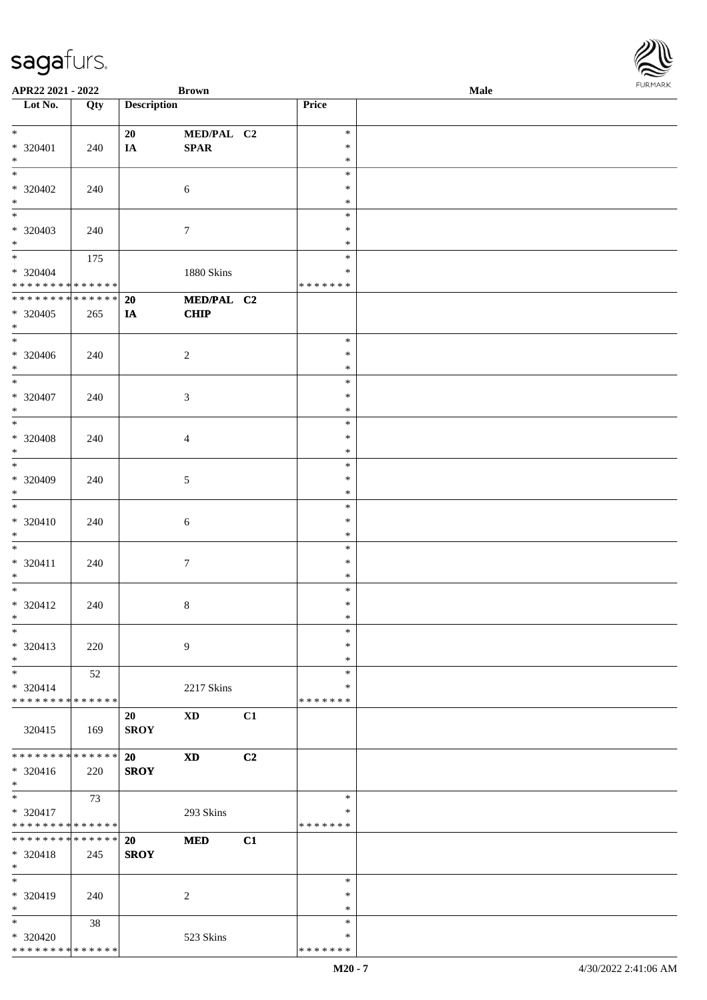| APR22 2021 - 2022                       |     |                    | <b>Brown</b>     |    |                    | Male |  |
|-----------------------------------------|-----|--------------------|------------------|----|--------------------|------|--|
| $\overline{\phantom{1}}$ Lot No.        | Qty | <b>Description</b> |                  |    | Price              |      |  |
|                                         |     |                    |                  |    |                    |      |  |
| $*$                                     |     | 20                 | MED/PAL C2       |    | $\ast$             |      |  |
| * 320401                                | 240 | IA                 | <b>SPAR</b>      |    | $\ast$             |      |  |
| $*$                                     |     |                    |                  |    | $\ast$             |      |  |
| $*$                                     |     |                    |                  |    | $\ast$             |      |  |
| $* 320402$                              | 240 |                    | 6                |    | $\ast$             |      |  |
| $\ast$                                  |     |                    |                  |    | $\ast$             |      |  |
| $\overline{\phantom{0}}$                |     |                    |                  |    | $\ast$             |      |  |
| $* 320403$                              | 240 |                    | $\tau$           |    | $\ast$             |      |  |
| $*$                                     |     |                    |                  |    | $\ast$             |      |  |
| $*$                                     | 175 |                    |                  |    | $\ast$             |      |  |
| $* 320404$                              |     |                    | 1880 Skins       |    | $\ast$             |      |  |
| * * * * * * * * * * * * * *             |     |                    |                  |    | * * * * * * *      |      |  |
| ******** <mark>******</mark>            |     | 20                 | MED/PAL C2       |    |                    |      |  |
| $* 320405$                              | 265 | IA                 | CHIP             |    |                    |      |  |
| $*$                                     |     |                    |                  |    |                    |      |  |
| $*$                                     |     |                    |                  |    | $\ast$             |      |  |
| * 320406                                | 240 |                    | $\overline{c}$   |    | $\ast$             |      |  |
| $*$                                     |     |                    |                  |    | $\ast$             |      |  |
| $*$                                     |     |                    |                  |    | $\ast$             |      |  |
| * 320407                                | 240 |                    | 3                |    | $\ast$             |      |  |
| $*$                                     |     |                    |                  |    | $\ast$             |      |  |
| $*$                                     |     |                    |                  |    | $\ast$             |      |  |
| $* 320408$                              | 240 |                    | $\overline{4}$   |    | $\ast$             |      |  |
| $*$                                     |     |                    |                  |    | $\ast$             |      |  |
|                                         |     |                    |                  |    | $\ast$             |      |  |
| $* 320409$                              | 240 |                    | $\sqrt{5}$       |    | $\ast$             |      |  |
| $*$                                     |     |                    |                  |    | $\ast$             |      |  |
| $\overline{\phantom{0}}$                |     |                    |                  |    | $\ast$             |      |  |
| * 320410                                | 240 |                    | $\sqrt{6}$       |    | $\ast$             |      |  |
| $*$                                     |     |                    |                  |    | $\ast$             |      |  |
| $*$                                     |     |                    |                  |    | $\ast$             |      |  |
| $* 320411$                              | 240 |                    | $\boldsymbol{7}$ |    | $\ast$             |      |  |
| $*$                                     |     |                    |                  |    | $\ast$             |      |  |
| $*$                                     |     |                    |                  |    | $\ast$             |      |  |
| $* 320412$                              | 240 |                    | $\,8\,$          |    | $\ast$             |      |  |
| $*$ $-$                                 |     |                    |                  |    | $\ast$             |      |  |
| $*$                                     |     |                    |                  |    | $\ast$             |      |  |
| $* 320413$                              | 220 |                    | 9                |    | $\ast$             |      |  |
| $*$                                     |     |                    |                  |    | $\ast$             |      |  |
| $*$                                     | 52  |                    |                  |    | $\ast$             |      |  |
| $* 320414$                              |     |                    | 2217 Skins       |    | $\ast$             |      |  |
| * * * * * * * * * * * * * *             |     |                    |                  |    | * * * * * * *      |      |  |
|                                         |     | 20                 | <b>XD</b>        | C1 |                    |      |  |
| 320415                                  | 169 | <b>SROY</b>        |                  |    |                    |      |  |
| * * * * * * * * * * * * * * *           |     |                    |                  |    |                    |      |  |
|                                         |     | <b>20</b>          | <b>XD</b>        | C2 |                    |      |  |
| * 320416<br>$*$                         | 220 | <b>SROY</b>        |                  |    |                    |      |  |
| $\ast$                                  |     |                    |                  |    | $\ast$             |      |  |
|                                         | 73  |                    |                  |    |                    |      |  |
| * 320417<br>* * * * * * * * * * * * * * |     |                    | 293 Skins        |    | ∗<br>* * * * * * * |      |  |
| * * * * * * * * * * * * * * *           |     |                    |                  |    |                    |      |  |
|                                         |     | <b>20</b>          | <b>MED</b>       | C1 |                    |      |  |
| * 320418<br>$*$                         | 245 | <b>SROY</b>        |                  |    |                    |      |  |
| $*$                                     |     |                    |                  |    | $\ast$             |      |  |
|                                         |     |                    |                  |    | $\ast$             |      |  |
| * 320419<br>$*$                         | 240 |                    | $\overline{c}$   |    | $\ast$             |      |  |
| $*$                                     |     |                    |                  |    | $\ast$             |      |  |
|                                         | 38  |                    |                  |    | $\ast$             |      |  |
| * 320420<br>* * * * * * * * * * * * * * |     |                    | 523 Skins        |    | * * * * * * *      |      |  |
|                                         |     |                    |                  |    |                    |      |  |

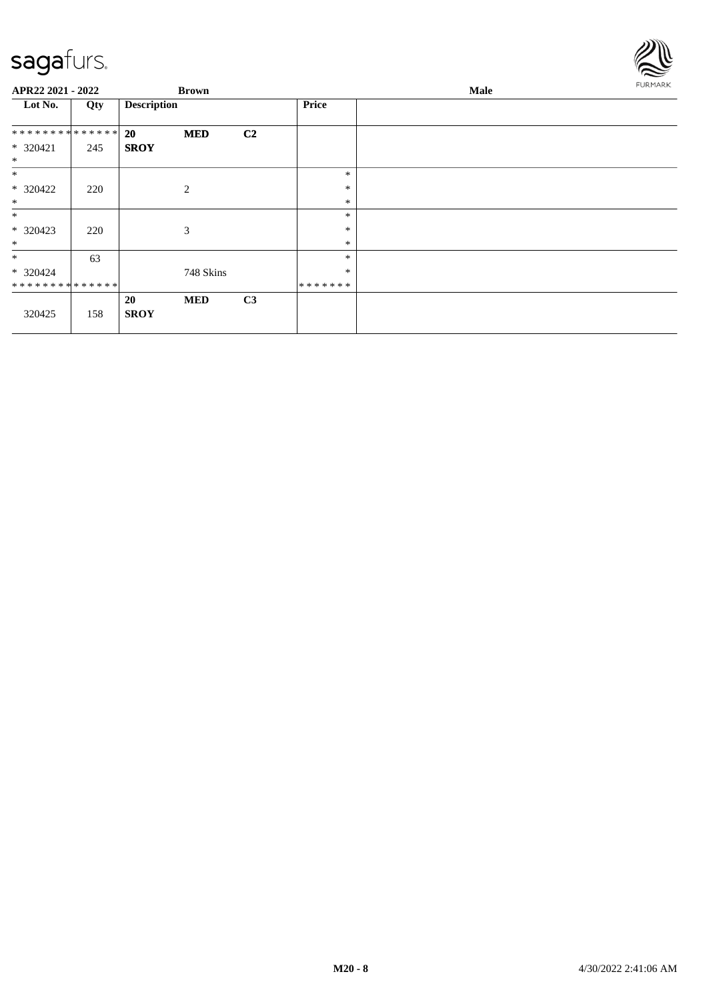

| APR22 2021 - 2022            |     |                    | <b>Brown</b> |    |              | <b>Male</b> | <b>FURMARK</b> |
|------------------------------|-----|--------------------|--------------|----|--------------|-------------|----------------|
| Lot No.                      | Qty | <b>Description</b> |              |    | <b>Price</b> |             |                |
| ******** <mark>******</mark> |     | <b>20</b>          | <b>MED</b>   | C2 |              |             |                |
| $* 320421$<br>$\ast$         | 245 | <b>SROY</b>        |              |    |              |             |                |
| $\ast$                       |     |                    |              |    | $\ast$       |             |                |
| * 320422                     | 220 |                    | 2            |    | $\ast$       |             |                |
| $\ast$                       |     |                    |              |    | $\ast$       |             |                |
| $\ast$                       |     |                    |              |    | $\ast$       |             |                |
| $* 320423$                   | 220 |                    | 3            |    | $\ast$       |             |                |
| $\ast$                       |     |                    |              |    | $\ast$       |             |                |
| $*$                          | 63  |                    |              |    | $\ast$       |             |                |
| * 320424                     |     |                    | 748 Skins    |    | $\ast$       |             |                |
| **************               |     |                    |              |    | *******      |             |                |
|                              |     | 20                 | <b>MED</b>   | C3 |              |             |                |
| 320425                       | 158 | <b>SROY</b>        |              |    |              |             |                |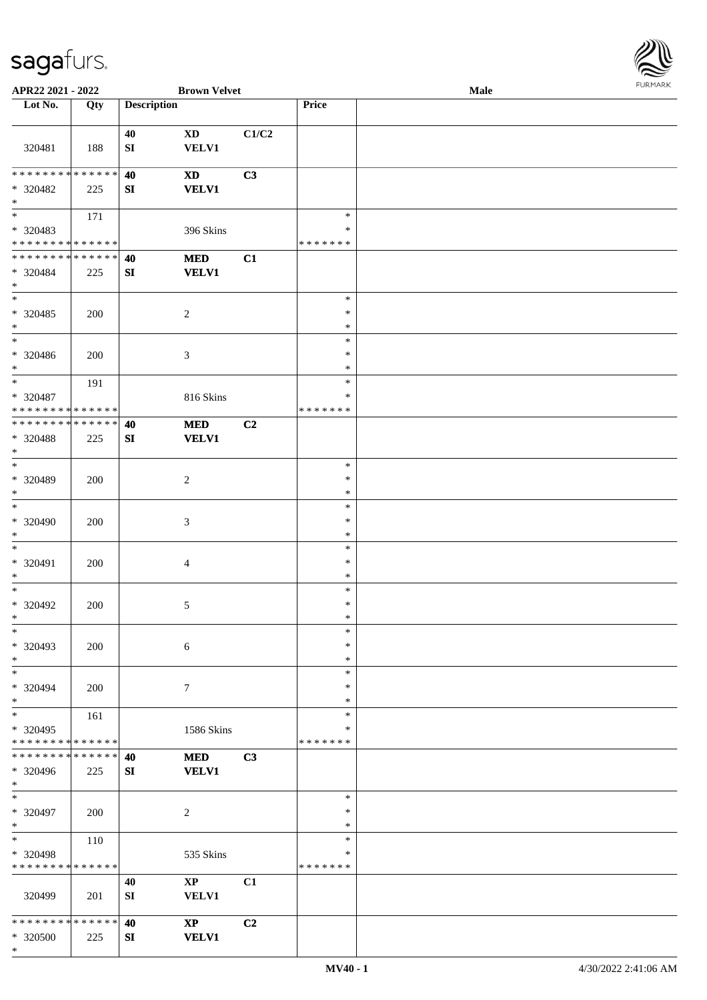

| APR22 2021 - 2022                         |             |                    | <b>Brown Velvet</b>       |                |                            | Male |  |
|-------------------------------------------|-------------|--------------------|---------------------------|----------------|----------------------------|------|--|
| Lot No.                                   | Qty         | <b>Description</b> |                           |                | Price                      |      |  |
|                                           |             |                    |                           |                |                            |      |  |
| 320481                                    | 188         | 40<br>${\bf SI}$   | <b>XD</b><br><b>VELV1</b> | C1/C2          |                            |      |  |
| * * * * * * * * * * * * * *               |             | 40                 | <b>XD</b>                 | C3             |                            |      |  |
| * 320482<br>$*$                           | 225         | SI                 | <b>VELV1</b>              |                |                            |      |  |
|                                           | 171         |                    |                           |                | $\ast$                     |      |  |
| * 320483<br>* * * * * * * * * * * * * *   |             |                    | 396 Skins                 |                | $\ast$<br>* * * * * * *    |      |  |
| ******** <mark>******</mark>              |             | 40                 | <b>MED</b>                | C1             |                            |      |  |
| * 320484<br>$*$                           | 225         | ${\bf S}{\bf I}$   | <b>VELV1</b>              |                |                            |      |  |
| $\overline{\ast}$                         |             |                    |                           |                | $\ast$                     |      |  |
| $* 320485$<br>$*$                         | 200         |                    | $\sqrt{2}$                |                | $\ast$<br>$\ast$           |      |  |
| $*$                                       |             |                    |                           |                | $\ast$                     |      |  |
| * 320486<br>$*$                           | 200         |                    | 3                         |                | $\ast$<br>$\ast$           |      |  |
| $*$                                       | 191         |                    |                           |                | $\ast$                     |      |  |
| $* 320487$<br>* * * * * * * * * * * * * * |             |                    | 816 Skins                 |                | ∗<br>* * * * * * *         |      |  |
| * * * * * * * * * * * * * *               |             | 40                 | <b>MED</b>                | C <sub>2</sub> |                            |      |  |
| * 320488<br>$*$                           | 225         | SI                 | <b>VELV1</b>              |                |                            |      |  |
| $*$                                       |             |                    |                           |                | $\ast$                     |      |  |
| * 320489<br>$*$                           | 200         |                    | $\overline{2}$            |                | $\ast$<br>$\ast$           |      |  |
| $\ast$                                    |             |                    |                           |                | $\ast$                     |      |  |
| * 320490<br>$\ast$                        | 200         |                    | $\mathfrak{Z}$            |                | $\ast$<br>$\ast$           |      |  |
| $*$<br>* 320491                           | 200         |                    | $\overline{4}$            |                | $\ast$<br>$\ast$           |      |  |
| $*$                                       |             |                    |                           |                | $\ast$                     |      |  |
| $*$<br>* 320492<br>$*$                    | 200         |                    | 5                         |                | $\ast$<br>$\ast$<br>$\ast$ |      |  |
| $\ast$                                    |             |                    |                           |                | $\ast$                     |      |  |
| * 320493<br>$*$                           | 200         |                    | $\boldsymbol{6}$          |                | $\ast$<br>$\ast$           |      |  |
| $*$                                       |             |                    |                           |                | $\ast$                     |      |  |
| * 320494<br>$*$                           | 200         |                    | $7\phantom{.0}$           |                | $\ast$<br>$\ast$           |      |  |
| $*$                                       | 161         |                    |                           |                | $\ast$                     |      |  |
| * 320495<br>* * * * * * * * * * * * * *   |             |                    | 1586 Skins                |                | $\ast$<br>*******          |      |  |
| * * * * * * * * * * * * * * *             |             | 40                 | <b>MED</b>                | C3             |                            |      |  |
| * 320496<br>$*$                           | 225         | ${\bf S}{\bf I}$   | <b>VELV1</b>              |                |                            |      |  |
| $*$                                       |             |                    |                           |                | $\ast$                     |      |  |
| * 320497<br>$*$                           | 200         |                    | $\overline{2}$            |                | $\ast$<br>$\ast$           |      |  |
| $*$ $*$                                   | 110         |                    |                           |                | $\ast$                     |      |  |
| * 320498<br>* * * * * * * *               | * * * * * * |                    | 535 Skins                 |                | $\ast$<br>* * * * * * *    |      |  |
|                                           |             | 40                 | $\mathbf{X}\mathbf{P}$    | C1             |                            |      |  |
| 320499                                    | 201         | SI                 | <b>VELV1</b>              |                |                            |      |  |
| * * * * * * * * * * * * * * *             |             | 40                 | $\mathbf{X}\mathbf{P}$    | C2             |                            |      |  |
| * 320500<br>$\ast$                        | 225         | SI                 | <b>VELV1</b>              |                |                            |      |  |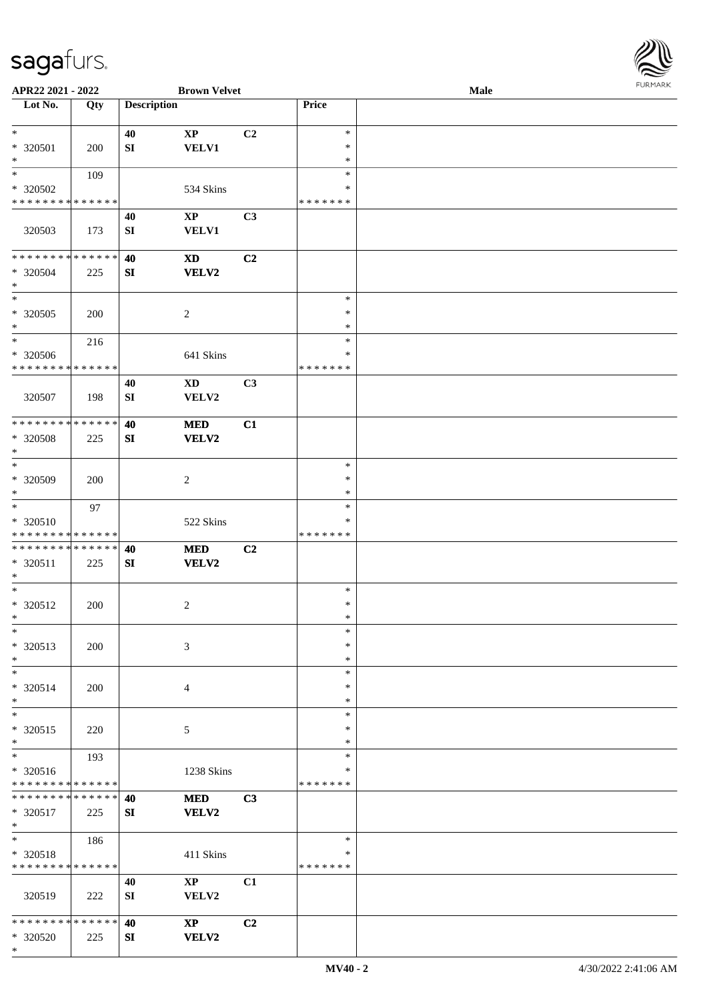

| APR22 2021 - 2022             |     |                    | <b>Brown Velvet</b>    |                |               | Male |  |
|-------------------------------|-----|--------------------|------------------------|----------------|---------------|------|--|
| Lot No.                       | Qty | <b>Description</b> |                        |                | Price         |      |  |
|                               |     |                    |                        |                |               |      |  |
| $\ast$                        |     | 40                 | $\mathbf{XP}$          | C2             | $\ast$        |      |  |
| * 320501                      | 200 | SI                 | <b>VELV1</b>           |                | $\ast$        |      |  |
| $\ast$                        |     |                    |                        |                | $\ast$        |      |  |
| $\ast$                        | 109 |                    |                        |                | $\ast$        |      |  |
| * 320502                      |     |                    | 534 Skins              |                | ∗             |      |  |
| * * * * * * * * * * * * * *   |     |                    |                        |                | * * * * * * * |      |  |
|                               |     |                    |                        |                |               |      |  |
|                               |     | 40                 | $\mathbf{XP}$          | C3             |               |      |  |
| 320503                        | 173 | ${\bf S}{\bf I}$   | <b>VELV1</b>           |                |               |      |  |
|                               |     |                    |                        |                |               |      |  |
| * * * * * * * * * * * * * *   |     | 40                 | <b>XD</b>              | C <sub>2</sub> |               |      |  |
| * 320504                      | 225 | SI                 | VELV2                  |                |               |      |  |
| $\ast$                        |     |                    |                        |                |               |      |  |
| $*$                           |     |                    |                        |                | $\ast$        |      |  |
| $*320505$                     | 200 |                    | $\boldsymbol{2}$       |                | $\ast$        |      |  |
| $\ast$                        |     |                    |                        |                | $\ast$        |      |  |
| $\ast$                        | 216 |                    |                        |                | $\ast$        |      |  |
| * 320506                      |     |                    | 641 Skins              |                | $\ast$        |      |  |
| * * * * * * * * * * * * * *   |     |                    |                        |                | * * * * * * * |      |  |
|                               |     | 40                 | $\mathbf{X}\mathbf{D}$ | C3             |               |      |  |
| 320507                        | 198 | ${\bf S}{\bf I}$   | VELV2                  |                |               |      |  |
|                               |     |                    |                        |                |               |      |  |
| * * * * * * * * * * * * * *   |     | 40                 | <b>MED</b>             | C1             |               |      |  |
| * 320508                      |     | SI                 | <b>VELV2</b>           |                |               |      |  |
| $\ast$                        | 225 |                    |                        |                |               |      |  |
| $\ast$                        |     |                    |                        |                | $\ast$        |      |  |
|                               |     |                    |                        |                |               |      |  |
| * 320509                      | 200 |                    | $\overline{c}$         |                | $\ast$        |      |  |
| $*$                           |     |                    |                        |                | $\ast$        |      |  |
| $\ast$                        | 97  |                    |                        |                | $\ast$        |      |  |
| * 320510                      |     |                    | 522 Skins              |                | ∗             |      |  |
| * * * * * * * * * * * * * *   |     |                    |                        |                | * * * * * * * |      |  |
| * * * * * * * * * * * * * *   |     | 40                 | <b>MED</b>             | C2             |               |      |  |
| * 320511                      | 225 | SI                 | VELV2                  |                |               |      |  |
| $*$                           |     |                    |                        |                |               |      |  |
| $*$                           |     |                    |                        |                | $\ast$        |      |  |
| * 320512                      | 200 |                    | $\overline{c}$         |                | $\ast$        |      |  |
| $*$                           |     |                    |                        |                | $\ast$        |      |  |
| $\ast$                        |     |                    |                        |                | $\ast$        |      |  |
| * 320513                      | 200 |                    | 3                      |                | $\ast$        |      |  |
| $\ast$                        |     |                    |                        |                | $\ast$        |      |  |
| $\ast$                        |     |                    |                        |                | $\ast$        |      |  |
| * 320514                      | 200 |                    | 4                      |                | ∗             |      |  |
| $*$                           |     |                    |                        |                | $\ast$        |      |  |
| $\ast$                        |     |                    |                        |                | $\ast$        |      |  |
|                               |     |                    |                        |                | $\ast$        |      |  |
| $* 320515$<br>$*$             | 220 |                    | 5                      |                | $\ast$        |      |  |
| $\overline{\phantom{0}}$      |     |                    |                        |                |               |      |  |
|                               | 193 |                    |                        |                | $\ast$        |      |  |
| * 320516                      |     |                    | 1238 Skins             |                | ∗             |      |  |
| * * * * * * * * * * * * * *   |     |                    |                        |                | * * * * * * * |      |  |
| * * * * * * * * * * * * * * * |     | 40                 | <b>MED</b>             | C3             |               |      |  |
| * 320517                      | 225 | SI                 | VELV2                  |                |               |      |  |
| $*$                           |     |                    |                        |                |               |      |  |
| $*$                           | 186 |                    |                        |                | $\ast$        |      |  |
| * 320518                      |     |                    | 411 Skins              |                | $\ast$        |      |  |
| * * * * * * * * * * * * * *   |     |                    |                        |                | * * * * * * * |      |  |
|                               |     | 40                 | $\mathbf{X}\mathbf{P}$ | C1             |               |      |  |
| 320519                        | 222 | SI                 | VELV2                  |                |               |      |  |
|                               |     |                    |                        |                |               |      |  |
| * * * * * * * * * * * * * *   |     | 40                 | $\bold{XP}$            | C <sub>2</sub> |               |      |  |
| * 320520                      | 225 | SI                 | VELV2                  |                |               |      |  |
| $*$                           |     |                    |                        |                |               |      |  |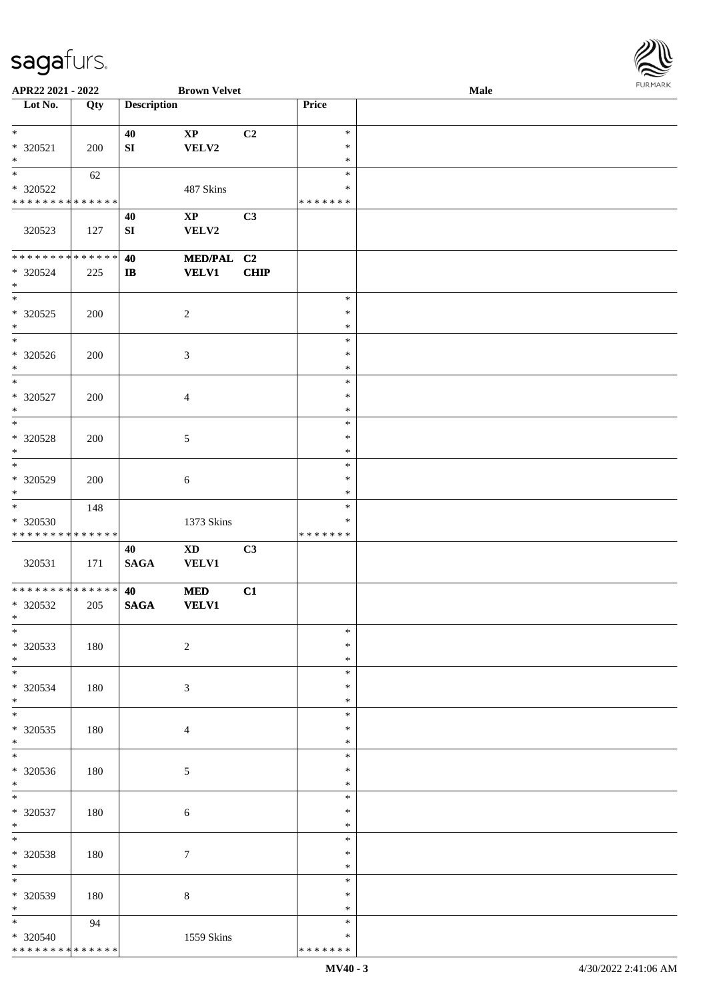

| APR22 2021 - 2022                                                     |     |                        | <b>Brown Velvet</b>                    |                |                                   | Male |  |
|-----------------------------------------------------------------------|-----|------------------------|----------------------------------------|----------------|-----------------------------------|------|--|
| Lot No.                                                               | Qty | <b>Description</b>     |                                        |                | Price                             |      |  |
| $*$<br>* 320521<br>$\ast$                                             | 200 | 40<br>${\bf S}{\bf I}$ | $\mathbf{X}\mathbf{P}$<br>VELV2        | C <sub>2</sub> | $\ast$<br>$\ast$<br>$\ast$        |      |  |
| $\overline{\phantom{a}^*}$<br>* 320522<br>* * * * * * * * * * * * * * | 62  |                        | 487 Skins                              |                | $\ast$<br>$\ast$<br>* * * * * * * |      |  |
| 320523                                                                | 127 | 40<br>${\bf S}{\bf I}$ | $\mathbf{X}\mathbf{P}$<br>VELV2        | C3             |                                   |      |  |
| * * * * * * * * * * * * * *<br>* 320524<br>$*$                        | 225 | 40<br>$\mathbf{I}$     | MED/PAL C2<br><b>VELV1</b>             | <b>CHIP</b>    |                                   |      |  |
| $\overline{\phantom{0}}$<br>$*320525$<br>$\ast$                       | 200 |                        | $\sqrt{2}$                             |                | $\ast$<br>$\ast$<br>$\ast$        |      |  |
| $_{\ast}^{-}$<br>* 320526<br>$\ast$                                   | 200 |                        | $\mathfrak{Z}$                         |                | $\ast$<br>$\ast$<br>$\ast$        |      |  |
| $\ast$<br>$* 320527$<br>$\ast$                                        | 200 |                        | $\overline{4}$                         |                | $\ast$<br>$\ast$<br>$\ast$        |      |  |
| $\ast$<br>* 320528<br>$\ast$<br>$\overline{\ast}$                     | 200 |                        | $\mathfrak{S}$                         |                | $\ast$<br>$\ast$<br>$\ast$        |      |  |
| $*320529$<br>$*$<br>$\overline{\phantom{0}}$                          | 200 |                        | $\sqrt{6}$                             |                | $\ast$<br>$\ast$<br>$\ast$        |      |  |
| * 320530<br>* * * * * * * * * * * * * *                               | 148 |                        | 1373 Skins                             |                | $\ast$<br>$\ast$<br>* * * * * * * |      |  |
| 320531                                                                | 171 | 40<br><b>SAGA</b>      | $\mathbf{X}\mathbf{D}$<br><b>VELV1</b> | C3             |                                   |      |  |
| **************<br>* 320532<br>$*$                                     | 205 | 40<br><b>SAGA</b>      | $\bf MED$<br><b>VELV1</b>              | C1             |                                   |      |  |
| $\ast$<br>$*320533$<br>$*$<br>$\overline{\phantom{0}}$                | 180 |                        | $\overline{2}$                         |                | $\ast$<br>∗<br>$\ast$             |      |  |
| * 320534<br>$*$                                                       | 180 |                        | 3                                      |                | $\ast$<br>*<br>$\ast$             |      |  |
| $\ast$<br>$*320535$<br>$*$<br>$\overline{\phantom{0}}$                | 180 |                        | $\overline{4}$                         |                | $\ast$<br>$\ast$<br>$\ast$        |      |  |
| * 320536<br>$*$                                                       | 180 |                        | $5\phantom{.0}$                        |                | $\ast$<br>∗<br>$\ast$             |      |  |
| $\ast$<br>* 320537<br>$*$                                             | 180 |                        | $\sqrt{6}$                             |                | $\ast$<br>$\ast$<br>$\ast$        |      |  |
| $*$<br>* 320538<br>$\ast$<br>$\overline{\ast}$                        | 180 |                        | $\tau$                                 |                | $\ast$<br>$\ast$<br>$\ast$        |      |  |
| * 320539<br>$*$                                                       | 180 |                        | $\,8\,$                                |                | $\ast$<br>∗<br>$\ast$             |      |  |
| $*$<br>* 320540<br>* * * * * * * * * * * * * *                        | 94  |                        | 1559 Skins                             |                | $\ast$<br>$\ast$<br>* * * * * * * |      |  |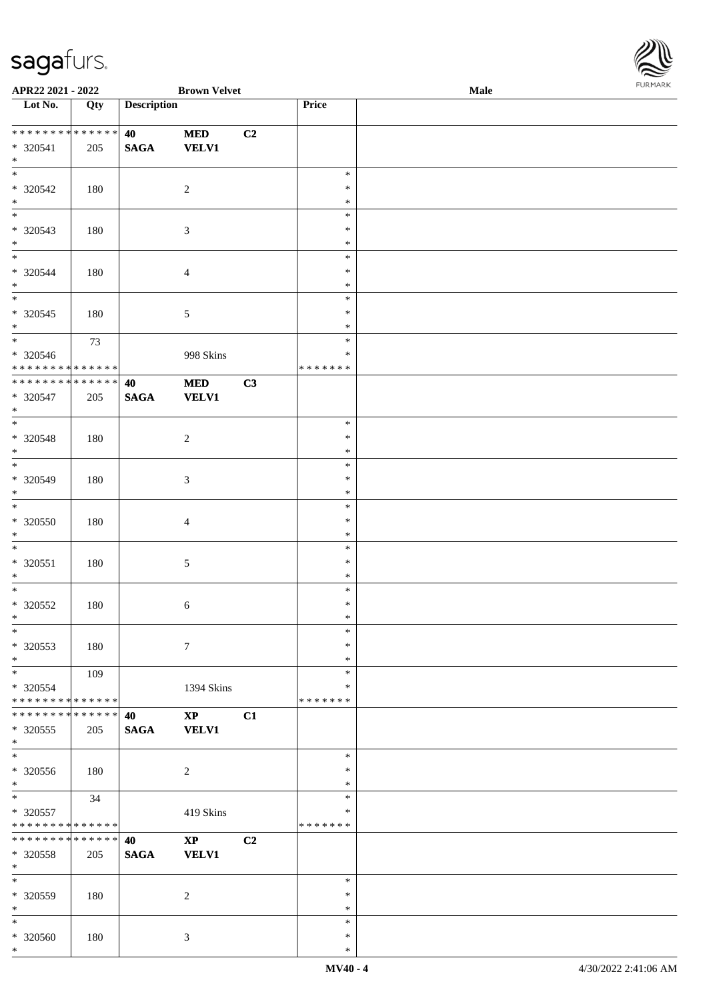

| APR22 2021 - 2022             |     |                    | <b>Brown Velvet</b>    |                |               | Male |  |
|-------------------------------|-----|--------------------|------------------------|----------------|---------------|------|--|
| Lot No.                       | Qty | <b>Description</b> |                        |                | Price         |      |  |
|                               |     |                    |                        |                |               |      |  |
| * * * * * * * * * * * * * *   |     | 40                 | $\bf MED$              | C2             |               |      |  |
| $* 320541$                    | 205 | <b>SAGA</b>        | <b>VELV1</b>           |                |               |      |  |
| $*$                           |     |                    |                        |                |               |      |  |
| $\overline{\phantom{0}}$      |     |                    |                        |                | $\ast$        |      |  |
|                               |     |                    |                        |                |               |      |  |
| * 320542                      | 180 |                    | $\sqrt{2}$             |                | $\ast$        |      |  |
| $\ast$                        |     |                    |                        |                | $\ast$        |      |  |
| $\overline{\phantom{0}}$      |     |                    |                        |                | $\ast$        |      |  |
| * 320543                      | 180 |                    | $\mathfrak{Z}$         |                | $\ast$        |      |  |
| $*$                           |     |                    |                        |                | $\ast$        |      |  |
| $\overline{\phantom{0}}$      |     |                    |                        |                | $\ast$        |      |  |
| $* 320544$                    | 180 |                    | $\overline{4}$         |                | $\ast$        |      |  |
| $\ast$                        |     |                    |                        |                | $\ast$        |      |  |
| $\overline{\phantom{0}}$      |     |                    |                        |                | $\ast$        |      |  |
| $* 320545$                    | 180 |                    |                        |                | $\ast$        |      |  |
| $*$                           |     |                    | 5                      |                | $\ast$        |      |  |
| $\ast$                        |     |                    |                        |                |               |      |  |
|                               | 73  |                    |                        |                | $\ast$        |      |  |
| $* 320546$                    |     |                    | 998 Skins              |                | $\ast$        |      |  |
| ******** <mark>******</mark>  |     |                    |                        |                | * * * * * * * |      |  |
| ******** <mark>******</mark>  |     | 40                 | $\bf MED$              | C3             |               |      |  |
| $* 320547$                    | 205 | <b>SAGA</b>        | <b>VELV1</b>           |                |               |      |  |
| $*$                           |     |                    |                        |                |               |      |  |
| $*$                           |     |                    |                        |                | $\ast$        |      |  |
| * 320548                      | 180 |                    | 2                      |                | $\ast$        |      |  |
| $*$                           |     |                    |                        |                | $\ast$        |      |  |
| $*$                           |     |                    |                        |                | $\ast$        |      |  |
| * 320549                      |     |                    |                        |                | $\ast$        |      |  |
| $*$                           | 180 |                    | $\mathfrak{Z}$         |                | $\ast$        |      |  |
| $*$                           |     |                    |                        |                |               |      |  |
|                               |     |                    |                        |                | $\ast$        |      |  |
| $* 320550$                    | 180 |                    | $\overline{4}$         |                | $\ast$        |      |  |
| $*$                           |     |                    |                        |                | $\ast$        |      |  |
| $\ast$                        |     |                    |                        |                | $\ast$        |      |  |
| $* 320551$                    | 180 |                    | 5                      |                | $\ast$        |      |  |
| $*$                           |     |                    |                        |                | $\ast$        |      |  |
| $*$                           |     |                    |                        |                | $\ast$        |      |  |
| $* 320552$                    | 180 |                    | 6                      |                | $\ast$        |      |  |
| $*$                           |     |                    |                        |                | $\ast$        |      |  |
| $\ast$                        |     |                    |                        |                | $\ast$        |      |  |
| $* 320553$                    | 180 |                    | $\tau$                 |                | ∗             |      |  |
| $*$                           |     |                    |                        |                | $\ast$        |      |  |
| $*$                           | 109 |                    |                        |                | $\ast$        |      |  |
|                               |     |                    |                        |                | *             |      |  |
| * 320554                      |     |                    | 1394 Skins             |                |               |      |  |
| * * * * * * * * * * * * * *   |     |                    |                        |                | *******       |      |  |
| * * * * * * * * * * * * * * * |     | 40                 | $\mathbf{XP}$          | C1             |               |      |  |
| * 320555                      | 205 | $\mathbf{SAGA}$    | <b>VELV1</b>           |                |               |      |  |
| $*$                           |     |                    |                        |                |               |      |  |
| $\overline{\phantom{a}^*}$    |     |                    |                        |                | $\ast$        |      |  |
| $* 320556$                    | 180 |                    | 2                      |                | ∗             |      |  |
| $*$                           |     |                    |                        |                | $\ast$        |      |  |
| $\overline{\ast}$             | 34  |                    |                        |                | $\ast$        |      |  |
| * 320557                      |     |                    | 419 Skins              |                | *             |      |  |
| * * * * * * * * * * * * * *   |     |                    |                        |                | *******       |      |  |
| * * * * * * * * * * * * * * * |     | 40                 | $\mathbf{X}\mathbf{P}$ | C <sub>2</sub> |               |      |  |
| * 320558                      | 205 | <b>SAGA</b>        | <b>VELV1</b>           |                |               |      |  |
| $*$                           |     |                    |                        |                |               |      |  |
| $\ast$                        |     |                    |                        |                | $\ast$        |      |  |
|                               |     |                    |                        |                |               |      |  |
| * 320559                      | 180 |                    | 2                      |                | ∗             |      |  |
| $*$                           |     |                    |                        |                | $\ast$        |      |  |
| $*$                           |     |                    |                        |                | $\ast$        |      |  |
| * 320560                      | 180 |                    | 3                      |                | $\ast$        |      |  |
| $\ast$                        |     |                    |                        |                | $\ast$        |      |  |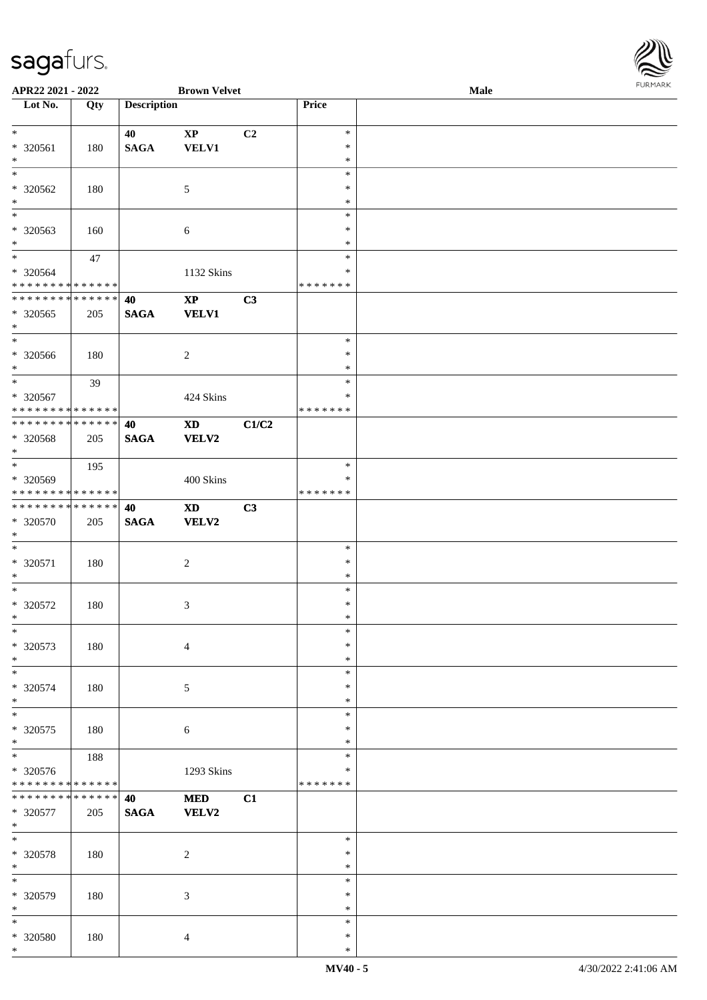

| APR22 2021 - 2022             |     |                    | <b>Brown Velvet</b>    |       |               | Male |  |
|-------------------------------|-----|--------------------|------------------------|-------|---------------|------|--|
| Lot No.                       | Qty | <b>Description</b> |                        |       | Price         |      |  |
|                               |     |                    |                        |       |               |      |  |
| $*$                           |     | 40                 | $\mathbf{X}\mathbf{P}$ | C2    | $\ast$        |      |  |
| * 320561                      |     | <b>SAGA</b>        | <b>VELV1</b>           |       | $\ast$        |      |  |
|                               | 180 |                    |                        |       |               |      |  |
| $\ast$                        |     |                    |                        |       | $\ast$        |      |  |
|                               |     |                    |                        |       | $\ast$        |      |  |
| * 320562                      | 180 |                    | $\mathfrak{S}$         |       | $\ast$        |      |  |
| $*$                           |     |                    |                        |       | $\ast$        |      |  |
| $\overline{\phantom{0}}$      |     |                    |                        |       | $\ast$        |      |  |
| * 320563                      |     |                    |                        |       | $\ast$        |      |  |
|                               | 160 |                    | 6                      |       |               |      |  |
| $*$                           |     |                    |                        |       | $\ast$        |      |  |
| $*$                           | 47  |                    |                        |       | $\ast$        |      |  |
| $* 320564$                    |     |                    | 1132 Skins             |       | $\ast$        |      |  |
| * * * * * * * * * * * * * * * |     |                    |                        |       | *******       |      |  |
| * * * * * * * * * * * * * * * |     | 40                 | $\mathbf{XP}$          | C3    |               |      |  |
| $* 320565$                    | 205 | <b>SAGA</b>        | <b>VELV1</b>           |       |               |      |  |
|                               |     |                    |                        |       |               |      |  |
| $*$<br>$*$                    |     |                    |                        |       |               |      |  |
|                               |     |                    |                        |       | $\ast$        |      |  |
| $* 320566$                    | 180 |                    | $\boldsymbol{2}$       |       | $\ast$        |      |  |
| $\ast$                        |     |                    |                        |       | $\ast$        |      |  |
| $*$                           | 39  |                    |                        |       | $\ast$        |      |  |
| * 320567                      |     |                    | 424 Skins              |       | $\ast$        |      |  |
| * * * * * * * * * * * * * * * |     |                    |                        |       | * * * * * * * |      |  |
|                               |     |                    |                        |       |               |      |  |
| * * * * * * * * * * * * * * * |     | 40                 | <b>XD</b>              | C1/C2 |               |      |  |
| * 320568                      | 205 | <b>SAGA</b>        | <b>VELV2</b>           |       |               |      |  |
| $*$                           |     |                    |                        |       |               |      |  |
|                               | 195 |                    |                        |       | $\ast$        |      |  |
| * 320569                      |     |                    | 400 Skins              |       | $\ast$        |      |  |
| * * * * * * * * * * * * * *   |     |                    |                        |       | *******       |      |  |
|                               |     |                    |                        |       |               |      |  |
| ******** <mark>******</mark>  |     | 40                 | <b>XD</b>              | C3    |               |      |  |
| $* 320570$                    | 205 | <b>SAGA</b>        | VELV2                  |       |               |      |  |
| $*$                           |     |                    |                        |       |               |      |  |
| $\ast$                        |     |                    |                        |       | $\ast$        |      |  |
| * 320571                      | 180 |                    | $\sqrt{2}$             |       | $\ast$        |      |  |
| $*$                           |     |                    |                        |       | $\ast$        |      |  |
|                               |     |                    |                        |       |               |      |  |
| $*$                           |     |                    |                        |       | $\ast$        |      |  |
| * 320572                      | 180 |                    | 3                      |       | $\ast$        |      |  |
| $*$                           |     |                    |                        |       | $\ast$        |      |  |
| $\ast$                        |     |                    |                        |       | $\ast$        |      |  |
| $* 320573$                    | 180 |                    | $\overline{4}$         |       | $\ast$        |      |  |
| $*$                           |     |                    |                        |       | $\ast$        |      |  |
|                               |     |                    |                        |       |               |      |  |
| $*$                           |     |                    |                        |       | $\ast$        |      |  |
| * 320574                      | 180 |                    | 5                      |       | $\ast$        |      |  |
| $*$                           |     |                    |                        |       | $\ast$        |      |  |
| $*$                           |     |                    |                        |       | $\ast$        |      |  |
| * 320575                      | 180 |                    | 6                      |       | $\ast$        |      |  |
| $*$                           |     |                    |                        |       | $\ast$        |      |  |
| $\overline{\phantom{0}}$      |     |                    |                        |       |               |      |  |
|                               | 188 |                    |                        |       | $\ast$        |      |  |
| * 320576                      |     |                    | 1293 Skins             |       | ∗             |      |  |
| * * * * * * * * * * * * * *   |     |                    |                        |       | *******       |      |  |
| * * * * * * * * * * * * * * * |     | 40                 | <b>MED</b>             | C1    |               |      |  |
| $* 320577$                    | 205 | $\mathbf{SAGA}$    | <b>VELV2</b>           |       |               |      |  |
| $*$                           |     |                    |                        |       |               |      |  |
| $*$                           |     |                    |                        |       |               |      |  |
|                               |     |                    |                        |       | $\ast$        |      |  |
| * 320578                      | 180 |                    | $\overline{c}$         |       | $\ast$        |      |  |
| $*$                           |     |                    |                        |       | $\ast$        |      |  |
| $\ast$                        |     |                    |                        |       | $\ast$        |      |  |
| * 320579                      | 180 |                    | 3                      |       | $\ast$        |      |  |
| $*$                           |     |                    |                        |       | $\ast$        |      |  |
|                               |     |                    |                        |       |               |      |  |
| $*$                           |     |                    |                        |       | $\ast$        |      |  |
| * 320580                      | 180 |                    | $\overline{4}$         |       | $\ast$        |      |  |
| $\ast$                        |     |                    |                        |       | $\ast$        |      |  |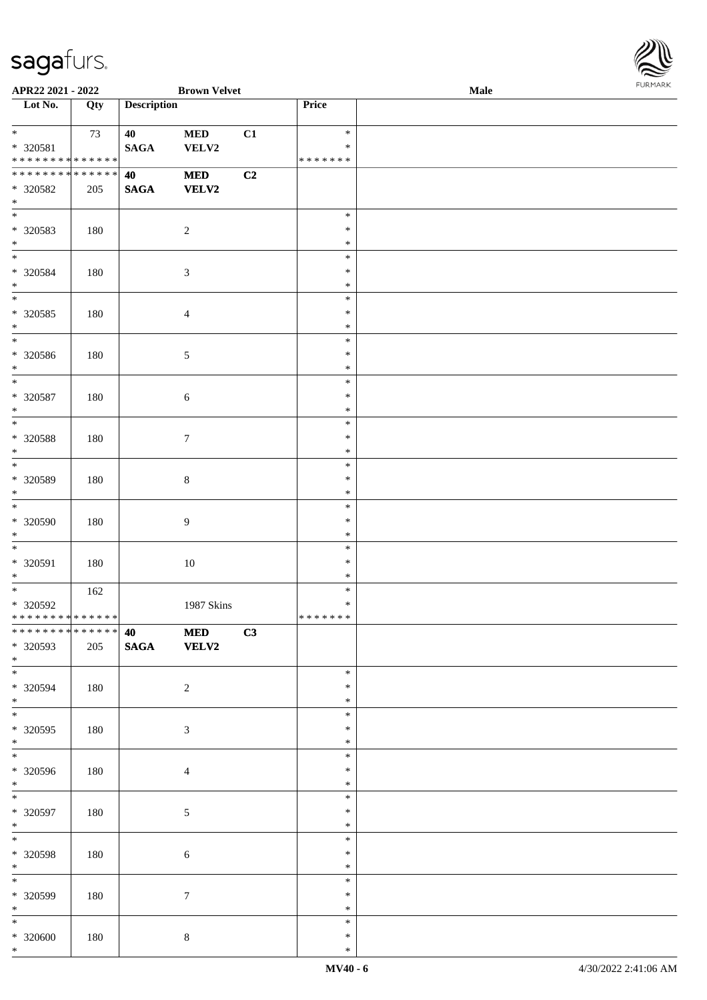

| APR22 2021 - 2022                                             |     |                    | <b>Brown Velvet</b> |    |                  | Male | 1.9151 B1515 |
|---------------------------------------------------------------|-----|--------------------|---------------------|----|------------------|------|--------------|
| $\overline{\phantom{1}}$ Lot No.                              | Qty | <b>Description</b> |                     |    | Price            |      |              |
|                                                               |     |                    |                     |    |                  |      |              |
| $*$                                                           | 73  | 40                 | $\bf MED$           | C1 | $\ast$           |      |              |
| * 320581                                                      |     | $\mathbf{SAGA}$    | VELV2               |    | $\ast$           |      |              |
| * * * * * * * * * * * * * *                                   |     |                    |                     |    | * * * * * * *    |      |              |
| ******** <mark>******</mark>                                  |     | 40                 | $\bf MED$           | C2 |                  |      |              |
| * 320582                                                      | 205 | <b>SAGA</b>        | <b>VELV2</b>        |    |                  |      |              |
| $*$                                                           |     |                    |                     |    |                  |      |              |
| $\overline{\phantom{0}}$                                      |     |                    |                     |    | $\ast$           |      |              |
| $* 320583$                                                    | 180 |                    | $\overline{c}$      |    | $\ast$           |      |              |
| $\ast$                                                        |     |                    |                     |    | $\ast$           |      |              |
| $*$                                                           |     |                    |                     |    | $\ast$           |      |              |
| $* 320584$                                                    | 180 |                    | 3                   |    | $\ast$           |      |              |
| $*$                                                           |     |                    |                     |    | $\ast$           |      |              |
| $\overline{\phantom{0}}$                                      |     |                    |                     |    | $\ast$           |      |              |
| $* 320585$                                                    | 180 |                    | 4                   |    | $\ast$           |      |              |
| $\ast$                                                        |     |                    |                     |    | $\ast$           |      |              |
| $\overline{\phantom{0}}$                                      |     |                    |                     |    | $\ast$           |      |              |
| $* 320586$                                                    | 180 |                    | 5                   |    | $\ast$           |      |              |
| $*$                                                           |     |                    |                     |    | $\ast$           |      |              |
| $\overline{\ast}$                                             |     |                    |                     |    | $\ast$           |      |              |
| $* 320587$                                                    | 180 |                    | $\sqrt{6}$          |    | $\ast$           |      |              |
| $\ast$                                                        |     |                    |                     |    | $\ast$           |      |              |
| $*$                                                           |     |                    |                     |    | $\ast$           |      |              |
| $* 320588$                                                    | 180 |                    | $\tau$              |    | $\ast$           |      |              |
| $*$                                                           |     |                    |                     |    | $\ast$           |      |              |
| $\overline{\ast}$                                             |     |                    |                     |    | $\ast$           |      |              |
| $* 320589$                                                    | 180 |                    | $8\,$               |    | $\ast$           |      |              |
| $*$                                                           |     |                    |                     |    | $\ast$           |      |              |
| $\overline{\ast}$                                             |     |                    |                     |    | $\ast$           |      |              |
| $* 320590$                                                    | 180 |                    | 9                   |    | $\ast$           |      |              |
| $*$                                                           |     |                    |                     |    | $\ast$           |      |              |
| $*$                                                           |     |                    |                     |    | $\ast$           |      |              |
| * 320591                                                      | 180 |                    | 10                  |    | $\ast$           |      |              |
| $*$<br>$*$                                                    |     |                    |                     |    | $\ast$           |      |              |
|                                                               | 162 |                    |                     |    | $\ast$           |      |              |
| $* 320592$                                                    |     |                    | 1987 Skins          |    | $\ast$           |      |              |
| * * * * * * * * * * * * * * *<br>******** <mark>******</mark> |     |                    |                     |    | *******          |      |              |
|                                                               |     | 40                 | $\bf MED$           | C3 |                  |      |              |
| * 320593                                                      | 205 | <b>SAGA</b>        | <b>VELV2</b>        |    |                  |      |              |
| $*$<br>$\overline{\phantom{0}}$                               |     |                    |                     |    |                  |      |              |
|                                                               |     |                    |                     |    | $\ast$           |      |              |
| * 320594                                                      | 180 |                    | $\overline{c}$      |    | $\ast$           |      |              |
| $*$                                                           |     |                    |                     |    | $\ast$<br>$\ast$ |      |              |
|                                                               |     |                    |                     |    | $\ast$           |      |              |
| $* 320595$<br>$*$                                             | 180 |                    | 3                   |    | $\ast$           |      |              |
| $\overline{\phantom{0}}$                                      |     |                    |                     |    | $\ast$           |      |              |
| * 320596                                                      | 180 |                    |                     |    | $\ast$           |      |              |
| $*$                                                           |     |                    | $\overline{4}$      |    | $\ast$           |      |              |
| $*$                                                           |     |                    |                     |    | $\ast$           |      |              |
| $* 320597$                                                    | 180 |                    | 5                   |    | $\ast$           |      |              |
| $*$                                                           |     |                    |                     |    | $\ast$           |      |              |
| $*$                                                           |     |                    |                     |    | $\ast$           |      |              |
| $* 320598$                                                    | 180 |                    | 6                   |    | $\ast$           |      |              |
| $*$                                                           |     |                    |                     |    | $\ast$           |      |              |
| $\ast$                                                        |     |                    |                     |    | $\ast$           |      |              |
| * 320599                                                      | 180 |                    | $\tau$              |    | $\ast$           |      |              |
| $*$                                                           |     |                    |                     |    | $\ast$           |      |              |
| $*$                                                           |     |                    |                     |    | $\ast$           |      |              |
| $* 320600$                                                    | 180 |                    | $8\,$               |    | $\ast$           |      |              |
| $*$                                                           |     |                    |                     |    | $\ast$           |      |              |
|                                                               |     |                    |                     |    |                  |      |              |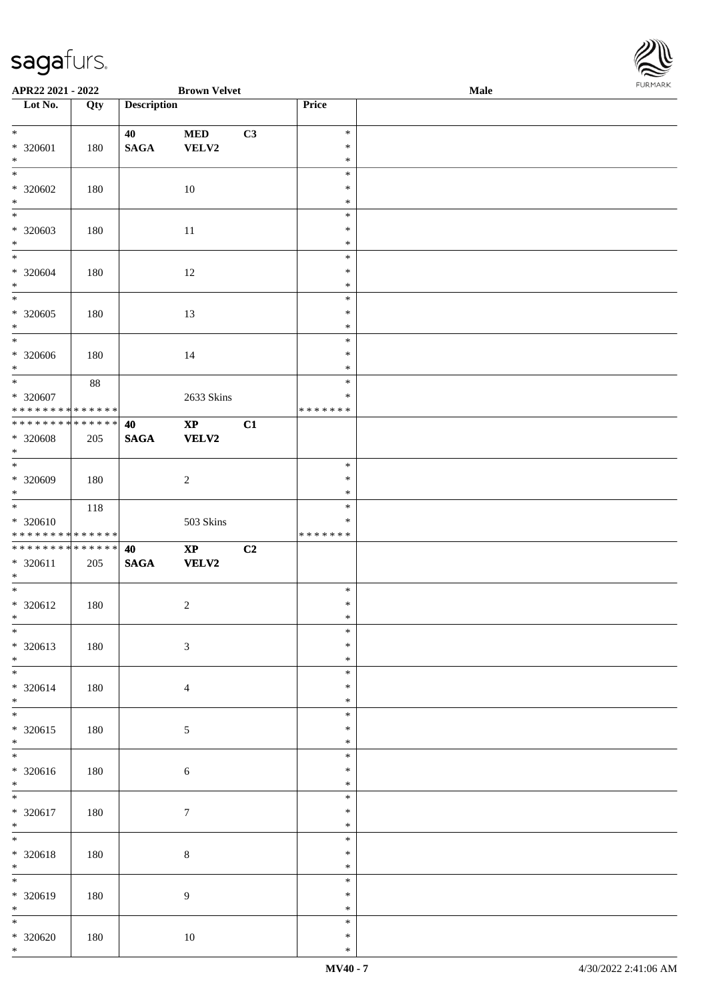

| APR22 2021 - 2022             |         |                    | <b>Brown Velvet</b>    |    |               | Male |  |
|-------------------------------|---------|--------------------|------------------------|----|---------------|------|--|
| Lot No.                       | Qty     | <b>Description</b> |                        |    | Price         |      |  |
|                               |         |                    |                        |    |               |      |  |
| $*$                           |         | 40                 | <b>MED</b>             | C3 | $\ast$        |      |  |
| * 320601                      | 180     | <b>SAGA</b>        | VELV2                  |    | $\ast$        |      |  |
| $*$                           |         |                    |                        |    | $\ast$        |      |  |
|                               |         |                    |                        |    | $\ast$        |      |  |
|                               |         |                    |                        |    |               |      |  |
| * 320602                      | 180     |                    | 10                     |    | $\ast$        |      |  |
| $*$                           |         |                    |                        |    | $\ast$        |      |  |
|                               |         |                    |                        |    | $\ast$        |      |  |
| * 320603                      | 180     |                    | 11                     |    | $\ast$        |      |  |
| $\ast$                        |         |                    |                        |    | $\ast$        |      |  |
|                               |         |                    |                        |    | $\ast$        |      |  |
| * 320604                      | 180     |                    | 12                     |    | $\ast$        |      |  |
| $*$                           |         |                    |                        |    | $\ast$        |      |  |
|                               |         |                    |                        |    | $\ast$        |      |  |
| * 320605                      | 180     |                    | 13                     |    | $\ast$        |      |  |
| $*$                           |         |                    |                        |    | $\ast$        |      |  |
| $*$                           |         |                    |                        |    | $\ast$        |      |  |
| $* 320606$                    | 180     |                    | 14                     |    | $\ast$        |      |  |
| $*$                           |         |                    |                        |    | $\ast$        |      |  |
| $*$                           | 88      |                    |                        |    | $\ast$        |      |  |
|                               |         |                    |                        |    |               |      |  |
| $* 320607$                    |         |                    | 2633 Skins             |    | $\ast$        |      |  |
| * * * * * * * * * * * * * *   |         |                    |                        |    | * * * * * * * |      |  |
| * * * * * * * * * * * * * * * |         | 40                 | $\mathbf{XP}$          | C1 |               |      |  |
| $* 320608$                    | 205     | <b>SAGA</b>        | <b>VELV2</b>           |    |               |      |  |
| $*$                           |         |                    |                        |    |               |      |  |
|                               |         |                    |                        |    | $\ast$        |      |  |
| * 320609                      | 180     |                    | $\overline{2}$         |    | $\ast$        |      |  |
| $*$                           |         |                    |                        |    | $\ast$        |      |  |
| $*$                           | 118     |                    |                        |    | $\ast$        |      |  |
| * 320610                      |         |                    | 503 Skins              |    | $\ast$        |      |  |
| * * * * * * * * * * * * * *   |         |                    |                        |    | *******       |      |  |
| * * * * * * * * * * * * * * * |         | 40                 | $\mathbf{X}\mathbf{P}$ | C2 |               |      |  |
| $* 320611$                    | 205     | <b>SAGA</b>        | <b>VELV2</b>           |    |               |      |  |
| $*$                           |         |                    |                        |    |               |      |  |
| $*$                           |         |                    |                        |    | $\ast$        |      |  |
| $* 320612$                    | 180     |                    | $\overline{2}$         |    | $\ast$        |      |  |
| $*$                           |         |                    |                        |    | $\ast$        |      |  |
| $\ast$                        |         |                    |                        |    | $\ast$        |      |  |
|                               |         |                    |                        |    | $\ast$        |      |  |
| * 320613                      | 180     |                    | $\mathfrak{Z}$         |    |               |      |  |
| $*$                           |         |                    |                        |    | $\ast$        |      |  |
|                               |         |                    |                        |    | $\ast$        |      |  |
| * 320614                      | 180     |                    | $\overline{4}$         |    | $\ast$        |      |  |
| $*$                           |         |                    |                        |    | $\ast$        |      |  |
| $\overline{\ast}$             |         |                    |                        |    | $\ast$        |      |  |
| * 320615                      | $180\,$ |                    | $5\,$                  |    | $\ast$        |      |  |
| $*$                           |         |                    |                        |    | $\ast$        |      |  |
|                               |         |                    |                        |    | $\ast$        |      |  |
| * 320616                      | 180     |                    | $\sqrt{6}$             |    | $\ast$        |      |  |
| $*$                           |         |                    |                        |    | $\ast$        |      |  |
| $*$                           |         |                    |                        |    | $\ast$        |      |  |
| * 320617                      | 180     |                    | $\boldsymbol{7}$       |    | $\ast$        |      |  |
| $*$                           |         |                    |                        |    | $\ast$        |      |  |
| $*$                           |         |                    |                        |    | $\ast$        |      |  |
| * 320618                      | 180     |                    | $\,8\,$                |    | $\ast$        |      |  |
| $*$                           |         |                    |                        |    | $\ast$        |      |  |
|                               |         |                    |                        |    | $\ast$        |      |  |
|                               |         |                    |                        |    |               |      |  |
| * 320619                      | 180     |                    | $\overline{9}$         |    | $\ast$        |      |  |
| $*$                           |         |                    |                        |    | $\ast$        |      |  |
| $\overline{\phantom{0}}$      |         |                    |                        |    | $\ast$        |      |  |
| $* 320620$                    | 180     |                    | $10\,$                 |    | $\ast$        |      |  |
| $*$                           |         |                    |                        |    | $\ast$        |      |  |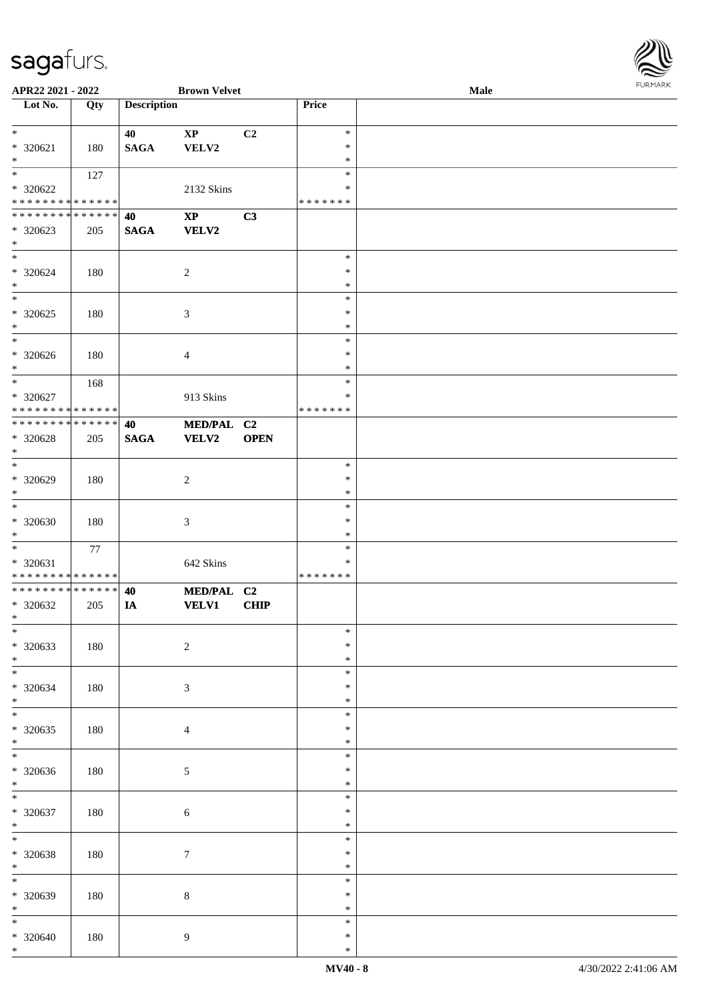

| APR22 2021 - 2022               |     |                    | <b>Brown Velvet</b>    |                |         | Male |  |
|---------------------------------|-----|--------------------|------------------------|----------------|---------|------|--|
| Lot No.                         | Qty | <b>Description</b> |                        |                | Price   |      |  |
|                                 |     |                    |                        |                |         |      |  |
| $*$                             |     | 40                 | $\mathbf{X}\mathbf{P}$ | C2             | $\ast$  |      |  |
|                                 |     |                    |                        |                |         |      |  |
| * 320621                        | 180 | <b>SAGA</b>        | VELV2                  |                | $\ast$  |      |  |
| $\ast$                          |     |                    |                        |                | $\ast$  |      |  |
| $*$                             | 127 |                    |                        |                | $\ast$  |      |  |
| * 320622                        |     |                    | 2132 Skins             |                | ∗       |      |  |
| * * * * * * * * * * * * * *     |     |                    |                        |                | ******* |      |  |
| * * * * * * * * * * * * * *     |     |                    |                        |                |         |      |  |
|                                 |     | 40                 | $\mathbf{XP}$          | C3             |         |      |  |
| * 320623                        | 205 | <b>SAGA</b>        | VELV2                  |                |         |      |  |
| $*$                             |     |                    |                        |                |         |      |  |
| $*$                             |     |                    |                        |                | $\ast$  |      |  |
| $* 320624$                      | 180 |                    | $\overline{c}$         |                | $\ast$  |      |  |
| $\ast$                          |     |                    |                        |                | $\ast$  |      |  |
|                                 |     |                    |                        |                |         |      |  |
| $\ast$                          |     |                    |                        |                | $\ast$  |      |  |
| $*320625$                       | 180 |                    | 3                      |                | $\ast$  |      |  |
| $\ast$                          |     |                    |                        |                | $\ast$  |      |  |
| $\ast$                          |     |                    |                        |                | $\ast$  |      |  |
| $*320626$                       |     |                    |                        |                | $\ast$  |      |  |
|                                 | 180 |                    | 4                      |                |         |      |  |
| $*$                             |     |                    |                        |                | $\ast$  |      |  |
| $*$                             | 168 |                    |                        |                | $\ast$  |      |  |
| * 320627                        |     |                    | 913 Skins              |                | $\ast$  |      |  |
| * * * * * * * * * * * * * *     |     |                    |                        |                | ******* |      |  |
| * * * * * * * * * * * * * * *   |     | 40                 | MED/PAL C2             |                |         |      |  |
|                                 |     |                    |                        |                |         |      |  |
| * 320628                        | 205 | <b>SAGA</b>        | <b>VELV2</b>           | <b>OPEN</b>    |         |      |  |
| $*$                             |     |                    |                        |                |         |      |  |
| $*$                             |     |                    |                        |                | $\ast$  |      |  |
| * 320629                        | 180 |                    | $\boldsymbol{2}$       |                | $\ast$  |      |  |
| $*$                             |     |                    |                        |                | $\ast$  |      |  |
| $\ast$                          |     |                    |                        |                |         |      |  |
|                                 |     |                    |                        |                | $\ast$  |      |  |
| $* 320630$                      | 180 |                    | $\mathfrak{Z}$         |                | $\ast$  |      |  |
| $*$                             |     |                    |                        |                | $\ast$  |      |  |
| $*$                             | 77  |                    |                        |                | $\ast$  |      |  |
| * 320631                        |     |                    | 642 Skins              |                | $\ast$  |      |  |
| * * * * * * * * * * * * * *     |     |                    |                        |                | ******* |      |  |
|                                 |     |                    |                        |                |         |      |  |
| * * * * * * * * * * * * * *     |     | 40                 | <b>MED/PAL</b>         | C <sub>2</sub> |         |      |  |
| * 320632                        | 205 | IA                 | VELV1                  | <b>CHIP</b>    |         |      |  |
| $*$                             |     |                    |                        |                |         |      |  |
| $\ast$                          |     |                    |                        |                | $\ast$  |      |  |
|                                 |     |                    |                        |                | $\ast$  |      |  |
| $* 320633$                      | 180 |                    | $\sqrt{2}$             |                |         |      |  |
| $*$                             |     |                    |                        |                | $\ast$  |      |  |
| $\overline{\ast}$               |     |                    |                        |                | $\ast$  |      |  |
| $*320634$                       | 180 |                    | 3                      |                | $\ast$  |      |  |
| $*$                             |     |                    |                        |                | $\ast$  |      |  |
| $\ast$                          |     |                    |                        |                | $\ast$  |      |  |
|                                 |     |                    |                        |                |         |      |  |
| $* 320635$                      | 180 |                    | $\overline{4}$         |                | $\ast$  |      |  |
| $*$                             |     |                    |                        |                | $\ast$  |      |  |
| $\overline{\phantom{0}}$        |     |                    |                        |                | $\ast$  |      |  |
| $* 320636$                      | 180 |                    | $5\,$                  |                | $\ast$  |      |  |
| $*$                             |     |                    |                        |                | $\ast$  |      |  |
| $*$                             |     |                    |                        |                | $\ast$  |      |  |
|                                 |     |                    |                        |                |         |      |  |
| $* 320637$                      | 180 |                    | 6                      |                | $\ast$  |      |  |
| $*$                             |     |                    |                        |                | $\ast$  |      |  |
| $\ast$                          |     |                    |                        |                | $\ast$  |      |  |
| $* 320638$                      | 180 |                    | $\boldsymbol{7}$       |                | $\ast$  |      |  |
|                                 |     |                    |                        |                |         |      |  |
| $*$<br>$\overline{\phantom{0}}$ |     |                    |                        |                | $\ast$  |      |  |
|                                 |     |                    |                        |                | $\ast$  |      |  |
| * 320639                        | 180 |                    | $8\,$                  |                | $\ast$  |      |  |
| $*$                             |     |                    |                        |                | $\ast$  |      |  |
| $*$                             |     |                    |                        |                | $\ast$  |      |  |
|                                 |     |                    |                        |                | $\ast$  |      |  |
| $* 320640$                      | 180 |                    | 9                      |                |         |      |  |
| $*$                             |     |                    |                        |                | $\ast$  |      |  |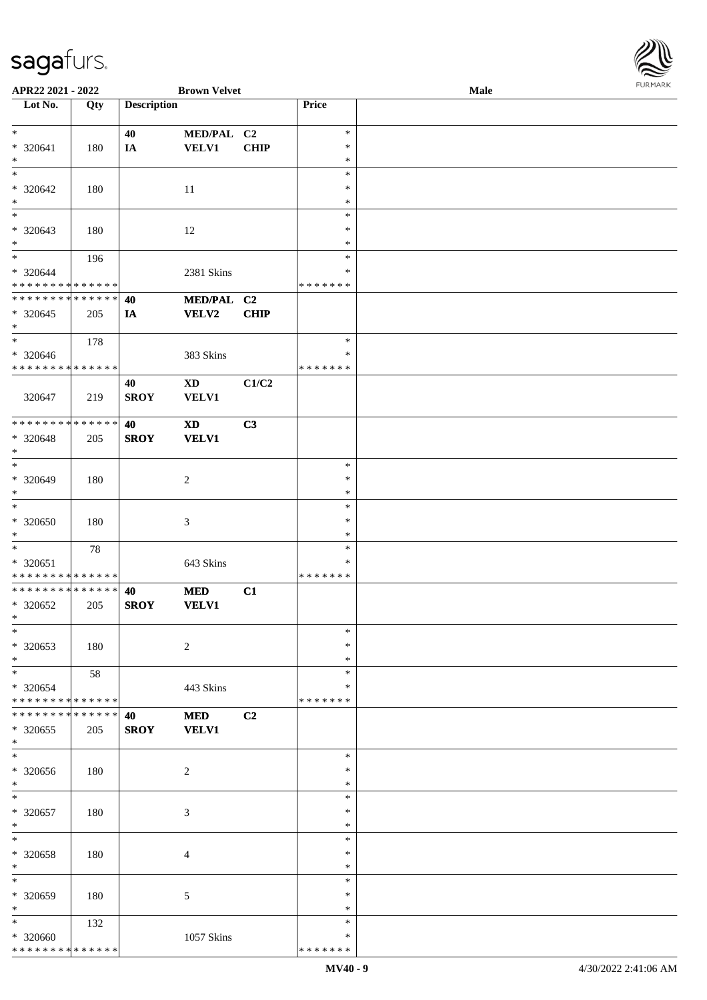

| APR22 2021 - 2022             |        |                    | <b>Brown Velvet</b> |             |               | Male |  |
|-------------------------------|--------|--------------------|---------------------|-------------|---------------|------|--|
| Lot No.                       | Qty    | <b>Description</b> |                     |             | Price         |      |  |
|                               |        |                    |                     |             |               |      |  |
| $\ast$                        |        | 40                 | MED/PAL C2          |             | $\ast$        |      |  |
| $* 320641$                    |        |                    |                     |             | $\ast$        |      |  |
|                               | 180    | IA                 | <b>VELV1</b>        | <b>CHIP</b> |               |      |  |
| $\ast$                        |        |                    |                     |             | $\ast$        |      |  |
| $\overline{\ast}$             |        |                    |                     |             | $\ast$        |      |  |
| $* 320642$                    | 180    |                    | 11                  |             | $\ast$        |      |  |
| $\ast$                        |        |                    |                     |             | $\ast$        |      |  |
| $\overline{\ast}$             |        |                    |                     |             | $\ast$        |      |  |
| * 320643                      |        |                    |                     |             | $\ast$        |      |  |
|                               | 180    |                    | 12                  |             |               |      |  |
| $*$                           |        |                    |                     |             | $\ast$        |      |  |
| $*$                           | 196    |                    |                     |             | $\ast$        |      |  |
| $* 320644$                    |        |                    | 2381 Skins          |             | $\ast$        |      |  |
| * * * * * * * * * * * * * *   |        |                    |                     |             | * * * * * * * |      |  |
| * * * * * * * * * * * * * *   |        | 40                 | MED/PAL C2          |             |               |      |  |
| $* 320645$                    | 205    | IA                 | <b>VELV2</b>        | <b>CHIP</b> |               |      |  |
| $*$                           |        |                    |                     |             |               |      |  |
|                               |        |                    |                     |             |               |      |  |
| $\ast$                        | 178    |                    |                     |             | $\ast$        |      |  |
| $* 320646$                    |        |                    | 383 Skins           |             | $\ast$        |      |  |
| * * * * * * * * * * * * * *   |        |                    |                     |             | *******       |      |  |
|                               |        | 40                 | <b>XD</b>           | C1/C2       |               |      |  |
| 320647                        | 219    | <b>SROY</b>        | <b>VELV1</b>        |             |               |      |  |
|                               |        |                    |                     |             |               |      |  |
|                               |        |                    |                     |             |               |      |  |
| * * * * * * * * * * * * * *   |        | 40                 | <b>XD</b>           | C3          |               |      |  |
| * 320648                      | 205    | <b>SROY</b>        | <b>VELV1</b>        |             |               |      |  |
| $\ast$                        |        |                    |                     |             |               |      |  |
| $*$                           |        |                    |                     |             | $\ast$        |      |  |
| $* 320649$                    | 180    |                    | $\overline{c}$      |             | $\ast$        |      |  |
| $*$                           |        |                    |                     |             | $\ast$        |      |  |
|                               |        |                    |                     |             |               |      |  |
| $\ast$                        |        |                    |                     |             | $\ast$        |      |  |
| $* 320650$                    | 180    |                    | $\mathfrak{Z}$      |             | $\ast$        |      |  |
| $*$                           |        |                    |                     |             | $\ast$        |      |  |
| $*$                           | $78\,$ |                    |                     |             | $\ast$        |      |  |
| $* 320651$                    |        |                    | 643 Skins           |             | $\ast$        |      |  |
| * * * * * * * * * * * * * *   |        |                    |                     |             | *******       |      |  |
| * * * * * * * * * * * * * *   |        |                    |                     |             |               |      |  |
|                               |        | 40                 | <b>MED</b>          | C1          |               |      |  |
| * 320652                      | 205    | <b>SROY</b>        | <b>VELV1</b>        |             |               |      |  |
| $*$                           |        |                    |                     |             |               |      |  |
| $\ast$                        |        |                    |                     |             | $\ast$        |      |  |
| * 320653                      | 180    |                    | $\overline{c}$      |             | $\ast$        |      |  |
| $*$                           |        |                    |                     |             | $\ast$        |      |  |
| $*$                           |        |                    |                     |             | $\ast$        |      |  |
|                               | 58     |                    |                     |             |               |      |  |
| * 320654                      |        |                    | 443 Skins           |             | ∗             |      |  |
| * * * * * * * * * * * * * *   |        |                    |                     |             | * * * * * * * |      |  |
| * * * * * * * * * * * * * * * |        | 40                 | <b>MED</b>          | C2          |               |      |  |
| * 320655                      | 205    | <b>SROY</b>        | <b>VELV1</b>        |             |               |      |  |
| $*$                           |        |                    |                     |             |               |      |  |
| $\ast$                        |        |                    |                     |             | $\ast$        |      |  |
|                               |        |                    |                     |             |               |      |  |
| $* 320656$                    | 180    |                    | $\overline{c}$      |             | $\ast$        |      |  |
| $*$                           |        |                    |                     |             | $\ast$        |      |  |
| $*$                           |        |                    |                     |             | $\ast$        |      |  |
| * 320657                      | 180    |                    | $\mathfrak{Z}$      |             | $\ast$        |      |  |
| $*$                           |        |                    |                     |             | $\ast$        |      |  |
| $\ast$                        |        |                    |                     |             | $\ast$        |      |  |
|                               |        |                    |                     |             |               |      |  |
| * 320658                      | 180    |                    | $\overline{4}$      |             | $\ast$        |      |  |
| $*$                           |        |                    |                     |             | $\ast$        |      |  |
| $\ast$                        |        |                    |                     |             | $\ast$        |      |  |
| * 320659                      | 180    |                    | 5                   |             | ∗             |      |  |
| $*$                           |        |                    |                     |             | $\ast$        |      |  |
| $*$                           | 132    |                    |                     |             | $\ast$        |      |  |
|                               |        |                    |                     |             | ∗             |      |  |
| * 320660                      |        |                    | 1057 Skins          |             |               |      |  |
| * * * * * * * * * * * * * *   |        |                    |                     |             | * * * * * * * |      |  |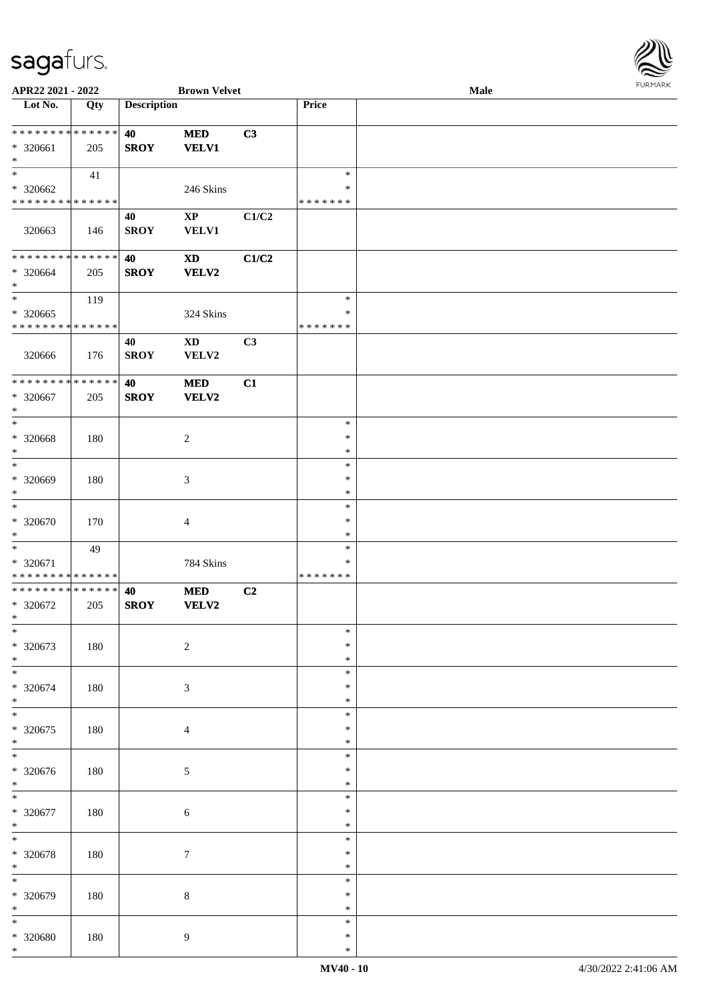\*

| APR22 2021 - 2022                                                           |     |                    | <b>Brown Velvet</b>             |                | <b>FURITAR</b><br>Male            |  |  |  |  |
|-----------------------------------------------------------------------------|-----|--------------------|---------------------------------|----------------|-----------------------------------|--|--|--|--|
| $\overline{\phantom{1}}$ Lot No.                                            | Qty | <b>Description</b> |                                 |                | Price                             |  |  |  |  |
| * * * * * * * * * * * * * *<br>* 320661<br>$\ast$                           | 205 | 40<br><b>SROY</b>  | <b>MED</b><br><b>VELV1</b>      | C3             |                                   |  |  |  |  |
| $\ast$<br>* 320662<br>* * * * * * * * * * * * * *                           | 41  |                    | 246 Skins                       |                | $\ast$<br>$\ast$<br>* * * * * * * |  |  |  |  |
| 320663                                                                      | 146 | 40<br><b>SROY</b>  | $\mathbf{XP}$<br>VELV1          | C1/C2          |                                   |  |  |  |  |
| **************<br>* 320664<br>$\ast$                                        | 205 | 40<br><b>SROY</b>  | <b>XD</b><br>VELV2              | C1/C2          |                                   |  |  |  |  |
| $\overline{\ast}$<br>* 320665<br>* * * * * * * * <mark>* * * * * * *</mark> | 119 |                    | 324 Skins                       |                | $\ast$<br>$\ast$<br>* * * * * * * |  |  |  |  |
| 320666                                                                      | 176 | 40<br><b>SROY</b>  | $\mathbf{X}\mathbf{D}$<br>VELV2 | C <sub>3</sub> |                                   |  |  |  |  |
| **************<br>$*320667$<br>$\ast$                                       | 205 | 40<br><b>SROY</b>  | <b>MED</b><br>VELV2             | C1             |                                   |  |  |  |  |
| $\ast$<br>* 320668<br>$\ast$                                                | 180 |                    | $\overline{c}$                  |                | $\ast$<br>$\ast$<br>$\ast$        |  |  |  |  |
| $_{\rm *}$<br>$* 320669$<br>$\ast$                                          | 180 |                    | $\mathfrak{Z}$                  |                | $\ast$<br>$\ast$<br>$\ast$        |  |  |  |  |
| $\ast$<br>* 320670<br>$\ast$                                                | 170 |                    | $\overline{4}$                  |                | $\ast$<br>$\ast$<br>$\ast$        |  |  |  |  |
| $\ast$<br>* 320671<br>* * * * * * * * * * * * * *                           | 49  |                    | 784 Skins                       |                | $\ast$<br>$\ast$<br>* * * * * * * |  |  |  |  |
| **************<br>* 320672<br>ski star                                      | 205 | 40<br><b>SROY</b>  | <b>MED</b><br>VELV2             | C <sub>2</sub> |                                   |  |  |  |  |
| $\ast$<br>* 320673<br>$\ast$                                                | 180 |                    | $\sqrt{2}$                      |                | $\ast$<br>$\ast$<br>$\ast$        |  |  |  |  |
| $\ast$<br>* 320674<br>$\ast$                                                | 180 |                    | 3                               |                | $\ast$<br>$\ast$<br>$\ast$        |  |  |  |  |
| $\frac{1}{1}$<br>$* 320675$<br>$\ast$                                       | 180 |                    | $\overline{4}$                  |                | $\ast$<br>$\ast$<br>$\ast$        |  |  |  |  |
| $_{\ast}$<br>* 320676<br>$\ast$                                             | 180 |                    | 5                               |                | $\ast$<br>∗<br>$\ast$             |  |  |  |  |
| $\ast$<br>$* 320677$<br>$*$                                                 | 180 |                    | $\sqrt{6}$                      |                | $\ast$<br>∗<br>$\ast$             |  |  |  |  |
| $\overline{\phantom{0}}$<br>* 320678<br>$\ast$                              | 180 |                    | 7                               |                | $\ast$<br>$\ast$<br>$\ast$        |  |  |  |  |
| $\overline{\phantom{1}}$<br>* 320679<br>$*$                                 | 180 |                    | 8                               |                | $\ast$<br>$\ast$<br>$\ast$        |  |  |  |  |
| $\ast$<br>* 320680                                                          | 180 |                    | 9                               |                | $\ast$<br>$\ast$                  |  |  |  |  |

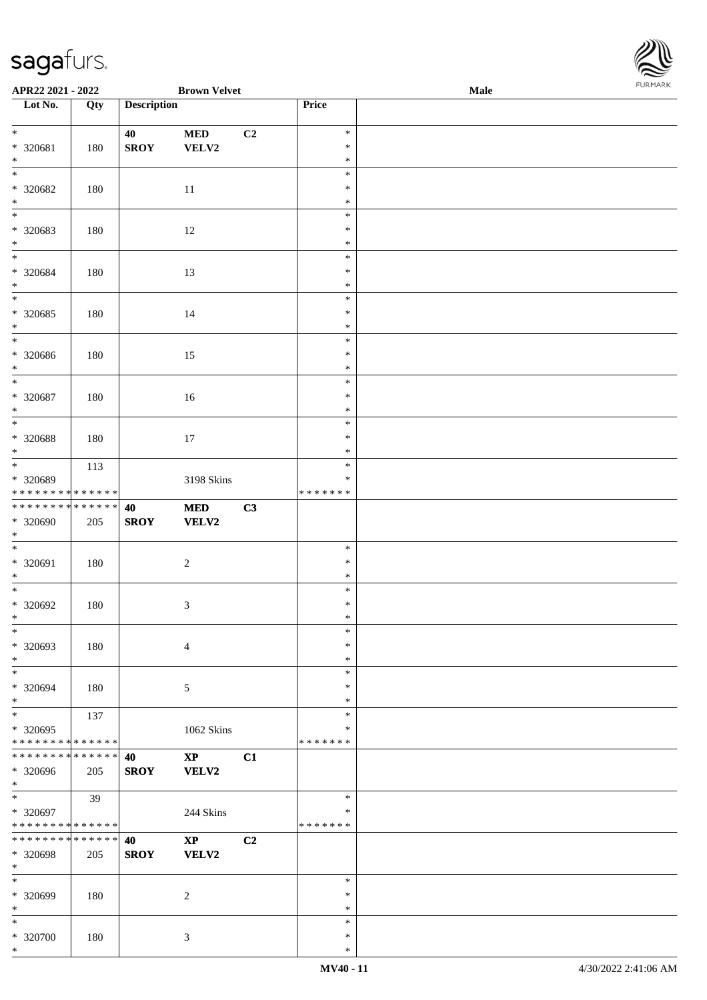\*

| <b>FURMARK</b> |  |
|----------------|--|

| APR22 2021 - 2022                                                           |     |                    | <b>Brown Velvet</b>        |    |                                   | Male | <b>FURMARK</b> |
|-----------------------------------------------------------------------------|-----|--------------------|----------------------------|----|-----------------------------------|------|----------------|
| Lot No.                                                                     | Qty | <b>Description</b> |                            |    | Price                             |      |                |
| $*$<br>* 320681<br>$*$                                                      | 180 | 40<br><b>SROY</b>  | <b>MED</b><br>VELV2        | C2 | $\ast$<br>$\ast$<br>$\ast$        |      |                |
| * 320682<br>$*$                                                             | 180 |                    | 11                         |    | $\ast$<br>$\ast$<br>$\ast$        |      |                |
| $\overline{\phantom{0}}$<br>* 320683<br>$*$<br>$\overline{\ast}$            | 180 |                    | 12                         |    | $\ast$<br>$\ast$<br>$\ast$        |      |                |
| * 320684<br>$\ast$                                                          | 180 |                    | 13                         |    | $\ast$<br>$\ast$<br>$\ast$        |      |                |
| * 320685<br>$\ast$                                                          | 180 |                    | 14                         |    | $\ast$<br>$\ast$<br>$\ast$        |      |                |
| * 320686<br>$\ast$<br>$*$                                                   | 180 |                    | 15                         |    | $\ast$<br>$\ast$<br>$\ast$        |      |                |
| * 320687<br>$*$<br>$\overline{\phantom{0}}$                                 | 180 |                    | 16                         |    | $\ast$<br>$\ast$<br>$\ast$        |      |                |
| * 320688<br>$*$                                                             | 180 |                    | 17                         |    | $\ast$<br>$\ast$<br>$\ast$        |      |                |
| $\overline{\ast}$<br>* 320689<br>* * * * * * * * <mark>* * * * * * *</mark> | 113 |                    | 3198 Skins                 |    | $\ast$<br>$\ast$<br>* * * * * * * |      |                |
| ******** <mark>******</mark><br>* 320690<br>$\ast$                          | 205 | 40<br><b>SROY</b>  | <b>MED</b><br><b>VELV2</b> | C3 |                                   |      |                |
| * 320691<br>$\ast$<br>$*$                                                   | 180 |                    | $\overline{c}$             |    | $\ast$<br>$\ast$<br>$\ast$        |      |                |
| $* 320692$<br>$\ast$<br>$\ast$                                              | 180 |                    | $\mathfrak{Z}$             |    | $\ast$<br>$\ast$<br>∗             |      |                |
| * 320693<br>$*$<br>$\overline{\phantom{0}}$                                 | 180 |                    | $\overline{4}$             |    | $\ast$<br>$\ast$<br>$\ast$        |      |                |
| * 320694<br>$*$<br>$*$                                                      | 180 |                    | $\mathfrak{S}$             |    | $\ast$<br>∗<br>$\ast$             |      |                |
| * 320695<br>* * * * * * * * <mark>* * * * * *</mark>                        | 137 |                    | 1062 Skins                 |    | $\ast$<br>$\ast$<br>* * * * * * * |      |                |
| * * * * * * * * <mark>* * * * * * *</mark><br>* 320696<br>$\ast$            | 205 | 40<br><b>SROY</b>  | $\mathbf{XP}$<br>VELV2     | C1 |                                   |      |                |
| * 320697<br>* * * * * * * * <mark>* * * * * *</mark>                        | 39  |                    | 244 Skins                  |    | $\ast$<br>∗<br>* * * * * * *      |      |                |
| * * * * * * * * <mark>* * * * * * *</mark><br>* 320698<br>$*$               | 205 | 40<br><b>SROY</b>  | $\mathbf{XP}$<br>VELV2     | C2 |                                   |      |                |
| $\ast$<br>* 320699<br>$*$                                                   | 180 |                    | $\overline{2}$             |    | $\ast$<br>$\ast$<br>$\ast$        |      |                |
| $\ast$<br>* 320700                                                          | 180 |                    | $\mathbf{3}$               |    | $\ast$<br>$\ast$                  |      |                |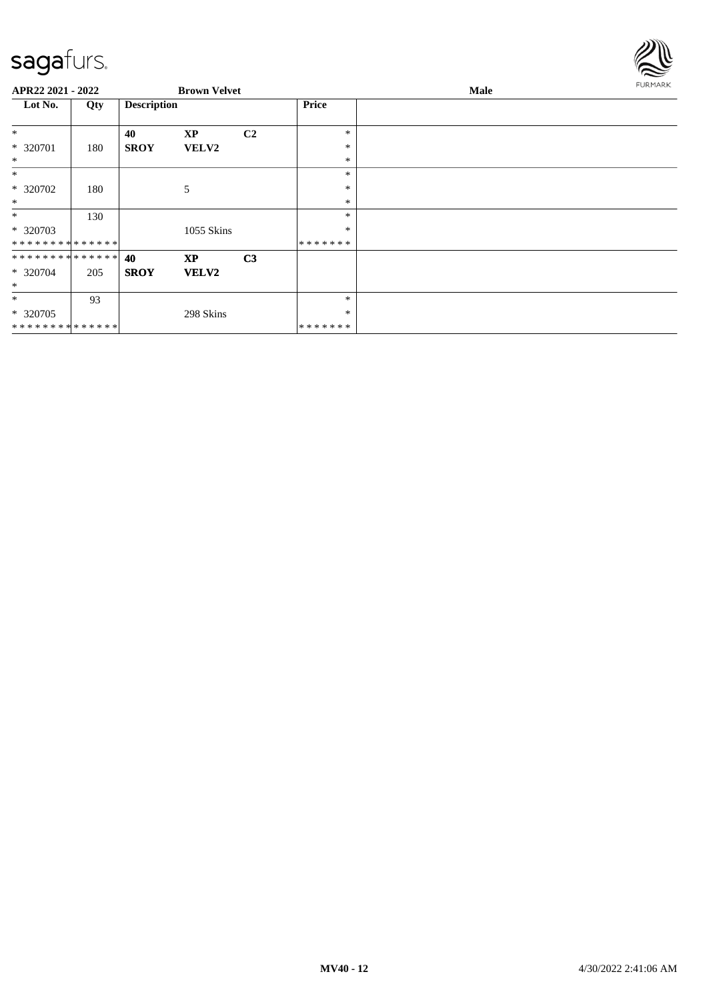

| APR22 2021 - 2022             |     |                    | <b>Brown Velvet</b> |                |               | Male | <b>FURMARK</b> |
|-------------------------------|-----|--------------------|---------------------|----------------|---------------|------|----------------|
| Lot No.                       | Qty | <b>Description</b> |                     |                | <b>Price</b>  |      |                |
| $\ast$                        |     | 40                 | <b>XP</b>           | C <sub>2</sub> | *             |      |                |
| * 320701<br>$\ast$            | 180 | <b>SROY</b>        | <b>VELV2</b>        |                | *<br>$\ast$   |      |                |
| $\ast$                        |     |                    |                     |                | *             |      |                |
| * 320702                      | 180 |                    | 5                   |                | *             |      |                |
| $\ast$                        |     |                    |                     |                | ∗             |      |                |
| $\ast$                        | 130 |                    |                     |                | *             |      |                |
| * 320703                      |     |                    | 1055 Skins          |                | *             |      |                |
| **************                |     |                    |                     |                | * * * * * * * |      |                |
| * * * * * * * * * * * * * * * |     | 40                 | <b>XP</b>           | C <sub>3</sub> |               |      |                |
| * 320704                      | 205 | <b>SROY</b>        | <b>VELV2</b>        |                |               |      |                |
| $\ast$                        |     |                    |                     |                |               |      |                |
| $\ast$                        | 93  |                    |                     |                | *             |      |                |
| * 320705                      |     |                    | 298 Skins           |                | *             |      |                |
| **************                |     |                    |                     |                | *******       |      |                |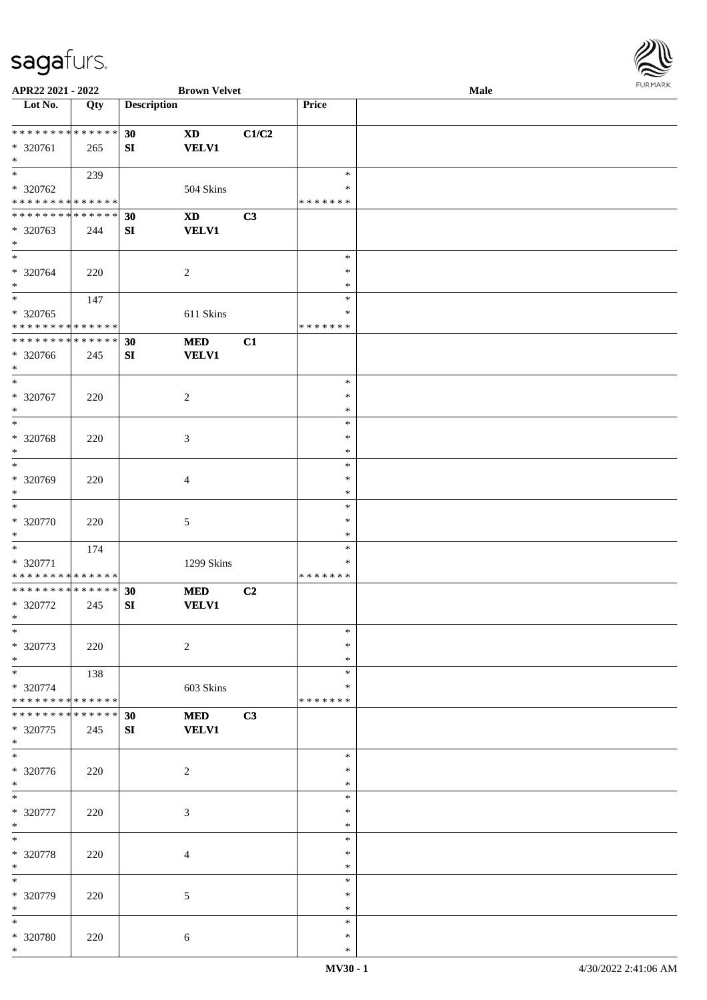

| APR22 2021 - 2022                                                                |     |                    | <b>Brown Velvet</b>                    |                |                                   | Male | <b>FURMARK</b> |
|----------------------------------------------------------------------------------|-----|--------------------|----------------------------------------|----------------|-----------------------------------|------|----------------|
| $\overline{\phantom{1}}$ Lot No.                                                 | Qty | <b>Description</b> |                                        |                | Price                             |      |                |
| * * * * * * * * * * * * * * *<br>* 320761<br>$\ast$                              | 265 | 30<br>SI           | $\mathbf{X}\mathbf{D}$<br><b>VELV1</b> | C1/C2          |                                   |      |                |
| $\ast$<br>* 320762<br>* * * * * * * * * * * * * *                                | 239 |                    | 504 Skins                              |                | $\ast$<br>$\ast$<br>* * * * * * * |      |                |
| * * * * * * * * * * * * * *<br>* 320763<br>$\ast$                                | 244 | 30<br>${\bf SI}$   | <b>XD</b><br><b>VELV1</b>              | C3             |                                   |      |                |
| $\ast$<br>* 320764<br>$\ast$                                                     | 220 |                    | $\overline{c}$                         |                | $\ast$<br>$\ast$<br>$\ast$        |      |                |
| $\ast$<br>* 320765<br>* * * * * * * * * * * * * *                                | 147 |                    | 611 Skins                              |                | $\ast$<br>$\ast$<br>* * * * * * * |      |                |
| ******** <mark>******</mark><br>* 320766<br>$\ast$                               | 245 | 30<br>${\bf SI}$   | $\bf MED$<br><b>VELV1</b>              | C1             |                                   |      |                |
| $*$<br>* 320767<br>$\ast$                                                        | 220 |                    | $\overline{c}$                         |                | $\ast$<br>$\ast$<br>$\ast$        |      |                |
| $\ast$<br>* 320768<br>$\ast$<br>$\overline{\ast}$                                | 220 |                    | 3                                      |                | $\ast$<br>$\ast$<br>$\ast$        |      |                |
| * 320769<br>$\ast$<br>$\ast$                                                     | 220 |                    | $\overline{4}$                         |                | $\ast$<br>$\ast$<br>$\ast$        |      |                |
| $* 320770$<br>$\ast$                                                             | 220 |                    | 5                                      |                | $\ast$<br>$\ast$<br>$\ast$        |      |                |
| $\ast$<br>* 320771<br>* * * * * * * * * * * * * *                                | 174 |                    | 1299 Skins                             |                | $\ast$<br>$\ast$<br>* * * * * * * |      |                |
| ******** <mark>*****</mark> *<br>* 320772<br>$\ast$                              | 245 | 30<br>${\bf SI}$   | <b>MED</b><br><b>VELV1</b>             | C <sub>2</sub> |                                   |      |                |
| $\ast$<br>* 320773<br>$\ast$                                                     | 220 |                    | $\sqrt{2}$                             |                | $\ast$<br>∗<br>$\ast$             |      |                |
| $\ast$<br>* 320774<br>* * * * * * * * * * * * * *                                | 138 |                    | 603 Skins                              |                | $\ast$<br>$\ast$<br>* * * * * * * |      |                |
| * * * * * * * * * * * * * *<br>$*320775$<br>$\ast$<br>$\overline{\phantom{a}^*}$ | 245 | 30<br>SI           | <b>MED</b><br><b>VELV1</b>             | C3             |                                   |      |                |
| * 320776<br>$\ast$                                                               | 220 |                    | $\sqrt{2}$                             |                | $\ast$<br>$\ast$<br>$\ast$        |      |                |
| $\ast$<br>* 320777<br>$\ast$                                                     | 220 |                    | 3                                      |                | $\ast$<br>$\ast$<br>$\ast$        |      |                |
| $\ast$<br>* 320778<br>$\ast$                                                     | 220 |                    | $\overline{4}$                         |                | $\ast$<br>$\ast$<br>$\ast$        |      |                |
| $\ast$<br>* 320779<br>$\ast$                                                     | 220 |                    | 5                                      |                | $\ast$<br>$\ast$<br>$\ast$        |      |                |
| $\ast$<br>* 320780<br>$*$                                                        | 220 |                    | 6                                      |                | $\ast$<br>$\ast$<br>$\ast$        |      |                |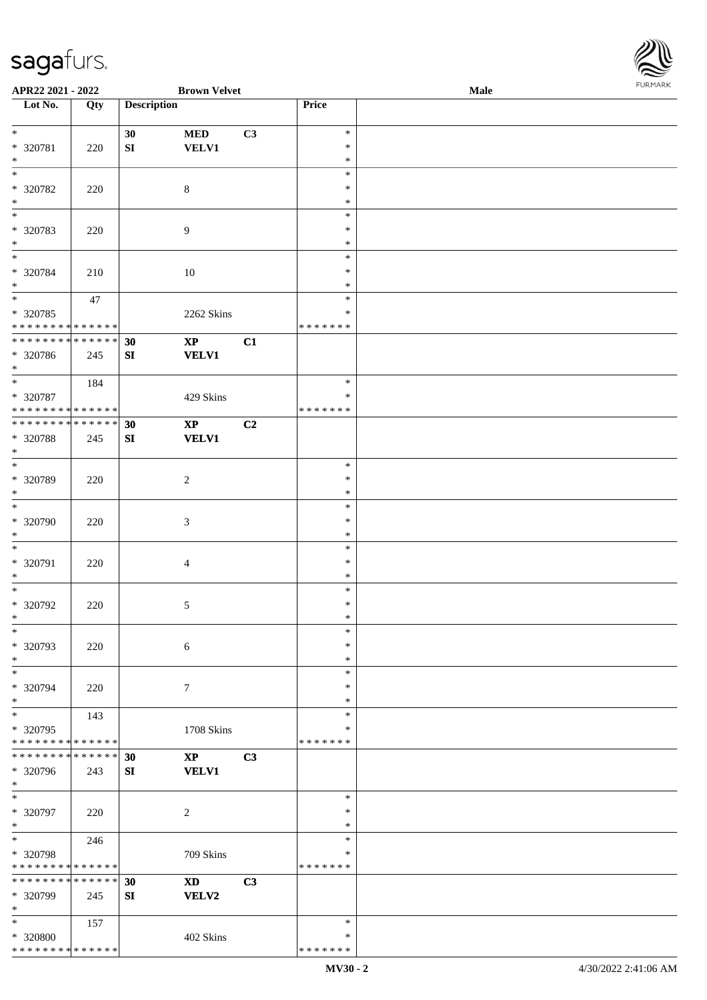

| APR22 2021 - 2022            |             |                    | <b>Brown Velvet</b>         |    |               | Male |
|------------------------------|-------------|--------------------|-----------------------------|----|---------------|------|
| Lot No.                      | Qty         | <b>Description</b> |                             |    | Price         |      |
|                              |             |                    |                             |    |               |      |
| $\ast$                       |             | 30                 | $\bf MED$                   | C3 | $\ast$        |      |
| * 320781                     | 220         | ${\bf S}{\bf I}$   | <b>VELV1</b>                |    | $\ast$        |      |
| $\ast$                       |             |                    |                             |    | $\ast$        |      |
| $\overline{\phantom{0}}$     |             |                    |                             |    | $\ast$        |      |
| * 320782                     | 220         |                    | $8\,$                       |    | ∗             |      |
| $\ast$                       |             |                    |                             |    | $\ast$        |      |
| $\overline{\phantom{0}}$     |             |                    |                             |    |               |      |
|                              |             |                    |                             |    | $\ast$        |      |
| * 320783                     | 220         |                    | $\overline{9}$              |    | $\ast$        |      |
| $\ast$                       |             |                    |                             |    | $\ast$        |      |
| $\overline{\phantom{a}^*}$   |             |                    |                             |    | $\ast$        |      |
| * 320784                     | 210         |                    | 10                          |    | $\ast$        |      |
| $\ast$                       |             |                    |                             |    | $\ast$        |      |
| $\overline{\ast}$            | $47\,$      |                    |                             |    | $\ast$        |      |
| $* 320785$                   |             |                    | 2262 Skins                  |    | $\ast$        |      |
| * * * * * * * * * * * * * *  |             |                    |                             |    | * * * * * * * |      |
| ******** <mark>******</mark> |             | 30                 | $\mathbf{XP}$               | C1 |               |      |
| * 320786                     | 245         | SI                 | <b>VELV1</b>                |    |               |      |
| $*$                          |             |                    |                             |    |               |      |
| $\ast$                       |             |                    |                             |    | $\ast$        |      |
|                              | 184         |                    |                             |    |               |      |
| * 320787                     |             |                    | 429 Skins                   |    | ∗             |      |
| * * * * * * * * * * * * * *  |             |                    |                             |    | * * * * * * * |      |
| * * * * * * * * * * * * * *  |             | 30                 | $\mathbf{X}\mathbf{P}$      | C2 |               |      |
| * 320788                     | 245         | SI                 | <b>VELV1</b>                |    |               |      |
| $\ast$                       |             |                    |                             |    |               |      |
| $\overline{\ast}$            |             |                    |                             |    | $\ast$        |      |
| * 320789                     | 220         |                    | $\overline{2}$              |    | $\ast$        |      |
| $\ast$                       |             |                    |                             |    | $\ast$        |      |
| $\ast$                       |             |                    |                             |    | $\ast$        |      |
| * 320790                     | 220         |                    | $\ensuremath{\mathfrak{Z}}$ |    | $\ast$        |      |
|                              |             |                    |                             |    |               |      |
| $\ast$<br>$\ast$             |             |                    |                             |    | $\ast$        |      |
|                              |             |                    |                             |    | $\ast$        |      |
| * 320791                     | 220         |                    | $\overline{4}$              |    | $\ast$        |      |
| $\ast$                       |             |                    |                             |    | $\ast$        |      |
| $\ast$                       |             |                    |                             |    | $\ast$        |      |
| $* 320792$                   | 220         |                    | $\mathfrak{S}$              |    | $\ast$        |      |
| $*$                          |             |                    |                             |    | $\ast$        |      |
| $\ast$                       |             |                    |                             |    | $\ast$        |      |
| * 320793                     | 220         |                    | 6                           |    | ∗             |      |
| $\ast$                       |             |                    |                             |    | $\ast$        |      |
| $\ast$                       |             |                    |                             |    | $\ast$        |      |
|                              |             |                    |                             |    | ∗             |      |
| * 320794<br>$\ast$           | 220         |                    | $\tau$                      |    |               |      |
|                              |             |                    |                             |    | *             |      |
| $\ast$                       | 143         |                    |                             |    | $\ast$        |      |
| * 320795                     |             |                    | 1708 Skins                  |    | *             |      |
| * * * * * * * * * * * * * *  |             |                    |                             |    | * * * * * * * |      |
| * * * * * * * *              | * * * * * * | 30                 | $\mathbf{X}\mathbf{P}$      | C3 |               |      |
| * 320796                     | 243         | SI                 | <b>VELV1</b>                |    |               |      |
| $*$                          |             |                    |                             |    |               |      |
| $\ast$                       |             |                    |                             |    | $\ast$        |      |
| * 320797                     | 220         |                    | $\overline{c}$              |    | $\ast$        |      |
| $\ast$                       |             |                    |                             |    | $\ast$        |      |
| $\ast$                       | 246         |                    |                             |    | $\ast$        |      |
| * 320798                     |             |                    | 709 Skins                   |    | $\ast$        |      |
| * * * * * * * * * * * * * *  |             |                    |                             |    | * * * * * * * |      |
| * * * * * * * * * * * * * *  |             |                    |                             |    |               |      |
|                              |             | 30                 | $\mathbf{X}\mathbf{D}$      | C3 |               |      |
| * 320799                     | 245         | SI                 | VELV2                       |    |               |      |
| $\ast$                       |             |                    |                             |    |               |      |
| $*$                          | 157         |                    |                             |    | $\ast$        |      |
| * 320800                     |             |                    | 402 Skins                   |    | $\ast$        |      |
| * * * * * * * * * * * * * *  |             |                    |                             |    | * * * * * * * |      |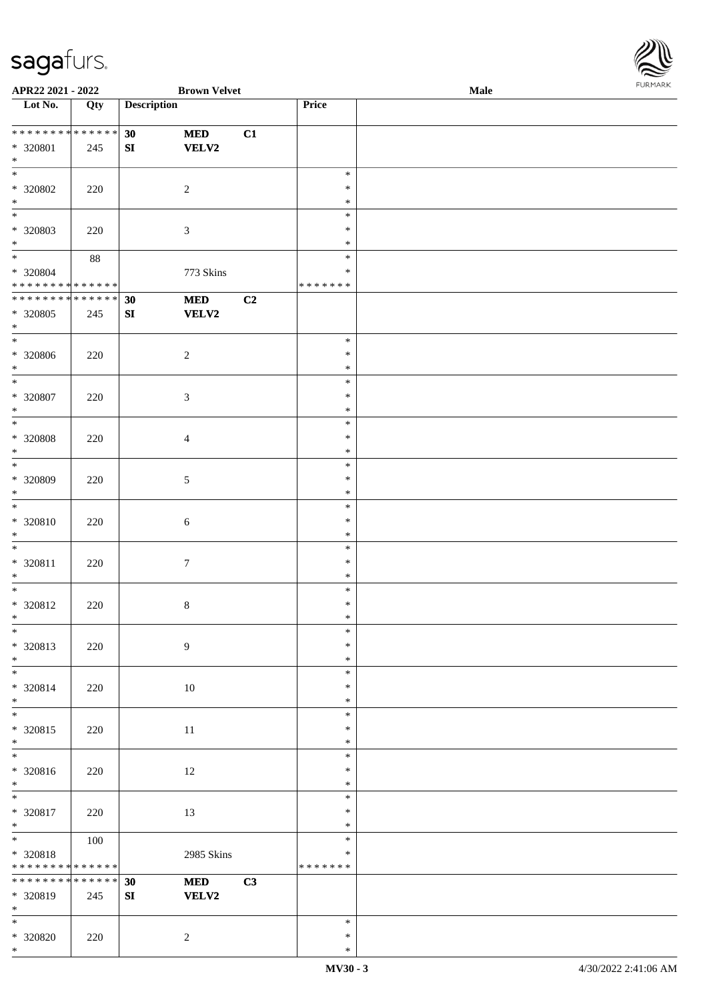

| APR22 2021 - 2022               |     |                    | <b>Brown Velvet</b> |                |               | Male |  |
|---------------------------------|-----|--------------------|---------------------|----------------|---------------|------|--|
| Lot No.                         | Qty | <b>Description</b> |                     |                | Price         |      |  |
|                                 |     |                    |                     |                |               |      |  |
| * * * * * * * * * * * * * *     |     | 30                 | $\bf MED$           | C1             |               |      |  |
| * 320801                        | 245 | ${\bf S}{\bf I}$   | VELV2               |                |               |      |  |
| $*$                             |     |                    |                     |                |               |      |  |
| $\overline{\phantom{0}}$        |     |                    |                     |                | $\ast$        |      |  |
|                                 |     |                    |                     |                |               |      |  |
| * 320802                        | 220 |                    | $\sqrt{2}$          |                | $\ast$        |      |  |
| $\ast$                          |     |                    |                     |                | $\ast$        |      |  |
| $\overline{\phantom{0}}$        |     |                    |                     |                | $\ast$        |      |  |
| * 320803                        | 220 |                    | $\mathfrak{Z}$      |                | $\ast$        |      |  |
| $*$                             |     |                    |                     |                | $\ast$        |      |  |
| $\overline{\ast}$               | 88  |                    |                     |                | $\ast$        |      |  |
| $* 320804$                      |     |                    | 773 Skins           |                | $\ast$        |      |  |
| * * * * * * * * * * * * * *     |     |                    |                     |                | * * * * * * * |      |  |
| * * * * * * * * * * * * * *     |     | 30                 | <b>MED</b>          | C <sub>2</sub> |               |      |  |
|                                 |     |                    |                     |                |               |      |  |
| * 320805                        | 245 | SI                 | <b>VELV2</b>        |                |               |      |  |
| $*$                             |     |                    |                     |                |               |      |  |
| $\ast$                          |     |                    |                     |                | $\ast$        |      |  |
| $*320806$                       | 220 |                    | $\overline{c}$      |                | $\ast$        |      |  |
| $\ast$                          |     |                    |                     |                | $\ast$        |      |  |
| $\ast$                          |     |                    |                     |                | $\ast$        |      |  |
| $* 320807$                      | 220 |                    | $\mathfrak{Z}$      |                | $\ast$        |      |  |
| $\ast$                          |     |                    |                     |                | $\ast$        |      |  |
| $*$                             |     |                    |                     |                | $\ast$        |      |  |
| $*320808$                       | 220 |                    | $\overline{4}$      |                | $\ast$        |      |  |
| $\ast$                          |     |                    |                     |                | $\ast$        |      |  |
| $*$                             |     |                    |                     |                |               |      |  |
|                                 |     |                    |                     |                | $\ast$        |      |  |
| $* 320809$                      | 220 |                    | $\mathfrak{S}$      |                | $\ast$        |      |  |
| $*$                             |     |                    |                     |                | $\ast$        |      |  |
| $*$                             |     |                    |                     |                | $\ast$        |      |  |
| $* 320810$                      | 220 |                    | $\sqrt{6}$          |                | $\ast$        |      |  |
| $*$                             |     |                    |                     |                | $\ast$        |      |  |
| $*$                             |     |                    |                     |                | $\ast$        |      |  |
| * 320811                        | 220 |                    | $\tau$              |                | $\ast$        |      |  |
| $*$                             |     |                    |                     |                | $\ast$        |      |  |
| $*$                             |     |                    |                     |                | $\ast$        |      |  |
| $* 320812$                      | 220 |                    | $\,8\,$             |                | $\ast$        |      |  |
| $*$                             |     |                    |                     |                | $\ast$        |      |  |
| $\ast$                          |     |                    |                     |                | $\ast$        |      |  |
|                                 |     |                    |                     |                |               |      |  |
| * 320813                        | 220 |                    | 9                   |                | $\ast$        |      |  |
| $*$                             |     |                    |                     |                | $\ast$        |      |  |
|                                 |     |                    |                     |                | $\ast$        |      |  |
| * 320814                        | 220 |                    | 10                  |                | $\ast$        |      |  |
| $*$                             |     |                    |                     |                | $\ast$        |      |  |
| $*$                             |     |                    |                     |                | $\ast$        |      |  |
| $* 320815$                      | 220 |                    | $11\,$              |                | $\ast$        |      |  |
| $*$                             |     |                    |                     |                | $\ast$        |      |  |
| $\overline{\phantom{0}}$        |     |                    |                     |                | $\ast$        |      |  |
|                                 |     |                    |                     |                | $\ast$        |      |  |
| $* 320816$                      | 220 |                    | 12                  |                |               |      |  |
| $*$<br>$\overline{\phantom{0}}$ |     |                    |                     |                | $\ast$        |      |  |
|                                 |     |                    |                     |                | $\ast$        |      |  |
| * 320817                        | 220 |                    | 13                  |                | $\ast$        |      |  |
| $*$                             |     |                    |                     |                | $\ast$        |      |  |
| $*$ and $*$                     | 100 |                    |                     |                | $\ast$        |      |  |
| * 320818                        |     |                    | 2985 Skins          |                | $\ast$        |      |  |
| * * * * * * * * * * * * * *     |     |                    |                     |                | * * * * * * * |      |  |
| ******** <mark>******</mark>    |     | 30                 | <b>MED</b>          | C3             |               |      |  |
| * 320819                        | 245 | SI                 | <b>VELV2</b>        |                |               |      |  |
| $*$                             |     |                    |                     |                |               |      |  |
| $*$                             |     |                    |                     |                | $\ast$        |      |  |
| $*320820$                       | 220 |                    |                     |                | $\ast$        |      |  |
| $*$                             |     |                    | 2                   |                | $\ast$        |      |  |
|                                 |     |                    |                     |                |               |      |  |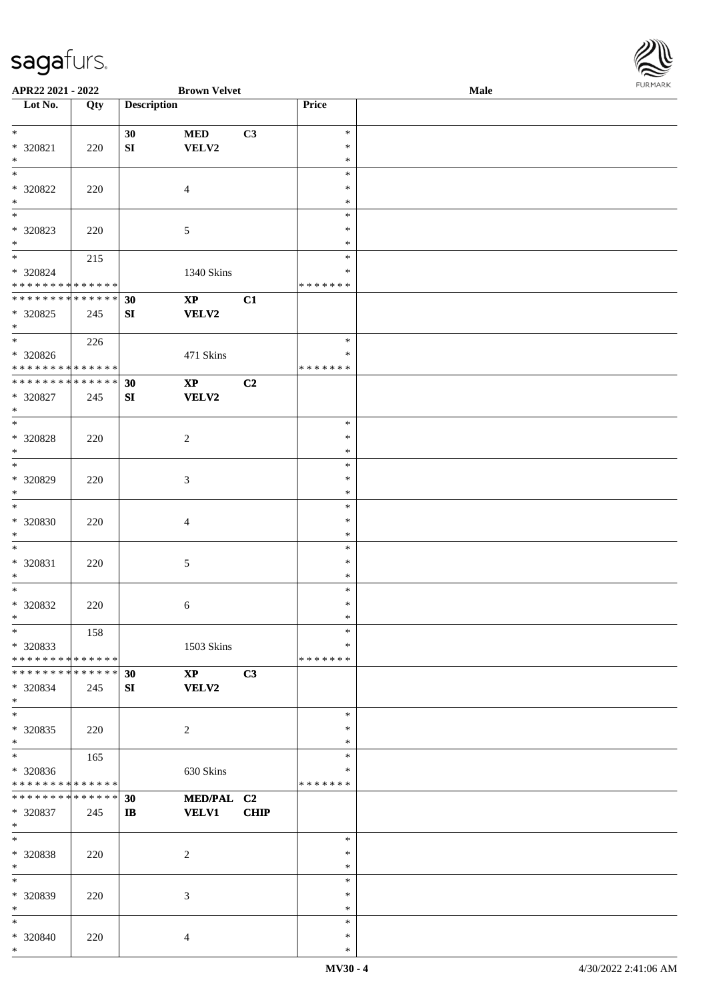

| APR22 2021 - 2022             |     |                    | <b>Brown Velvet</b>    |                |               | <b>Male</b> |  |
|-------------------------------|-----|--------------------|------------------------|----------------|---------------|-------------|--|
| Lot No.                       | Qty | <b>Description</b> |                        |                | Price         |             |  |
|                               |     |                    |                        |                |               |             |  |
| $\ast$                        |     | 30                 | <b>MED</b>             | C3             | $\ast$        |             |  |
|                               |     |                    |                        |                |               |             |  |
| * 320821                      | 220 | ${\bf S}{\bf I}$   | VELV2                  |                | $\ast$        |             |  |
| $*$                           |     |                    |                        |                | $\ast$        |             |  |
| $\overline{\ }$               |     |                    |                        |                | $\ast$        |             |  |
| $* 320822$                    | 220 |                    | $\overline{4}$         |                | $\ast$        |             |  |
| $\ast$                        |     |                    |                        |                | $\ast$        |             |  |
| $*$                           |     |                    |                        |                | $\ast$        |             |  |
|                               |     |                    |                        |                |               |             |  |
| * 320823                      | 220 |                    | $\sqrt{5}$             |                | $\ast$        |             |  |
| $*$                           |     |                    |                        |                | $\ast$        |             |  |
| $*$                           | 215 |                    |                        |                | $\ast$        |             |  |
| * 320824                      |     |                    | 1340 Skins             |                | $\ast$        |             |  |
| * * * * * * * * * * * * * *   |     |                    |                        |                | *******       |             |  |
|                               |     |                    |                        |                |               |             |  |
| * * * * * * * * * * * * * *   |     | 30                 | $\mathbf{X}\mathbf{P}$ | C1             |               |             |  |
| $*320825$                     | 245 | ${\bf SI}$         | <b>VELV2</b>           |                |               |             |  |
| $*$                           |     |                    |                        |                |               |             |  |
| $*$                           | 226 |                    |                        |                | $\ast$        |             |  |
| $* 320826$                    |     |                    | 471 Skins              |                | $\ast$        |             |  |
|                               |     |                    |                        |                |               |             |  |
| * * * * * * * * * * * * * *   |     |                    |                        |                | * * * * * * * |             |  |
| * * * * * * * * * * * * * *   |     | 30                 | $\bold{XP}$            | C <sub>2</sub> |               |             |  |
| $* 320827$                    | 245 | SI                 | VELV2                  |                |               |             |  |
| $*$                           |     |                    |                        |                |               |             |  |
| $*$                           |     |                    |                        |                | $\ast$        |             |  |
|                               |     |                    |                        |                |               |             |  |
| $* 320828$                    | 220 |                    | $\sqrt{2}$             |                | $\ast$        |             |  |
| $*$                           |     |                    |                        |                | $\ast$        |             |  |
| $*$                           |     |                    |                        |                | $\ast$        |             |  |
| * 320829                      | 220 |                    | 3                      |                | $\ast$        |             |  |
| $*$                           |     |                    |                        |                | $\ast$        |             |  |
| $*$                           |     |                    |                        |                | $\ast$        |             |  |
|                               |     |                    |                        |                |               |             |  |
| $* 320830$                    | 220 |                    | $\overline{4}$         |                | $\ast$        |             |  |
| $*$                           |     |                    |                        |                | $\ast$        |             |  |
| $\ast$                        |     |                    |                        |                | $\ast$        |             |  |
| * 320831                      | 220 |                    | 5                      |                | $\ast$        |             |  |
| $\ast$                        |     |                    |                        |                | $\ast$        |             |  |
|                               |     |                    |                        |                |               |             |  |
| $*$                           |     |                    |                        |                | $\ast$        |             |  |
| * 320832                      | 220 |                    | 6                      |                | $\ast$        |             |  |
| $*$                           |     |                    |                        |                | $\ast$        |             |  |
| $*$                           | 158 |                    |                        |                | $\ast$        |             |  |
| * 320833                      |     |                    | 1503 Skins             |                | $\ast$        |             |  |
|                               |     |                    |                        |                | *******       |             |  |
| * * * * * * * * * * * * * * * |     |                    |                        |                |               |             |  |
| * * * * * * * * * * * * * * * |     | 30                 | $\mathbf{X}\mathbf{P}$ | C3             |               |             |  |
| * 320834                      | 245 | SI                 | <b>VELV2</b>           |                |               |             |  |
| $*$                           |     |                    |                        |                |               |             |  |
| $*$                           |     |                    |                        |                | $\ast$        |             |  |
| * 320835                      | 220 |                    | $\overline{c}$         |                | $\ast$        |             |  |
|                               |     |                    |                        |                |               |             |  |
| $*$                           |     |                    |                        |                | $\ast$        |             |  |
|                               | 165 |                    |                        |                | $\ast$        |             |  |
| * 320836                      |     |                    | 630 Skins              |                | ∗             |             |  |
| * * * * * * * * * * * * * *   |     |                    |                        |                | *******       |             |  |
| * * * * * * * * * * * * * * * |     | 30                 | MED/PAL C2             |                |               |             |  |
|                               |     |                    |                        |                |               |             |  |
| * 320837                      | 245 | $\mathbf{I}$       | <b>VELV1</b>           | <b>CHIP</b>    |               |             |  |
| $*$                           |     |                    |                        |                |               |             |  |
| $*$                           |     |                    |                        |                | $\ast$        |             |  |
| * 320838                      | 220 |                    | $\overline{c}$         |                | $\ast$        |             |  |
| $*$                           |     |                    |                        |                | $\ast$        |             |  |
| $*$                           |     |                    |                        |                | $\ast$        |             |  |
|                               |     |                    |                        |                |               |             |  |
| * 320839                      | 220 |                    | 3                      |                | $\ast$        |             |  |
| $*$                           |     |                    |                        |                | $\ast$        |             |  |
| $*$                           |     |                    |                        |                | $\ast$        |             |  |
| * 320840                      | 220 |                    | 4                      |                | $\ast$        |             |  |
| $*$                           |     |                    |                        |                | $\ast$        |             |  |
|                               |     |                    |                        |                |               |             |  |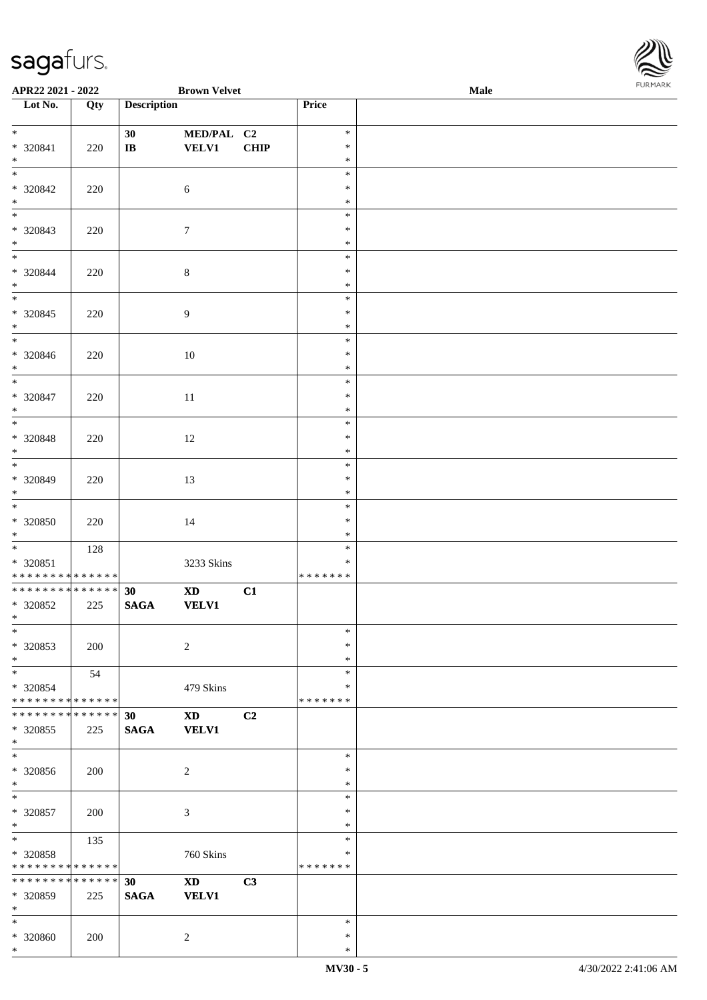\*

| $*$<br>* 320841<br>$*$                               | 220 | 30<br>$\mathbf{I}\mathbf{B}$       | MED/PAL C2<br>VELV1                    | <b>CHIP</b>    | $\ast$<br>$\ast$<br>$\ast$        |  |
|------------------------------------------------------|-----|------------------------------------|----------------------------------------|----------------|-----------------------------------|--|
| $\frac{1}{*}$<br>* 320842<br>$*$                     | 220 |                                    | $6\,$                                  |                | $\ast$<br>$\ast$<br>$\ast$        |  |
| $\overline{\phantom{0}}$<br>* 320843<br>$*$          | 220 |                                    | $7\phantom{.0}$                        |                | $\ast$<br>$\ast$<br>$\ast$        |  |
| * 320844<br>$*$                                      | 220 |                                    | $8\,$                                  |                | $\ast$<br>$\ast$<br>$\ast$        |  |
| $\overline{\phantom{0}}$<br>$*320845$<br>$*$         | 220 |                                    | 9                                      |                | $\ast$<br>$\ast$<br>$\ast$        |  |
| $\overline{\phantom{0}}$<br>* 320846<br>$*$          | 220 |                                    | 10                                     |                | $\ast$<br>$\ast$<br>$\ast$        |  |
| $\overline{\ast}$<br>* 320847<br>$*$                 | 220 |                                    | 11                                     |                | $\ast$<br>$\ast$<br>$\ast$        |  |
| $\overline{\phantom{0}}$<br>$* 320848$<br>$*$        | 220 |                                    | 12                                     |                | $\ast$<br>$\ast$<br>$\ast$        |  |
| $\overline{\phantom{0}}$<br>* 320849<br>$\ast$       | 220 |                                    | 13                                     |                | $\ast$<br>$\ast$<br>$\ast$        |  |
| $\overline{\phantom{0}}$<br>* 320850<br>$*$          | 220 |                                    | 14                                     |                | $\ast$<br>∗<br>$\ast$             |  |
| * 320851<br>* * * * * * * * * * * * * *              | 128 |                                    | 3233 Skins                             |                | $\ast$<br>$\ast$<br>* * * * * * * |  |
| ******** <mark>******</mark><br>* 320852<br>$*$ $*$  | 225 | 30 <sup>°</sup><br>$\mathbf{SAGA}$ | XD <sub>2</sub><br><b>VELV1</b>        | C1             |                                   |  |
| $\ast$<br>* 320853<br>$*$                            | 200 |                                    | $\overline{2}$                         |                | $\ast$<br>$*$<br>$\ast$           |  |
| $\ast$<br>* 320854<br>* * * * * * * * * * * * * *    | 54  |                                    | 479 Skins                              |                | $\ast$<br>$\ast$<br>* * * * * * * |  |
| * * * * * * * * * * * * * *<br>$*320855$<br>$\ast$   | 225 | 30<br><b>SAGA</b>                  | $\mathbf{X}\mathbf{D}$<br><b>VELV1</b> | C <sub>2</sub> |                                   |  |
| $_{\ast}$<br>* 320856<br>$*$                         | 200 |                                    | $\overline{c}$                         |                | $\ast$<br>∗<br>$\ast$             |  |
| $\ast$<br>* 320857<br>$*$                            | 200 |                                    | 3                                      |                | $\ast$<br>∗<br>$\ast$             |  |
| $\ast$<br>* 320858<br>* * * * * * * * * * * * * *    | 135 |                                    | 760 Skins                              |                | $\ast$<br>$\ast$<br>* * * * * * * |  |
| * * * * * * * * * * * * * * *<br>* 320859<br>$*$ $*$ | 225 | 30<br>$\mathbf{SAGA}$              | $\mathbf{X}\mathbf{D}$<br><b>VELV1</b> | C3             |                                   |  |
| $\ast$<br>* 320860                                   | 200 |                                    | $\overline{2}$                         |                | $\ast$<br>$\ast$                  |  |

 $\overline{\phantom{a}}$ 

**APR22 2021 - 2022 Brown Velvet Male**

**Lot No. Qty Description Price**

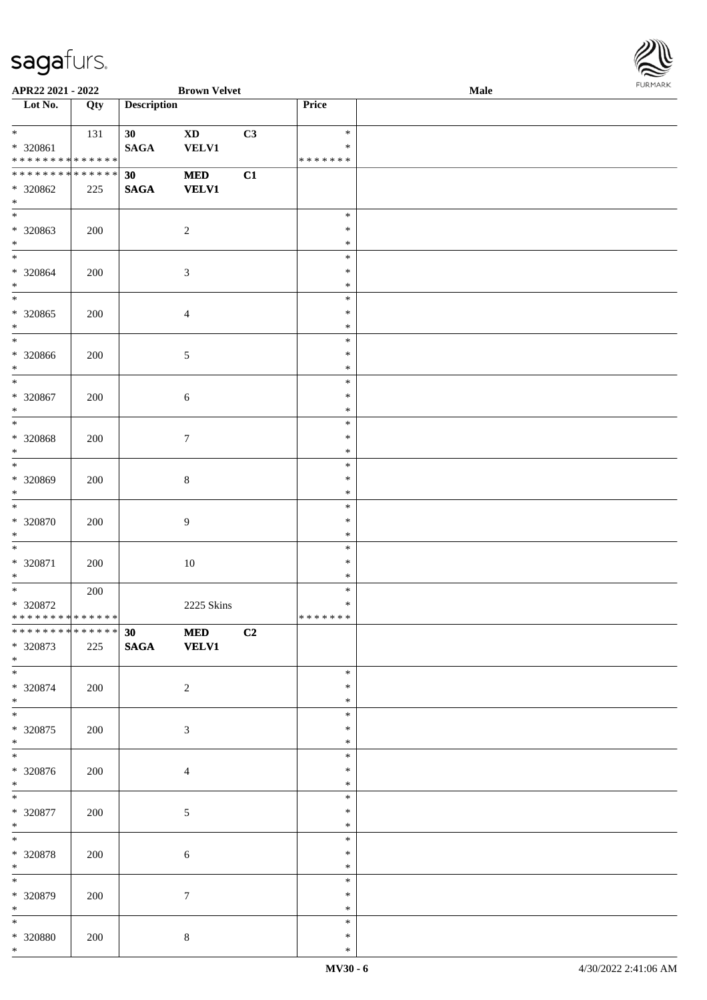

| APR22 2021 - 2022                          |         |                    | <b>Brown Velvet</b>    |    |                  | Male | 1.9151 B1515 |
|--------------------------------------------|---------|--------------------|------------------------|----|------------------|------|--------------|
| $\overline{\phantom{1}}$ Lot No.           | Qty     | <b>Description</b> |                        |    | Price            |      |              |
|                                            |         |                    |                        |    |                  |      |              |
| $*$                                        | 131     | 30                 | $\mathbf{X}\mathbf{D}$ | C3 | $\ast$           |      |              |
| $* 320861$                                 |         | <b>SAGA</b>        | <b>VELV1</b>           |    | $\ast$           |      |              |
| * * * * * * * * <mark>* * * * * * *</mark> |         |                    |                        |    | * * * * * * *    |      |              |
| ******** <mark>******</mark>               |         | 30                 | $\bf MED$              | C1 |                  |      |              |
| * 320862                                   | 225     | <b>SAGA</b>        | <b>VELV1</b>           |    |                  |      |              |
| $\ast$                                     |         |                    |                        |    |                  |      |              |
| $\overline{\ast}$                          |         |                    |                        |    | $\ast$           |      |              |
| * 320863                                   | 200     |                    | $\overline{c}$         |    | $\ast$           |      |              |
| $\ast$                                     |         |                    |                        |    | $\ast$           |      |              |
| $*$                                        |         |                    |                        |    | $\ast$           |      |              |
| $* 320864$                                 | 200     |                    | 3                      |    | $\ast$           |      |              |
| $*$                                        |         |                    |                        |    | $\ast$           |      |              |
| $\overline{\ast}$                          |         |                    |                        |    | $\ast$           |      |              |
| $* 320865$                                 | 200     |                    | 4                      |    | $\ast$           |      |              |
| $\ast$                                     |         |                    |                        |    | $\ast$           |      |              |
| $\ast$                                     |         |                    |                        |    | $\ast$           |      |              |
| $* 320866$                                 | 200     |                    | 5                      |    | $\ast$           |      |              |
| $*$                                        |         |                    |                        |    | $\ast$           |      |              |
| $\ast$                                     |         |                    |                        |    | $\ast$           |      |              |
| $* 320867$                                 | 200     |                    | $\sqrt{6}$             |    | $\ast$           |      |              |
| $\ast$                                     |         |                    |                        |    | $\ast$           |      |              |
| $\ast$                                     |         |                    |                        |    | $\ast$           |      |              |
| $* 320868$                                 | 200     |                    | $\tau$                 |    | $\ast$           |      |              |
| $\ast$                                     |         |                    |                        |    | $\ast$           |      |              |
| $\overline{\ast}$                          |         |                    |                        |    | $\ast$           |      |              |
| * 320869                                   | 200     |                    | $8\,$                  |    | $\ast$           |      |              |
| $\ast$                                     |         |                    |                        |    | $\ast$           |      |              |
| $*$                                        |         |                    |                        |    | $\ast$           |      |              |
| * 320870                                   | $200\,$ |                    | 9                      |    | $\ast$           |      |              |
| $*$                                        |         |                    |                        |    | $\ast$           |      |              |
| $*$                                        |         |                    |                        |    | $\ast$           |      |              |
| * 320871                                   | 200     |                    | 10                     |    | $\ast$           |      |              |
| $*$                                        |         |                    |                        |    | $\ast$           |      |              |
| $*$                                        | 200     |                    |                        |    | $\ast$           |      |              |
| $* 320872$                                 |         |                    | 2225 Skins             |    | $\ast$           |      |              |
| **************                             |         |                    |                        |    | *******          |      |              |
| ******** <mark>******</mark>               |         | 30 <sub>1</sub>    | $\bf MED$              | C2 |                  |      |              |
| * 320873                                   | 225     | <b>SAGA</b>        | <b>VELV1</b>           |    |                  |      |              |
| $*$<br>$\overline{\phantom{0}}$            |         |                    |                        |    |                  |      |              |
|                                            |         |                    |                        |    | $\ast$           |      |              |
| $* 320874$                                 | 200     |                    | $\overline{c}$         |    | $\ast$           |      |              |
| $*$<br>$*$                                 |         |                    |                        |    | $\ast$           |      |              |
|                                            |         |                    |                        |    | $\ast$           |      |              |
| $*320875$<br>$*$                           | 200     |                    | 3                      |    | $\ast$           |      |              |
| $\overline{\phantom{0}}$                   |         |                    |                        |    | $\ast$<br>$\ast$ |      |              |
|                                            |         |                    |                        |    |                  |      |              |
| * 320876<br>$*$                            | 200     |                    | $\overline{4}$         |    | $\ast$<br>$\ast$ |      |              |
| $\ast$                                     |         |                    |                        |    |                  |      |              |
|                                            |         |                    |                        |    | $\ast$<br>$\ast$ |      |              |
| $* 320877$<br>$*$                          | 200     |                    | 5                      |    | $\ast$           |      |              |
| $*$                                        |         |                    |                        |    | $\ast$           |      |              |
|                                            |         |                    |                        |    | $\ast$           |      |              |
| $* 320878$<br>$*$                          | 200     |                    | 6                      |    | $\ast$           |      |              |
| $*$                                        |         |                    |                        |    | $\ast$           |      |              |
|                                            |         |                    |                        |    | $\ast$           |      |              |
| * 320879<br>$*$                            | 200     |                    | $\tau$                 |    | $\ast$           |      |              |
| $*$                                        |         |                    |                        |    | $\ast$           |      |              |
| * 320880                                   |         |                    |                        |    | $\ast$           |      |              |
| $*$                                        | 200     |                    | $8\,$                  |    | $\ast$           |      |              |
|                                            |         |                    |                        |    |                  |      |              |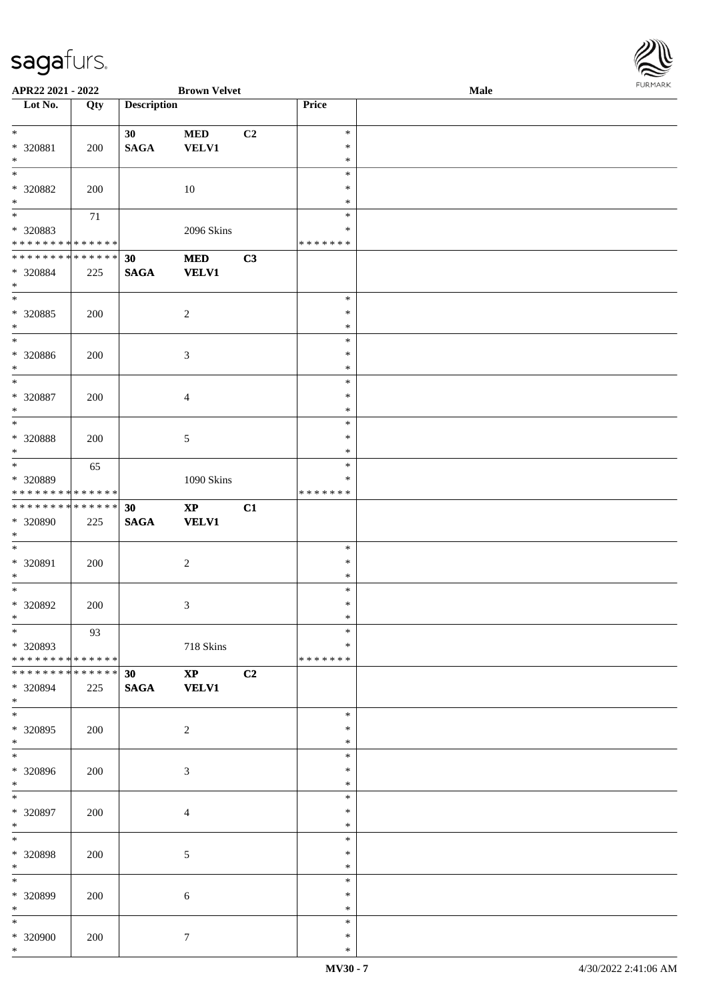| APR22 2021 - 2022                              |             |                                | <b>Brown Velvet</b>           |                |                  | $\bf Male$ | FURMARK |
|------------------------------------------------|-------------|--------------------------------|-------------------------------|----------------|------------------|------------|---------|
| Lot No.                                        | Qty         | <b>Description</b>             |                               |                | Price            |            |         |
| $\overline{\phantom{a}^*}$                     |             | 30 <sub>1</sub>                | $\bf MED$                     | C <sub>2</sub> | $\ast$           |            |         |
| * 320881<br>$\ast$                             | 200         | $\mathbf{SAGA}$                | <b>VELV1</b>                  |                | $\ast$<br>$\ast$ |            |         |
| $\ast$                                         |             |                                |                               |                | $\ast$           |            |         |
| * 320882                                       | 200         |                                | $10\,$                        |                | $\ast$           |            |         |
| $\ast$<br>$\ast$                               |             |                                |                               |                | $\ast$<br>$\ast$ |            |         |
| * 320883                                       | 71          |                                | 2096 Skins                    |                | $\ast$           |            |         |
| * * * * * * * * * * * * * *                    |             |                                |                               |                | * * * * * * *    |            |         |
| * * * * * * * * * * * * * *                    |             | 30                             | <b>MED</b>                    | C3             |                  |            |         |
| * 320884<br>$\ast$                             | 225         | <b>SAGA</b>                    | <b>VELV1</b>                  |                |                  |            |         |
| $\overline{\phantom{a}^*}$                     |             |                                |                               |                | $\ast$           |            |         |
| * 320885                                       | 200         |                                | $\boldsymbol{2}$              |                | $\ast$           |            |         |
| $\ast$<br>$\ast$                               |             |                                |                               |                | $\ast$<br>$\ast$ |            |         |
| * 320886                                       | 200         |                                | $\mathfrak{Z}$                |                | $\ast$           |            |         |
| $\ast$<br>$\overline{\phantom{a}^*}$           |             |                                |                               |                | $\ast$           |            |         |
| $*320887$                                      | 200         |                                | $\overline{4}$                |                | $\ast$<br>∗      |            |         |
| $\ast$                                         |             |                                |                               |                | $\ast$           |            |         |
| $\overline{\phantom{1}}$                       |             |                                |                               |                | $\ast$           |            |         |
| * 320888<br>$\ast$                             | 200         |                                | 5                             |                | $\ast$<br>$\ast$ |            |         |
| $\ast$                                         | 65          |                                |                               |                | $\ast$           |            |         |
| * 320889                                       |             |                                | 1090 Skins                    |                | $\ast$           |            |         |
| * * * * * * * * * * * * * *<br>* * * * * * * * | * * * * * * |                                |                               |                | * * * * * * *    |            |         |
| * 320890                                       | 225         | 30<br><b>SAGA</b>              | $\bold{XP}$<br><b>VELV1</b>   | C1             |                  |            |         |
| $\ast$                                         |             |                                |                               |                |                  |            |         |
| $\ast$                                         |             |                                |                               |                | $\ast$           |            |         |
| * 320891<br>$\ast$                             | 200         |                                | $\boldsymbol{2}$              |                | $\ast$<br>$\ast$ |            |         |
| $*$                                            |             |                                |                               |                | $\ast$           |            |         |
| * 320892                                       | 200         |                                | 3                             |                | $\ast$           |            |         |
| $*$<br>$\overline{\phantom{0}}$                | 93          |                                |                               |                | ∗<br>$\ast$      |            |         |
| * 320893                                       |             |                                | 718 Skins                     |                | ∗                |            |         |
| * * * * * * * * * * * * * *                    |             |                                |                               |                | * * * * * * *    |            |         |
| * * * * * * * * * * * * * *<br>* 320894        | 225         | 30 <sub>o</sub><br><b>SAGA</b> | $\mathbf{XP}$<br><b>VELV1</b> | C <sub>2</sub> |                  |            |         |
| $*$                                            |             |                                |                               |                |                  |            |         |
| $*$                                            |             |                                |                               |                | $\ast$           |            |         |
| $*320895$<br>$*$                               | 200         |                                | $\sqrt{2}$                    |                | $\ast$<br>$\ast$ |            |         |
| $\overline{\phantom{0}}$                       |             |                                |                               |                | $\ast$           |            |         |
| * 320896                                       | 200         |                                | 3                             |                | $\ast$           |            |         |
| $*$<br>$\overline{\phantom{a}^*}$              |             |                                |                               |                | $\ast$<br>$\ast$ |            |         |
| * 320897                                       | 200         |                                | $\overline{4}$                |                | $\ast$           |            |         |
| $*$                                            |             |                                |                               |                | $\ast$           |            |         |
| $*$<br>* 320898                                | 200         |                                | 5                             |                | $\ast$<br>$\ast$ |            |         |
| $*$                                            |             |                                |                               |                | $\ast$           |            |         |
| $\overline{\ast}$                              |             |                                |                               |                | $\ast$           |            |         |
| * 320899<br>$*$                                | 200         |                                | 6                             |                | $\ast$<br>$\ast$ |            |         |
| $\overline{\phantom{a}^*}$                     |             |                                |                               |                | $\ast$           |            |         |
| * 320900                                       | 200         |                                | $\boldsymbol{7}$              |                | $\ast$           |            |         |
| $*$                                            |             |                                |                               |                | $\ast$           |            |         |

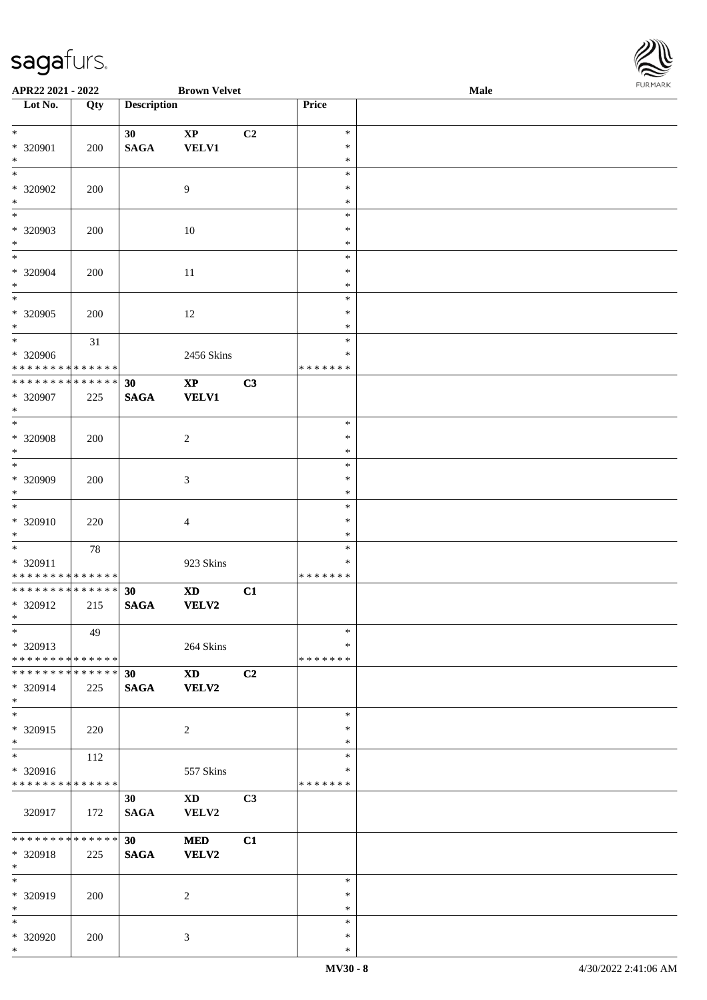\*

| Lot No.                                                      | Qty                | <b>Description</b>    |                                            |    | Price                             |  |
|--------------------------------------------------------------|--------------------|-----------------------|--------------------------------------------|----|-----------------------------------|--|
| $\overline{\ast}$<br>* 320901                                | 200                | 30<br>$\mathbf{SAGA}$ | $\bold{XP}$<br><b>VELV1</b>                | C2 | $\ast$<br>$\ast$                  |  |
| $\ast$<br>$\ast$<br>* 320902                                 | 200                |                       | $\boldsymbol{9}$                           |    | $\ast$<br>$\ast$<br>$\ast$        |  |
| $\ast$<br>$\overline{\phantom{1}}$<br>* 320903               | 200                |                       | 10                                         |    | $\ast$<br>$\ast$<br>$\ast$        |  |
| $\ast$<br>$\ast$<br>* 320904                                 | 200                |                       | $11\,$                                     |    | $\ast$<br>$\ast$<br>$\ast$        |  |
| $\ast$<br>$\overline{\phantom{0}}$                           |                    |                       |                                            |    | $\ast$<br>$\ast$                  |  |
| * 320905<br>$\ast$<br>$\overline{\phantom{0}}$               | 200<br>31          |                       | 12                                         |    | $\ast$<br>$\ast$<br>$\ast$        |  |
| * 320906<br>* * * * * * * * * * * * * *<br>**************    |                    | 30                    | 2456 Skins<br>$\bold{XP}$                  | C3 | $\ast$<br>* * * * * * *           |  |
| * 320907<br>$\ast$<br>$\overline{\phantom{0}}$               | 225                | <b>SAGA</b>           | <b>VELV1</b>                               |    | $\ast$                            |  |
| $* 320908$<br>$\ast$<br>$_{\ast}$                            | 200                |                       | $\overline{c}$                             |    | $\ast$<br>$\ast$                  |  |
| * 320909<br>$\ast$                                           | 200                |                       | $\mathfrak{Z}$                             |    | $\ast$<br>$\ast$<br>$\ast$        |  |
| $\ast$<br>* 320910<br>$\ast$                                 | 220                |                       | $\overline{4}$                             |    | $\ast$<br>$\ast$<br>$\ast$        |  |
| $\ast$<br>* 320911<br>* * * * * * * * * * * * * *            | 78                 |                       | 923 Skins                                  |    | $\ast$<br>$\ast$<br>* * * * * * * |  |
| * * * * * * * * * * * * * *<br>$* 320912$<br>$*$             | 215                | 30<br>$\mathbf{SAGA}$ | $\boldsymbol{\mathrm{XD}}$<br><b>VELV2</b> | C1 |                                   |  |
| $*$<br>* 320913<br>* * * * * * * * * * * * * *               | 49                 |                       | 264 Skins                                  |    | $\ast$<br>$\ast$<br>* * * * * * * |  |
| * * * * * * * * * * * * * * *<br>* 320914<br>$*$             | 225                | 30<br><b>SAGA</b>     | $\mathbf{X}\mathbf{D}$<br><b>VELV2</b>     | C2 |                                   |  |
| $\overline{\ast}$<br>* 320915<br>$\ast$                      | 220                |                       | $\overline{c}$                             |    | $\ast$<br>$\ast$<br>$\ast$        |  |
| $\overline{\ast}$<br>* 320916<br>* * * * * * * * * * * * * * | 112                |                       | 557 Skins                                  |    | $\ast$<br>$\ast$<br>* * * * * * * |  |
| 320917                                                       | 172                | 30<br><b>SAGA</b>     | $\mathbf{X}\mathbf{D}$<br>VELV2            | C3 |                                   |  |
| * * * * * * * *<br>* 320918<br>$*$                           | * * * * * *<br>225 | 30<br>$\mathbf{SAGA}$ | <b>MED</b><br>VELV2                        | C1 |                                   |  |
| $\overline{\phantom{1}}$<br>* 320919<br>$*$                  | 200                |                       | $\sqrt{2}$                                 |    | $\ast$<br>$\ast$<br>$\ast$        |  |
| $\ast$<br>$* 320920$                                         | 200                |                       | 3                                          |    | $\ast$<br>$\ast$                  |  |

**APR22 2021 - 2022 Brown Velvet Male**

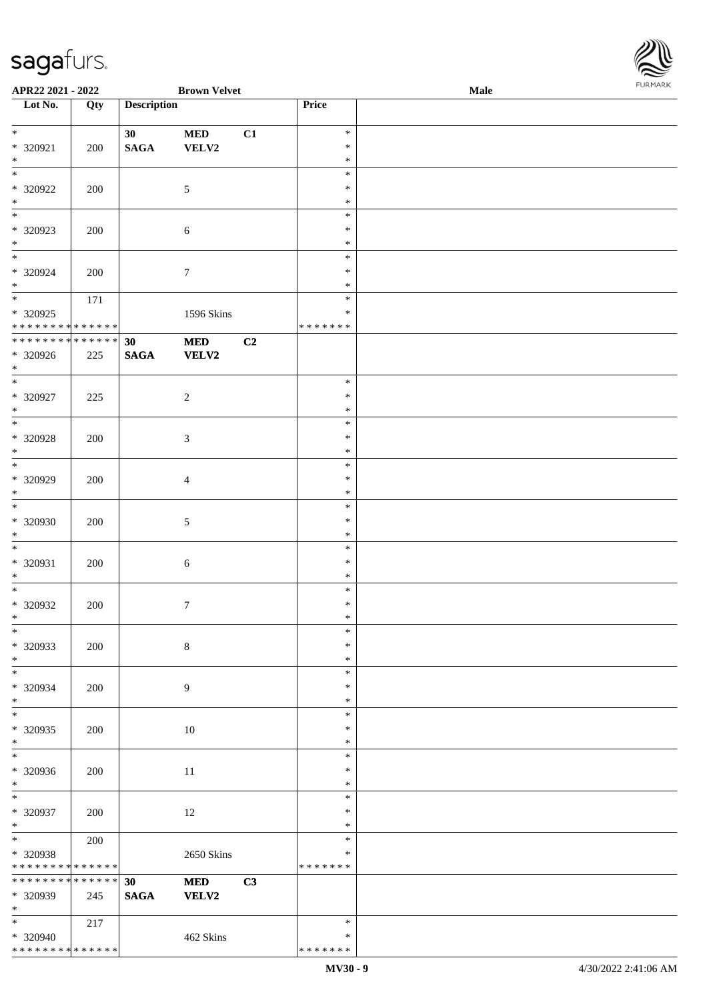\* \* \* \* \* \* \* \* \* \* \* \* \* \*

| APR22 2021 - 2022                       |                   |                    | <b>Brown Velvet</b> |    |                  | Male | FURMARK |
|-----------------------------------------|-------------------|--------------------|---------------------|----|------------------|------|---------|
| $\overline{\phantom{1}}$ Lot No.        | $\overline{Q}$ ty | <b>Description</b> |                     |    | Price            |      |         |
| $*$                                     |                   | 30 <sub>1</sub>    | <b>MED</b>          | C1 | $\ast$           |      |         |
| * 320921                                | 200               | $\mathbf{SAGA}$    | VELV2               |    | $\ast$           |      |         |
| $*$                                     |                   |                    |                     |    | $\ast$           |      |         |
| $*$                                     |                   |                    |                     |    | $\ast$           |      |         |
| * 320922                                | 200               |                    | $\sqrt{5}$          |    | $\ast$           |      |         |
| $*$                                     |                   |                    |                     |    | $\ast$           |      |         |
| $*$                                     |                   |                    |                     |    | $\ast$           |      |         |
| $* 320923$                              | 200               |                    | $\sqrt{6}$          |    | $\ast$           |      |         |
| $*$                                     |                   |                    |                     |    | $\ast$           |      |         |
| $*$                                     |                   |                    |                     |    | $\ast$           |      |         |
| * 320924                                | 200               |                    | $7\phantom{.0}$     |    | $\ast$           |      |         |
| $*$                                     |                   |                    |                     |    | $\ast$           |      |         |
|                                         | 171               |                    |                     |    | $\ast$           |      |         |
| * 320925<br>* * * * * * * * * * * * * * |                   |                    | 1596 Skins          |    | $\ast$           |      |         |
| * * * * * * * * * * * * * * *           |                   |                    |                     |    | *******          |      |         |
| * 320926                                | 225               | 30                 | <b>MED</b><br>VELV2 | C2 |                  |      |         |
| $*$                                     |                   | <b>SAGA</b>        |                     |    |                  |      |         |
|                                         |                   |                    |                     |    | $\ast$           |      |         |
| $* 320927$                              | 225               |                    | $\overline{2}$      |    | $\ast$           |      |         |
| $*$                                     |                   |                    |                     |    | $\ast$           |      |         |
|                                         |                   |                    |                     |    | $\ast$           |      |         |
| * 320928                                | 200               |                    | $\mathfrak{Z}$      |    | $\ast$           |      |         |
| $*$                                     |                   |                    |                     |    | $\ast$           |      |         |
| $\overline{\ast}$                       |                   |                    |                     |    | $\ast$           |      |         |
| * 320929                                | 200               |                    | $\overline{4}$      |    | $\ast$           |      |         |
| $*$                                     |                   |                    |                     |    | $\ast$           |      |         |
| $\ast$                                  |                   |                    |                     |    | $\ast$           |      |         |
| * 320930                                | 200               |                    | $5\,$               |    | $\ast$           |      |         |
| $*$                                     |                   |                    |                     |    | $\ast$           |      |         |
| $*$                                     |                   |                    |                     |    | $\ast$           |      |         |
| * 320931                                | 200               |                    | $6\,$               |    | $\ast$           |      |         |
| $*$<br>$*$                              |                   |                    |                     |    | $\ast$           |      |         |
|                                         |                   |                    |                     |    | $\ast$<br>$\ast$ |      |         |
| $* 320932$<br>$\ast$                    | 200               |                    | $\overline{7}$      |    | *                |      |         |
| $\overline{\phantom{a}^*}$              |                   |                    |                     |    | $\ast$           |      |         |
| * 320933                                | 200               |                    | $\,8\,$             |    | $\ast$           |      |         |
| $*$                                     |                   |                    |                     |    | $\ast$           |      |         |
| $\overline{\phantom{0}}$                |                   |                    |                     |    | $\ast$           |      |         |
| * 320934                                | 200               |                    | $\overline{9}$      |    | $\ast$           |      |         |
| $*$                                     |                   |                    |                     |    | $\ast$           |      |         |
| $\overline{\ast}$                       |                   |                    |                     |    | $\ast$           |      |         |
| * 320935                                | 200               |                    | $10\,$              |    | $\ast$           |      |         |
| $*$                                     |                   |                    |                     |    | $\ast$           |      |         |
| $\overline{\phantom{a}^*}$              |                   |                    |                     |    | $\ast$           |      |         |
| $* 320936$                              | 200               |                    | 11                  |    | $\ast$           |      |         |
| $*$                                     |                   |                    |                     |    | $\ast$           |      |         |
| $*$                                     |                   |                    |                     |    | $\ast$           |      |         |
| * 320937                                | 200               |                    | $12\,$              |    | $\ast$           |      |         |
| $*$<br>$*$                              |                   |                    |                     |    | $\ast$<br>$\ast$ |      |         |
|                                         | 200               |                    |                     |    | $\ast$           |      |         |
| * 320938<br>* * * * * * * * * * * * * * |                   |                    | 2650 Skins          |    | * * * * * * *    |      |         |
| * * * * * * * * * * * * * * *           |                   | 30                 | $\bf MED$           | C3 |                  |      |         |
| * 320939                                | 245               | $\mathbf{SAGA}$    | VELV2               |    |                  |      |         |
| $*$                                     |                   |                    |                     |    |                  |      |         |
| $*$                                     | 217               |                    |                     |    | $\ast$           |      |         |
| * 320940                                |                   |                    | 462 Skins           |    | $\ast$           |      |         |

\* \* \* \* \* \* \*

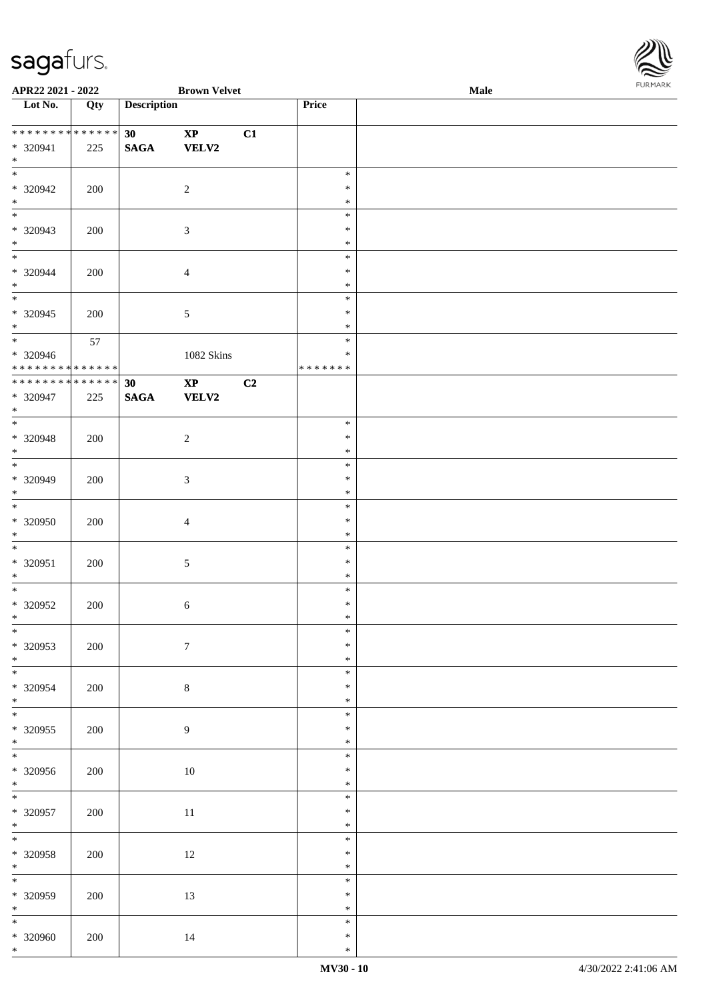

| APR22 2021 - 2022               |     |                    | <b>Brown Velvet</b>    |                |                  | Male | . |
|---------------------------------|-----|--------------------|------------------------|----------------|------------------|------|---|
| Lot No.                         | Qty | <b>Description</b> |                        |                | Price            |      |   |
|                                 |     |                    |                        |                |                  |      |   |
| * * * * * * * * * * * * * *     |     | 30 <sup>°</sup>    | $\mathbf{X}\mathbf{P}$ | C1             |                  |      |   |
| * 320941                        | 225 | $\mathbf{SAGA}$    | <b>VELV2</b>           |                |                  |      |   |
| $*$                             |     |                    |                        |                |                  |      |   |
|                                 |     |                    |                        |                | $\ast$           |      |   |
| * 320942                        | 200 |                    | $\overline{c}$         |                | $\ast$           |      |   |
| $\ast$                          |     |                    |                        |                | $\ast$           |      |   |
| $\overline{\phantom{0}}$        |     |                    |                        |                | $\ast$           |      |   |
| * 320943                        | 200 |                    | $\mathfrak{Z}$         |                | $\ast$           |      |   |
| $*$<br>$\overline{\phantom{0}}$ |     |                    |                        |                | $\ast$           |      |   |
|                                 |     |                    |                        |                | $\ast$           |      |   |
| $* 320944$<br>$\ast$            | 200 |                    | $\overline{4}$         |                | $\ast$<br>$\ast$ |      |   |
| $\overline{\phantom{0}}$        |     |                    |                        |                | $\ast$           |      |   |
| $* 320945$                      | 200 |                    |                        |                | $\ast$           |      |   |
| $*$                             |     |                    | $5\,$                  |                | $\ast$           |      |   |
| $\overline{\ast}$               | 57  |                    |                        |                | $\ast$           |      |   |
| * 320946                        |     |                    | 1082 Skins             |                | $\ast$           |      |   |
| ******** <mark>******</mark>    |     |                    |                        |                | * * * * * * *    |      |   |
| * * * * * * * * * * * * * *     |     | 30                 | $\mathbf{X}\mathbf{P}$ | C <sub>2</sub> |                  |      |   |
| $* 320947$                      | 225 | <b>SAGA</b>        | <b>VELV2</b>           |                |                  |      |   |
| $*$                             |     |                    |                        |                |                  |      |   |
| $\overline{\phantom{0}}$        |     |                    |                        |                | $\ast$           |      |   |
| * 320948                        | 200 |                    | $\overline{c}$         |                | $\ast$           |      |   |
| $*$                             |     |                    |                        |                | $\ast$           |      |   |
| $\overline{\ast}$               |     |                    |                        |                | $\ast$           |      |   |
| * 320949                        | 200 |                    | $\mathfrak{Z}$         |                | $\ast$           |      |   |
| $*$                             |     |                    |                        |                | $\ast$           |      |   |
| $\overline{\phantom{0}}$        |     |                    |                        |                | $\ast$           |      |   |
| $* 320950$                      | 200 |                    | $\overline{4}$         |                | $\ast$           |      |   |
| $*$<br>$*$                      |     |                    |                        |                | $\ast$<br>$\ast$ |      |   |
| $* 320951$                      | 200 |                    |                        |                | $\ast$           |      |   |
| $*$                             |     |                    | $\sqrt{5}$             |                | $\ast$           |      |   |
| $*$                             |     |                    |                        |                | $\ast$           |      |   |
| $* 320952$                      | 200 |                    | $\sqrt{6}$             |                | $\ast$           |      |   |
| $*$                             |     |                    |                        |                | $\ast$           |      |   |
| $\ast$                          |     |                    |                        |                | $\ast$           |      |   |
| $* 320953$                      | 200 |                    | $\boldsymbol{7}$       |                | $\ast$           |      |   |
| $*$                             |     |                    |                        |                | $\ast$           |      |   |
|                                 |     |                    |                        |                | $\ast$           |      |   |
| $* 320954$                      | 200 |                    | $8\,$                  |                | $\ast$           |      |   |
| $*$<br>$\overline{\phantom{0}}$ |     |                    |                        |                | $\ast$           |      |   |
|                                 |     |                    |                        |                | $\ast$           |      |   |
| $* 320955$<br>$*$               | 200 |                    | 9                      |                | $\ast$<br>$\ast$ |      |   |
| $\overline{\phantom{0}}$        |     |                    |                        |                | $\ast$           |      |   |
| $* 320956$                      | 200 |                    | 10                     |                | $\ast$           |      |   |
| $*$                             |     |                    |                        |                | $\ast$           |      |   |
| $\overline{\ast}$               |     |                    |                        |                | $\ast$           |      |   |
| $* 320957$                      | 200 |                    | $11\,$                 |                | $\ast$           |      |   |
| $*$                             |     |                    |                        |                | $\ast$           |      |   |
| $*$                             |     |                    |                        |                | $\ast$           |      |   |
| $* 320958$                      | 200 |                    | $12\,$                 |                | $\ast$           |      |   |
| $*$                             |     |                    |                        |                | $\ast$           |      |   |
| $\overline{\phantom{0}}$        |     |                    |                        |                | $\ast$           |      |   |
| $* 320959$                      | 200 |                    | 13                     |                | $\ast$           |      |   |
| $*$<br>$\overline{\phantom{0}}$ |     |                    |                        |                | $\ast$           |      |   |
|                                 |     |                    |                        |                | $\ast$<br>$\ast$ |      |   |
| * 320960<br>$*$                 | 200 |                    | 14                     |                | $\ast$           |      |   |
|                                 |     |                    |                        |                |                  |      |   |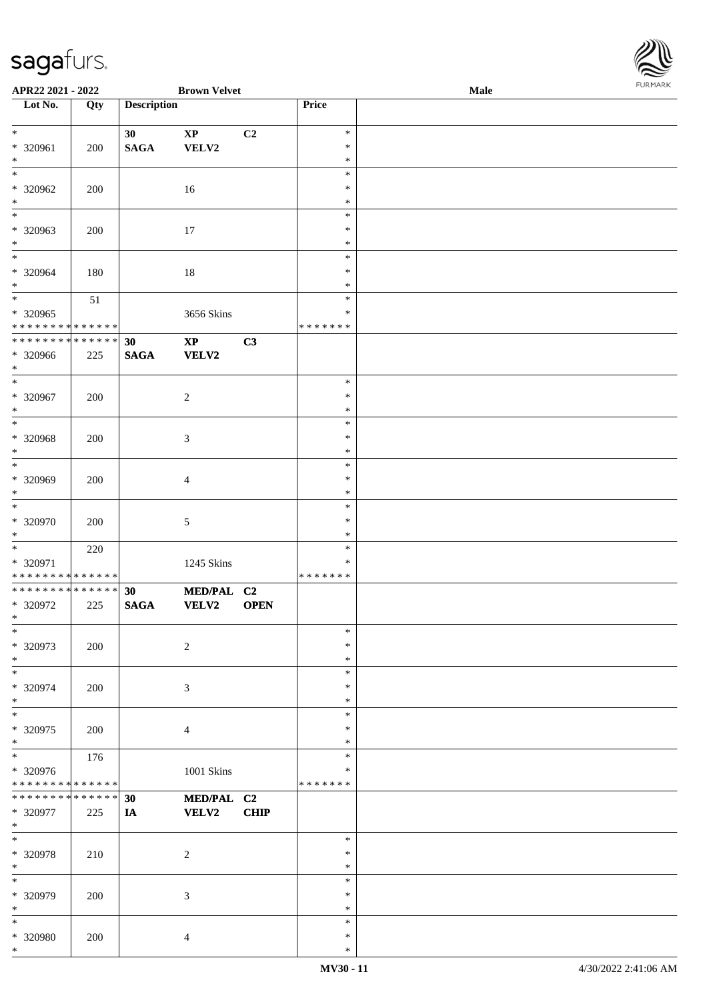| APR22 2021 - 2022                                   |     |                       | <b>Brown Velvet</b>                    |             |                                   | Male | FURMARK |
|-----------------------------------------------------|-----|-----------------------|----------------------------------------|-------------|-----------------------------------|------|---------|
| $\overline{\phantom{1}}$ Lot No.                    | Qty | <b>Description</b>    |                                        |             | Price                             |      |         |
| $*$<br>* 320961<br>$*$                              | 200 | 30<br>$\mathbf{SAGA}$ | $\mathbf{X}\mathbf{P}$<br>VELV2        | C2          | $\ast$<br>$\ast$<br>$\ast$        |      |         |
| $\overline{\phantom{0}}$<br>$* 320962$<br>$*$       | 200 |                       | 16                                     |             | $\ast$<br>$\ast$<br>$\ast$        |      |         |
| $*$<br>* 320963<br>$*$                              | 200 |                       | 17                                     |             | $\ast$<br>$\ast$<br>$\ast$        |      |         |
| $*$<br>* 320964<br>$*$                              | 180 |                       | 18                                     |             | $\ast$<br>$\ast$<br>$\ast$        |      |         |
| * 320965<br>* * * * * * * * * * * * * *             | 51  |                       | 3656 Skins                             |             | $\ast$<br>$\ast$<br>* * * * * * * |      |         |
| * * * * * * * * * * * * * *<br>* 320966<br>$*$      | 225 | 30<br><b>SAGA</b>     | $\mathbf{X}\mathbf{P}$<br><b>VELV2</b> | C3          |                                   |      |         |
| * 320967<br>$*$<br>$\overline{\ }$                  | 200 |                       | 2                                      |             | $\ast$<br>$\ast$<br>$\ast$        |      |         |
| * 320968<br>$*$                                     | 200 |                       | $\mathfrak{Z}$                         |             | $\ast$<br>$\ast$<br>$\ast$        |      |         |
| $*$<br>* 320969<br>$*$                              | 200 |                       | $\overline{4}$                         |             | $\ast$<br>$\ast$<br>$\ast$        |      |         |
| $*$<br>* 320970<br>$*$                              | 200 |                       | 5                                      |             | $\ast$<br>$\ast$<br>$\ast$        |      |         |
| * 320971<br>* * * * * * * * * * * * * * *           | 220 |                       | 1245 Skins                             |             | $\ast$<br>∗<br>* * * * * * *      |      |         |
| * * * * * * * * * * * * * * *<br>* 320972<br>$\ast$ | 225 | 30<br><b>SAGA</b>     | MED/PAL C2<br><b>VELV2</b>             | <b>OPEN</b> |                                   |      |         |
| $\ast$<br>* 320973<br>$\ast$                        | 200 |                       | $\overline{c}$                         |             | $\ast$<br>$\ast$<br>$\ast$        |      |         |
| * 320974<br>$*$                                     | 200 |                       | $\mathfrak{Z}$                         |             | $\ast$<br>$\ast$<br>$\ast$        |      |         |
| $*$<br>* 320975<br>$*$                              | 200 |                       | $\overline{4}$                         |             | $\ast$<br>$\ast$<br>$\ast$        |      |         |
| $*$<br>* 320976<br>* * * * * * * * * * * * * *      | 176 |                       | 1001 Skins                             |             | $\ast$<br>$\ast$<br>* * * * * * * |      |         |
| * * * * * * * * * * * * * *<br>* 320977<br>$*$      | 225 | 30<br>IA              | MED/PAL C2<br><b>VELV2</b>             | <b>CHIP</b> |                                   |      |         |
| $\ast$<br>* 320978<br>$*$                           | 210 |                       | $\sqrt{2}$                             |             | $\ast$<br>$\ast$<br>$\ast$        |      |         |
| $*$<br>* 320979<br>$\ast$                           | 200 |                       | 3                                      |             | $\ast$<br>$\ast$<br>$\ast$        |      |         |
| $\ast$<br>* 320980<br>$*$                           | 200 |                       | $\overline{4}$                         |             | $\ast$<br>$\ast$<br>$\ast$        |      |         |

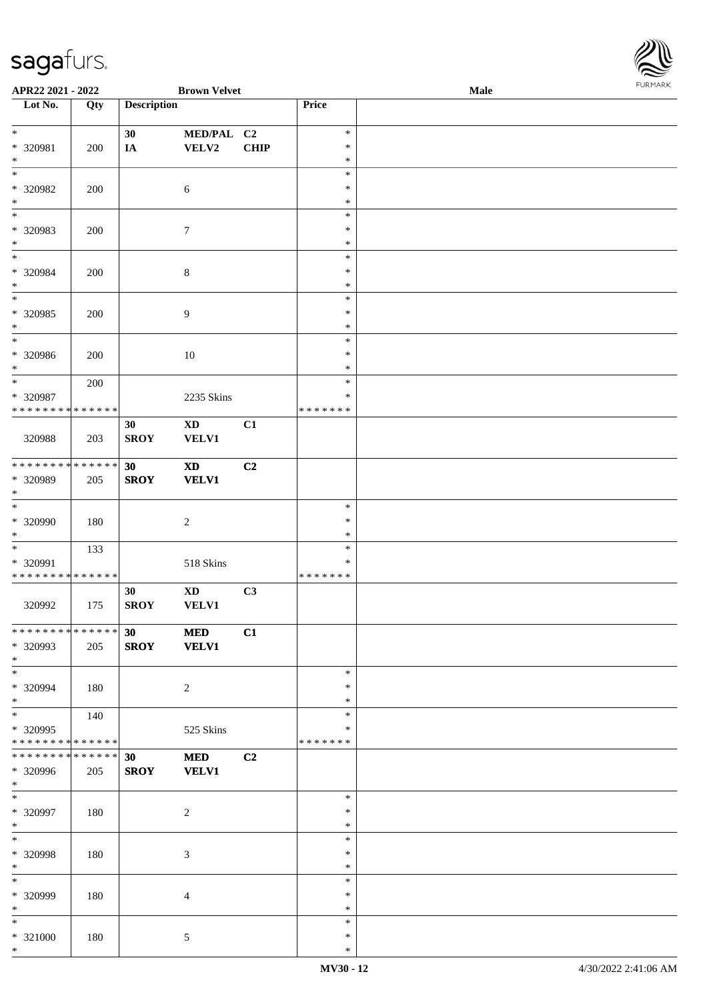

| APR22 2021 - 2022                              |               |                    | <b>Brown Velvet</b>        |             |                  | Male | 10111111111 |
|------------------------------------------------|---------------|--------------------|----------------------------|-------------|------------------|------|-------------|
| Lot No.                                        | Qty           | <b>Description</b> |                            |             | Price            |      |             |
|                                                |               |                    |                            |             |                  |      |             |
| $*$                                            |               | 30                 | MED/PAL C2                 |             | $\ast$           |      |             |
| * 320981                                       | 200           | $I\!\!A$           | VELV2                      | <b>CHIP</b> | $\ast$           |      |             |
| $\ast$<br>$\ast$                               |               |                    |                            |             | $\ast$<br>$\ast$ |      |             |
| * 320982                                       |               |                    |                            |             | $\ast$           |      |             |
| $\ast$                                         | 200           |                    | $\sqrt{6}$                 |             | $\ast$           |      |             |
| $\overline{\phantom{0}}$                       |               |                    |                            |             | $\ast$           |      |             |
| * 320983                                       | 200           |                    | $\boldsymbol{7}$           |             | $\ast$           |      |             |
| $\ast$                                         |               |                    |                            |             | $\ast$           |      |             |
| $\overline{\ast}$                              |               |                    |                            |             | $\ast$           |      |             |
| * 320984                                       | 200           |                    | $\,8\,$                    |             | $\ast$           |      |             |
| $\ast$                                         |               |                    |                            |             | $\ast$           |      |             |
| $\overline{\phantom{0}}$                       |               |                    |                            |             | $\ast$           |      |             |
| $* 320985$                                     | 200           |                    | $\boldsymbol{9}$           |             | $\ast$           |      |             |
| $\ast$                                         |               |                    |                            |             | $\ast$           |      |             |
| $\ast$                                         |               |                    |                            |             | $\ast$           |      |             |
| $* 320986$                                     | 200           |                    | $10\,$                     |             | $\ast$           |      |             |
| $*$<br>$*$                                     |               |                    |                            |             | $\ast$<br>$\ast$ |      |             |
| * 320987                                       | 200           |                    | 2235 Skins                 |             | $\ast$           |      |             |
| * * * * * * * * * * * * * *                    |               |                    |                            |             | *******          |      |             |
|                                                |               | 30                 | $\mathbf{X}\mathbf{D}$     | C1          |                  |      |             |
| 320988                                         | 203           | <b>SROY</b>        | VELV1                      |             |                  |      |             |
|                                                |               |                    |                            |             |                  |      |             |
| * * * * * * * * * * * * * *                    |               | 30                 | $\mathbf{X}\mathbf{D}$     | C2          |                  |      |             |
| * 320989                                       | 205           | <b>SROY</b>        | <b>VELV1</b>               |             |                  |      |             |
| $*$                                            |               |                    |                            |             |                  |      |             |
| $*$                                            |               |                    |                            |             | $\ast$           |      |             |
| * 320990                                       | 180           |                    | $\sqrt{2}$                 |             | $\ast$           |      |             |
| $*$                                            |               |                    |                            |             | $\ast$           |      |             |
| $\ast$                                         | 133           |                    |                            |             | $\ast$<br>$\ast$ |      |             |
| * 320991<br>* * * * * * * * * * * * * *        |               |                    | 518 Skins                  |             | *******          |      |             |
|                                                |               | 30                 | $\boldsymbol{\mathrm{XD}}$ | C3          |                  |      |             |
| 320992                                         | 175           | <b>SROY</b>        | <b>VELV1</b>               |             |                  |      |             |
|                                                |               |                    |                            |             |                  |      |             |
| * * * * * * * * * * * * * * *                  |               | 30                 | <b>MED</b>                 | C1          |                  |      |             |
| * 320993                                       | 205           | <b>SROY</b>        | <b>VELV1</b>               |             |                  |      |             |
| $*$                                            |               |                    |                            |             |                  |      |             |
| $\ast$                                         |               |                    |                            |             | $\ast$           |      |             |
| * 320994                                       | 180           |                    | 2                          |             | $\ast$           |      |             |
| $*$                                            |               |                    |                            |             | $\ast$           |      |             |
| $*$                                            | 140           |                    |                            |             | $\ast$           |      |             |
| * 320995                                       |               |                    | 525 Skins                  |             | ∗                |      |             |
| * * * * * * * * * * * * * *<br>* * * * * * * * | * * * * * * * | 30                 | <b>MED</b>                 | C2          | *******          |      |             |
| * 320996                                       | 205           | <b>SROY</b>        | <b>VELV1</b>               |             |                  |      |             |
| $*$                                            |               |                    |                            |             |                  |      |             |
| $*$                                            |               |                    |                            |             | $\ast$           |      |             |
| * 320997                                       | 180           |                    | $\sqrt{2}$                 |             | $\ast$           |      |             |
| $*$                                            |               |                    |                            |             | $\ast$           |      |             |
| $*$                                            |               |                    |                            |             | $\ast$           |      |             |
| * 320998                                       | 180           |                    | $\mathfrak{Z}$             |             | $\ast$           |      |             |
| $*$                                            |               |                    |                            |             | $\ast$           |      |             |
| $*$                                            |               |                    |                            |             | $\ast$           |      |             |
| * 320999                                       | 180           |                    | $\overline{4}$             |             | $\ast$           |      |             |
| $*$<br>$\ast$                                  |               |                    |                            |             | $\ast$<br>$\ast$ |      |             |
| * 321000                                       | 180           |                    |                            |             | $\ast$           |      |             |
| $*$                                            |               |                    | 5                          |             | $\ast$           |      |             |
|                                                |               |                    |                            |             |                  |      |             |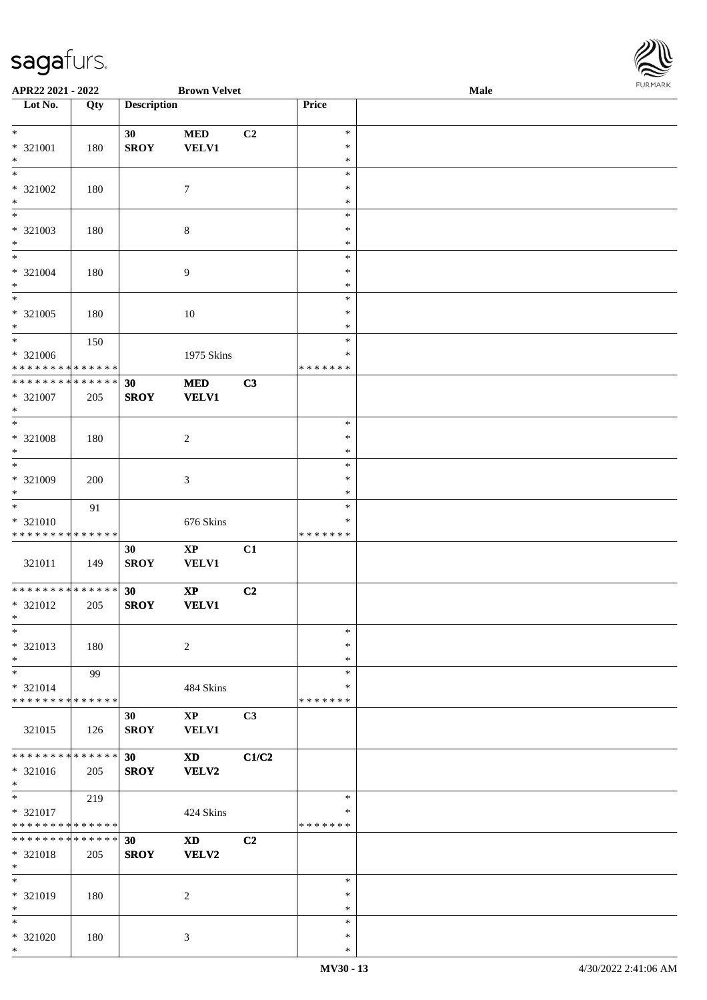

| APR22 2021 - 2022                                      |        |                    | <b>Brown Velvet</b>    |       |                  | Male | $1 \times 1 \times 1 \times 1 \times 1$ |
|--------------------------------------------------------|--------|--------------------|------------------------|-------|------------------|------|-----------------------------------------|
| $\overline{\phantom{1}}$ Lot No.                       | Qty    | <b>Description</b> |                        |       | Price            |      |                                         |
|                                                        |        |                    |                        |       |                  |      |                                         |
| $*$                                                    |        | 30                 | <b>MED</b>             | C2    | $\ast$           |      |                                         |
| * 321001                                               | 180    | <b>SROY</b>        | <b>VELV1</b>           |       | $\ast$           |      |                                         |
| $\ast$                                                 |        |                    |                        |       | $\ast$           |      |                                         |
|                                                        |        |                    |                        |       | $\ast$           |      |                                         |
| * 321002                                               | 180    |                    | $\tau$                 |       | $\ast$           |      |                                         |
| $\ast$                                                 |        |                    |                        |       | $\ast$           |      |                                         |
| $*$                                                    |        |                    |                        |       | $\ast$           |      |                                         |
| * 321003                                               | 180    |                    | $\,8\,$                |       | $\ast$           |      |                                         |
| $*$                                                    |        |                    |                        |       | $\ast$           |      |                                         |
|                                                        |        |                    |                        |       | $\ast$           |      |                                         |
| * 321004                                               | 180    |                    | $\overline{9}$         |       | $\ast$           |      |                                         |
| $*$                                                    |        |                    |                        |       | $\ast$           |      |                                         |
| $\overline{\phantom{0}}$                               |        |                    |                        |       | $\ast$           |      |                                         |
| * 321005                                               | 180    |                    | 10                     |       | $\ast$           |      |                                         |
| $*$                                                    |        |                    |                        |       | $\ast$           |      |                                         |
| $*$                                                    | 150    |                    |                        |       | $\ast$           |      |                                         |
| * 321006                                               |        |                    | 1975 Skins             |       | $\ast$           |      |                                         |
| * * * * * * * * * * * * * *                            |        |                    |                        |       | * * * * * * *    |      |                                         |
| * * * * * * * * * * * * * * *                          |        | 30                 | <b>MED</b>             | C3    |                  |      |                                         |
| * 321007                                               | 205    | <b>SROY</b>        | <b>VELV1</b>           |       |                  |      |                                         |
| $\ast$                                                 |        |                    |                        |       |                  |      |                                         |
| $\overline{\phantom{0}}$                               |        |                    |                        |       | $\ast$           |      |                                         |
| * 321008                                               |        |                    | $\overline{c}$         |       | $\ast$           |      |                                         |
| $*$                                                    | 180    |                    |                        |       | $\ast$           |      |                                         |
| $*$                                                    |        |                    |                        |       | $\ast$           |      |                                         |
| * 321009                                               |        |                    |                        |       | $\ast$           |      |                                         |
| $*$                                                    | 200    |                    | 3                      |       | $\ast$           |      |                                         |
| $*$                                                    |        |                    |                        |       | $\ast$           |      |                                         |
|                                                        | 91     |                    |                        |       | $\ast$           |      |                                         |
| * 321010<br>* * * * * * * * <mark>* * * * * * *</mark> |        |                    | 676 Skins              |       | * * * * * * *    |      |                                         |
|                                                        |        |                    |                        |       |                  |      |                                         |
|                                                        |        | 30                 | $\mathbf{X}\mathbf{P}$ | C1    |                  |      |                                         |
| 321011                                                 | 149    | <b>SROY</b>        | <b>VELV1</b>           |       |                  |      |                                         |
| * * * * * * * * * * * * * * *                          |        | 30                 | $\mathbf{XP}$          | C2    |                  |      |                                         |
| * 321012                                               | 205    | <b>SROY</b>        | <b>VELV1</b>           |       |                  |      |                                         |
| $*$ $-$                                                |        |                    |                        |       |                  |      |                                         |
| $*$                                                    |        |                    |                        |       | $\ast$           |      |                                         |
|                                                        |        |                    |                        |       | $\ast$           |      |                                         |
| * 321013                                               | 180    |                    | $\overline{c}$         |       |                  |      |                                         |
| $*$<br>$*$                                             |        |                    |                        |       | $\ast$<br>$\ast$ |      |                                         |
|                                                        | 99     |                    |                        |       |                  |      |                                         |
| * 321014                                               |        |                    | 484 Skins              |       | ∗                |      |                                         |
| * * * * * * * * * * * * * * *                          |        |                    |                        |       | * * * * * * *    |      |                                         |
|                                                        |        | 30                 | $\mathbf{X}\mathbf{P}$ | C3    |                  |      |                                         |
| 321015                                                 | 126    | <b>SROY</b>        | <b>VELV1</b>           |       |                  |      |                                         |
|                                                        |        |                    |                        |       |                  |      |                                         |
| * * * * * * * *                                        | ****** | 30                 | <b>XD</b>              | C1/C2 |                  |      |                                         |
| * 321016                                               | 205    | <b>SROY</b>        | VELV2                  |       |                  |      |                                         |
| $\ast$<br>$\overline{\phantom{0}}$                     |        |                    |                        |       |                  |      |                                         |
|                                                        | 219    |                    |                        |       | $\ast$           |      |                                         |
| * 321017                                               |        |                    | 424 Skins              |       | *                |      |                                         |
| * * * * * * * * * * * * * *                            |        |                    |                        |       | * * * * * * *    |      |                                         |
| * * * * * * * * * * * * * * *                          |        | 30                 | <b>XD</b>              | C2    |                  |      |                                         |
| * 321018                                               | 205    | <b>SROY</b>        | <b>VELV2</b>           |       |                  |      |                                         |
| $*$                                                    |        |                    |                        |       |                  |      |                                         |
| $*$                                                    |        |                    |                        |       | $\ast$           |      |                                         |
| * 321019                                               | 180    |                    | 2                      |       | $\ast$           |      |                                         |
| $*$                                                    |        |                    |                        |       | $\ast$           |      |                                         |
| $*$                                                    |        |                    |                        |       | $\ast$           |      |                                         |
| * 321020                                               | 180    |                    | 3                      |       | $\ast$           |      |                                         |
| $*$                                                    |        |                    |                        |       | $\ast$           |      |                                         |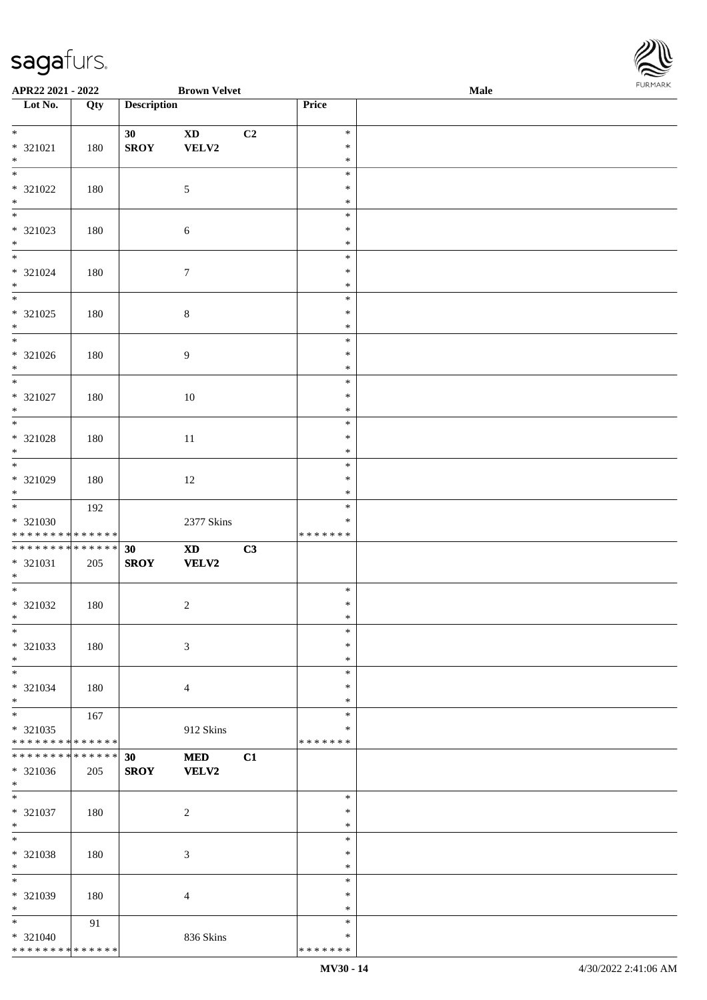

| APR22 2021 - 2022                  |     |                    | <b>Brown Velvet</b>    |    |               | Male | . |
|------------------------------------|-----|--------------------|------------------------|----|---------------|------|---|
| Lot No.                            | Qty | <b>Description</b> |                        |    | Price         |      |   |
|                                    |     |                    |                        |    |               |      |   |
| $*$                                |     | 30                 | $\mathbf{X}\mathbf{D}$ | C2 | $\ast$        |      |   |
| * 321021                           | 180 | <b>SROY</b>        | VELV2                  |    | $\ast$        |      |   |
| $\ast$                             |     |                    |                        |    | $\ast$        |      |   |
| $\overline{\phantom{0}}$           |     |                    |                        |    | $\ast$        |      |   |
| * 321022                           | 180 |                    | $\sqrt{5}$             |    | ∗             |      |   |
| $\ast$                             |     |                    |                        |    | $\ast$        |      |   |
| $\overline{\phantom{0}}$           |     |                    |                        |    | $\ast$        |      |   |
| * 321023                           |     |                    |                        |    | $\ast$        |      |   |
| $\ast$                             | 180 |                    | $\sqrt{6}$             |    | $\ast$        |      |   |
| $\overline{\phantom{0}}$           |     |                    |                        |    |               |      |   |
|                                    |     |                    |                        |    | $\ast$        |      |   |
| * 321024                           | 180 |                    | $\boldsymbol{7}$       |    | $\ast$        |      |   |
| $\ast$                             |     |                    |                        |    | $\ast$        |      |   |
| $\overline{\phantom{a}^*}$         |     |                    |                        |    | $\ast$        |      |   |
| * 321025                           | 180 |                    | $\,8\,$                |    | $\ast$        |      |   |
| $\ast$                             |     |                    |                        |    | $\ast$        |      |   |
| $\overline{\phantom{a}^*}$         |     |                    |                        |    | $\ast$        |      |   |
| $* 321026$                         | 180 |                    | $\overline{9}$         |    | $\ast$        |      |   |
| $\ast$                             |     |                    |                        |    | $\ast$        |      |   |
| $\overline{\ast}$                  |     |                    |                        |    | $\ast$        |      |   |
| $* 321027$                         | 180 |                    | 10                     |    | $\ast$        |      |   |
| $\ast$                             |     |                    |                        |    | $\ast$        |      |   |
| $\ast$                             |     |                    |                        |    | $\ast$        |      |   |
|                                    |     |                    |                        |    |               |      |   |
| $* 321028$                         | 180 |                    | $11\,$                 |    | $\ast$        |      |   |
| $\ast$<br>$\overline{\phantom{0}}$ |     |                    |                        |    | $\ast$        |      |   |
|                                    |     |                    |                        |    | $\ast$        |      |   |
| $* 321029$                         | 180 |                    | $12\,$                 |    | $\ast$        |      |   |
| $*$                                |     |                    |                        |    | $\ast$        |      |   |
| $\overline{\phantom{0}}$           | 192 |                    |                        |    | $\ast$        |      |   |
| * 321030                           |     |                    | 2377 Skins             |    | $\ast$        |      |   |
| * * * * * * * * * * * * * * *      |     |                    |                        |    | * * * * * * * |      |   |
| **************                     |     | 30                 | $\mathbf{X}\mathbf{D}$ | C3 |               |      |   |
| $* 321031$                         | 205 | <b>SROY</b>        | <b>VELV2</b>           |    |               |      |   |
| $*$                                |     |                    |                        |    |               |      |   |
| $*$                                |     |                    |                        |    | $\ast$        |      |   |
| $* 321032$                         | 180 |                    | $\sqrt{2}$             |    | $\ast$        |      |   |
| $*$                                |     |                    |                        |    | $\ast$        |      |   |
| $*$                                |     |                    |                        |    | $\ast$        |      |   |
|                                    |     |                    |                        |    | $\ast$        |      |   |
| $* 321033$                         | 180 |                    | 3                      |    |               |      |   |
| $\ast$                             |     |                    |                        |    | $\ast$        |      |   |
| $\ast$                             |     |                    |                        |    | $\ast$        |      |   |
| * 321034                           | 180 |                    | $\overline{4}$         |    | ∗             |      |   |
| $*$                                |     |                    |                        |    | ∗             |      |   |
| $\overline{\phantom{0}}$           | 167 |                    |                        |    | $\ast$        |      |   |
| * 321035                           |     |                    | 912 Skins              |    | $\ast$        |      |   |
| ******** <mark>******</mark>       |     |                    |                        |    | * * * * * * * |      |   |
| **************                     |     | 30                 | $\bf MED$              | C1 |               |      |   |
| * 321036                           | 205 | <b>SROY</b>        | <b>VELV2</b>           |    |               |      |   |
| $*$                                |     |                    |                        |    |               |      |   |
| $\ast$                             |     |                    |                        |    | $\ast$        |      |   |
| $* 321037$                         | 180 |                    | $\sqrt{2}$             |    | $\ast$        |      |   |
| $\ast$                             |     |                    |                        |    | $\ast$        |      |   |
| $\overline{\phantom{1}}$           |     |                    |                        |    | $\ast$        |      |   |
|                                    |     |                    |                        |    |               |      |   |
| * 321038                           | 180 |                    | 3                      |    | $\ast$        |      |   |
| $\ast$                             |     |                    |                        |    | $\ast$        |      |   |
| $_{\ast}$                          |     |                    |                        |    | $\ast$        |      |   |
| * 321039                           | 180 |                    | $\overline{4}$         |    | ∗             |      |   |
| $\ast$                             |     |                    |                        |    | $\ast$        |      |   |
| $\overline{\phantom{0}}$           | 91  |                    |                        |    | $\ast$        |      |   |
| $* 321040$                         |     |                    | 836 Skins              |    | $\ast$        |      |   |
| ******** <mark>******</mark>       |     |                    |                        |    | * * * * * * * |      |   |
|                                    |     |                    |                        |    |               |      |   |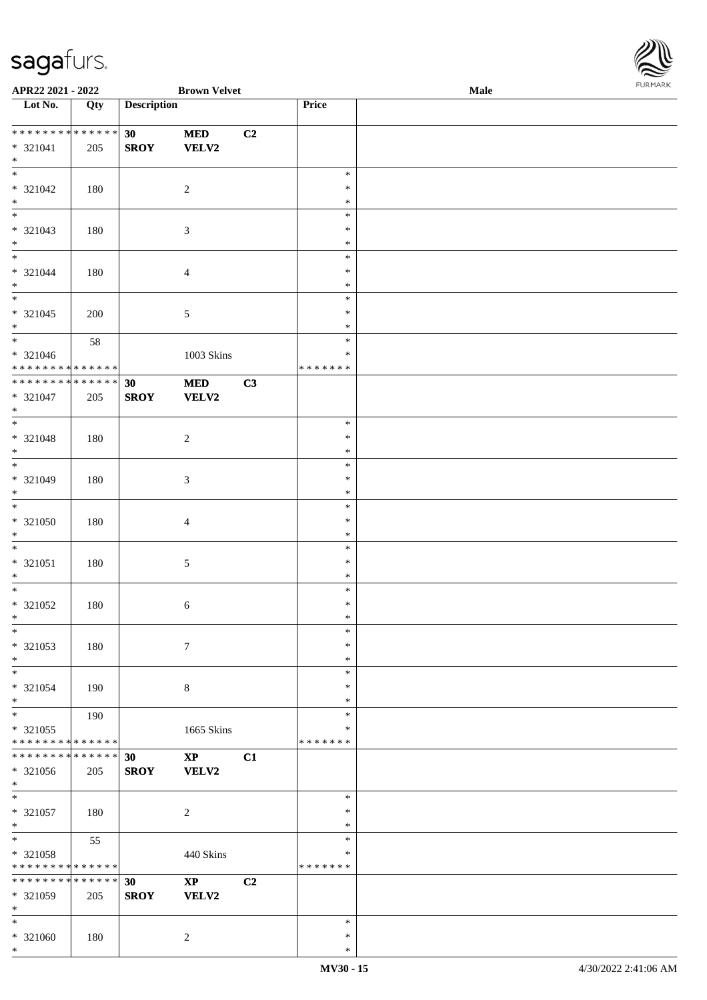

| APR22 2021 - 2022                       |     |                    | <b>Brown Velvet</b>    |    |               | Male |  |
|-----------------------------------------|-----|--------------------|------------------------|----|---------------|------|--|
| $\overline{\phantom{1}}$ Lot No.        | Qty | <b>Description</b> |                        |    | Price         |      |  |
|                                         |     |                    |                        |    |               |      |  |
| * * * * * * * * * * * * * *             |     | 30                 | <b>MED</b>             | C2 |               |      |  |
| $* 321041$                              | 205 | <b>SROY</b>        | <b>VELV2</b>           |    |               |      |  |
| $*$                                     |     |                    |                        |    |               |      |  |
| $*$                                     |     |                    |                        |    | $\ast$        |      |  |
| $* 321042$                              | 180 |                    | $\sqrt{2}$             |    | $\ast$        |      |  |
| $\ast$                                  |     |                    |                        |    | $\ast$        |      |  |
| $\overline{\phantom{0}}$                |     |                    |                        |    | $\ast$        |      |  |
| $* 321043$                              | 180 |                    | $\mathfrak{Z}$         |    | $\ast$        |      |  |
| $\ast$                                  |     |                    |                        |    | $\ast$        |      |  |
| $\overline{\ast}$                       |     |                    |                        |    | $\ast$        |      |  |
| * 321044                                | 180 |                    | $\overline{4}$         |    | $\ast$        |      |  |
| $\ast$                                  |     |                    |                        |    | $\ast$        |      |  |
| $\overline{\phantom{0}}$                |     |                    |                        |    | $\ast$        |      |  |
| $* 321045$                              | 200 |                    |                        |    | $\ast$        |      |  |
| $*$                                     |     |                    | 5                      |    | $\ast$        |      |  |
| $\overline{\ast}$                       |     |                    |                        |    | $\ast$        |      |  |
|                                         | 58  |                    |                        |    | $\ast$        |      |  |
| * 321046<br>* * * * * * * * * * * * * * |     |                    | 1003 Skins             |    | * * * * * * * |      |  |
| ******** <mark>******</mark>            |     |                    |                        |    |               |      |  |
|                                         |     | 30                 | $\bf MED$              | C3 |               |      |  |
| $* 321047$                              | 205 | <b>SROY</b>        | <b>VELV2</b>           |    |               |      |  |
| $*$<br>$\ast$                           |     |                    |                        |    |               |      |  |
|                                         |     |                    |                        |    | $\ast$        |      |  |
| $* 321048$                              | 180 |                    | $\sqrt{2}$             |    | $\ast$        |      |  |
| $\ast$<br>$\overline{\phantom{0}}$      |     |                    |                        |    | $\ast$        |      |  |
|                                         |     |                    |                        |    | $\ast$        |      |  |
| $* 321049$                              | 180 |                    | $\mathfrak{Z}$         |    | $\ast$        |      |  |
| $\ast$                                  |     |                    |                        |    | $\ast$        |      |  |
| $\ast$                                  |     |                    |                        |    | $\ast$        |      |  |
| $* 321050$                              | 180 |                    | $\overline{4}$         |    | $\ast$        |      |  |
| $\ast$                                  |     |                    |                        |    | $\ast$        |      |  |
| $\ast$                                  |     |                    |                        |    | $\ast$        |      |  |
| $* 321051$                              | 180 |                    | $\sqrt{5}$             |    | $\ast$        |      |  |
| $\ast$                                  |     |                    |                        |    | $\ast$        |      |  |
| $*$                                     |     |                    |                        |    | $\ast$        |      |  |
| $* 321052$                              | 180 |                    | 6                      |    | $\ast$        |      |  |
| $*$                                     |     |                    |                        |    | $\ast$        |      |  |
| $\ast$                                  |     |                    |                        |    | $\ast$        |      |  |
| * 321053                                | 180 |                    | $\tau$                 |    | $\ast$        |      |  |
| $\ast$                                  |     |                    |                        |    | $\ast$        |      |  |
| $\ast$                                  |     |                    |                        |    | $\ast$        |      |  |
| * 321054                                | 190 |                    | $\,8\,$                |    | ∗             |      |  |
| $*$                                     |     |                    |                        |    | $\ast$        |      |  |
| $*$                                     | 190 |                    |                        |    | $\ast$        |      |  |
| * 321055                                |     |                    | 1665 Skins             |    | ∗             |      |  |
| * * * * * * * * * * * * * *             |     |                    |                        |    | * * * * * * * |      |  |
| * * * * * * * * * * * * * *             |     | 30                 | $\mathbf{X}\mathbf{P}$ | C1 |               |      |  |
| * 321056                                | 205 | <b>SROY</b>        | VELV2                  |    |               |      |  |
| $*$                                     |     |                    |                        |    |               |      |  |
| $\ast$                                  |     |                    |                        |    | $\ast$        |      |  |
| $* 321057$                              | 180 |                    | $\sqrt{2}$             |    | $\ast$        |      |  |
| $*$                                     |     |                    |                        |    | $\ast$        |      |  |
| $*$                                     | 55  |                    |                        |    | $\ast$        |      |  |
| $* 321058$                              |     |                    | 440 Skins              |    | ∗             |      |  |
| * * * * * * * * * * * * * *             |     |                    |                        |    | * * * * * * * |      |  |
| * * * * * * * * * * * * * *             |     | 30                 | $\mathbf{X}\mathbf{P}$ | C2 |               |      |  |
| * 321059                                | 205 | <b>SROY</b>        | VELV2                  |    |               |      |  |
| $\ast$                                  |     |                    |                        |    |               |      |  |
| $\ast$                                  |     |                    |                        |    | ∗             |      |  |
| $* 321060$                              | 180 |                    | 2                      |    | $\ast$        |      |  |
| $*$                                     |     |                    |                        |    | $\ast$        |      |  |
|                                         |     |                    |                        |    |               |      |  |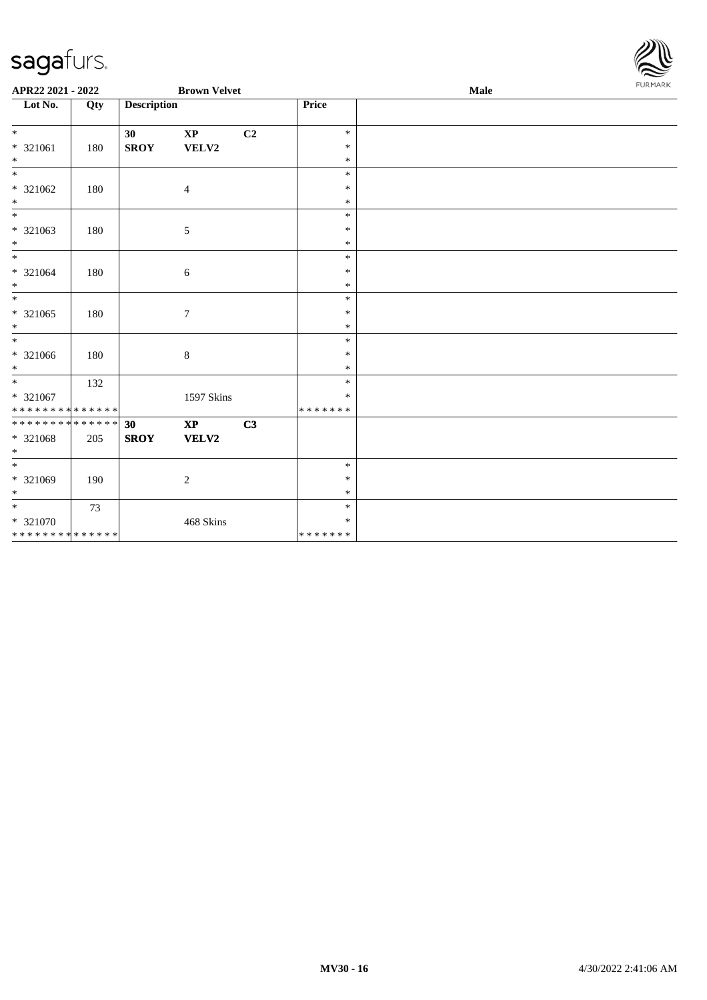

| APR22 2021 - 2022             |     |                    | <b>Brown Velvet</b>    |    |                  | Male |  |  |  |
|-------------------------------|-----|--------------------|------------------------|----|------------------|------|--|--|--|
| $\overline{\text{Lot No.}}$   | Qty | <b>Description</b> |                        |    | <b>Price</b>     |      |  |  |  |
| $*$                           |     |                    |                        |    | $\ast$           |      |  |  |  |
| $* 321061$                    | 180 | 30<br><b>SROY</b>  | $\bold{XP}$<br>VELV2   | C2 | $\ast$           |      |  |  |  |
| $*$                           |     |                    |                        |    | $\ast$           |      |  |  |  |
| $*$                           |     |                    |                        |    | $\ast$           |      |  |  |  |
| $* 321062$                    | 180 |                    | 4                      |    | $\ast$           |      |  |  |  |
| $*$                           |     |                    |                        |    | $\ast$           |      |  |  |  |
| $*$                           |     |                    |                        |    | $\ast$           |      |  |  |  |
| * 321063                      | 180 |                    | 5                      |    | $\ast$           |      |  |  |  |
| $*$                           |     |                    |                        |    | $\ast$           |      |  |  |  |
| $*$                           |     |                    |                        |    | $\ast$           |      |  |  |  |
| $* 321064$                    | 180 |                    | 6                      |    | $\ast$           |      |  |  |  |
| $*$                           |     |                    |                        |    | $\ast$           |      |  |  |  |
| $\overline{\phantom{0}}$      |     |                    |                        |    | $\ast$           |      |  |  |  |
| * 321065                      | 180 |                    | $\boldsymbol{7}$       |    | $\ast$           |      |  |  |  |
| $*$<br>$*$                    |     |                    |                        |    | $\ast$           |      |  |  |  |
|                               |     |                    |                        |    | $\ast$<br>$\ast$ |      |  |  |  |
| * 321066<br>$*$               | 180 |                    | $8\,$                  |    | $\ast$           |      |  |  |  |
| $*$                           | 132 |                    |                        |    | $\ast$           |      |  |  |  |
| * 321067                      |     |                    | 1597 Skins             |    | $\ast$           |      |  |  |  |
| * * * * * * * * * * * * * * * |     |                    |                        |    | * * * * * * *    |      |  |  |  |
| ******** <mark>******</mark>  |     | 30                 | $\mathbf{X}\mathbf{P}$ | C3 |                  |      |  |  |  |
| $* 321068$                    | 205 | <b>SROY</b>        | VELV2                  |    |                  |      |  |  |  |
| $\ast$                        |     |                    |                        |    |                  |      |  |  |  |
| $\overline{\ast}$             |     |                    |                        |    | $\ast$           |      |  |  |  |
| * 321069                      | 190 |                    | 2                      |    | $\ast$           |      |  |  |  |
| $*$                           |     |                    |                        |    | $\ast$           |      |  |  |  |
| $*$                           | 73  |                    |                        |    | $\ast$           |      |  |  |  |
| $* 321070$                    |     |                    | 468 Skins              |    | $\ast$           |      |  |  |  |
| * * * * * * * * * * * * * *   |     |                    |                        |    | *******          |      |  |  |  |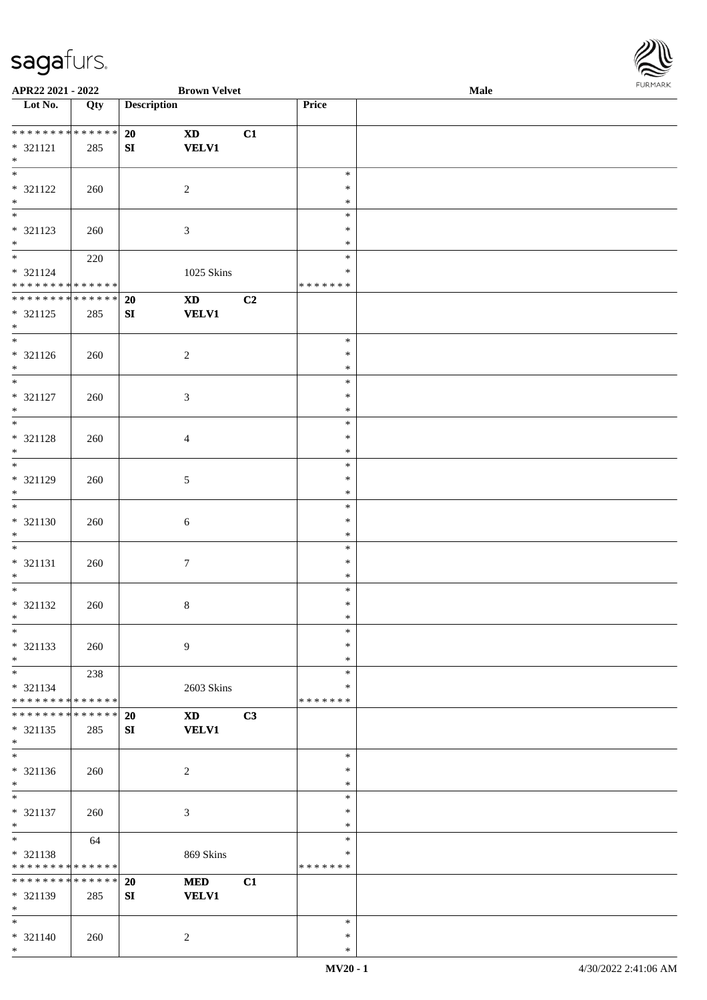

| APR22 2021 - 2022           |             |                    | <b>Brown Velvet</b>    |    |               | Male |
|-----------------------------|-------------|--------------------|------------------------|----|---------------|------|
| Lot No.                     | Qty         | <b>Description</b> |                        |    | Price         |      |
|                             |             |                    |                        |    |               |      |
|                             |             | 20                 | $\mathbf{X}\mathbf{D}$ | C1 |               |      |
| $* 321121$                  | 285         | ${\bf SI}$         | <b>VELV1</b>           |    |               |      |
| $\ast$                      |             |                    |                        |    |               |      |
| $\overline{\phantom{0}}$    |             |                    |                        |    | $\ast$        |      |
| * 321122                    |             |                    |                        |    | $\ast$        |      |
|                             | 260         |                    | $\overline{2}$         |    |               |      |
| $*$ $*$                     |             |                    |                        |    | $\ast$        |      |
|                             |             |                    |                        |    | $\ast$        |      |
| * 321123                    | 260         |                    | $\mathfrak{Z}$         |    | $\ast$        |      |
| $\ast$                      |             |                    |                        |    | $\ast$        |      |
| $\overline{\phantom{0}}$    | 220         |                    |                        |    | $\ast$        |      |
| $* 321124$                  |             |                    | 1025 Skins             |    | $\ast$        |      |
| * * * * * * * * * * * * * * |             |                    |                        |    | * * * * * * * |      |
| **************              |             | 20                 | $\mathbf{X}\mathbf{D}$ | C2 |               |      |
| $* 321125$                  | 285         | SI                 | <b>VELV1</b>           |    |               |      |
| $*$                         |             |                    |                        |    |               |      |
| $\overline{\phantom{0}}$    |             |                    |                        |    | $\ast$        |      |
| $* 321126$                  |             |                    |                        |    | $\ast$        |      |
| $*$                         | 260         |                    | $\overline{2}$         |    | $\ast$        |      |
| $\overline{\phantom{0}}$    |             |                    |                        |    |               |      |
|                             |             |                    |                        |    | $\ast$        |      |
| * 321127                    | 260         |                    | $\mathfrak{Z}$         |    | $\ast$        |      |
| $\ast$                      |             |                    |                        |    | $\ast$        |      |
| $\overline{\ast}$           |             |                    |                        |    | $\ast$        |      |
| $* 321128$                  | 260         |                    | $\overline{4}$         |    | $\ast$        |      |
| $\ast$                      |             |                    |                        |    | $\ast$        |      |
| $\overline{\phantom{a}^*}$  |             |                    |                        |    | $\ast$        |      |
| * 321129                    | 260         |                    | $\mathfrak{S}$         |    | $\ast$        |      |
| $*$                         |             |                    |                        |    | $\ast$        |      |
| $\overline{\phantom{0}}$    |             |                    |                        |    | $\ast$        |      |
|                             |             |                    |                        |    | $\ast$        |      |
| $* 321130$                  | 260         |                    | $\sqrt{6}$             |    |               |      |
| $*$                         |             |                    |                        |    | $\ast$        |      |
| $*$                         |             |                    |                        |    | $\ast$        |      |
| $* 321131$                  | 260         |                    | $\boldsymbol{7}$       |    | $\ast$        |      |
| $*$                         |             |                    |                        |    | $\ast$        |      |
| $\ast$                      |             |                    |                        |    | $\ast$        |      |
| * 321132                    | 260         |                    | $\,8\,$                |    | $\ast$        |      |
| $*$                         |             |                    |                        |    | $\ast$        |      |
| $*$                         |             |                    |                        |    | $\ast$        |      |
| $* 321133$                  | 260         |                    | 9                      |    | $\ast$        |      |
| $\ast$                      |             |                    |                        |    | $\ast$        |      |
| $\ast$                      | 238         |                    |                        |    | $\ast$        |      |
| $* 321134$                  |             |                    |                        |    | *             |      |
| * * * * * * * * * * * * * * |             |                    | 2603 Skins             |    | * * * * * * * |      |
|                             |             |                    |                        |    |               |      |
| * * * * * * * * * * * * * * |             | 20                 | <b>XD</b>              | C3 |               |      |
| * 321135                    | 285         | SI                 | <b>VELV1</b>           |    |               |      |
| $*$                         |             |                    |                        |    |               |      |
| $_{\ast}^{-}$               |             |                    |                        |    | $\ast$        |      |
| $* 321136$                  | 260         |                    | $\boldsymbol{2}$       |    | $\ast$        |      |
| $*$                         |             |                    |                        |    | $\ast$        |      |
| $\ast$                      |             |                    |                        |    | $\ast$        |      |
| $* 321137$                  | 260         |                    | $\mathfrak{Z}$         |    | $\ast$        |      |
| $\ast$                      |             |                    |                        |    | $\ast$        |      |
| $\overline{\ast}$           | 64          |                    |                        |    | $\ast$        |      |
| * 321138                    |             |                    |                        |    | $\ast$        |      |
|                             |             |                    | 869 Skins              |    | * * * * * * * |      |
| * * * * * * * * * * * * * * |             |                    |                        |    |               |      |
| ********                    | * * * * * * | 20                 | $\bf MED$              | C1 |               |      |
| * 321139                    | 285         | ${\bf SI}$         | <b>VELV1</b>           |    |               |      |
| $\ast$                      |             |                    |                        |    |               |      |
| $*$                         |             |                    |                        |    | $\ast$        |      |
| $* 321140$                  | 260         |                    | $\sqrt{2}$             |    | $\ast$        |      |
| $\ast$                      |             |                    |                        |    | $\ast$        |      |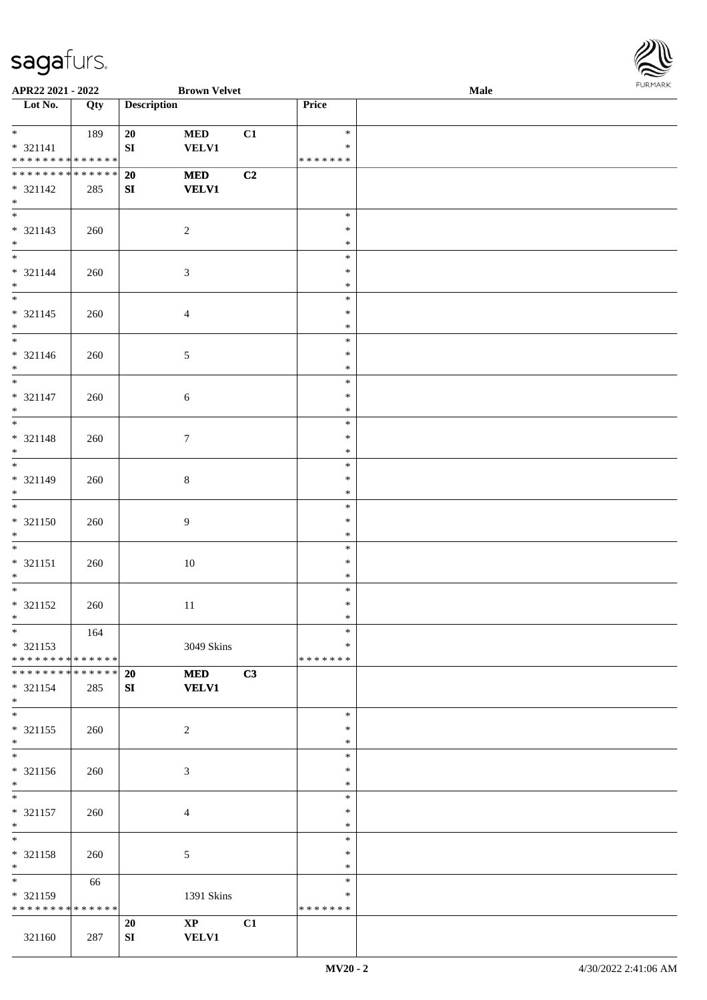

| APR22 2021 - 2022             |     |                    | <b>Brown Velvet</b> |                |               | Male |  |
|-------------------------------|-----|--------------------|---------------------|----------------|---------------|------|--|
| Lot No.                       | Qty | <b>Description</b> |                     |                | Price         |      |  |
|                               |     |                    |                     |                |               |      |  |
|                               | 189 | 20                 | $\bf MED$           | C1             | $\ast$        |      |  |
| $* 321141$                    |     | ${\bf S}{\bf I}$   | <b>VELV1</b>        |                | $\ast$        |      |  |
| * * * * * * * * * * * * * *   |     |                    |                     |                | * * * * * * * |      |  |
| * * * * * * * * * * * * * *   |     | 20                 | $\bf MED$           | C <sub>2</sub> |               |      |  |
| $* 321142$                    | 285 | SI                 | <b>VELV1</b>        |                |               |      |  |
| $\ast$                        |     |                    |                     |                |               |      |  |
| $\overline{\phantom{0}}$      |     |                    |                     |                | $\ast$        |      |  |
| $* 321143$                    | 260 |                    | $\sqrt{2}$          |                | $\ast$        |      |  |
| $\ast$                        |     |                    |                     |                | $\ast$        |      |  |
| $\overline{\phantom{0}}$      |     |                    |                     |                | $\ast$        |      |  |
| $* 321144$                    | 260 |                    | $\mathfrak{Z}$      |                | $\ast$        |      |  |
| $\ast$                        |     |                    |                     |                | $\ast$        |      |  |
| $\overline{\phantom{0}}$      |     |                    |                     |                | $\ast$        |      |  |
| $* 321145$                    | 260 |                    | $\overline{4}$      |                | $\ast$        |      |  |
| $\ast$                        |     |                    |                     |                | $\ast$        |      |  |
| $\overline{\phantom{a}^*}$    |     |                    |                     |                | $\ast$        |      |  |
| $* 321146$                    | 260 |                    | $\sqrt{5}$          |                | $\ast$        |      |  |
| $\ast$                        |     |                    |                     |                | $\ast$        |      |  |
| $\frac{1}{*}$                 |     |                    |                     |                | $\ast$        |      |  |
| $* 321147$                    | 260 |                    | $\sqrt{6}$          |                | $\ast$        |      |  |
| $\ast$                        |     |                    |                     |                | $\ast$        |      |  |
| $\overline{\ast}$             |     |                    |                     |                | $\ast$        |      |  |
| $* 321148$                    | 260 |                    | $7\phantom{.0}$     |                | $\ast$        |      |  |
| $\ast$                        |     |                    |                     |                | $\ast$        |      |  |
| $\overline{\phantom{0}}$      |     |                    |                     |                | $\ast$        |      |  |
| $* 321149$                    | 260 |                    | $\,8\,$             |                | $\ast$        |      |  |
| $*$                           |     |                    |                     |                | $\ast$        |      |  |
| $\overline{\phantom{0}}$      |     |                    |                     |                | $\ast$        |      |  |
| $* 321150$                    | 260 |                    | $\boldsymbol{9}$    |                | $\ast$        |      |  |
| $*$                           |     |                    |                     |                | $\ast$        |      |  |
| $\ast$                        |     |                    |                     |                | $\ast$        |      |  |
| $* 321151$                    | 260 |                    | $10\,$              |                | $\ast$        |      |  |
| $\ast$                        |     |                    |                     |                | $\ast$        |      |  |
| $\ast$                        |     |                    |                     |                | $\ast$        |      |  |
| $* 321152$                    | 260 |                    | $11\,$              |                | $\ast$        |      |  |
| $*$                           |     |                    |                     |                | $\ast$        |      |  |
| $*$                           | 164 |                    |                     |                | $\ast$        |      |  |
| $* 321153$                    |     |                    | 3049 Skins          |                | ∗             |      |  |
| * * * * * * * * * * * * * *   |     |                    |                     |                | * * * * * * * |      |  |
| * * * * * * * * * * * * * * * |     | 20                 | <b>MED</b>          | C3             |               |      |  |
| $* 321154$                    | 285 | SI                 | <b>VELV1</b>        |                |               |      |  |
| $\ast$                        |     |                    |                     |                |               |      |  |
| $\overline{\phantom{0}}$      |     |                    |                     |                | $\ast$        |      |  |
| $* 321155$                    | 260 |                    | $\overline{2}$      |                | $\ast$        |      |  |
| $*$                           |     |                    |                     |                | $\ast$        |      |  |
| $\overline{\phantom{0}}$      |     |                    |                     |                | $\ast$        |      |  |
| * 321156                      | 260 |                    | $\mathfrak{Z}$      |                | $\ast$        |      |  |
| $*$                           |     |                    |                     |                | $\ast$        |      |  |
| $*$                           |     |                    |                     |                | $\ast$        |      |  |
| $* 321157$                    | 260 |                    | $\overline{4}$      |                | $\ast$        |      |  |
| $*$                           |     |                    |                     |                | $\ast$        |      |  |
| $\ast$                        |     |                    |                     |                | $\ast$        |      |  |
| * 321158                      | 260 |                    | $\sqrt{5}$          |                | $\ast$        |      |  |
| $\ast$                        |     |                    |                     |                | $\ast$        |      |  |
| $\overline{\phantom{0}}$      | 66  |                    |                     |                | $\ast$        |      |  |
| * 321159                      |     |                    | 1391 Skins          |                | ∗             |      |  |
| * * * * * * * * * * * * * *   |     |                    |                     |                | * * * * * * * |      |  |
|                               |     | 20                 | $\mathbf{XP}$       | C1             |               |      |  |
| 321160                        | 287 | SI                 | <b>VELV1</b>        |                |               |      |  |
|                               |     |                    |                     |                |               |      |  |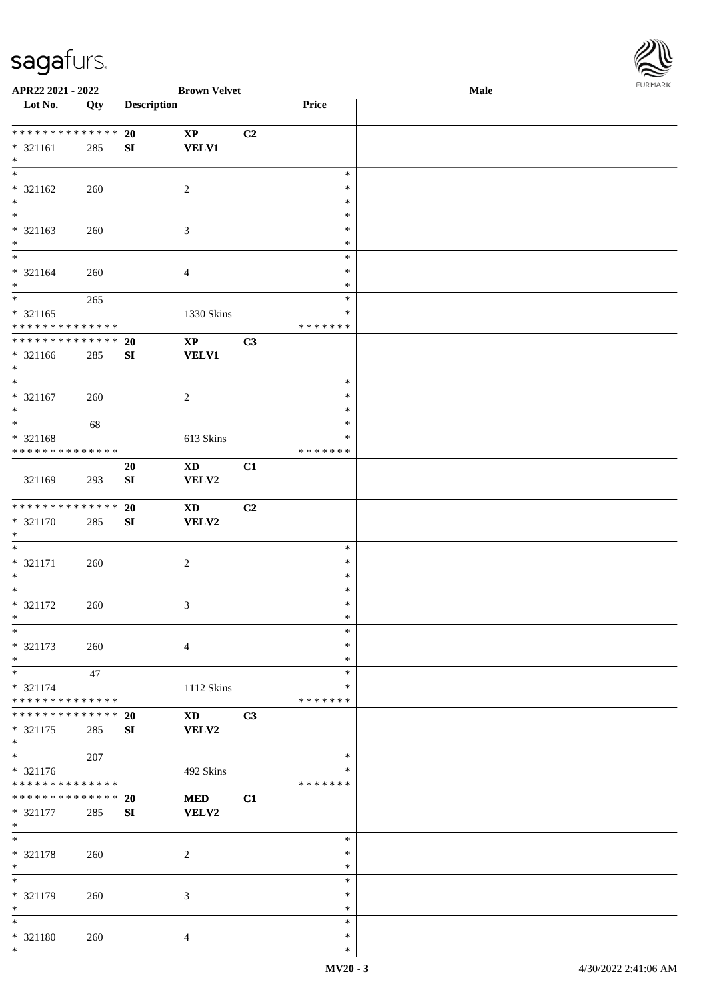

| APR22 2021 - 2022             |     |                    | <b>Brown Velvet</b>        |    |               | Male |
|-------------------------------|-----|--------------------|----------------------------|----|---------------|------|
| Lot No.                       | Qty | <b>Description</b> |                            |    | Price         |      |
|                               |     |                    |                            |    |               |      |
| * * * * * * * * * * * * * *   |     | 20                 | $\bold{XP}$                | C2 |               |      |
| $* 321161$                    | 285 | ${\bf SI}$         | <b>VELV1</b>               |    |               |      |
| $\ast$                        |     |                    |                            |    |               |      |
| $\overline{\phantom{a}^*}$    |     |                    |                            |    | $\ast$        |      |
|                               |     |                    |                            |    |               |      |
| $* 321162$                    | 260 |                    | $\overline{2}$             |    | $\ast$        |      |
| $\ast$                        |     |                    |                            |    | $\ast$        |      |
| $\overline{\phantom{0}}$      |     |                    |                            |    | $\ast$        |      |
| $* 321163$                    | 260 |                    | $\mathfrak{Z}$             |    | $\ast$        |      |
| $\ast$                        |     |                    |                            |    | $\ast$        |      |
| $\overline{\phantom{0}}$      |     |                    |                            |    | $\ast$        |      |
| $* 321164$                    | 260 |                    | $\overline{4}$             |    | $\ast$        |      |
| $\ast$                        |     |                    |                            |    | $\ast$        |      |
| $\overline{\phantom{0}}$      | 265 |                    |                            |    | $\ast$        |      |
| $* 321165$                    |     |                    |                            |    | $\ast$        |      |
| * * * * * * * * * * * * * *   |     |                    | 1330 Skins                 |    | * * * * * * * |      |
|                               |     |                    |                            |    |               |      |
| ******** <mark>******</mark>  |     | 20                 | $\mathbf{X}\mathbf{P}$     | C3 |               |      |
| $* 321166$                    | 285 | SI                 | <b>VELV1</b>               |    |               |      |
| $*$                           |     |                    |                            |    |               |      |
| $\ast$                        |     |                    |                            |    | $\ast$        |      |
| $* 321167$                    | 260 |                    | $\sqrt{2}$                 |    | $\ast$        |      |
| $\ast$                        |     |                    |                            |    | $\ast$        |      |
| $\ast$                        | 68  |                    |                            |    | $\ast$        |      |
| * 321168                      |     |                    | 613 Skins                  |    | $\ast$        |      |
| ******** <mark>******</mark>  |     |                    |                            |    | * * * * * * * |      |
|                               |     |                    |                            |    |               |      |
|                               |     | 20                 | $\mathbf{X}\mathbf{D}$     | C1 |               |      |
| 321169                        | 293 | ${\bf S}{\bf I}$   | VELV2                      |    |               |      |
|                               |     |                    |                            |    |               |      |
| **************                |     | 20                 | $\boldsymbol{\mathrm{XD}}$ | C2 |               |      |
| $* 321170$                    | 285 | SI                 | <b>VELV2</b>               |    |               |      |
| $*$                           |     |                    |                            |    |               |      |
| $\ast$                        |     |                    |                            |    | $\ast$        |      |
| $* 321171$                    | 260 |                    | $\sqrt{2}$                 |    | $\ast$        |      |
| $\ast$                        |     |                    |                            |    | $\ast$        |      |
| $\ast$                        |     |                    |                            |    | $\ast$        |      |
| $* 321172$                    | 260 |                    | 3                          |    | $\ast$        |      |
| $*$                           |     |                    |                            |    | $\ast$        |      |
| $*$                           |     |                    |                            |    | $\ast$        |      |
|                               |     |                    |                            |    | ∗             |      |
| * 321173                      | 260 |                    | $\overline{4}$             |    |               |      |
| $\ast$                        |     |                    |                            |    | $\ast$        |      |
| $\ast$                        | 47  |                    |                            |    | $\ast$        |      |
| $* 321174$                    |     |                    | 1112 Skins                 |    | *             |      |
| * * * * * * * * * * * * * *   |     |                    |                            |    | * * * * * * * |      |
| * * * * * * * * * * * * * * * |     | <b>20</b>          | <b>XD</b>                  | C3 |               |      |
| * 321175                      | 285 | SI                 | VELV2                      |    |               |      |
| $*$                           |     |                    |                            |    |               |      |
| $_{\ast}^{-}$                 | 207 |                    |                            |    | $\ast$        |      |
| $* 321176$                    |     |                    | 492 Skins                  |    | ∗             |      |
| * * * * * * * * * * * * * *   |     |                    |                            |    | * * * * * * * |      |
| * * * * * * * * * * * * * * * |     |                    |                            | C1 |               |      |
|                               |     | 20                 | <b>MED</b>                 |    |               |      |
| * 321177                      | 285 | SI                 | VELV2                      |    |               |      |
| $*$                           |     |                    |                            |    |               |      |
| $\ast$                        |     |                    |                            |    | $\ast$        |      |
| * 321178                      | 260 |                    | $\overline{c}$             |    | $\ast$        |      |
| $\ast$                        |     |                    |                            |    | $\ast$        |      |
| $\overline{\phantom{a}^*}$    |     |                    |                            |    | $\ast$        |      |
| * 321179                      | 260 |                    | 3                          |    | ∗             |      |
| $\ast$                        |     |                    |                            |    | $\ast$        |      |
| $\ast$                        |     |                    |                            |    | $\ast$        |      |
| * 321180                      | 260 |                    | 4                          |    | $\ast$        |      |
| $\ast$                        |     |                    |                            |    | $\ast$        |      |
|                               |     |                    |                            |    |               |      |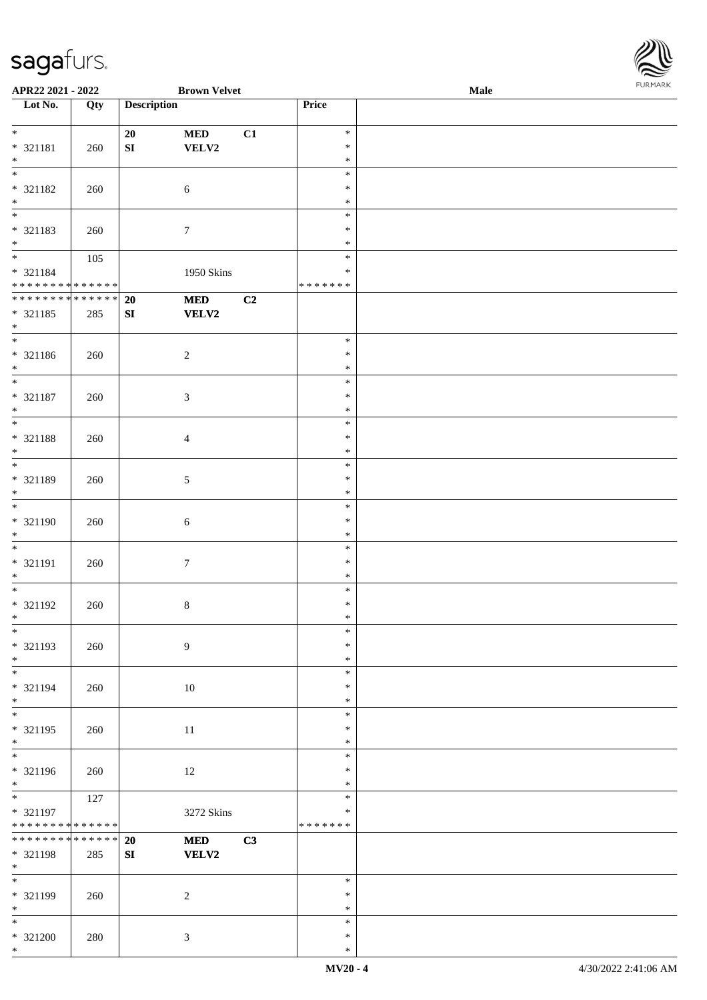

| APR22 2021 - 2022             |     |                    | <b>Brown Velvet</b> |    |               | <b>Male</b> |
|-------------------------------|-----|--------------------|---------------------|----|---------------|-------------|
| Lot No.                       | Qty | <b>Description</b> |                     |    | Price         |             |
|                               |     |                    |                     |    |               |             |
| $*$                           |     | 20                 | $\bf MED$           | C1 | $\ast$        |             |
|                               |     |                    |                     |    |               |             |
| * 321181                      | 260 | ${\bf S}{\bf I}$   | VELV2               |    | $\ast$        |             |
| $\ast$                        |     |                    |                     |    | $\ast$        |             |
|                               |     |                    |                     |    | $\ast$        |             |
| $* 321182$                    | 260 |                    | $\sqrt{6}$          |    | $\ast$        |             |
| $\ast$                        |     |                    |                     |    | $\ast$        |             |
| $\overline{\phantom{0}}$      |     |                    |                     |    | $\ast$        |             |
|                               |     |                    |                     |    |               |             |
| * 321183                      | 260 |                    | $\boldsymbol{7}$    |    | $\ast$        |             |
| $*$                           |     |                    |                     |    | $\ast$        |             |
| $\overline{\phantom{0}}$      | 105 |                    |                     |    | $\ast$        |             |
| $* 321184$                    |     |                    | 1950 Skins          |    | $\ast$        |             |
| * * * * * * * * * * * * * *   |     |                    |                     |    | * * * * * * * |             |
| * * * * * * * * * * * * * *   |     | 20                 | <b>MED</b>          | C2 |               |             |
|                               |     |                    |                     |    |               |             |
| * 321185                      | 285 | ${\bf SI}$         | VELV2               |    |               |             |
| $*$                           |     |                    |                     |    |               |             |
| $\overline{\ast}$             |     |                    |                     |    | $\ast$        |             |
| $* 321186$                    | 260 |                    | $\boldsymbol{2}$    |    | $\ast$        |             |
| $*$                           |     |                    |                     |    | $\ast$        |             |
| $\overline{\ast}$             |     |                    |                     |    | $\ast$        |             |
|                               |     |                    |                     |    |               |             |
| $* 321187$                    | 260 |                    | $\mathfrak{Z}$      |    | $\ast$        |             |
| $*$                           |     |                    |                     |    | $\ast$        |             |
| $\overline{\ast}$             |     |                    |                     |    | $\ast$        |             |
| * 321188                      | 260 |                    | $\overline{4}$      |    | $\ast$        |             |
| $\ast$                        |     |                    |                     |    | $\ast$        |             |
| $\overline{\ast}$             |     |                    |                     |    | $\ast$        |             |
|                               |     |                    |                     |    |               |             |
| * 321189                      | 260 |                    | 5                   |    | $\ast$        |             |
| $*$                           |     |                    |                     |    | $\ast$        |             |
|                               |     |                    |                     |    | $\ast$        |             |
| * 321190                      | 260 |                    | $\sqrt{6}$          |    | $\ast$        |             |
| $*$                           |     |                    |                     |    | $\ast$        |             |
| $*$                           |     |                    |                     |    | $\ast$        |             |
|                               |     |                    |                     |    |               |             |
| * 321191                      | 260 |                    | $\boldsymbol{7}$    |    | $\ast$        |             |
| $*$                           |     |                    |                     |    | $\ast$        |             |
| $*$                           |     |                    |                     |    | $\ast$        |             |
| $* 321192$                    | 260 |                    | $\,8\,$             |    | $\ast$        |             |
| $*$                           |     |                    |                     |    | $\ast$        |             |
| $*$                           |     |                    |                     |    | $\ast$        |             |
|                               |     |                    |                     |    |               |             |
| * 321193                      | 260 |                    | 9                   |    | $\ast$        |             |
| $*$                           |     |                    |                     |    | $\ast$        |             |
| $*$                           |     |                    |                     |    | $\ast$        |             |
| * 321194                      | 260 |                    | $10\,$              |    | $\ast$        |             |
| $*$                           |     |                    |                     |    | $\ast$        |             |
| $\overline{\phantom{0}}$      |     |                    |                     |    | $\ast$        |             |
|                               |     |                    |                     |    |               |             |
| $* 321195$                    | 260 |                    | 11                  |    | $\ast$        |             |
| $*$                           |     |                    |                     |    | $\ast$        |             |
| $\overline{\phantom{0}}$      |     |                    |                     |    | $\ast$        |             |
| * 321196                      | 260 |                    | 12                  |    | $\ast$        |             |
| $*$                           |     |                    |                     |    | $\ast$        |             |
| $*$                           | 127 |                    |                     |    | $\ast$        |             |
|                               |     |                    |                     |    |               |             |
| $* 321197$                    |     |                    | 3272 Skins          |    | $\ast$        |             |
| * * * * * * * * * * * * * *   |     |                    |                     |    | *******       |             |
| * * * * * * * * * * * * * * * |     | 20                 | <b>MED</b>          | C3 |               |             |
| * 321198                      | 285 | SI                 | <b>VELV2</b>        |    |               |             |
| $*$                           |     |                    |                     |    |               |             |
| $\overline{\phantom{0}}$      |     |                    |                     |    | $\ast$        |             |
|                               |     |                    |                     |    |               |             |
| * 321199                      | 260 |                    | $\sqrt{2}$          |    | $\ast$        |             |
| $*$                           |     |                    |                     |    | $\ast$        |             |
| $*$                           |     |                    |                     |    | $\ast$        |             |
| $* 321200$                    | 280 |                    | 3                   |    | $\ast$        |             |
| $*$                           |     |                    |                     |    | $\ast$        |             |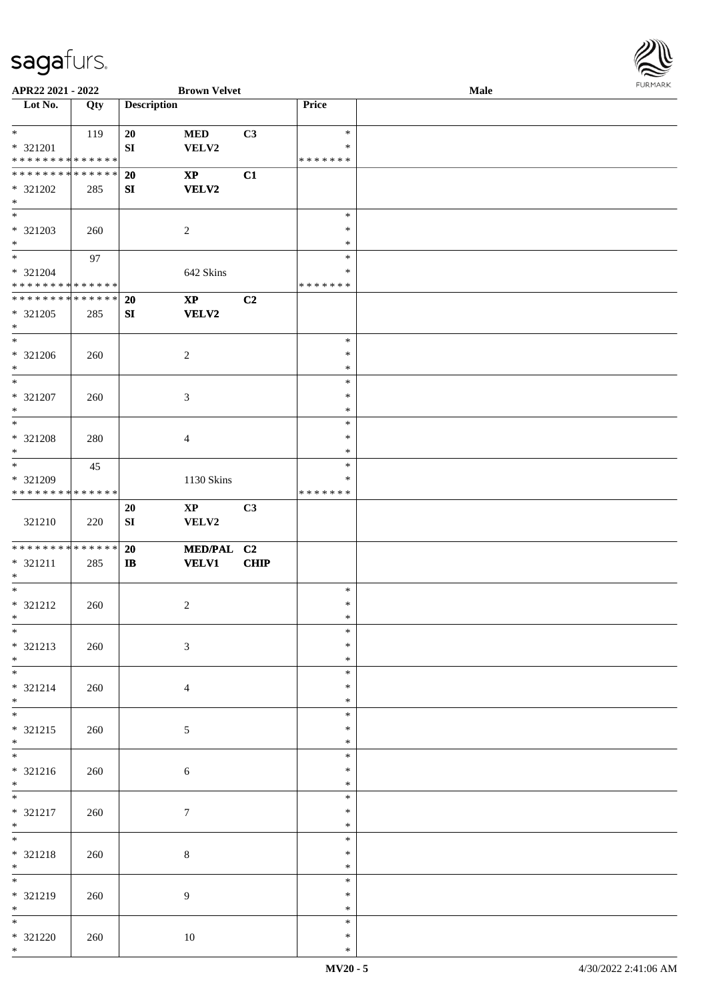

| APR22 2021 - 2022               |     |                    | <b>Brown Velvet</b>    |                |               | Male |  |
|---------------------------------|-----|--------------------|------------------------|----------------|---------------|------|--|
| Lot No.                         | Qty | <b>Description</b> |                        |                | Price         |      |  |
|                                 |     |                    |                        |                |               |      |  |
| $\ast$                          | 119 | 20                 | $\bf MED$              | C3             | $\ast$        |      |  |
|                                 |     |                    |                        |                | $\ast$        |      |  |
| * 321201                        |     | ${\bf S}{\bf I}$   | VELV2                  |                |               |      |  |
| * * * * * * * * * * * * * *     |     |                    |                        |                | * * * * * * * |      |  |
| **************                  |     | 20                 | $\mathbf{X}\mathbf{P}$ | C1             |               |      |  |
| * 321202                        | 285 | SI                 | <b>VELV2</b>           |                |               |      |  |
| $\ast$                          |     |                    |                        |                |               |      |  |
| $\overline{\phantom{0}}$        |     |                    |                        |                | $\ast$        |      |  |
| * 321203                        | 260 |                    | $\overline{2}$         |                | $\ast$        |      |  |
| $\ast$                          |     |                    |                        |                | $\ast$        |      |  |
| $\overline{\phantom{a}^*}$      |     |                    |                        |                |               |      |  |
|                                 | 97  |                    |                        |                | $\ast$        |      |  |
| $* 321204$                      |     |                    | 642 Skins              |                | $\ast$        |      |  |
| * * * * * * * * * * * * * *     |     |                    |                        |                | * * * * * * * |      |  |
| ******** <mark>******</mark>    |     | 20                 | $\mathbf{X}\mathbf{P}$ | C <sub>2</sub> |               |      |  |
| * 321205                        | 285 | SI                 | <b>VELV2</b>           |                |               |      |  |
| $*$                             |     |                    |                        |                |               |      |  |
| $\overline{\phantom{a}^*}$      |     |                    |                        |                | $\ast$        |      |  |
| $* 321206$                      |     |                    | $\overline{2}$         |                | $\ast$        |      |  |
|                                 | 260 |                    |                        |                | $\ast$        |      |  |
| $\ast$                          |     |                    |                        |                |               |      |  |
| $\ast$                          |     |                    |                        |                | $\ast$        |      |  |
| $* 321207$                      | 260 |                    | $\mathfrak{Z}$         |                | $\ast$        |      |  |
| $\ast$                          |     |                    |                        |                | $\ast$        |      |  |
| $\ast$                          |     |                    |                        |                | $\ast$        |      |  |
| * 321208                        | 280 |                    | $\overline{4}$         |                | $\ast$        |      |  |
| $\ast$                          |     |                    |                        |                | $\ast$        |      |  |
| $\ast$                          | 45  |                    |                        |                | $\ast$        |      |  |
|                                 |     |                    |                        |                | $\ast$        |      |  |
| * 321209                        |     |                    | 1130 Skins             |                |               |      |  |
| * * * * * * * * * * * * * *     |     |                    |                        |                | * * * * * * * |      |  |
|                                 |     | 20                 | $\mathbf{X}\mathbf{P}$ | C3             |               |      |  |
| 321210                          | 220 | ${\bf S}{\bf I}$   | VELV2                  |                |               |      |  |
|                                 |     |                    |                        |                |               |      |  |
| **************                  |     | 20                 | MED/PAL C2             |                |               |      |  |
| $* 321211$                      | 285 | $\bf I\bf B$       | <b>VELV1</b>           | <b>CHIP</b>    |               |      |  |
| $*$                             |     |                    |                        |                |               |      |  |
| $\ast$                          |     |                    |                        |                | $\ast$        |      |  |
| * 321212                        |     |                    |                        |                | $\ast$        |      |  |
|                                 | 260 |                    | $\overline{2}$         |                | $\ast$        |      |  |
| $*$                             |     |                    |                        |                |               |      |  |
| $*$                             |     |                    |                        |                | $\ast$        |      |  |
| * 321213                        | 260 |                    | $\mathfrak{Z}$         |                | *             |      |  |
| $*$                             |     |                    |                        |                | $\ast$        |      |  |
|                                 |     |                    |                        |                | $\ast$        |      |  |
| * 321214                        | 260 |                    | $\overline{4}$         |                | *             |      |  |
| $*$                             |     |                    |                        |                | $\ast$        |      |  |
| $\overline{\phantom{0}}$        |     |                    |                        |                | $\ast$        |      |  |
| $* 321215$                      | 260 |                    | $5\overline{)}$        |                | $\ast$        |      |  |
|                                 |     |                    |                        |                | $\ast$        |      |  |
| $*$                             |     |                    |                        |                |               |      |  |
|                                 |     |                    |                        |                | $\ast$        |      |  |
| $* 321216$                      | 260 |                    | 6                      |                | $\ast$        |      |  |
| $*$                             |     |                    |                        |                | $\ast$        |      |  |
|                                 |     |                    |                        |                | $\ast$        |      |  |
| * 321217                        | 260 |                    | $\tau$                 |                | $\ast$        |      |  |
| $*$                             |     |                    |                        |                | $\ast$        |      |  |
| $*$                             |     |                    |                        |                | $\ast$        |      |  |
|                                 |     |                    |                        |                |               |      |  |
| * 321218                        | 260 |                    | $\,8\,$                |                | $\ast$        |      |  |
| $*$<br>$\overline{\phantom{0}}$ |     |                    |                        |                | $\ast$        |      |  |
|                                 |     |                    |                        |                | $\ast$        |      |  |
| * 321219                        | 260 |                    | 9                      |                | $\ast$        |      |  |
| $*$                             |     |                    |                        |                | $\ast$        |      |  |
| $\overline{\ast}$               |     |                    |                        |                | $\ast$        |      |  |
| $* 321220$                      | 260 |                    | $10\,$                 |                | $\ast$        |      |  |
| $*$                             |     |                    |                        |                | $\ast$        |      |  |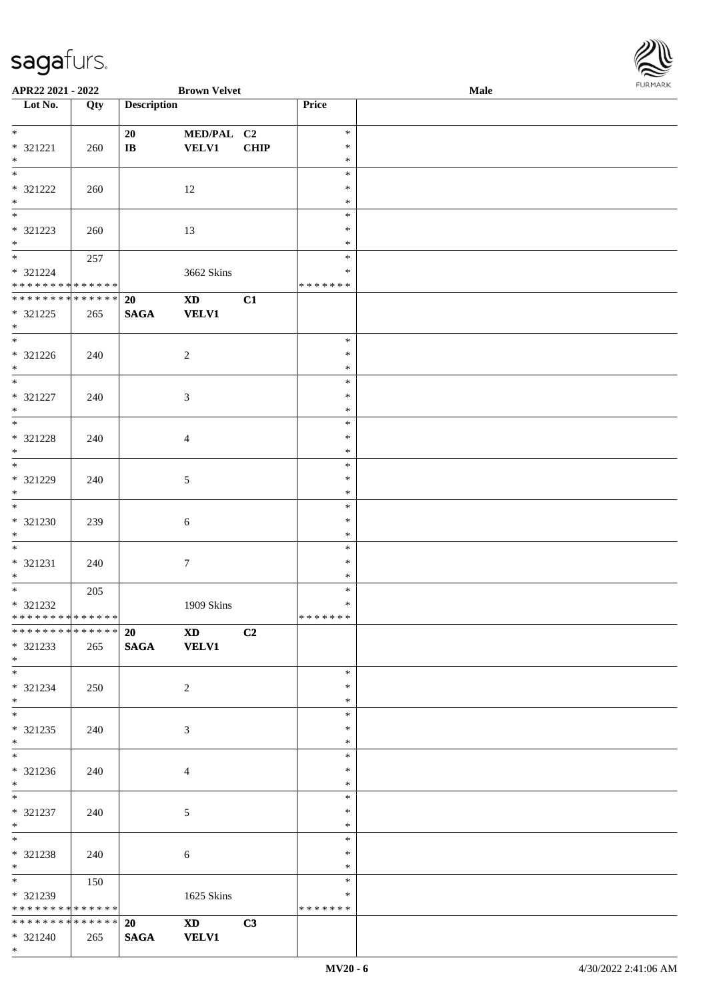\*

| APR22 2021 - 2022               |     |                                 | <b>Brown Velvet</b>                                                                                                                                                                                                            |             |               | Male | <b>FUNITANN</b> |
|---------------------------------|-----|---------------------------------|--------------------------------------------------------------------------------------------------------------------------------------------------------------------------------------------------------------------------------|-------------|---------------|------|-----------------|
| Lot No.                         | Qty | <b>Description</b>              |                                                                                                                                                                                                                                |             | Price         |      |                 |
| $*$                             |     | 20                              | MED/PAL C2                                                                                                                                                                                                                     |             | $\ast$        |      |                 |
| $* 321221$                      | 260 | $\bf{IB}$                       | <b>VELV1</b>                                                                                                                                                                                                                   | <b>CHIP</b> | $\ast$        |      |                 |
| $*$                             |     |                                 |                                                                                                                                                                                                                                |             | $\ast$        |      |                 |
| $\frac{1}{*}$                   |     |                                 |                                                                                                                                                                                                                                |             | $\ast$        |      |                 |
| * 321222                        | 260 |                                 | 12                                                                                                                                                                                                                             |             | $\ast$        |      |                 |
| $\ast$                          |     |                                 |                                                                                                                                                                                                                                |             | $\ast$        |      |                 |
| $\overline{\phantom{a}^*}$      |     |                                 |                                                                                                                                                                                                                                |             | $\ast$        |      |                 |
|                                 |     |                                 |                                                                                                                                                                                                                                |             | $\ast$        |      |                 |
| * 321223<br>$\ast$              | 260 |                                 | 13                                                                                                                                                                                                                             |             | $\ast$        |      |                 |
|                                 |     |                                 |                                                                                                                                                                                                                                |             | $\ast$        |      |                 |
|                                 | 257 |                                 |                                                                                                                                                                                                                                |             |               |      |                 |
| * 321224                        |     |                                 | 3662 Skins                                                                                                                                                                                                                     |             | *             |      |                 |
| * * * * * * * * * * * * * *     |     |                                 |                                                                                                                                                                                                                                |             | * * * * * * * |      |                 |
| **************                  |     | 20                              | <b>XD</b>                                                                                                                                                                                                                      | C1          |               |      |                 |
| * 321225                        | 265 | <b>SAGA</b>                     | <b>VELV1</b>                                                                                                                                                                                                                   |             |               |      |                 |
| $\ast$                          |     |                                 |                                                                                                                                                                                                                                |             |               |      |                 |
| $\overline{\phantom{a}^*}$      |     |                                 |                                                                                                                                                                                                                                |             | $\ast$        |      |                 |
| $* 321226$                      | 240 |                                 | $\sqrt{2}$                                                                                                                                                                                                                     |             | $\ast$        |      |                 |
| $*$                             |     |                                 |                                                                                                                                                                                                                                |             | $\ast$        |      |                 |
| $*$                             |     |                                 |                                                                                                                                                                                                                                |             | $\ast$        |      |                 |
| $* 321227$                      | 240 |                                 | $\mathfrak{Z}$                                                                                                                                                                                                                 |             | $\ast$        |      |                 |
| $\ast$                          |     |                                 |                                                                                                                                                                                                                                |             | $\ast$        |      |                 |
| $\frac{1}{*}$                   |     |                                 |                                                                                                                                                                                                                                |             | $\ast$        |      |                 |
| * 321228                        | 240 |                                 | $\overline{4}$                                                                                                                                                                                                                 |             | $\ast$        |      |                 |
| $\ast$                          |     |                                 |                                                                                                                                                                                                                                |             | $\ast$        |      |                 |
| $_{\ast}^{-}$                   |     |                                 |                                                                                                                                                                                                                                |             | $\ast$        |      |                 |
| $* 321229$                      | 240 |                                 | $\sqrt{5}$                                                                                                                                                                                                                     |             | $\ast$        |      |                 |
| $\ast$                          |     |                                 |                                                                                                                                                                                                                                |             | $\ast$        |      |                 |
| $*$                             |     |                                 |                                                                                                                                                                                                                                |             | $\ast$        |      |                 |
|                                 |     |                                 |                                                                                                                                                                                                                                |             | $\ast$        |      |                 |
| * 321230                        | 239 |                                 | $\sqrt{6}$                                                                                                                                                                                                                     |             |               |      |                 |
| $\ast$<br>$\ast$                |     |                                 |                                                                                                                                                                                                                                |             | $\ast$        |      |                 |
|                                 |     |                                 |                                                                                                                                                                                                                                |             | $\ast$        |      |                 |
| * 321231                        | 240 |                                 | $\boldsymbol{7}$                                                                                                                                                                                                               |             | $\ast$        |      |                 |
| $*$<br>$\overline{\phantom{0}}$ |     |                                 |                                                                                                                                                                                                                                |             | $\ast$        |      |                 |
|                                 | 205 |                                 |                                                                                                                                                                                                                                |             | $\ast$        |      |                 |
| $* 321232$                      |     |                                 | 1909 Skins                                                                                                                                                                                                                     |             | $\ast$        |      |                 |
| ******** <mark>******</mark>    |     |                                 |                                                                                                                                                                                                                                |             | *******       |      |                 |
| **************                  |     | $20 \left( \frac{1}{2} \right)$ | XD and the set of the set of the set of the set of the set of the set of the set of the set of the set of the set of the set of the set of the set of the set of the set of the set of the set of the set of the set of the se | C2          |               |      |                 |
| * 321233                        | 265 |                                 | SAGA VELV1                                                                                                                                                                                                                     |             |               |      |                 |
| $*$                             |     |                                 |                                                                                                                                                                                                                                |             |               |      |                 |
| $\overline{\phantom{0}}$        |     |                                 |                                                                                                                                                                                                                                |             | $\ast$        |      |                 |
| * 321234                        | 250 |                                 | $\overline{2}$                                                                                                                                                                                                                 |             | $\ast$        |      |                 |
| $*$                             |     |                                 |                                                                                                                                                                                                                                |             | $\ast$        |      |                 |
| $\overline{\phantom{0}}$        |     |                                 |                                                                                                                                                                                                                                |             | $\ast$        |      |                 |
| * 321235                        | 240 |                                 | 3                                                                                                                                                                                                                              |             | $\ast$        |      |                 |
| $*$                             |     |                                 |                                                                                                                                                                                                                                |             | $\ast$        |      |                 |
|                                 |     |                                 |                                                                                                                                                                                                                                |             | $\ast$        |      |                 |
| $* 321236$                      | 240 |                                 | $\overline{4}$                                                                                                                                                                                                                 |             | $\ast$        |      |                 |
| $*$                             |     |                                 |                                                                                                                                                                                                                                |             | $\ast$        |      |                 |
|                                 |     |                                 |                                                                                                                                                                                                                                |             | $\ast$        |      |                 |
| * 321237                        | 240 |                                 | 5                                                                                                                                                                                                                              |             | $\ast$        |      |                 |
| $*$ $-$                         |     |                                 |                                                                                                                                                                                                                                |             | $\ast$        |      |                 |
| $*$                             |     |                                 |                                                                                                                                                                                                                                |             | $\ast$        |      |                 |
| * 321238                        |     |                                 |                                                                                                                                                                                                                                |             | $\ast$        |      |                 |
| $*$ $*$                         | 240 |                                 | $\sqrt{6}$                                                                                                                                                                                                                     |             | $\ast$        |      |                 |
| $\ddot{x}$                      |     |                                 |                                                                                                                                                                                                                                |             | $\ast$        |      |                 |
|                                 | 150 |                                 |                                                                                                                                                                                                                                |             |               |      |                 |
| * 321239                        |     |                                 | 1625 Skins                                                                                                                                                                                                                     |             | ∗             |      |                 |
| * * * * * * * * * * * * * *     |     |                                 |                                                                                                                                                                                                                                |             | * * * * * * * |      |                 |
| * * * * * * * * * * * * * * *   |     | 20                              | $\mathbf{X}\mathbf{D}$                                                                                                                                                                                                         | C3          |               |      |                 |
| * 321240                        | 265 | <b>SAGA</b>                     | <b>VELV1</b>                                                                                                                                                                                                                   |             |               |      |                 |

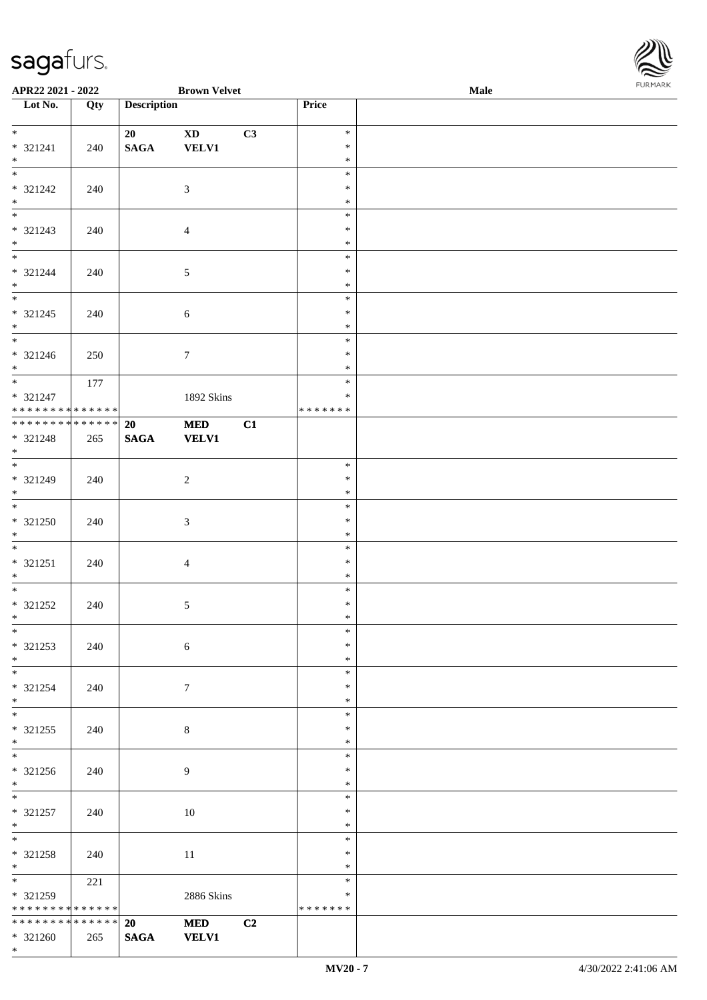

| APR22 2021 - 2022                                      |                   |                       | <b>Brown Velvet</b>                    |    |                                   | Male | FURMARK |
|--------------------------------------------------------|-------------------|-----------------------|----------------------------------------|----|-----------------------------------|------|---------|
| $\overline{\phantom{a}}$ Lot No.                       | $\overline{Q}$ ty | <b>Description</b>    |                                        |    | Price                             |      |         |
| * 321241<br>$*$                                        | 240               | 20<br>$\mathbf{SAGA}$ | $\mathbf{X}\mathbf{D}$<br><b>VELV1</b> | C3 | $\ast$<br>$\ast$<br>$\ast$        |      |         |
| $\overline{\ast}$<br>* 321242<br>$*$                   | 240               |                       | $\mathfrak{Z}$                         |    | $\ast$<br>$\ast$<br>$\ast$        |      |         |
| $*$<br>* 321243<br>$*$                                 | 240               |                       | $\overline{4}$                         |    | $\ast$<br>$\ast$<br>$\ast$        |      |         |
| $*$<br>* 321244<br>$*$                                 | 240               |                       | $\sqrt{5}$                             |    | $\ast$<br>$\ast$<br>$\ast$        |      |         |
| * 321245<br>$*$                                        | 240               |                       | $\sqrt{6}$                             |    | $\ast$<br>$\ast$<br>$\ast$        |      |         |
| * 321246<br>$*$                                        | 250               |                       | $\tau$                                 |    | $\ast$<br>$\ast$<br>$\ast$        |      |         |
| * 321247<br>* * * * * * * * * * * * * * *              | 177               |                       | 1892 Skins                             |    | $\ast$<br>$\ast$<br>* * * * * * * |      |         |
| **************<br>* 321248<br>$*$                      | 265               | 20<br>$\mathbf{SAGA}$ | <b>MED</b><br><b>VELV1</b>             | C1 |                                   |      |         |
| $*$<br>* 321249<br>$*$                                 | 240               |                       | $\overline{2}$                         |    | $\ast$<br>$\ast$<br>$\ast$        |      |         |
| * 321250<br>$*$                                        | 240               |                       | $\mathfrak{Z}$                         |    | $\ast$<br>$\ast$<br>$\ast$        |      |         |
| $*$<br>* 321251<br>$*$                                 | 240               |                       | $\overline{4}$                         |    | $\ast$<br>$\ast$<br>$\ast$        |      |         |
| $*$<br>* 321252<br>$*$<br>$\overline{\phantom{0}}$     | 240               |                       | 5                                      |    | $\ast$<br>$\ast$<br>∗             |      |         |
| * 321253<br>$*$                                        | 240               |                       | $\sqrt{6}$                             |    | $\ast$<br>$\ast$<br>$\ast$        |      |         |
| * 321254<br>$*$                                        | 240               |                       | $\tau$                                 |    | $\ast$<br>$\ast$<br>$\ast$        |      |         |
| $*$<br>$* 321255$<br>$*$                               | 240               |                       | $\,8\,$                                |    | $\ast$<br>$\ast$<br>$\ast$        |      |         |
| $* 321256$<br>$*$                                      | 240               |                       | 9                                      |    | $\ast$<br>$\ast$<br>$\ast$        |      |         |
| $*$<br>* 321257<br>$*$                                 | 240               |                       | 10                                     |    | $\ast$<br>$\ast$<br>$\ast$        |      |         |
| $*$<br>* 321258<br>$*$                                 | 240               |                       | 11                                     |    | $\ast$<br>$\ast$<br>$\ast$        |      |         |
| * 321259<br>* * * * * * * * <mark>* * * * * * *</mark> | 221               |                       | 2886 Skins                             |    | $\ast$<br>$\ast$<br>*******       |      |         |
| * * * * * * * * * * * * * * *<br>$* 321260$<br>$*$     | 265               | 20<br><b>SAGA</b>     | <b>MED</b><br><b>VELV1</b>             | C2 |                                   |      |         |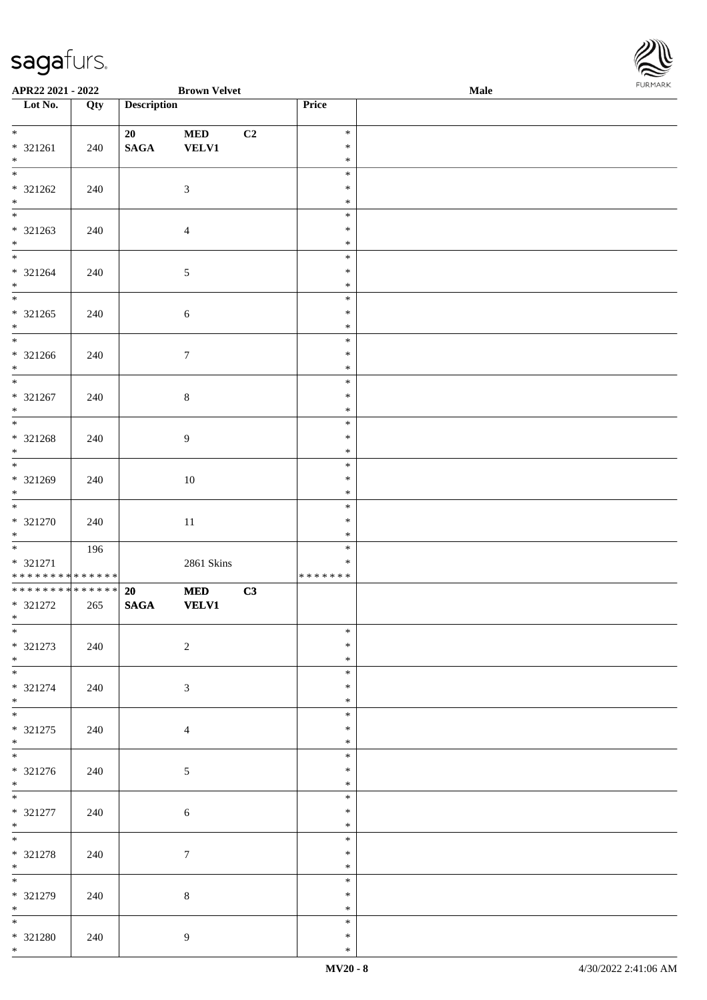

| APR22 2021 - 2022                                      |                   |                       | <b>Brown Velvet</b>        |                |                                      | <b>Male</b> |  |
|--------------------------------------------------------|-------------------|-----------------------|----------------------------|----------------|--------------------------------------|-------------|--|
| Lot No.                                                | $\overline{Q}$ ty | <b>Description</b>    |                            |                | Price                                |             |  |
| $*$<br>* 321261                                        | 240               | 20<br>$\mathbf{SAGA}$ | $\bf MED$<br><b>VELV1</b>  | C <sub>2</sub> | $\ast$<br>$\ast$                     |             |  |
| $*$<br>* 321262                                        | 240               |                       | $\mathfrak{Z}$             |                | $\ast$<br>$\ast$<br>$\ast$           |             |  |
| $*$<br>* 321263<br>$*$                                 | 240               |                       | $\overline{4}$             |                | $\ast$<br>$\ast$<br>$\ast$<br>$\ast$ |             |  |
| * 321264<br>$*$                                        | 240               |                       | $\sqrt{5}$                 |                | $\ast$<br>$\ast$<br>$\ast$           |             |  |
| $* 321265$<br>$*$                                      | 240               |                       | $\sqrt{6}$                 |                | $\ast$<br>$\ast$<br>$\ast$           |             |  |
| $\overline{\phantom{0}}$<br>* 321266<br>$*$            | 240               |                       | $\tau$                     |                | $\ast$<br>$\ast$<br>$\ast$           |             |  |
| $*$<br>* 321267<br>$*$                                 | 240               |                       | $8\,$                      |                | $\ast$<br>$\ast$<br>$\ast$           |             |  |
| * 321268<br>$*$                                        | 240               |                       | 9                          |                | $\ast$<br>$\ast$<br>$\ast$           |             |  |
| * 321269<br>$*$                                        | 240               |                       | $10\,$                     |                | $\ast$<br>$\ast$<br>$\ast$           |             |  |
| * 321270<br>$*$                                        | 240               |                       | $11\,$                     |                | $\ast$<br>$\ast$<br>$\ast$           |             |  |
| * 321271<br>* * * * * * * * <mark>* * * * * * *</mark> | 196               |                       | 2861 Skins                 |                | $\ast$<br>$\ast$<br>*******          |             |  |
| ******** <mark>******</mark><br>* 321272<br>$*$ $-$    | 265               | 20<br><b>SAGA</b>     | <b>MED</b><br><b>VELV1</b> | C3             |                                      |             |  |
| $*$<br>$* 321273$<br>$*$                               | 240               |                       | $\overline{2}$             |                | $\ast$<br>$\ast$<br>$\ast$           |             |  |
| $*$<br>* 321274<br>$*$                                 | 240               |                       | 3                          |                | $\ast$<br>$\ast$<br>$\ast$           |             |  |
| * 321275<br>$*$                                        | 240               |                       | $\overline{4}$             |                | $\ast$<br>$\ast$<br>$\ast$           |             |  |
| * 321276<br>$*$                                        | 240               |                       | 5                          |                | $\ast$<br>$\ast$<br>$\ast$           |             |  |
| $* 321277$<br>$*$<br>$*$                               | 240               |                       | $\sqrt{6}$                 |                | $\ast$<br>$\ast$<br>$\ast$<br>$\ast$ |             |  |
| * 321278<br>$*$<br>$*$                                 | 240               |                       | $\tau$                     |                | $\ast$<br>$\ast$<br>$\ast$           |             |  |
| * 321279<br>$*$<br>$*$                                 | 240               |                       | $\,8\,$                    |                | $\ast$<br>$\ast$<br>$\ast$           |             |  |
| * 321280<br>$*$                                        | 240               |                       | $\overline{9}$             |                | $\ast$<br>$\ast$                     |             |  |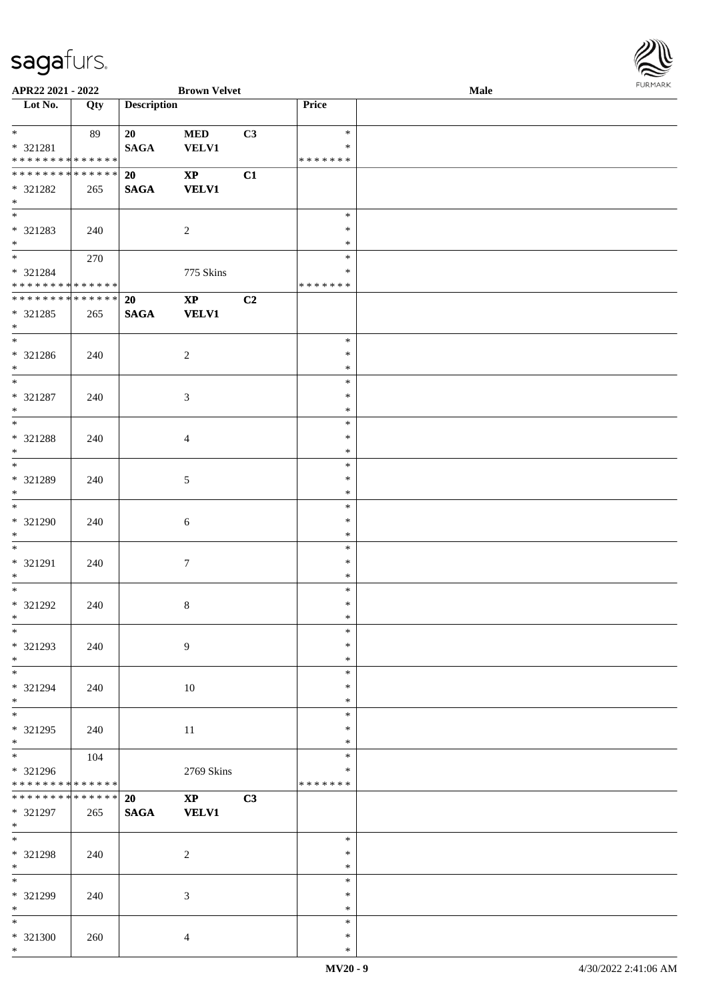

| APR22 2021 - 2022                  |     |                    | <b>Brown Velvet</b>    |    |               | Male |
|------------------------------------|-----|--------------------|------------------------|----|---------------|------|
| Lot No.                            | Qty | <b>Description</b> |                        |    | Price         |      |
|                                    |     |                    |                        |    |               |      |
| $*$                                | 89  | 20                 | <b>MED</b>             | C3 | $\ast$        |      |
| * 321281                           |     | <b>SAGA</b>        | <b>VELV1</b>           |    | $\ast$        |      |
| * * * * * * * * * * * * * *        |     |                    |                        |    |               |      |
|                                    |     |                    |                        |    | * * * * * * * |      |
| * * * * * * * * * * * * * * *      |     | 20                 | $\mathbf{XP}$          | C1 |               |      |
| * 321282                           | 265 | <b>SAGA</b>        | <b>VELV1</b>           |    |               |      |
| $*$                                |     |                    |                        |    |               |      |
|                                    |     |                    |                        |    | $\ast$        |      |
|                                    |     |                    |                        |    | $\ast$        |      |
| * 321283                           | 240 |                    | 2                      |    |               |      |
| $*$                                |     |                    |                        |    | $\ast$        |      |
|                                    | 270 |                    |                        |    | $\ast$        |      |
| * 321284                           |     |                    | 775 Skins              |    | $\ast$        |      |
| * * * * * * * * * * * * * * *      |     |                    |                        |    | *******       |      |
| __<br>******** <mark>******</mark> |     | 20                 | $\mathbf{XP}$          | C2 |               |      |
|                                    |     |                    |                        |    |               |      |
| * 321285                           | 265 | <b>SAGA</b>        | <b>VELV1</b>           |    |               |      |
| $*$                                |     |                    |                        |    |               |      |
|                                    |     |                    |                        |    | $\ast$        |      |
| * 321286                           | 240 |                    | $\sqrt{2}$             |    | $\ast$        |      |
| $*$                                |     |                    |                        |    | $\ast$        |      |
| $\overline{\phantom{0}}$           |     |                    |                        |    | $\ast$        |      |
|                                    |     |                    |                        |    | $\ast$        |      |
| $* 321287$                         | 240 |                    | 3                      |    |               |      |
| $*$                                |     |                    |                        |    | $\ast$        |      |
|                                    |     |                    |                        |    | $\ast$        |      |
| * 321288                           | 240 |                    | $\overline{4}$         |    | $\ast$        |      |
| $*$                                |     |                    |                        |    | $\ast$        |      |
|                                    |     |                    |                        |    | $\ast$        |      |
|                                    |     |                    |                        |    |               |      |
| * 321289                           | 240 |                    | $\mathfrak{S}$         |    | $\ast$        |      |
| $*$                                |     |                    |                        |    | $\ast$        |      |
|                                    |     |                    |                        |    | $\ast$        |      |
| * 321290                           | 240 |                    | 6                      |    | $\ast$        |      |
| $*$                                |     |                    |                        |    | $\ast$        |      |
| $*$                                |     |                    |                        |    | $\ast$        |      |
|                                    |     |                    |                        |    |               |      |
| * 321291                           | 240 |                    | $\boldsymbol{7}$       |    | $\ast$        |      |
| $*$                                |     |                    |                        |    | $\ast$        |      |
| $*$                                |     |                    |                        |    | $\ast$        |      |
| * 321292                           | 240 |                    | $8\,$                  |    | $\ast$        |      |
| $*$                                |     |                    |                        |    | $\ast$        |      |
| $*$                                |     |                    |                        |    | $\ast$        |      |
|                                    |     |                    |                        |    | $\ast$        |      |
| * 321293                           | 240 |                    | 9                      |    |               |      |
| $*$                                |     |                    |                        |    | $\ast$        |      |
| $*$                                |     |                    |                        |    | $\ast$        |      |
| * 321294                           | 240 |                    | 10                     |    | $\ast$        |      |
| $*$                                |     |                    |                        |    | $\ast$        |      |
| $*$                                |     |                    |                        |    | $\ast$        |      |
|                                    |     |                    |                        |    | $\ast$        |      |
| * 321295                           | 240 |                    | 11                     |    |               |      |
| $*$                                |     |                    |                        |    | $\ast$        |      |
| $\overline{\ast}$                  | 104 |                    |                        |    | $\ast$        |      |
| * 321296                           |     |                    | 2769 Skins             |    | ∗             |      |
| * * * * * * * * * * * * * *        |     |                    |                        |    | *******       |      |
| * * * * * * * * * * * * * * *      |     | 20                 | $\mathbf{X}\mathbf{P}$ | C3 |               |      |
| * 321297                           | 265 | $\mathbf{SAGA}$    | <b>VELV1</b>           |    |               |      |
|                                    |     |                    |                        |    |               |      |
| $*$                                |     |                    |                        |    |               |      |
| $*$                                |     |                    |                        |    | $\ast$        |      |
| * 321298                           | 240 |                    | $\overline{c}$         |    | $\ast$        |      |
| $*$                                |     |                    |                        |    | $\ast$        |      |
| $\ast$                             |     |                    |                        |    | $\ast$        |      |
| * 321299                           | 240 |                    | 3                      |    | $\ast$        |      |
| $*$                                |     |                    |                        |    | $\ast$        |      |
|                                    |     |                    |                        |    |               |      |
| $*$                                |     |                    |                        |    | $\ast$        |      |
| * 321300                           | 260 |                    | $\overline{4}$         |    | $\ast$        |      |
| $*$                                |     |                    |                        |    | $\ast$        |      |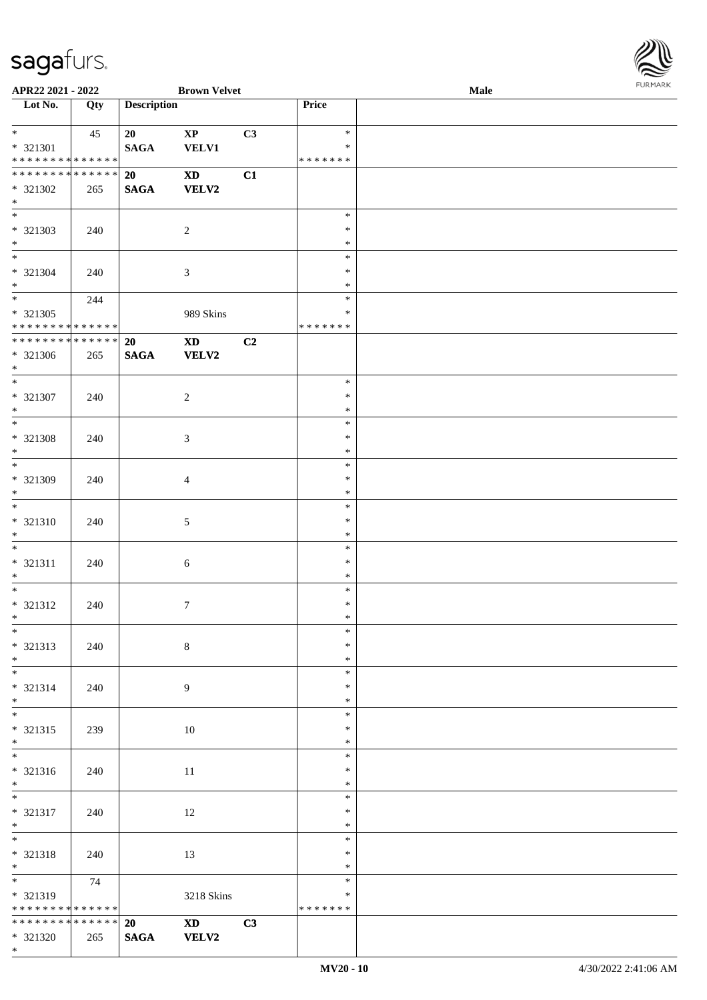\*



| APR22 2021 - 2022                                            |             |                    | <b>Brown Velvet</b>                                                                                                                                                                                                            |    |                  | <b>Male</b> |  |
|--------------------------------------------------------------|-------------|--------------------|--------------------------------------------------------------------------------------------------------------------------------------------------------------------------------------------------------------------------------|----|------------------|-------------|--|
| Lot No.                                                      | Qty         | <b>Description</b> |                                                                                                                                                                                                                                |    | Price            |             |  |
|                                                              |             |                    |                                                                                                                                                                                                                                |    |                  |             |  |
| $*$                                                          | 45          | 20                 | $\bold{XP}$                                                                                                                                                                                                                    | C3 | $\ast$           |             |  |
| * 321301                                                     |             | <b>SAGA</b>        | <b>VELV1</b>                                                                                                                                                                                                                   |    | $\ast$           |             |  |
| * * * * * * * * * * * * * *<br>* * * * * * * * * * * * * * * |             |                    |                                                                                                                                                                                                                                |    | * * * * * * *    |             |  |
|                                                              |             | 20                 | $\mathbf{X}\mathbf{D}$                                                                                                                                                                                                         | C1 |                  |             |  |
| * 321302<br>$*$                                              | 265         | <b>SAGA</b>        | VELV2                                                                                                                                                                                                                          |    |                  |             |  |
|                                                              |             |                    |                                                                                                                                                                                                                                |    | $\ast$           |             |  |
| * 321303                                                     | 240         |                    | $\overline{c}$                                                                                                                                                                                                                 |    | $\ast$           |             |  |
| $*$                                                          |             |                    |                                                                                                                                                                                                                                |    | $\ast$           |             |  |
|                                                              |             |                    |                                                                                                                                                                                                                                |    | $\ast$           |             |  |
| $* 321304$                                                   | 240         |                    | 3                                                                                                                                                                                                                              |    | $\ast$           |             |  |
| $*$                                                          |             |                    |                                                                                                                                                                                                                                |    | $\ast$           |             |  |
| $\overline{\ast}$                                            | 244         |                    |                                                                                                                                                                                                                                |    | $\ast$           |             |  |
| * 321305                                                     |             |                    | 989 Skins                                                                                                                                                                                                                      |    | $\ast$           |             |  |
| * * * * * * * * * * * * * *                                  |             |                    |                                                                                                                                                                                                                                |    | * * * * * * *    |             |  |
| * * * * * * * * * * * * * *                                  |             | 20                 | $\mathbf{X}\mathbf{D}$                                                                                                                                                                                                         | C2 |                  |             |  |
| $* 321306$                                                   | 265         | <b>SAGA</b>        | <b>VELV2</b>                                                                                                                                                                                                                   |    |                  |             |  |
| $*$                                                          |             |                    |                                                                                                                                                                                                                                |    |                  |             |  |
| $\overline{\phantom{0}}$                                     |             |                    |                                                                                                                                                                                                                                |    | $\ast$           |             |  |
| $* 321307$                                                   | 240         |                    | $\overline{c}$                                                                                                                                                                                                                 |    | $\ast$           |             |  |
| $*$                                                          |             |                    |                                                                                                                                                                                                                                |    | $\ast$<br>$\ast$ |             |  |
|                                                              |             |                    |                                                                                                                                                                                                                                |    | $\ast$           |             |  |
| * 321308<br>$*$                                              | 240         |                    | 3                                                                                                                                                                                                                              |    | $\ast$           |             |  |
|                                                              |             |                    |                                                                                                                                                                                                                                |    | $\ast$           |             |  |
| * 321309                                                     | 240         |                    | $\overline{4}$                                                                                                                                                                                                                 |    | $\ast$           |             |  |
| $*$                                                          |             |                    |                                                                                                                                                                                                                                |    | $\ast$           |             |  |
|                                                              |             |                    |                                                                                                                                                                                                                                |    | $\ast$           |             |  |
| $* 321310$                                                   | 240         |                    | 5                                                                                                                                                                                                                              |    | $\ast$           |             |  |
| $*$                                                          |             |                    |                                                                                                                                                                                                                                |    | $\ast$           |             |  |
| $*$                                                          |             |                    |                                                                                                                                                                                                                                |    | $\ast$           |             |  |
| * 321311                                                     | 240         |                    | 6                                                                                                                                                                                                                              |    | $\ast$           |             |  |
| $*$                                                          |             |                    |                                                                                                                                                                                                                                |    | $\ast$           |             |  |
| $*$                                                          |             |                    |                                                                                                                                                                                                                                |    | $\ast$           |             |  |
| * 321312                                                     | 240         |                    | $\tau$                                                                                                                                                                                                                         |    | $\ast$           |             |  |
| $*$                                                          |             |                    |                                                                                                                                                                                                                                |    | $\ast$           |             |  |
| $*$                                                          |             |                    |                                                                                                                                                                                                                                |    | $\ast$<br>$\ast$ |             |  |
| * 321313<br>$*$                                              | 240         |                    | 8                                                                                                                                                                                                                              |    | $\ast$           |             |  |
| $*$                                                          |             |                    |                                                                                                                                                                                                                                |    | $\ast$           |             |  |
| * 321314                                                     | 240         |                    | 9                                                                                                                                                                                                                              |    | $\ast$           |             |  |
| $*$                                                          |             |                    |                                                                                                                                                                                                                                |    | $\ast$           |             |  |
|                                                              |             |                    |                                                                                                                                                                                                                                |    | $\ast$           |             |  |
| * 321315                                                     | 239         |                    | 10                                                                                                                                                                                                                             |    | $\ast$           |             |  |
| $*$                                                          |             |                    |                                                                                                                                                                                                                                |    | $\ast$           |             |  |
| $\overline{\ast}$                                            |             |                    |                                                                                                                                                                                                                                |    | $\ast$           |             |  |
| $* 321316$                                                   | 240         |                    | 11                                                                                                                                                                                                                             |    | ∗                |             |  |
| $*$                                                          |             |                    |                                                                                                                                                                                                                                |    | $\ast$           |             |  |
| $*$                                                          |             |                    |                                                                                                                                                                                                                                |    | $\ast$           |             |  |
| * 321317                                                     | 240         |                    | 12                                                                                                                                                                                                                             |    | $\ast$           |             |  |
| $*$                                                          |             |                    |                                                                                                                                                                                                                                |    | $\ast$           |             |  |
| $*$                                                          |             |                    |                                                                                                                                                                                                                                |    | $\ast$<br>$\ast$ |             |  |
| * 321318<br>$*$                                              | 240         |                    | 13                                                                                                                                                                                                                             |    | $\ast$           |             |  |
|                                                              | 74          |                    |                                                                                                                                                                                                                                |    | $\ast$           |             |  |
| * 321319                                                     |             |                    | 3218 Skins                                                                                                                                                                                                                     |    | ∗                |             |  |
| * * * * * * * *                                              | * * * * * * |                    |                                                                                                                                                                                                                                |    | * * * * * * *    |             |  |
| * * * * * * * * * * * * * * *                                |             | 20                 | XD and the set of the set of the set of the set of the set of the set of the set of the set of the set of the set of the set of the set of the set of the set of the set of the set of the set of the set of the set of the se | C3 |                  |             |  |
| * 321320                                                     | 265         | <b>SAGA</b>        | VELV2                                                                                                                                                                                                                          |    |                  |             |  |
|                                                              |             |                    |                                                                                                                                                                                                                                |    |                  |             |  |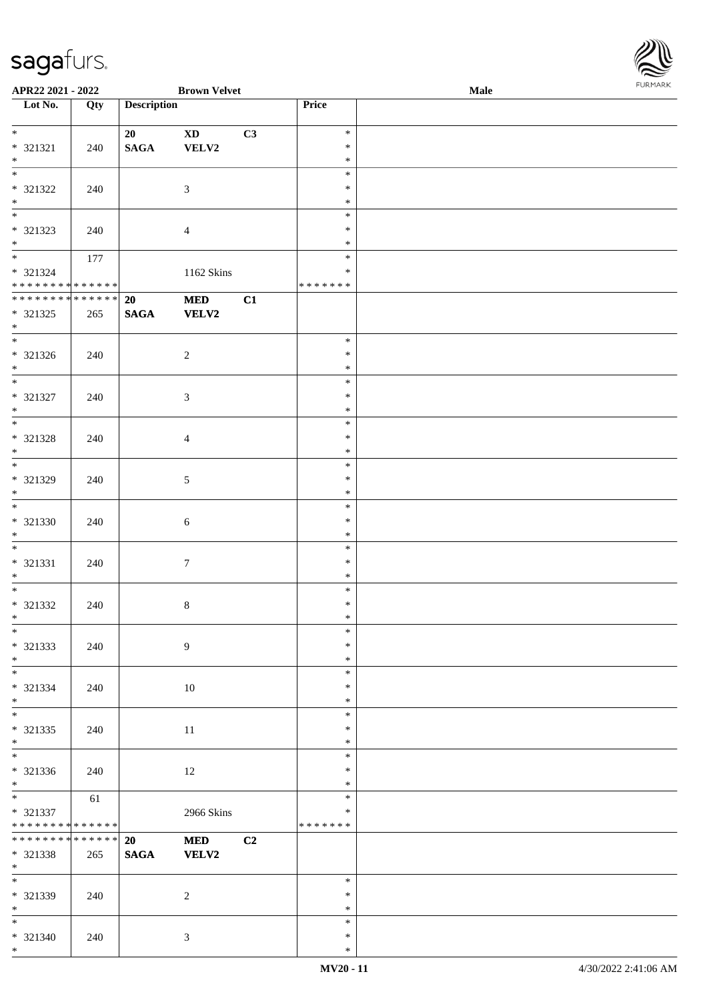\*

| APR22 2021 - 2022                |     |                    | <b>Brown Velvet</b>    |    |                  | Male | <b>I</b> OIN IMP |
|----------------------------------|-----|--------------------|------------------------|----|------------------|------|------------------|
| $\overline{\phantom{1}}$ Lot No. | Qty | <b>Description</b> |                        |    | Price            |      |                  |
|                                  |     |                    |                        |    |                  |      |                  |
|                                  |     | 20                 | $\mathbf{X}\mathbf{D}$ | C3 | $\ast$           |      |                  |
| * 321321<br>$*$                  | 240 | $\mathbf{SAGA}$    | ${\bf VELV2}$          |    | $\ast$<br>$\ast$ |      |                  |
| $\overline{\phantom{0}}$         |     |                    |                        |    | $\ast$           |      |                  |
| $* 321322$                       |     |                    |                        |    | $\ast$           |      |                  |
| $*$                              | 240 |                    | $\mathfrak{Z}$         |    | $\ast$           |      |                  |
|                                  |     |                    |                        |    | $\ast$           |      |                  |
| * 321323                         | 240 |                    | $\overline{4}$         |    | $\ast$           |      |                  |
| $*$                              |     |                    |                        |    | $\ast$           |      |                  |
| $*$                              | 177 |                    |                        |    | $\ast$           |      |                  |
| $* 321324$                       |     |                    | 1162 Skins             |    | $\ast$           |      |                  |
| * * * * * * * * * * * * * * *    |     |                    |                        |    | * * * * * * *    |      |                  |
| * * * * * * * * * * * * * *      |     | 20                 | <b>MED</b>             | C1 |                  |      |                  |
| * 321325                         | 265 | $\mathbf{SAGA}$    | <b>VELV2</b>           |    |                  |      |                  |
| $*$                              |     |                    |                        |    |                  |      |                  |
|                                  |     |                    |                        |    | $\ast$           |      |                  |
| * 321326                         | 240 |                    | $\sqrt{2}$             |    | $\ast$           |      |                  |
| $*$                              |     |                    |                        |    | $\ast$           |      |                  |
|                                  |     |                    |                        |    | $\ast$           |      |                  |
| $* 321327$                       | 240 |                    | $\mathfrak{Z}$         |    | $\ast$           |      |                  |
| $*$                              |     |                    |                        |    | $\ast$           |      |                  |
| $\overline{\phantom{0}}$         |     |                    |                        |    | $\ast$           |      |                  |
| $* 321328$                       | 240 |                    | $\overline{4}$         |    | $\ast$           |      |                  |
| $*$<br>$\overline{\mathbf{r}}$   |     |                    |                        |    | $\ast$           |      |                  |
|                                  |     |                    |                        |    | $\ast$           |      |                  |
| * 321329<br>$*$                  | 240 |                    | $5\,$                  |    | $\ast$<br>$\ast$ |      |                  |
|                                  |     |                    |                        |    | $\ast$           |      |                  |
| $* 321330$                       |     |                    |                        |    | $\ast$           |      |                  |
| $*$                              | 240 |                    | 6                      |    | $\ast$           |      |                  |
|                                  |     |                    |                        |    | $\ast$           |      |                  |
| $* 321331$                       | 240 |                    | $\boldsymbol{7}$       |    | $\ast$           |      |                  |
| $*$                              |     |                    |                        |    | $\ast$           |      |                  |
| $*$                              |     |                    |                        |    | $\ast$           |      |                  |
| * 321332                         | 240 |                    | $8\,$                  |    | $\ast$           |      |                  |
| $*$ $-$                          |     |                    |                        |    | $\ast$           |      |                  |
| $*$                              |     |                    |                        |    | $\ast$           |      |                  |
| * 321333                         | 240 |                    | 9                      |    | $\ast$           |      |                  |
| $*$                              |     |                    |                        |    | $\ast$           |      |                  |
| $\overline{\phantom{0}}$         |     |                    |                        |    | $\ast$           |      |                  |
| * 321334                         | 240 |                    | 10                     |    | $\ast$           |      |                  |
| $*$                              |     |                    |                        |    | $\ast$           |      |                  |
| $*$                              |     |                    |                        |    | $\ast$           |      |                  |
| $* 321335$                       | 240 |                    | 11                     |    | $\ast$           |      |                  |
| $*$                              |     |                    |                        |    | $\ast$           |      |                  |
| $*$                              |     |                    |                        |    | $\ast$           |      |                  |
| * 321336                         | 240 |                    | 12                     |    | $\ast$           |      |                  |
| $*$<br>$\overline{\ast}$         |     |                    |                        |    | $\ast$<br>$\ast$ |      |                  |
| $* 321337$                       | 61  |                    |                        |    | ∗                |      |                  |
| * * * * * * * * * * * * * * *    |     |                    | 2966 Skins             |    | * * * * * * *    |      |                  |
| * * * * * * * * * * * * * * *    |     | 20                 | <b>MED</b>             | C2 |                  |      |                  |
| * 321338                         | 265 | <b>SAGA</b>        | VELV2                  |    |                  |      |                  |
| $*$                              |     |                    |                        |    |                  |      |                  |
| $*$                              |     |                    |                        |    | $\ast$           |      |                  |
| * 321339                         | 240 |                    | $\sqrt{2}$             |    | $\ast$           |      |                  |
| $*$ $*$                          |     |                    |                        |    | $\ast$           |      |                  |
| $*$                              |     |                    |                        |    | $\ast$           |      |                  |
| * 321340                         | 240 |                    | $\mathfrak{Z}$         |    | $\ast$           |      |                  |

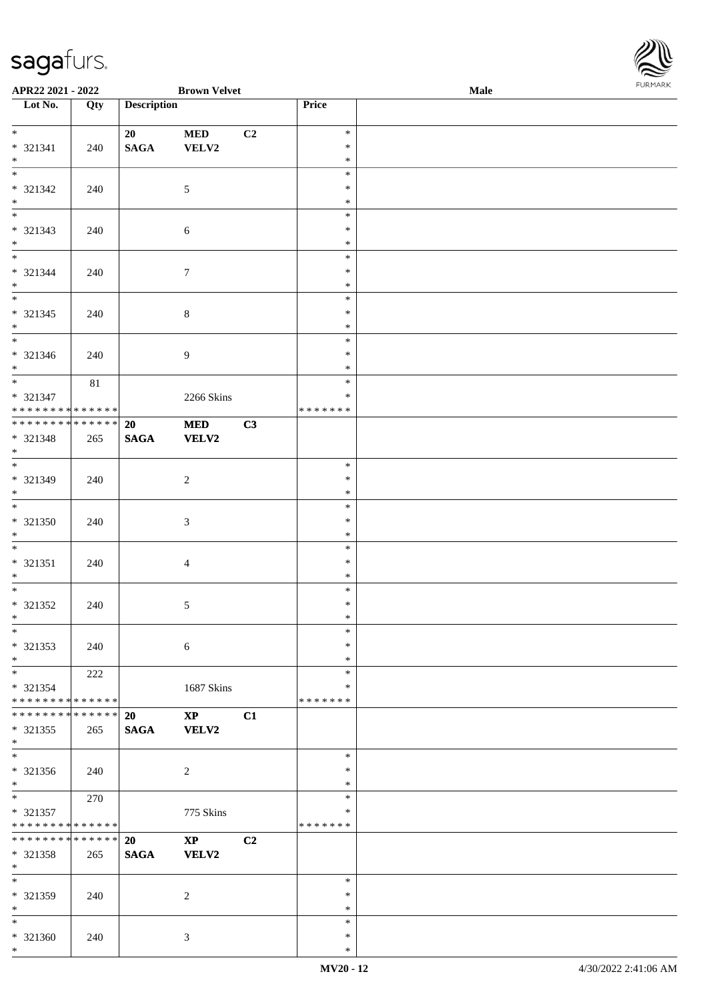

| APR22 2021 - 2022                                    |     |                    | <b>Brown Velvet</b>    |    |                  | Male | <b>I ORI IMPORT</b> |
|------------------------------------------------------|-----|--------------------|------------------------|----|------------------|------|---------------------|
| Lot No.                                              | Qty | <b>Description</b> |                        |    | Price            |      |                     |
| $*$                                                  |     |                    |                        |    |                  |      |                     |
|                                                      |     | 20                 | <b>MED</b>             | C2 | $\ast$<br>$\ast$ |      |                     |
| * 321341<br>$*$                                      | 240 | <b>SAGA</b>        | VELV2                  |    | $\ast$           |      |                     |
|                                                      |     |                    |                        |    | $\ast$           |      |                     |
| * 321342                                             | 240 |                    | $\mathfrak{S}$         |    | $\ast$           |      |                     |
| $*$                                                  |     |                    |                        |    | $\ast$           |      |                     |
|                                                      |     |                    |                        |    | $\ast$           |      |                     |
| * 321343                                             | 240 |                    | 6                      |    | $\ast$           |      |                     |
| $*$                                                  |     |                    |                        |    | $\ast$           |      |                     |
| $*$                                                  |     |                    |                        |    | $\ast$           |      |                     |
| * 321344                                             | 240 |                    | $7\phantom{.0}$        |    | $\ast$           |      |                     |
| $*$                                                  |     |                    |                        |    | $\ast$           |      |                     |
|                                                      |     |                    |                        |    | $\ast$           |      |                     |
| * 321345                                             | 240 |                    | $\,8\,$                |    | $\ast$           |      |                     |
| $*$                                                  |     |                    |                        |    | $\ast$<br>$\ast$ |      |                     |
| * 321346                                             | 240 |                    | $\overline{9}$         |    | $\ast$           |      |                     |
| $*$                                                  |     |                    |                        |    | $\ast$           |      |                     |
| $*$                                                  | 81  |                    |                        |    | $\ast$           |      |                     |
| * 321347                                             |     |                    | 2266 Skins             |    | $\ast$           |      |                     |
| * * * * * * * * <mark>* * * * * *</mark> *           |     |                    |                        |    | *******          |      |                     |
| ******** <mark>******</mark>                         |     | 20                 | <b>MED</b>             | C3 |                  |      |                     |
| * 321348                                             | 265 | <b>SAGA</b>        | VELV2                  |    |                  |      |                     |
| $*$                                                  |     |                    |                        |    |                  |      |                     |
|                                                      |     |                    |                        |    | $\ast$           |      |                     |
| * 321349<br>$*$                                      | 240 |                    | $\overline{2}$         |    | $\ast$           |      |                     |
|                                                      |     |                    |                        |    | $\ast$<br>$\ast$ |      |                     |
| * 321350                                             | 240 |                    | $\mathfrak{Z}$         |    | $\ast$           |      |                     |
| $*$                                                  |     |                    |                        |    | $\ast$           |      |                     |
| $\overline{\phantom{0}}$                             |     |                    |                        |    | $\ast$           |      |                     |
| * 321351                                             | 240 |                    | $\overline{4}$         |    | $\ast$           |      |                     |
| $*$                                                  |     |                    |                        |    | $\ast$           |      |                     |
| $*$                                                  |     |                    |                        |    | $\ast$           |      |                     |
| * 321352                                             | 240 |                    | $\mathfrak{S}$         |    | $\ast$           |      |                     |
| $*$ $-$                                              |     |                    |                        |    | $\ast$           |      |                     |
| $*$                                                  |     |                    |                        |    | $\ast$           |      |                     |
| * 321353                                             | 240 |                    | 6                      |    | $\ast$           |      |                     |
| $*$<br>$*$ $\qquad$                                  | 222 |                    |                        |    | $\ast$<br>$\ast$ |      |                     |
| * 321354                                             |     |                    | 1687 Skins             |    | ∗                |      |                     |
| * * * * * * * * * * * * * * <mark>*</mark>           |     |                    |                        |    | * * * * * * *    |      |                     |
| * * * * * * * * * * * * * *                          |     | <b>20</b>          | $\mathbf{X}\mathbf{P}$ | C1 |                  |      |                     |
| $* 321355$                                           | 265 | <b>SAGA</b>        | <b>VELV2</b>           |    |                  |      |                     |
| $*$                                                  |     |                    |                        |    |                  |      |                     |
| $*$                                                  |     |                    |                        |    | $\ast$           |      |                     |
| $* 321356$                                           | 240 |                    | 2                      |    | $\ast$           |      |                     |
| $*$                                                  |     |                    |                        |    | $\ast$<br>$\ast$ |      |                     |
|                                                      | 270 |                    |                        |    | ∗                |      |                     |
| * 321357<br>* * * * * * * * <mark>* * * * * *</mark> |     |                    | 775 Skins              |    | *******          |      |                     |
| * * * * * * * * * * * * * * <mark>*</mark>           |     | <b>20</b>          | $\mathbf{XP}$          | C2 |                  |      |                     |
| * 321358                                             | 265 | <b>SAGA</b>        | <b>VELV2</b>           |    |                  |      |                     |
| $*$                                                  |     |                    |                        |    |                  |      |                     |
| $*$ $-$                                              |     |                    |                        |    | $\ast$           |      |                     |
| * 321359                                             | 240 |                    | 2                      |    | $\ast$           |      |                     |
| $*$                                                  |     |                    |                        |    | $\ast$           |      |                     |
| $*$                                                  |     |                    |                        |    | $\ast$           |      |                     |
| * 321360                                             | 240 |                    | 3                      |    | $\ast$           |      |                     |
| $*$                                                  |     |                    |                        |    | $\ast$           |      |                     |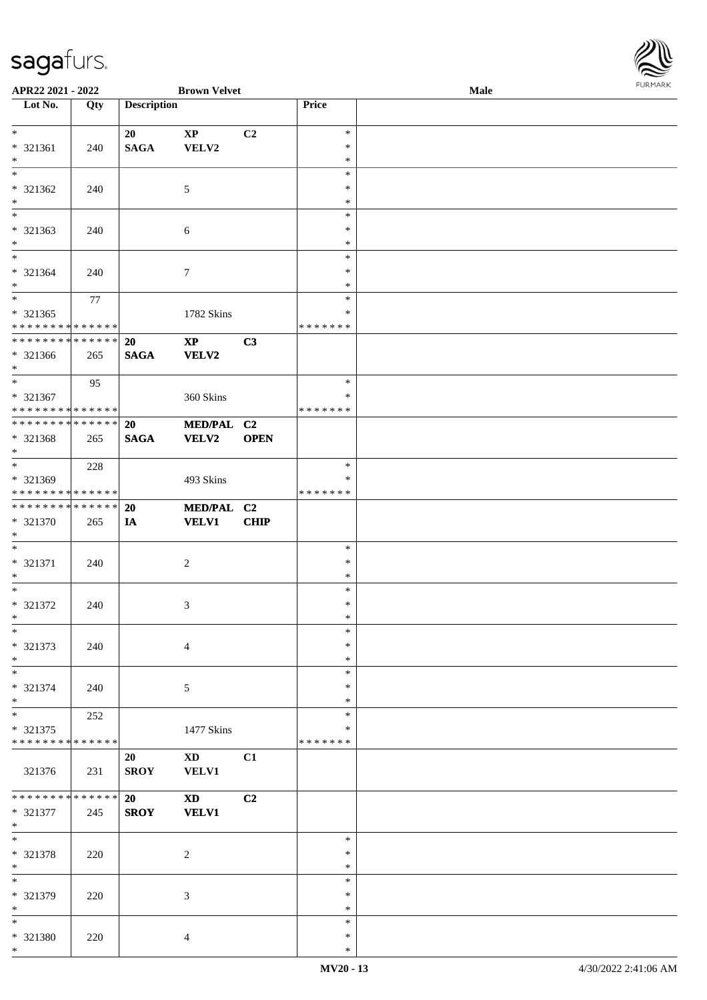

| APR22 2021 - 2022                          |             |                    | <b>Brown Velvet</b>         |                |               | Male | $1 \cup 1$ , $1 \cup 1$ |
|--------------------------------------------|-------------|--------------------|-----------------------------|----------------|---------------|------|-------------------------|
| $\overline{\phantom{1}}$ Lot No.           | Qty         | <b>Description</b> |                             |                | Price         |      |                         |
|                                            |             |                    |                             |                |               |      |                         |
| $*$                                        |             | 20                 | $\bold{XP}$                 | C2             | $\ast$        |      |                         |
| * 321361                                   | 240         | <b>SAGA</b>        | VELV2                       |                | $\ast$        |      |                         |
| $\ast$                                     |             |                    |                             |                | $\ast$        |      |                         |
|                                            |             |                    |                             |                | $\ast$        |      |                         |
| * 321362                                   | 240         |                    | 5                           |                | $\ast$        |      |                         |
| $\ast$                                     |             |                    |                             |                | $\ast$        |      |                         |
| $*$                                        |             |                    |                             |                | $\ast$        |      |                         |
| * 321363                                   | 240         |                    | $\sqrt{6}$                  |                | $\ast$        |      |                         |
| $*$                                        |             |                    |                             |                | $\ast$        |      |                         |
|                                            |             |                    |                             |                | $\ast$        |      |                         |
| * 321364                                   | 240         |                    | $\tau$                      |                | $\ast$        |      |                         |
| $\ast$                                     |             |                    |                             |                | $\ast$        |      |                         |
| $\overline{\phantom{0}}$                   | 77          |                    |                             |                | $\ast$        |      |                         |
| * 321365                                   |             |                    | 1782 Skins                  |                | ∗             |      |                         |
| * * * * * * * * * * * * * *                |             |                    |                             |                | * * * * * * * |      |                         |
| * * * * * * * * <mark>* * * * * * *</mark> |             | 20                 | $\mathbf{XP}$               | C3             |               |      |                         |
| * 321366                                   | 265         | <b>SAGA</b>        | <b>VELV2</b>                |                |               |      |                         |
| $*$                                        |             |                    |                             |                |               |      |                         |
|                                            | 95          |                    |                             |                | $\ast$        |      |                         |
| * 321367                                   |             |                    | 360 Skins                   |                | $\ast$        |      |                         |
| * * * * * * * * * * * * * * *              |             |                    |                             |                | * * * * * * * |      |                         |
| * * * * * * * * <mark>* * * * * * *</mark> |             | 20                 | MED/PAL C2                  |                |               |      |                         |
| * 321368                                   | 265         | <b>SAGA</b>        | <b>VELV2</b>                | <b>OPEN</b>    |               |      |                         |
| $*$                                        |             |                    |                             |                |               |      |                         |
| $*$                                        | 228         |                    |                             |                | $\ast$        |      |                         |
| * 321369                                   |             |                    | 493 Skins                   |                | ∗             |      |                         |
| * * * * * * * * * * * * * * *              |             |                    |                             |                | * * * * * * * |      |                         |
| * * * * * * * * * * * * * * *              |             | 20                 | MED/PAL C2                  |                |               |      |                         |
| * 321370                                   | 265         | IA                 | <b>VELV1</b>                | <b>CHIP</b>    |               |      |                         |
| $*$                                        |             |                    |                             |                |               |      |                         |
| $\overline{\phantom{0}}$                   |             |                    |                             |                | $\ast$        |      |                         |
| * 321371                                   | 240         |                    | $\overline{c}$              |                | $\ast$        |      |                         |
| $*$                                        |             |                    |                             |                | $\ast$        |      |                         |
| $*$                                        |             |                    |                             |                | $\ast$        |      |                         |
| * 321372                                   | 240         |                    | $\ensuremath{\mathfrak{Z}}$ |                | $\ast$        |      |                         |
| $*$                                        |             |                    |                             |                | $\ast$        |      |                         |
| $*$                                        |             |                    |                             |                | $\ast$        |      |                         |
| * 321373                                   | 240         |                    | $\overline{4}$              |                | $\ast$        |      |                         |
| $*$                                        |             |                    |                             |                | $\ast$        |      |                         |
| $*$                                        |             |                    |                             |                | $\ast$        |      |                         |
| * 321374                                   | 240         |                    | 5                           |                | $\ast$        |      |                         |
| $*$                                        |             |                    |                             |                | $\ast$        |      |                         |
| $*$                                        | 252         |                    |                             |                | $\ast$        |      |                         |
| * 321375                                   |             |                    | 1477 Skins                  |                | ∗             |      |                         |
| * * * * * * * * * * * * * * *              |             |                    |                             |                | *******       |      |                         |
|                                            |             | 20                 | XD                          | C1             |               |      |                         |
| 321376                                     | 231         | <b>SROY</b>        | <b>VELV1</b>                |                |               |      |                         |
|                                            |             |                    |                             |                |               |      |                         |
| * * * * * * * *                            | * * * * * * | 20                 | <b>XD</b>                   | C <sub>2</sub> |               |      |                         |
| * 321377                                   | 245         | <b>SROY</b>        | <b>VELV1</b>                |                |               |      |                         |
| $*$                                        |             |                    |                             |                |               |      |                         |
| $*$                                        |             |                    |                             |                | $\ast$        |      |                         |
| * 321378                                   | 220         |                    | 2                           |                | $\ast$        |      |                         |
| $*$                                        |             |                    |                             |                | $\ast$        |      |                         |
| $*$                                        |             |                    |                             |                | $\ast$        |      |                         |
| * 321379                                   | 220         |                    | 3                           |                | $\ast$        |      |                         |
| $*$                                        |             |                    |                             |                | $\ast$        |      |                         |
| $*$                                        |             |                    |                             |                | $\ast$        |      |                         |
| * 321380                                   | 220         |                    | $\overline{4}$              |                | $\ast$        |      |                         |
| $*$                                        |             |                    |                             |                | $\ast$        |      |                         |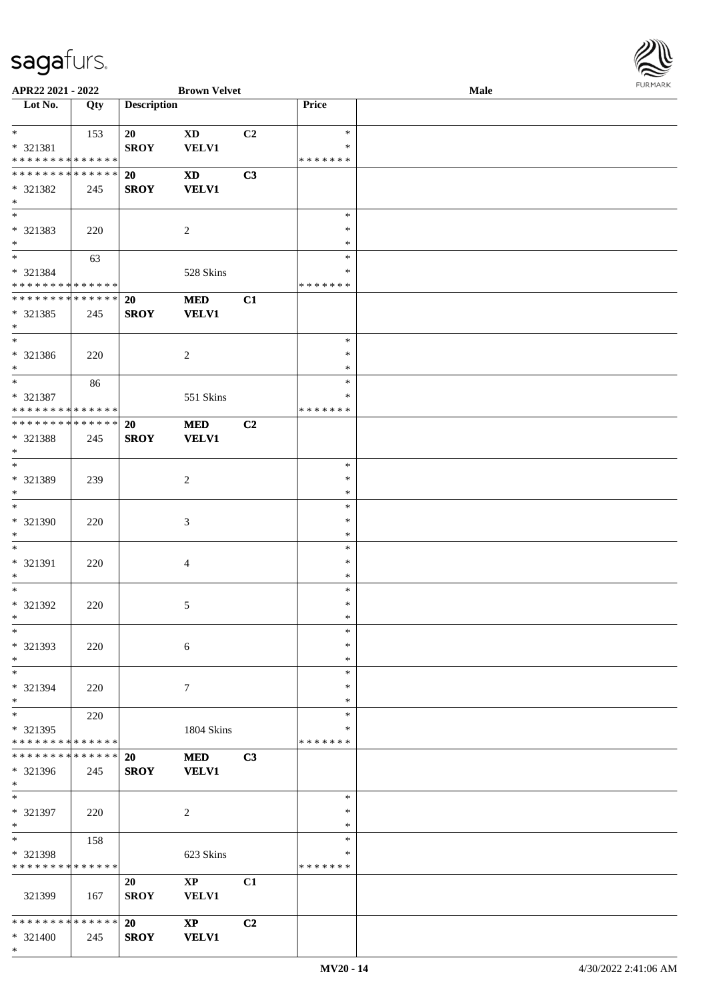

| APR22 2021 - 2022             |     |                    | <b>Brown Velvet</b>        |    |               | <b>Male</b> |  |
|-------------------------------|-----|--------------------|----------------------------|----|---------------|-------------|--|
| Lot No.                       | Qty | <b>Description</b> |                            |    | Price         |             |  |
|                               |     |                    |                            |    |               |             |  |
| $*$                           | 153 | 20                 | <b>XD</b>                  | C2 | $\ast$        |             |  |
| * 321381                      |     | <b>SROY</b>        | VELV1                      |    | ∗             |             |  |
| * * * * * * * * * * * * * *   |     |                    |                            |    | * * * * * * * |             |  |
| * * * * * * * * * * * * * * * |     | 20                 | <b>XD</b>                  | C3 |               |             |  |
|                               |     |                    |                            |    |               |             |  |
| * 321382                      | 245 | <b>SROY</b>        | <b>VELV1</b>               |    |               |             |  |
| $*$                           |     |                    |                            |    |               |             |  |
| $\overline{\phantom{0}}$      |     |                    |                            |    | $\ast$        |             |  |
| * 321383                      | 220 |                    | $\overline{c}$             |    | $\ast$        |             |  |
| $*$                           |     |                    |                            |    | *             |             |  |
| $*$                           | 63  |                    |                            |    | $\ast$        |             |  |
| * 321384                      |     |                    | 528 Skins                  |    | ∗             |             |  |
| * * * * * * * * * * * * * *   |     |                    |                            |    | * * * * * * * |             |  |
| * * * * * * * * * * * * * *   |     | 20                 | <b>MED</b>                 | C1 |               |             |  |
| * 321385                      | 245 | <b>SROY</b>        | <b>VELV1</b>               |    |               |             |  |
| $*$                           |     |                    |                            |    |               |             |  |
| $*$                           |     |                    |                            |    | $\ast$        |             |  |
|                               |     |                    |                            |    |               |             |  |
| * 321386                      | 220 |                    | 2                          |    | $\ast$        |             |  |
| $*$                           |     |                    |                            |    | *             |             |  |
| $*$                           | 86  |                    |                            |    | $\ast$        |             |  |
| $* 321387$                    |     |                    | 551 Skins                  |    | ∗             |             |  |
| * * * * * * * * * * * * * *   |     |                    |                            |    | * * * * * * * |             |  |
| * * * * * * * * * * * * * * * |     | 20                 | <b>MED</b>                 | C2 |               |             |  |
| * 321388                      | 245 | <b>SROY</b>        | <b>VELV1</b>               |    |               |             |  |
| $*$                           |     |                    |                            |    |               |             |  |
| $*$                           |     |                    |                            |    | $\ast$        |             |  |
| * 321389                      | 239 |                    | 2                          |    | $\ast$        |             |  |
| $*$                           |     |                    |                            |    | $\ast$        |             |  |
| $*$                           |     |                    |                            |    | $\ast$        |             |  |
|                               |     |                    |                            |    |               |             |  |
| * 321390                      | 220 |                    | $\mathfrak{Z}$             |    | $\ast$        |             |  |
| $*$                           |     |                    |                            |    | $\ast$        |             |  |
| $*$                           |     |                    |                            |    | $\ast$        |             |  |
| * 321391                      | 220 |                    | 4                          |    | $\ast$        |             |  |
| $*$                           |     |                    |                            |    | $\ast$        |             |  |
| $*$                           |     |                    |                            |    | $\ast$        |             |  |
| $* 321392$                    | 220 |                    | 5                          |    | $\ast$        |             |  |
| $*$                           |     |                    |                            |    | $*$           |             |  |
| $\ast$                        |     |                    |                            |    | $\ast$        |             |  |
| * 321393                      | 220 |                    | 6                          |    | ∗             |             |  |
| $*$                           |     |                    |                            |    | $\ast$        |             |  |
| $*$                           |     |                    |                            |    | $\ast$        |             |  |
| * 321394                      |     |                    |                            |    | ∗             |             |  |
|                               | 220 |                    | 7                          |    |               |             |  |
| $*$                           |     |                    |                            |    | $\ast$        |             |  |
| $*$                           | 220 |                    |                            |    | $\ast$        |             |  |
| * 321395                      |     |                    | 1804 Skins                 |    | *             |             |  |
| * * * * * * * * * * * * * *   |     |                    |                            |    | * * * * * * * |             |  |
| * * * * * * * * * * * * * * * |     | 20                 | <b>MED</b>                 | C3 |               |             |  |
| * 321396                      | 245 | <b>SROY</b>        | <b>VELV1</b>               |    |               |             |  |
| $*$                           |     |                    |                            |    |               |             |  |
| $*$                           |     |                    |                            |    | $\ast$        |             |  |
| * 321397                      | 220 |                    | $\overline{c}$             |    | $\ast$        |             |  |
| $*$                           |     |                    |                            |    | $\ast$        |             |  |
| $*$                           | 158 |                    |                            |    | $\ast$        |             |  |
| * 321398                      |     |                    | 623 Skins                  |    | $\ast$        |             |  |
| * * * * * * * * * * * * * *   |     |                    |                            |    | * * * * * * * |             |  |
|                               |     |                    |                            |    |               |             |  |
|                               |     | 20                 | $\mathbf{X}\mathbf{P}$     | C1 |               |             |  |
| 321399                        | 167 | <b>SROY</b>        | <b>VELV1</b>               |    |               |             |  |
|                               |     |                    |                            |    |               |             |  |
| * * * * * * * * * * * * * * * |     | 20                 | $\boldsymbol{\mathrm{XP}}$ | C2 |               |             |  |
| * 321400                      | 245 | <b>SROY</b>        | <b>VELV1</b>               |    |               |             |  |
| $\ast$                        |     |                    |                            |    |               |             |  |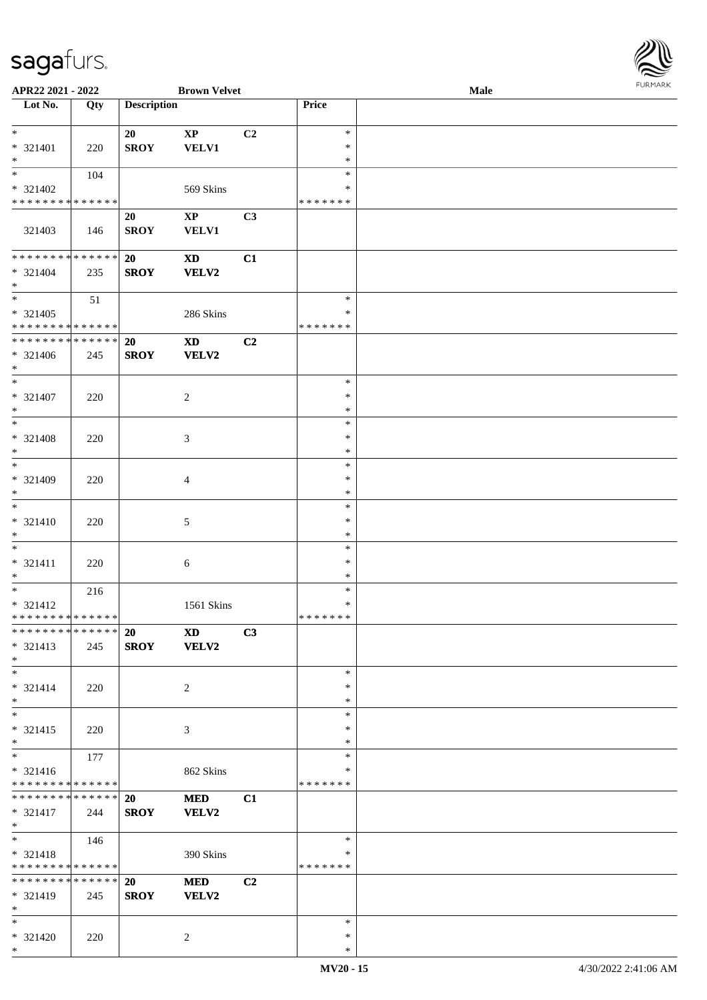| URMARK<br>F |
|-------------|

| APR22 2021 - 2022                           |     |                    | <b>Brown Velvet</b>    |    |               | Male | <b>FUNITANN</b> |
|---------------------------------------------|-----|--------------------|------------------------|----|---------------|------|-----------------|
| Lot No.                                     | Qty | <b>Description</b> |                        |    | Price         |      |                 |
|                                             |     |                    |                        |    |               |      |                 |
| $*$                                         |     | 20                 | $\bold{XP}$            | C2 | $\ast$        |      |                 |
| * 321401                                    | 220 | <b>SROY</b>        | <b>VELV1</b>           |    | $\ast$        |      |                 |
| $\ast$                                      |     |                    |                        |    | $\ast$        |      |                 |
| $*$                                         | 104 |                    |                        |    | $\ast$        |      |                 |
| * 321402                                    |     |                    | 569 Skins              |    | ∗             |      |                 |
| * * * * * * * * * * * * * *                 |     |                    |                        |    | * * * * * * * |      |                 |
|                                             |     | 20                 | $\mathbf{X}\mathbf{P}$ | C3 |               |      |                 |
| 321403                                      | 146 | <b>SROY</b>        | <b>VELV1</b>           |    |               |      |                 |
|                                             |     |                    |                        |    |               |      |                 |
| * * * * * * * * <mark>* * * * * * *</mark>  |     | 20                 | <b>XD</b>              | C1 |               |      |                 |
| $* 321404$                                  | 235 | <b>SROY</b>        | <b>VELV2</b>           |    |               |      |                 |
| $*$                                         |     |                    |                        |    |               |      |                 |
|                                             | 51  |                    |                        |    | $\ast$        |      |                 |
| * 321405                                    |     |                    | 286 Skins              |    | $\ast$        |      |                 |
| * * * * * * * * * * * * * *                 |     |                    |                        |    | * * * * * * * |      |                 |
| ******** <mark>******</mark>                |     | 20                 | $\mathbf{X}\mathbf{D}$ | C2 |               |      |                 |
| * 321406                                    | 245 | <b>SROY</b>        | VELV2                  |    |               |      |                 |
| $*$                                         |     |                    |                        |    |               |      |                 |
| $*$                                         |     |                    |                        |    | $\ast$        |      |                 |
| * 321407                                    | 220 |                    | $\overline{c}$         |    | $\ast$        |      |                 |
| $\ast$                                      |     |                    |                        |    | $\ast$        |      |                 |
|                                             |     |                    |                        |    | $\ast$        |      |                 |
| * 321408                                    |     |                    |                        |    | $\ast$        |      |                 |
| $*$                                         | 220 |                    | 3                      |    | $\ast$        |      |                 |
| $*$                                         |     |                    |                        |    | $\ast$        |      |                 |
|                                             |     |                    |                        |    | $\ast$        |      |                 |
| $* 321409$<br>$*$                           | 220 |                    | $\overline{4}$         |    | $\ast$        |      |                 |
| $\ast$                                      |     |                    |                        |    | $\ast$        |      |                 |
|                                             |     |                    |                        |    | $\ast$        |      |                 |
| * 321410<br>$*$                             | 220 |                    | 5                      |    | $\ast$        |      |                 |
| $*$                                         |     |                    |                        |    | $\ast$        |      |                 |
|                                             |     |                    |                        |    | $\ast$        |      |                 |
| * 321411                                    | 220 |                    | $\boldsymbol{6}$       |    | $\ast$        |      |                 |
| $*$                                         |     |                    |                        |    | $\ast$        |      |                 |
|                                             | 216 |                    |                        |    | $\ast$        |      |                 |
| $* 321412$<br>* * * * * * * * * * * * * * * |     |                    | 1561 Skins             |    | * * * * * * * |      |                 |
| ******** <mark>******</mark>                |     |                    |                        |    |               |      |                 |
|                                             |     | <b>20</b>          | <b>XD</b>              | C3 |               |      |                 |
| $* 321413$                                  | 245 | <b>SROY</b>        | VELV2                  |    |               |      |                 |
| $*$                                         |     |                    |                        |    |               |      |                 |
| $*$                                         |     |                    |                        |    | $\ast$        |      |                 |
| $* 321414$                                  | 220 |                    | 2                      |    | $\ast$        |      |                 |
| $*$                                         |     |                    |                        |    | $\ast$        |      |                 |
| $*$                                         |     |                    |                        |    | $\ast$        |      |                 |
| $* 321415$                                  | 220 |                    | 3                      |    | $\ast$        |      |                 |
| $*$                                         |     |                    |                        |    | $\ast$        |      |                 |
| $*$                                         | 177 |                    |                        |    | $\ast$        |      |                 |
| $* 321416$                                  |     |                    | 862 Skins              |    | ∗             |      |                 |
| * * * * * * * * * * * * * *                 |     |                    |                        |    | * * * * * * * |      |                 |
| * * * * * * * * * * * * * * *               |     | <b>20</b>          | <b>MED</b>             | C1 |               |      |                 |
| * 321417                                    | 244 | <b>SROY</b>        | <b>VELV2</b>           |    |               |      |                 |
| $*$                                         |     |                    |                        |    |               |      |                 |
| $*$                                         | 146 |                    |                        |    | $\ast$        |      |                 |
| * 321418                                    |     |                    | 390 Skins              |    | ∗             |      |                 |
| * * * * * * * * * * * * * *                 |     |                    |                        |    | *******       |      |                 |
| * * * * * * * * * * * * * * *               |     | <b>20</b>          | <b>MED</b>             | C2 |               |      |                 |
| * 321419                                    | 245 | <b>SROY</b>        | VELV2                  |    |               |      |                 |
| $*$ $*$                                     |     |                    |                        |    |               |      |                 |
| $*$                                         |     |                    |                        |    | $\ast$        |      |                 |
| * 321420                                    | 220 |                    | 2                      |    | $\ast$        |      |                 |
| $*$                                         |     |                    |                        |    | $\ast$        |      |                 |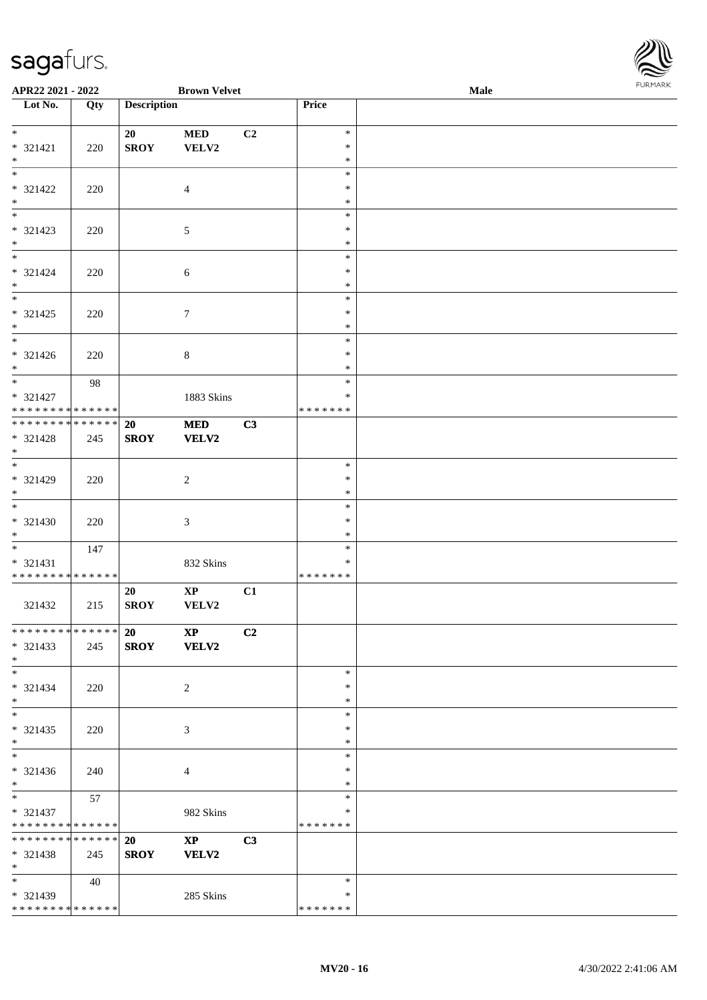

| APR22 2021 - 2022                                                                       |     |                          | <b>Brown Velvet</b>                    |    |                                      | Male | <b>FURPIARA</b> |
|-----------------------------------------------------------------------------------------|-----|--------------------------|----------------------------------------|----|--------------------------------------|------|-----------------|
| $\overline{\phantom{1}}$ Lot No.                                                        | Qty | <b>Description</b>       |                                        |    | Price                                |      |                 |
| $*$<br>$* 321421$<br>$*$                                                                | 220 | 20<br><b>SROY</b>        | $\bf MED$<br>VELV2                     | C2 | $\ast$<br>$\ast$<br>$\ast$           |      |                 |
| $\overline{\phantom{0}}$<br>* 321422<br>$*$                                             | 220 |                          | 4                                      |    | $\ast$<br>$\ast$<br>$\ast$           |      |                 |
| $*$<br>* 321423<br>$\ast$                                                               | 220 |                          | 5                                      |    | $\ast$<br>$\ast$<br>$\ast$<br>$\ast$ |      |                 |
| $* 321424$<br>$\ast$<br>$\overline{\phantom{0}}$                                        | 220 |                          | 6                                      |    | $\ast$<br>$\ast$<br>$\ast$           |      |                 |
| $* 321425$<br>$*$<br>$\overline{\ast}$                                                  | 220 |                          | $\tau$                                 |    | $\ast$<br>$\ast$<br>$\ast$           |      |                 |
| $* 321426$<br>$*$<br>$*$                                                                | 220 |                          | $\,8\,$                                |    | $\ast$<br>$\ast$<br>$\ast$           |      |                 |
| $* 321427$<br>* * * * * * * * * * * * * *<br>* * * * * * * * <mark>* * * * * * *</mark> | 98  |                          | 1883 Skins                             |    | $\ast$<br>* * * * * * *              |      |                 |
| * 321428<br>$*$<br>$\overline{\ast}$                                                    | 245 | 20<br><b>SROY</b>        | $\bf MED$<br>VELV2                     | C3 | $\ast$                               |      |                 |
| * 321429<br>$*$                                                                         | 220 |                          | $\overline{c}$                         |    | $\ast$<br>$\ast$<br>$\ast$           |      |                 |
| $* 321430$<br>$*$<br>$*$                                                                | 220 |                          | 3                                      |    | $\ast$<br>$\ast$<br>$\ast$           |      |                 |
| * 321431<br>* * * * * * * * * * * * * *                                                 | 147 |                          | 832 Skins                              |    | $\ast$<br>* * * * * * *              |      |                 |
| 321432                                                                                  | 215 | 20<br><b>SROY</b>        | $\bold{XP}$<br>VELV2                   | C1 |                                      |      |                 |
| * * * * * * * * * * * * * * *<br>$* 321433$<br>$*$                                      | 245 | <b>20</b><br><b>SROY</b> | $\mathbf{X}\mathbf{P}$<br><b>VELV2</b> | C2 |                                      |      |                 |
| $*$<br>$* 321434$<br>$*$                                                                | 220 |                          | 2                                      |    | $\ast$<br>$\ast$<br>$\ast$           |      |                 |
| $*$<br>$* 321435$<br>$*$                                                                | 220 |                          | 3                                      |    | $\ast$<br>$\ast$<br>$\ast$           |      |                 |
| $*$<br>* 321436<br>$*$                                                                  | 240 |                          | 4                                      |    | $\ast$<br>∗<br>∗                     |      |                 |
| $*$<br>* 321437<br>* * * * * * * * * * * * * *                                          | 57  |                          | 982 Skins                              |    | $\ast$<br>∗<br>* * * * * * *         |      |                 |
| * * * * * * * * * * * * * * *<br>* 321438<br>$*$                                        | 245 | 20<br><b>SROY</b>        | $\mathbf{XP}$<br>VELV2                 | C3 |                                      |      |                 |
| $*$<br>* 321439<br>* * * * * * * * * * * * * * *                                        | 40  |                          | 285 Skins                              |    | $\ast$<br>∗<br>* * * * * * *         |      |                 |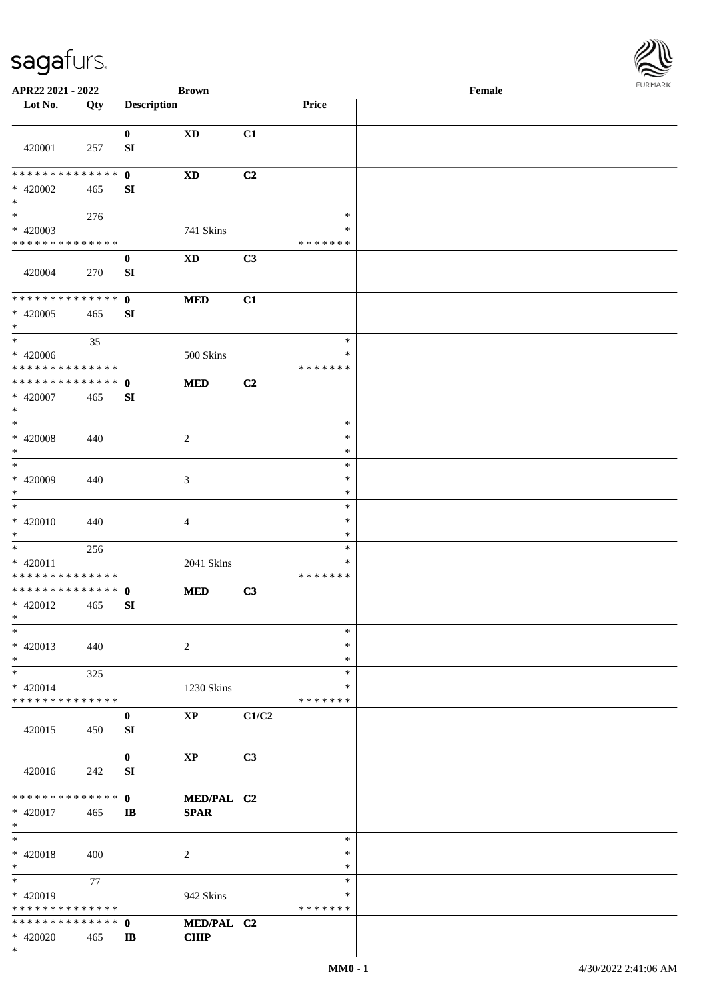

| APR22 2021 - 2022             |     |                        | <b>Brown</b>           |       |               | Female |
|-------------------------------|-----|------------------------|------------------------|-------|---------------|--------|
| Lot No.                       | Qty | <b>Description</b>     |                        |       | Price         |        |
|                               |     |                        |                        |       |               |        |
| 420001                        | 257 | $\bf{0}$<br>${\bf SI}$ | <b>XD</b>              | C1    |               |        |
| * * * * * * * * * * * * * * * |     | $\mathbf{0}$           | <b>XD</b>              | C2    |               |        |
| * 420002<br>$\ast$            | 465 | SI                     |                        |       |               |        |
| $\overline{\phantom{0}}$      | 276 |                        |                        |       | $\ast$        |        |
| $* 420003$                    |     |                        | 741 Skins              |       | $\ast$        |        |
| * * * * * * * * * * * * * *   |     |                        |                        |       | * * * * * * * |        |
|                               |     |                        |                        |       |               |        |
| 420004                        | 270 | $\bf{0}$<br>SI         | $\mathbf{X}\mathbf{D}$ | C3    |               |        |
| * * * * * * * * * * * * * *   |     | $\mathbf{0}$           | <b>MED</b>             | C1    |               |        |
| $* 420005$<br>$\ast$          | 465 | SI                     |                        |       |               |        |
| $\overline{\phantom{1}}$      | 35  |                        |                        |       | $\ast$        |        |
| $* 420006$                    |     |                        | 500 Skins              |       | $\ast$        |        |
| * * * * * * * * * * * * * *   |     |                        |                        |       | * * * * * * * |        |
| **************                |     | $\mathbf{0}$           | <b>MED</b>             | C2    |               |        |
| * 420007                      | 465 | SI                     |                        |       |               |        |
| $\ast$                        |     |                        |                        |       |               |        |
| $\ast$                        |     |                        |                        |       | $\ast$        |        |
| $* 420008$                    | 440 |                        | $\sqrt{2}$             |       | $\ast$        |        |
| $\ast$                        |     |                        |                        |       | $\ast$        |        |
| $\ast$                        |     |                        |                        |       | $\ast$        |        |
| * 420009                      | 440 |                        | $\mathfrak{Z}$         |       | $\ast$        |        |
| $\ast$                        |     |                        |                        |       | $\ast$        |        |
| $\frac{1}{1}$                 |     |                        |                        |       | $\ast$        |        |
| $* 420010$                    | 440 |                        | $\overline{4}$         |       | $\ast$        |        |
| $\ast$                        |     |                        |                        |       | $\ast$        |        |
| $\ast$                        | 256 |                        |                        |       | $\ast$        |        |
| * 420011                      |     |                        | 2041 Skins             |       | *             |        |
| **************                |     |                        |                        |       | * * * * * * * |        |
| **************                |     | $\mathbf{0}$           | <b>MED</b>             | C3    |               |        |
| $* 420012$                    | 465 | SI                     |                        |       |               |        |
| $*$                           |     |                        |                        |       |               |        |
| $\ast$                        |     |                        |                        |       | $\ast$        |        |
| $* 420013$                    | 440 |                        | $\sqrt{2}$             |       | *             |        |
| $\ast$                        |     |                        |                        |       | $\ast$        |        |
| $\ast$                        | 325 |                        |                        |       | $\ast$        |        |
| $* 420014$                    |     |                        | 1230 Skins             |       | *             |        |
| * * * * * * * * * * * * * *   |     |                        |                        |       | * * * * * * * |        |
|                               |     | $\bf{0}$               | $\mathbf{X}\mathbf{P}$ | C1/C2 |               |        |
| 420015                        | 450 | SI                     |                        |       |               |        |
|                               |     | $\mathbf{0}$           | $\mathbf{X}\mathbf{P}$ | C3    |               |        |
| 420016                        | 242 | SI                     |                        |       |               |        |
| * * * * * * * * * * * * * * * |     | $\mathbf{0}$           | MED/PAL C2             |       |               |        |
| $* 420017$                    | 465 | $\mathbf{I}$           | <b>SPAR</b>            |       |               |        |
| $\ast$                        |     |                        |                        |       |               |        |
| $\ast$                        |     |                        |                        |       | $\ast$        |        |
| $* 420018$                    | 400 |                        | $\overline{2}$         |       | $\ast$        |        |
| $\ast$                        |     |                        |                        |       | $\ast$        |        |
| $\overline{\phantom{a}}$      | 77  |                        |                        |       | $\ast$        |        |
| $* 420019$                    |     |                        | 942 Skins              |       | ∗             |        |
| * * * * * * * * * * * * * *   |     |                        |                        |       | * * * * * * * |        |
| * * * * * * * * * * * * * * * |     | $\mathbf{0}$           | MED/PAL C2             |       |               |        |
| * 420020                      | 465 | IB                     | <b>CHIP</b>            |       |               |        |
| $*$                           |     |                        |                        |       |               |        |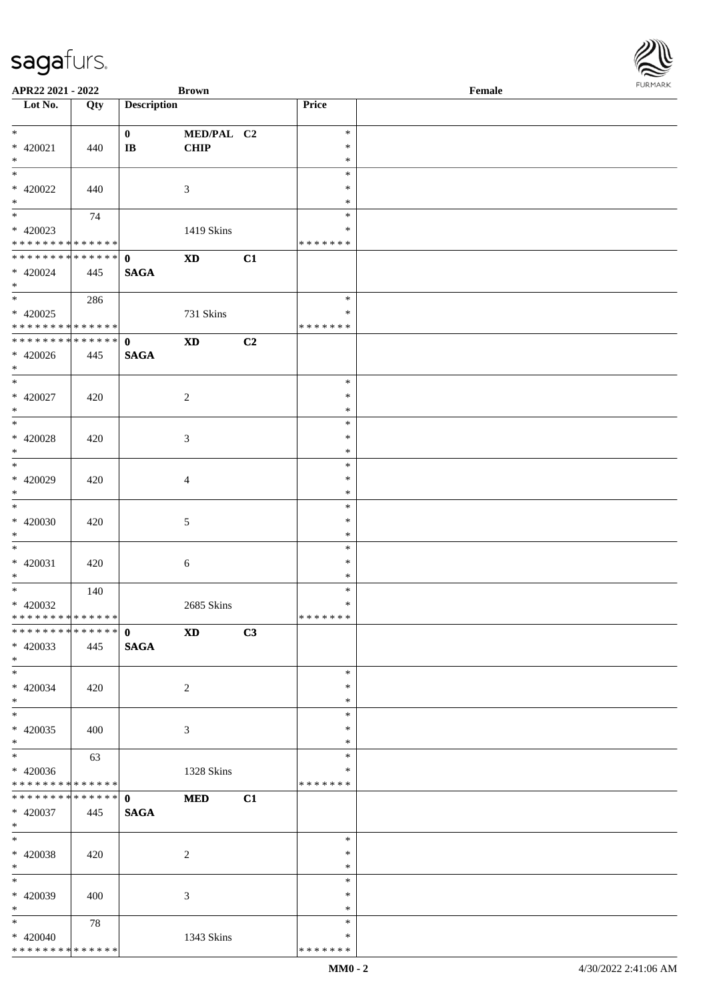| APR22 2021 - 2022                |     |                    | <b>Brown</b>           |    |               | Female | $1 \cup 1$ , $1 \cup 1$ |
|----------------------------------|-----|--------------------|------------------------|----|---------------|--------|-------------------------|
| $\overline{\phantom{1}}$ Lot No. | Qty | <b>Description</b> |                        |    | Price         |        |                         |
|                                  |     |                    |                        |    |               |        |                         |
| $*$                              |     | $\mathbf{0}$       | MED/PAL C2             |    | $\ast$        |        |                         |
| $* 420021$                       | 440 | $\bf I\bf B$       | <b>CHIP</b>            |    | $\ast$        |        |                         |
| $*$                              |     |                    |                        |    | $\ast$        |        |                         |
| $\overline{\phantom{0}}$         |     |                    |                        |    | $\ast$        |        |                         |
| $* 420022$                       | 440 |                    | 3                      |    | $\ast$        |        |                         |
| $*$                              |     |                    |                        |    | $\ast$        |        |                         |
|                                  | 74  |                    |                        |    | $\ast$        |        |                         |
| $* 420023$                       |     |                    | 1419 Skins             |    | $\ast$        |        |                         |
| * * * * * * * * * * * * * *      |     |                    |                        |    | * * * * * * * |        |                         |
| ******** <mark>******</mark>     |     | $\mathbf{0}$       | $\mathbf{X}\mathbf{D}$ | C1 |               |        |                         |
| $* 420024$                       | 445 | <b>SAGA</b>        |                        |    |               |        |                         |
| $*$                              |     |                    |                        |    |               |        |                         |
|                                  | 286 |                    |                        |    | $\ast$        |        |                         |
| $* 420025$                       |     |                    |                        |    | ∗             |        |                         |
| * * * * * * * * * * * * * *      |     |                    | 731 Skins              |    | * * * * * * * |        |                         |
| ******** <mark>******</mark>     |     | $\mathbf{0}$       |                        |    |               |        |                         |
|                                  |     |                    | $\mathbf{X}\mathbf{D}$ | C2 |               |        |                         |
| $* 420026$                       | 445 | <b>SAGA</b>        |                        |    |               |        |                         |
| $*$<br>$*$                       |     |                    |                        |    | $\ast$        |        |                         |
|                                  |     |                    |                        |    |               |        |                         |
| $* 420027$                       | 420 |                    | $\overline{c}$         |    | $\ast$        |        |                         |
| $*$<br>$\overline{\ast}$         |     |                    |                        |    | $\ast$        |        |                         |
|                                  |     |                    |                        |    | $\ast$        |        |                         |
| $* 420028$                       | 420 |                    | 3                      |    | $\ast$        |        |                         |
| $*$                              |     |                    |                        |    | $\ast$        |        |                         |
|                                  |     |                    |                        |    | $\ast$        |        |                         |
| $* 420029$                       | 420 |                    | $\overline{4}$         |    | $\ast$        |        |                         |
| $*$                              |     |                    |                        |    | $\ast$        |        |                         |
| $*$                              |     |                    |                        |    | $\ast$        |        |                         |
| $* 420030$                       | 420 |                    | $\mathfrak{S}$         |    | $\ast$        |        |                         |
| $\ast$                           |     |                    |                        |    | $\ast$        |        |                         |
| $\overline{\phantom{0}}$         |     |                    |                        |    | $\ast$        |        |                         |
| $* 420031$                       | 420 |                    | 6                      |    | $\ast$        |        |                         |
| $*$                              |     |                    |                        |    | $\ast$        |        |                         |
| $*$                              | 140 |                    |                        |    | $\ast$        |        |                         |
| $* 420032$                       |     |                    | 2685 Skins             |    | $\ast$        |        |                         |
| * * * * * * * * * * * * * *      |     |                    |                        |    | *******       |        |                         |
| * * * * * * * * * * * * * * *    |     | $\mathbf{0}$       | <b>XD</b>              | C3 |               |        |                         |
| $* 420033$                       | 445 | <b>SAGA</b>        |                        |    |               |        |                         |
| $*$                              |     |                    |                        |    |               |        |                         |
| $*$                              |     |                    |                        |    | $\ast$        |        |                         |
| $* 420034$                       | 420 |                    | 2                      |    | ∗             |        |                         |
| $*$                              |     |                    |                        |    | $\ast$        |        |                         |
| $*$                              |     |                    |                        |    | $\ast$        |        |                         |
| $* 420035$                       | 400 |                    | 3                      |    | $\ast$        |        |                         |
| $*$                              |     |                    |                        |    | $\ast$        |        |                         |
| $*$                              | 63  |                    |                        |    | $\ast$        |        |                         |
| $* 420036$                       |     |                    | 1328 Skins             |    | ∗             |        |                         |
| * * * * * * * * * * * * * *      |     |                    |                        |    | * * * * * * * |        |                         |
| * * * * * * * * * * * * * * *    |     | $\mathbf 0$        | <b>MED</b>             | C1 |               |        |                         |
| $* 420037$                       | 445 | <b>SAGA</b>        |                        |    |               |        |                         |
| $*$                              |     |                    |                        |    |               |        |                         |
| $*$                              |     |                    |                        |    | $\ast$        |        |                         |
| $* 420038$                       | 420 |                    | $\sqrt{2}$             |    | $\ast$        |        |                         |
| $*$                              |     |                    |                        |    | $\ast$        |        |                         |
| $*$                              |     |                    |                        |    | $\ast$        |        |                         |
| $* 420039$                       | 400 |                    |                        |    | $\ast$        |        |                         |
| $*$                              |     |                    | 3                      |    | $\ast$        |        |                         |
| $*$                              |     |                    |                        |    | $\ast$        |        |                         |
|                                  | 78  |                    |                        |    | ∗             |        |                         |
| * 420040                         |     |                    | 1343 Skins             |    | * * * * * * * |        |                         |
| * * * * * * * * * * * * * *      |     |                    |                        |    |               |        |                         |

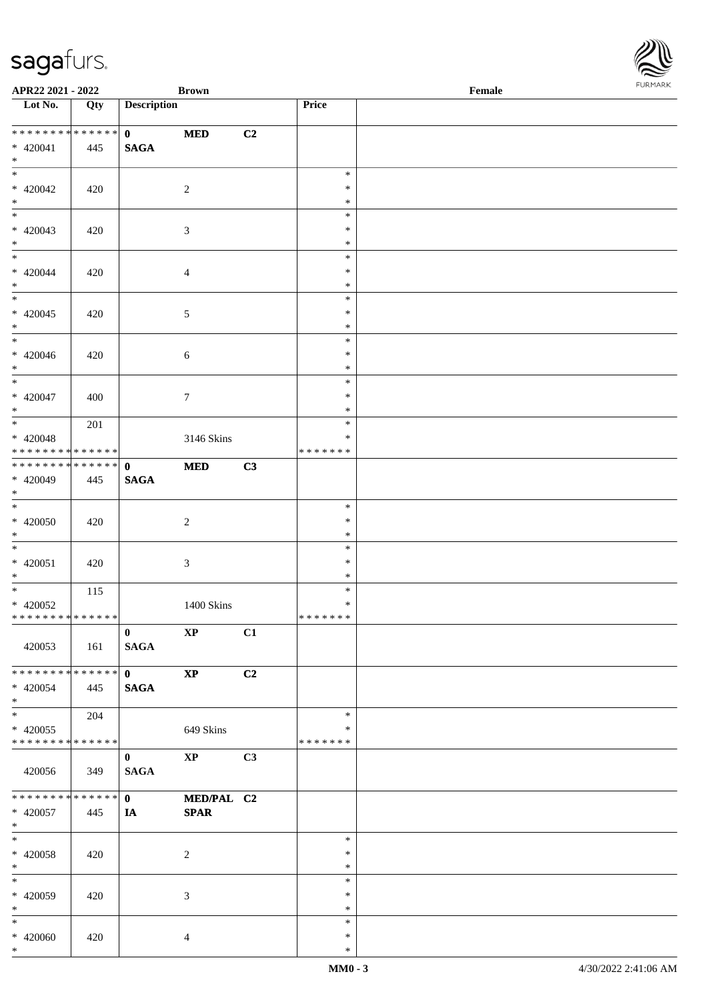| APR22 2021 - 2022                                              |     |                             | <b>Brown</b>              |    |                                   | Female | <b>FURMARI</b> |
|----------------------------------------------------------------|-----|-----------------------------|---------------------------|----|-----------------------------------|--------|----------------|
| $\overline{\phantom{1}}$ Lot No.                               | Qty | <b>Description</b>          |                           |    | Price                             |        |                |
| ******** <mark>******</mark><br>$* 420041$<br>$*$              | 445 | $\mathbf{0}$<br><b>SAGA</b> | $\bf MED$                 | C2 |                                   |        |                |
| $\overline{\phantom{0}}$<br>$* 420042$<br>$*$                  | 420 |                             | $\sqrt{2}$                |    | $\ast$<br>$\ast$<br>$\ast$        |        |                |
| $\overline{\phantom{0}}$<br>$* 420043$<br>$*$                  | 420 |                             | $\mathfrak{Z}$            |    | $\ast$<br>$\ast$<br>$\ast$        |        |                |
| $\overline{\phantom{0}}$<br>$* 420044$<br>$*$                  | 420 |                             | $\overline{4}$            |    | $\ast$<br>$\ast$<br>$\ast$        |        |                |
| $\overline{\phantom{0}}$<br>$* 420045$<br>$*$                  | 420 |                             | $5\,$                     |    | $\ast$<br>$\ast$<br>$\ast$        |        |                |
| $*$<br>$* 420046$<br>$*$                                       | 420 |                             | $6\,$                     |    | $\ast$<br>$\ast$<br>$\ast$        |        |                |
| $\overline{\phantom{0}}$<br>$* 420047$<br>$*$                  | 400 |                             | $7\phantom{.0}$           |    | $\ast$<br>$\ast$<br>$\ast$        |        |                |
| $* 420048$<br>* * * * * * * * <mark>* * * * * * *</mark>       | 201 |                             | 3146 Skins                |    | $\ast$<br>$\ast$<br>* * * * * * * |        |                |
| ************** 0<br>$* 420049$<br>$\ast$                       | 445 | <b>SAGA</b>                 | <b>MED</b>                | C3 |                                   |        |                |
| $\overline{\phantom{0}}$<br>$* 420050$<br>$*$                  | 420 |                             | $\overline{c}$            |    | $\ast$<br>$\ast$<br>$\ast$        |        |                |
| $\overline{\phantom{0}}$<br>$* 420051$<br>$\ast$               | 420 |                             | $\mathfrak{Z}$            |    | $\ast$<br>$\ast$<br>$\ast$        |        |                |
| $*$<br>$* 420052$<br>* * * * * * * * * * * * * * *             | 115 |                             | 1400 Skins                |    | $\ast$<br>$\ast$<br>* * * * * * * |        |                |
| 420053                                                         | 161 | $\mathbf{0}$<br><b>SAGA</b> | $\mathbf{X}\mathbf{P}$    | C1 |                                   |        |                |
| **************<br>$* 420054$<br>$*$                            | 445 | $\mathbf{0}$<br><b>SAGA</b> | $\bold{XP}$               | C2 |                                   |        |                |
| $\overline{\ast}$<br>$* 420055$<br>* * * * * * * * * * * * * * | 204 |                             | 649 Skins                 |    | $\ast$<br>∗<br>* * * * * * *      |        |                |
| 420056                                                         | 349 | $\bf{0}$<br><b>SAGA</b>     | $\mathbf{X}\mathbf{P}$    | C3 |                                   |        |                |
| **************<br>$* 420057$<br>$*$                            | 445 | $\mathbf{0}$<br>IA          | MED/PAL C2<br><b>SPAR</b> |    |                                   |        |                |
| $\ast$<br>$* 420058$<br>$\ast$                                 | 420 |                             | $\sqrt{2}$                |    | $\ast$<br>$\ast$<br>$\ast$        |        |                |
| $_{\ast}^{-}$<br>$* 420059$<br>$\ast$                          | 420 |                             | 3                         |    | $\ast$<br>$\ast$<br>$\ast$        |        |                |
| $\ast$<br>$* 420060$<br>$*$                                    | 420 |                             | 4                         |    | $\ast$<br>$\ast$<br>$\ast$        |        |                |

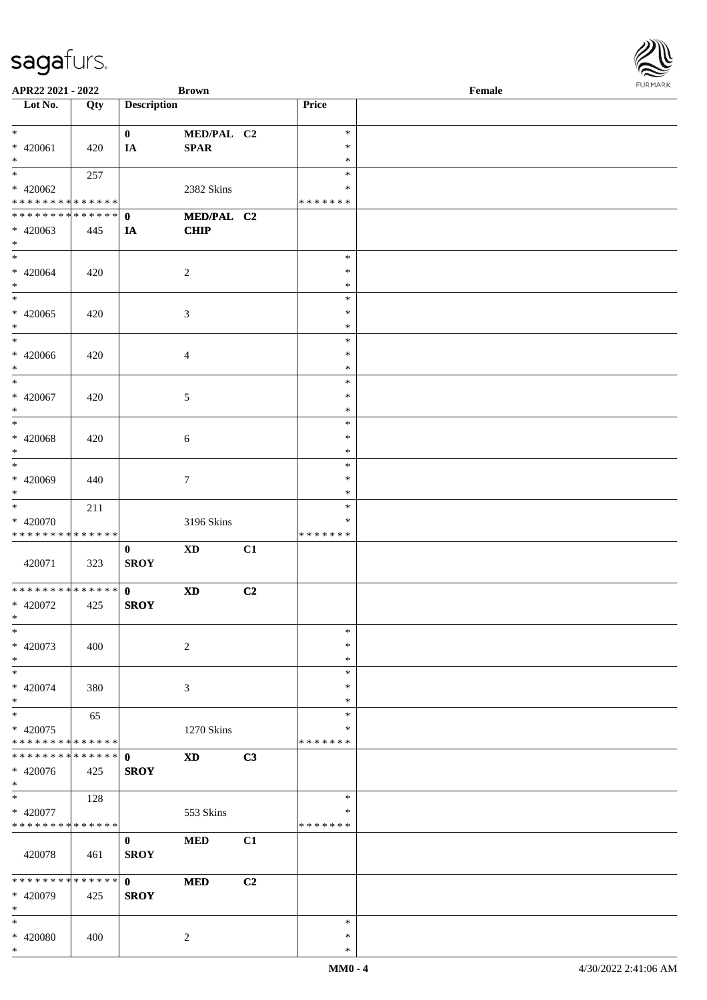\*

| APR22 2021 - 2022                          |             |                             | <b>Brown</b>           |    |               | Female | 101111111111 |
|--------------------------------------------|-------------|-----------------------------|------------------------|----|---------------|--------|--------------|
| Lot No.                                    | Qty         | <b>Description</b>          |                        |    | Price         |        |              |
|                                            |             |                             |                        |    |               |        |              |
| $*$                                        |             | $\mathbf{0}$                | MED/PAL C2             |    | $\ast$        |        |              |
| * 420061                                   | 420         | IA                          | $\bf SPAR$             |    | $\ast$        |        |              |
| $*$<br>$\overline{\cdot}$                  |             |                             |                        |    | $\ast$        |        |              |
|                                            | 257         |                             |                        |    | $\ast$        |        |              |
| $* 420062$                                 |             |                             | 2382 Skins             |    | $\ast$        |        |              |
| * * * * * * * * <mark>* * * * * *</mark>   |             |                             |                        |    | * * * * * * * |        |              |
|                                            |             |                             | MED/PAL C2             |    |               |        |              |
| * 420063                                   | 445         | IA                          | <b>CHIP</b>            |    |               |        |              |
| $\ast$<br>$\overline{\ast}$                |             |                             |                        |    | $\ast$        |        |              |
| * 420064                                   |             |                             |                        |    | $\ast$        |        |              |
| $*$                                        | 420         |                             | 2                      |    | $\ast$        |        |              |
|                                            |             |                             |                        |    | $\ast$        |        |              |
| $* 420065$                                 | 420         |                             | $\mathfrak{Z}$         |    | $\ast$        |        |              |
| $*$                                        |             |                             |                        |    | $\ast$        |        |              |
| $\ast$                                     |             |                             |                        |    | $\ast$        |        |              |
| $* 420066$                                 | 420         |                             | $\overline{4}$         |    | $\ast$        |        |              |
| $*$                                        |             |                             |                        |    | $\ast$        |        |              |
| $*$                                        |             |                             |                        |    | $\ast$        |        |              |
| $* 420067$                                 | 420         |                             | 5                      |    | $\ast$        |        |              |
| $*$                                        |             |                             |                        |    | $\ast$        |        |              |
|                                            |             |                             |                        |    | $\ast$        |        |              |
| $* 420068$                                 | 420         |                             | 6                      |    | $\ast$        |        |              |
| $*$                                        |             |                             |                        |    | $\ast$        |        |              |
|                                            |             |                             |                        |    | $\ast$        |        |              |
| * 420069                                   | 440         |                             | $\tau$                 |    | $\ast$        |        |              |
| $\ast$                                     |             |                             |                        |    | $\ast$        |        |              |
| $*$                                        | 211         |                             |                        |    | $\ast$        |        |              |
| * 420070                                   |             |                             | 3196 Skins             |    | $\ast$        |        |              |
| * * * * * * * * * * * * * *                |             |                             |                        |    | * * * * * * * |        |              |
|                                            |             | $\mathbf{0}$                | <b>XD</b>              | C1 |               |        |              |
| 420071                                     | 323         | <b>SROY</b>                 |                        |    |               |        |              |
| * * * * * * * * <mark>* * * * * * *</mark> |             |                             |                        |    |               |        |              |
| * 420072                                   | 425         | $\mathbf{0}$<br><b>SROY</b> | $\mathbf{X}\mathbf{D}$ | C2 |               |        |              |
| $\ddot{x}$                                 |             |                             |                        |    |               |        |              |
| $\ast$                                     |             |                             |                        |    | $\ast$        |        |              |
| * 420073                                   | 400         |                             | $\sqrt{2}$             |    | $\ast$        |        |              |
| $*$                                        |             |                             |                        |    | $\ast$        |        |              |
| $*$                                        |             |                             |                        |    | $\ast$        |        |              |
| * 420074                                   | 380         |                             | 3                      |    | $\ast$        |        |              |
| $*$                                        |             |                             |                        |    | $\ast$        |        |              |
| $\overline{\ast}$                          | 65          |                             |                        |    | $\ast$        |        |              |
| * 420075                                   |             |                             | 1270 Skins             |    | ∗             |        |              |
| * * * * * * * * <mark>* * * * * *</mark>   |             |                             |                        |    | * * * * * * * |        |              |
| * * * * * * * *                            | * * * * * * | $\mathbf 0$                 | <b>XD</b>              | C3 |               |        |              |
| * 420076                                   | 425         | <b>SROY</b>                 |                        |    |               |        |              |
| $\ast$                                     |             |                             |                        |    |               |        |              |
| $*$                                        | 128         |                             |                        |    | $\ast$        |        |              |
| * 420077                                   |             |                             | 553 Skins              |    | ∗             |        |              |
| * * * * * * * * <mark>* * * * * *</mark>   |             |                             |                        |    | * * * * * * * |        |              |
|                                            |             | $\mathbf{0}$                | <b>MED</b>             | C1 |               |        |              |
| 420078                                     | 461         | <b>SROY</b>                 |                        |    |               |        |              |
| * * * * * * * * * * * * * * *              |             |                             |                        | C2 |               |        |              |
| * 420079                                   | 425         | $\mathbf{0}$<br><b>SROY</b> | <b>MED</b>             |    |               |        |              |
| $*$                                        |             |                             |                        |    |               |        |              |
| $\ast$                                     |             |                             |                        |    | $\ast$        |        |              |
| * 420080                                   | 400         |                             | 2                      |    | $\ast$        |        |              |
| $*$                                        |             |                             |                        |    | $\ast$        |        |              |

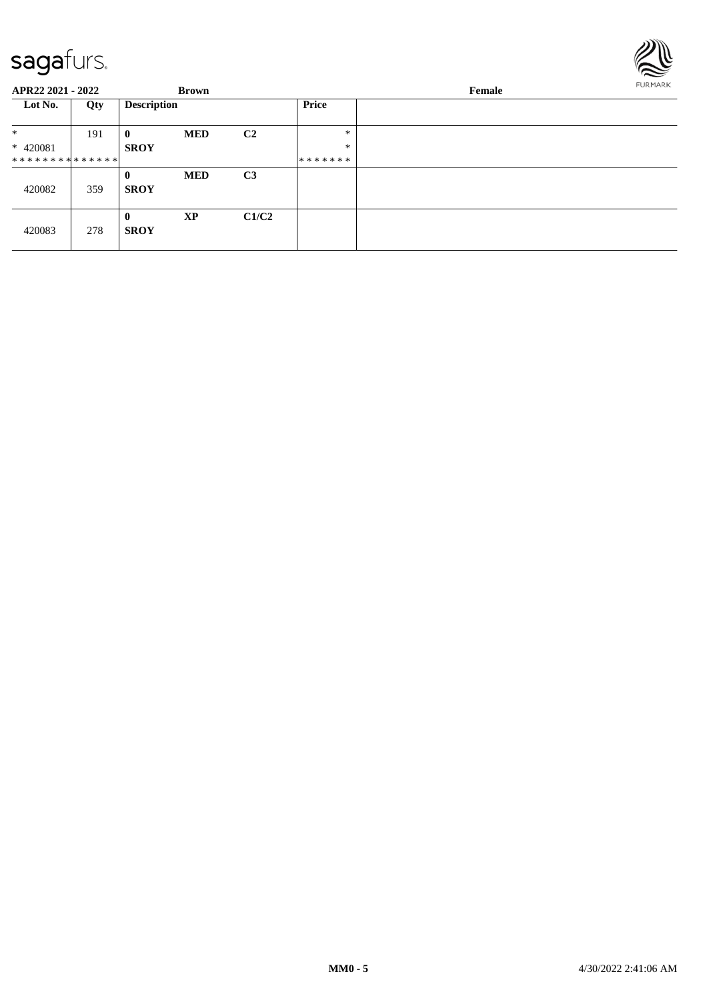

| APR22 2021 - 2022             |     | <b>Brown</b>                |            |                |                  | FURMARK<br>Female |  |  |
|-------------------------------|-----|-----------------------------|------------|----------------|------------------|-------------------|--|--|
| Lot No.                       | Qty | <b>Description</b>          |            |                | Price            |                   |  |  |
| $\ast$<br>* 420081            | 191 | $\bf{0}$<br><b>SROY</b>     | <b>MED</b> | C2             | $\ast$<br>$\ast$ |                   |  |  |
| * * * * * * * * * * * * * * * |     |                             |            |                | *******          |                   |  |  |
| 420082                        | 359 | $\mathbf{0}$<br><b>SROY</b> | <b>MED</b> | C <sub>3</sub> |                  |                   |  |  |
| 420083                        | 278 | $\bf{0}$<br><b>SROY</b>     | <b>XP</b>  | C1/C2          |                  |                   |  |  |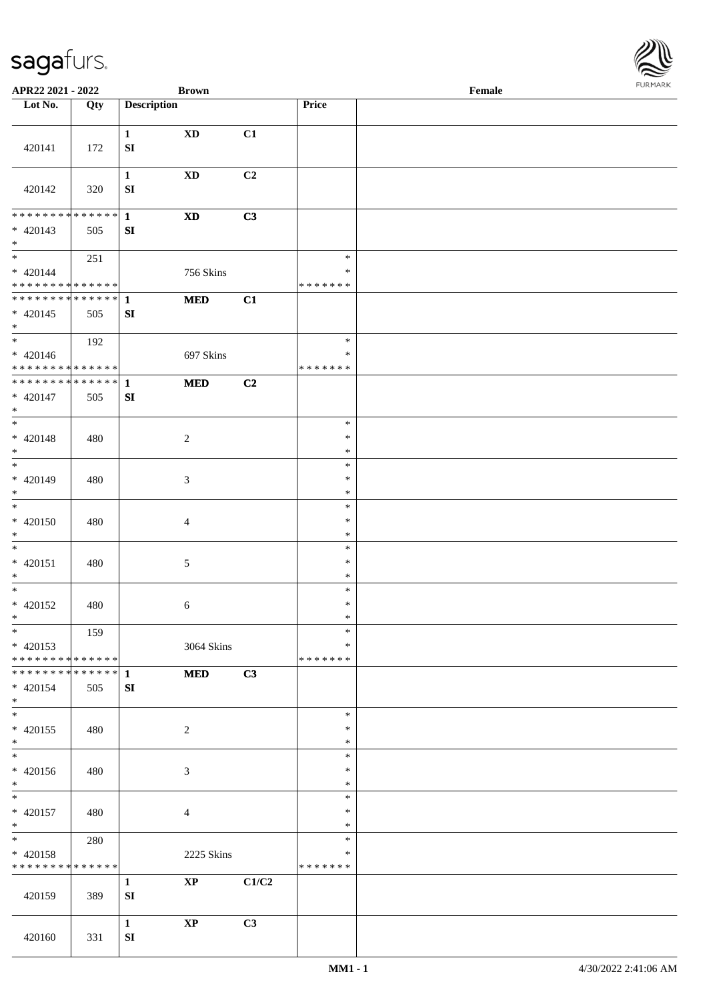

| APR22 2021 - 2022                                                     |     |                            | <b>Brown</b>               |       |                                   | Female |  |
|-----------------------------------------------------------------------|-----|----------------------------|----------------------------|-------|-----------------------------------|--------|--|
| Lot No.                                                               | Qty | <b>Description</b>         |                            |       | Price                             |        |  |
| 420141                                                                | 172 | $\mathbf{1}$<br>${\bf SI}$ | $\mathbf{X}\mathbf{D}$     | C1    |                                   |        |  |
| 420142                                                                | 320 | $\mathbf{1}$<br>SI         | <b>XD</b>                  | C2    |                                   |        |  |
| ******** <mark>******</mark><br>$* 420143$<br>$*$                     | 505 | $\mathbf{1}$<br>SI         | $\boldsymbol{\mathrm{XD}}$ | C3    |                                   |        |  |
| $\overline{\phantom{0}}$<br>$* 420144$<br>* * * * * * * * * * * * * * | 251 |                            | 756 Skins                  |       | $\ast$<br>$\ast$<br>* * * * * * * |        |  |
| ******** <mark>******</mark><br>$* 420145$<br>$*$                     | 505 | $\mathbf{1}$<br>${\bf SI}$ | $\bf MED$                  | C1    |                                   |        |  |
| $*$<br>$* 420146$<br>* * * * * * * * * * * * * *                      | 192 |                            | 697 Skins                  |       | $\ast$<br>$\ast$<br>* * * * * * * |        |  |
| ******** <mark>******</mark><br>$* 420147$<br>$*$                     | 505 | $\mathbf{1}$<br>SI         | $\bf MED$                  | C2    |                                   |        |  |
| $\ast$<br>$* 420148$<br>$*$                                           | 480 |                            | $\sqrt{2}$                 |       | $\ast$<br>$\ast$<br>$\ast$        |        |  |
| $*$<br>$* 420149$<br>$\ast$                                           | 480 |                            | 3                          |       | $\ast$<br>$\ast$<br>$\ast$        |        |  |
| $\overline{\phantom{0}}$<br>$* 420150$<br>$*$                         | 480 |                            | $\overline{4}$             |       | $\ast$<br>$\ast$<br>$\ast$        |        |  |
| $*$<br>$* 420151$<br>$\ast$                                           | 480 |                            | $\sqrt{5}$                 |       | $\ast$<br>$\ast$<br>$\ast$        |        |  |
| $*$<br>$* 420152$<br>$*$                                              | 480 |                            | 6                          |       | $\ast$<br>$\ast$<br>$\ast$        |        |  |
| $*$<br>$* 420153$<br>* * * * * * * * * * * * * *                      | 159 |                            | 3064 Skins                 |       | $\ast$<br>*<br>* * * * * * *      |        |  |
| * * * * * * * * * * * * * * *<br>* 420154<br>$*$                      | 505 | $\mathbf{1}$<br>SI         | <b>MED</b>                 | C3    |                                   |        |  |
| $\overline{\ast}$<br>$* 420155$<br>$*$<br>$\overline{\phantom{0}}$    | 480 |                            | $\sqrt{2}$                 |       | $\ast$<br>$\ast$<br>$\ast$        |        |  |
| $* 420156$<br>$*$                                                     | 480 |                            | 3                          |       | $\ast$<br>*<br>$\ast$             |        |  |
| $*$<br>$* 420157$<br>$*$                                              | 480 |                            | $\overline{4}$             |       | $\ast$<br>$\ast$<br>$\ast$        |        |  |
| $*$<br>* 420158<br>* * * * * * * * * * * * * *                        | 280 |                            | 2225 Skins                 |       | $\ast$<br>$\ast$<br>* * * * * * * |        |  |
| 420159                                                                | 389 | $\mathbf{1}$<br>SI         | $\bold{XP}$                | C1/C2 |                                   |        |  |
| 420160                                                                | 331 | $\mathbf{1}$<br>${\bf SI}$ | $\mathbf{X}\mathbf{P}$     | C3    |                                   |        |  |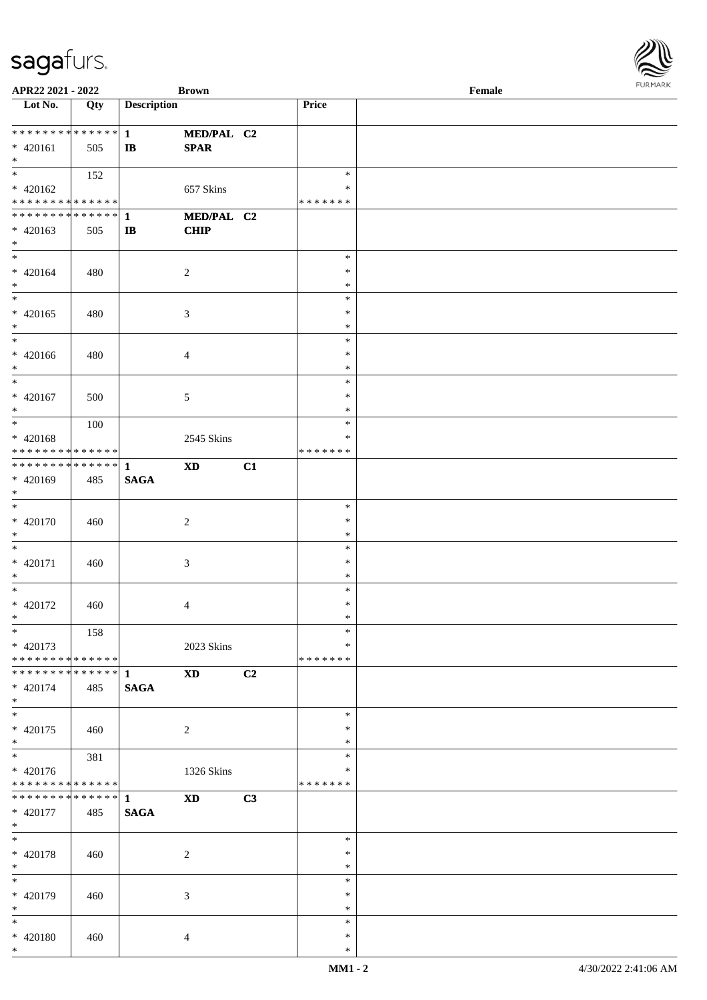| APR22 2021 - 2022                                                                        |     |                    | <b>Brown</b>               |    |               | Female | $1.9151$ <i>W</i> $11.915$ |
|------------------------------------------------------------------------------------------|-----|--------------------|----------------------------|----|---------------|--------|----------------------------|
| Lot $No.$                                                                                | Qty | <b>Description</b> |                            |    | Price         |        |                            |
|                                                                                          |     |                    |                            |    |               |        |                            |
| ************** 1                                                                         |     |                    | MED/PAL C2                 |    |               |        |                            |
| $* 420161$                                                                               | 505 | $\mathbf{I}$       | <b>SPAR</b>                |    |               |        |                            |
| $*$<br>$\overline{\mathbf{r}}$                                                           |     |                    |                            |    |               |        |                            |
|                                                                                          | 152 |                    |                            |    | $\ast$        |        |                            |
| $* 420162$                                                                               |     |                    | 657 Skins                  |    | $\ast$        |        |                            |
| * * * * * * * * <mark>* * * * * * *</mark>                                               |     |                    |                            |    | * * * * * * * |        |                            |
|                                                                                          |     |                    | MED/PAL C2                 |    |               |        |                            |
| $* 420163$<br>$\ast$                                                                     | 505 | $\mathbf{I}$       | <b>CHIP</b>                |    |               |        |                            |
| $*$                                                                                      |     |                    |                            |    | $\ast$        |        |                            |
| $* 420164$                                                                               |     |                    |                            |    | $\ast$        |        |                            |
| $*$                                                                                      | 480 |                    | 2                          |    | $\ast$        |        |                            |
|                                                                                          |     |                    |                            |    | $\ast$        |        |                            |
| $* 420165$                                                                               | 480 |                    |                            |    | $\ast$        |        |                            |
| $*$                                                                                      |     |                    | $\mathfrak{Z}$             |    | $\ast$        |        |                            |
| $*$                                                                                      |     |                    |                            |    | $\ast$        |        |                            |
| * 420166                                                                                 | 480 |                    | $\overline{4}$             |    | $\ast$        |        |                            |
| $*$                                                                                      |     |                    |                            |    | $\ast$        |        |                            |
| $*$                                                                                      |     |                    |                            |    | $\ast$        |        |                            |
| $* 420167$                                                                               | 500 |                    | 5                          |    | $\ast$        |        |                            |
| $*$                                                                                      |     |                    |                            |    | *             |        |                            |
| $\overline{\phantom{0}}$                                                                 | 100 |                    |                            |    | $\ast$        |        |                            |
| $* 420168$                                                                               |     |                    | 2545 Skins                 |    | *             |        |                            |
| * * * * * * * * <mark>* * * * * * *</mark>                                               |     |                    |                            |    | * * * * * * * |        |                            |
|                                                                                          |     |                    | $\boldsymbol{\mathrm{XD}}$ | C1 |               |        |                            |
| * 420169                                                                                 | 485 | <b>SAGA</b>        |                            |    |               |        |                            |
| $\ast$                                                                                   |     |                    |                            |    |               |        |                            |
| $*$                                                                                      |     |                    |                            |    | $\ast$        |        |                            |
| * 420170                                                                                 | 460 |                    | $\overline{2}$             |    | $\ast$        |        |                            |
| $\ast$                                                                                   |     |                    |                            |    | $\ast$        |        |                            |
| $*$                                                                                      |     |                    |                            |    | $\ast$        |        |                            |
| * 420171                                                                                 | 460 |                    | $\mathfrak{Z}$             |    | $\ast$        |        |                            |
| $*$                                                                                      |     |                    |                            |    | $\ast$        |        |                            |
| $\ddot{x}$                                                                               |     |                    |                            |    | $\ast$        |        |                            |
| * 420172                                                                                 | 460 |                    | $\overline{4}$             |    | $\ast$        |        |                            |
| $\ddot{x}$                                                                               |     |                    |                            |    | $\ast$        |        |                            |
| $*$                                                                                      | 158 |                    |                            |    | $\ast$        |        |                            |
| $* 420173$                                                                               |     |                    | 2023 Skins                 |    | *             |        |                            |
| * * * * * * * * <mark>* * * * * * *</mark>                                               |     |                    |                            |    | * * * * * * * |        |                            |
| * * * * * * * * <mark>* * * * * * *</mark>                                               |     | $\mathbf{1}$       | $\boldsymbol{\mathrm{XD}}$ | C2 |               |        |                            |
| * 420174                                                                                 | 485 | <b>SAGA</b>        |                            |    |               |        |                            |
| $*$                                                                                      |     |                    |                            |    |               |        |                            |
| $\overline{\ast}$                                                                        |     |                    |                            |    | $\ast$        |        |                            |
| * 420175                                                                                 | 460 |                    | 2                          |    | ∗             |        |                            |
| $\ast$<br>$\overline{\ast}$                                                              |     |                    |                            |    | $\ast$        |        |                            |
|                                                                                          | 381 |                    |                            |    | $\ast$        |        |                            |
| * 420176                                                                                 |     |                    | 1326 Skins                 |    | *             |        |                            |
| * * * * * * * * <mark>* * * * * *</mark> *<br>* * * * * * * * <mark>* * * * * * *</mark> |     |                    |                            |    | * * * * * * * |        |                            |
|                                                                                          |     | $\mathbf{1}$       | <b>XD</b>                  | C3 |               |        |                            |
| * 420177<br>$*$                                                                          | 485 | <b>SAGA</b>        |                            |    |               |        |                            |
| $\ddot{x}$                                                                               |     |                    |                            |    | $\ast$        |        |                            |
| * 420178                                                                                 | 460 |                    | $\overline{c}$             |    | $\ast$        |        |                            |
| $*$                                                                                      |     |                    |                            |    | $\ast$        |        |                            |
| $*$                                                                                      |     |                    |                            |    | $\ast$        |        |                            |
| * 420179                                                                                 | 460 |                    | 3                          |    | $\ast$        |        |                            |
| $\ast$                                                                                   |     |                    |                            |    | $\ast$        |        |                            |
| $*$                                                                                      |     |                    |                            |    | $\ast$        |        |                            |
| * 420180                                                                                 | 460 |                    | $\overline{4}$             |    | $\ast$        |        |                            |
| $\ast$                                                                                   |     |                    |                            |    | $\ast$        |        |                            |

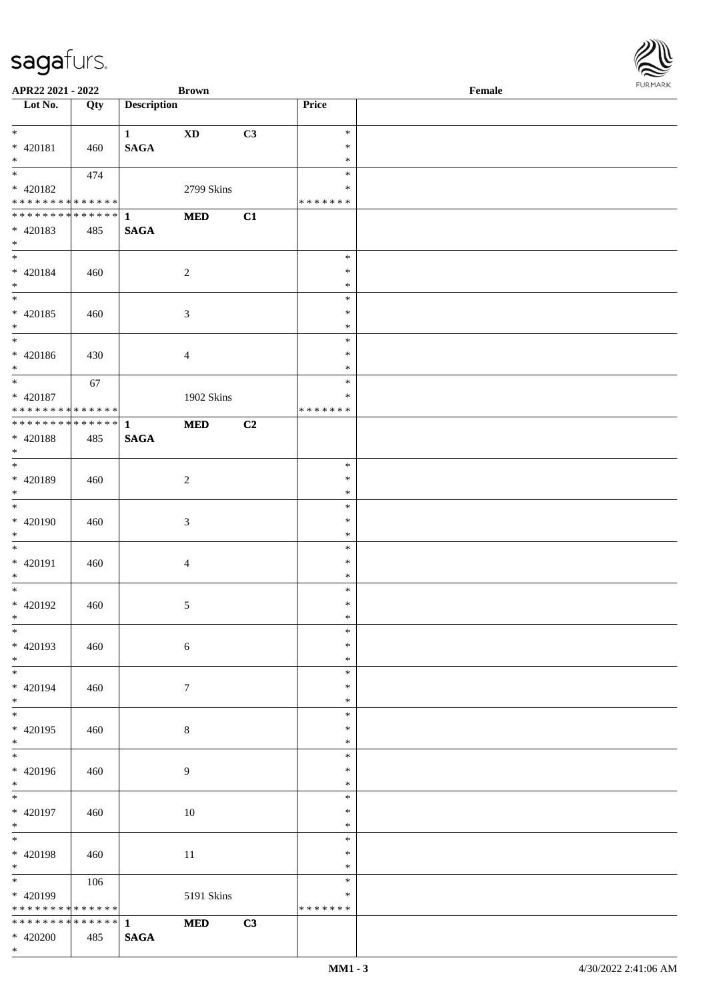| APR22 2021 - 2022                                             |             |                    | <b>Brown</b>           |    |                         | Female | 101111111111 |
|---------------------------------------------------------------|-------------|--------------------|------------------------|----|-------------------------|--------|--------------|
| Lot $No.$                                                     | Qty         | <b>Description</b> |                        |    | Price                   |        |              |
|                                                               |             |                    |                        |    |                         |        |              |
| $\ddot{x}$                                                    |             | 1                  | $\mathbf{X}\mathbf{D}$ | C3 | $\ast$                  |        |              |
| * 420181                                                      | 460         | <b>SAGA</b>        |                        |    | $\ast$                  |        |              |
| $*$<br>$\overline{\mathbf{r}}$                                |             |                    |                        |    | $\ast$                  |        |              |
|                                                               | 474         |                    |                        |    | $\ast$                  |        |              |
| * 420182                                                      |             |                    | 2799 Skins             |    | $\ast$<br>* * * * * * * |        |              |
| * * * * * * * * <mark>* * * * * *</mark>                      |             |                    |                        |    |                         |        |              |
|                                                               |             |                    | <b>MED</b>             | C1 |                         |        |              |
| * 420183<br>$\ast$                                            | 485         | <b>SAGA</b>        |                        |    |                         |        |              |
| $\ast$                                                        |             |                    |                        |    | $\ast$                  |        |              |
| * 420184                                                      | 460         |                    | $\overline{2}$         |    | $\ast$                  |        |              |
| $*$                                                           |             |                    |                        |    | $\ast$                  |        |              |
| $\overline{\ast}$                                             |             |                    |                        |    | $\ast$                  |        |              |
| * 420185                                                      | 460         |                    | $\mathfrak{Z}$         |    | $\ast$                  |        |              |
| $*$                                                           |             |                    |                        |    | $\ast$                  |        |              |
| $\overline{\ast}$                                             |             |                    |                        |    | $\ast$                  |        |              |
| * 420186                                                      | 430         |                    | $\overline{4}$         |    | $\ast$                  |        |              |
| $*$                                                           |             |                    |                        |    | $\ast$                  |        |              |
| $*$                                                           | 67          |                    |                        |    | $\ast$                  |        |              |
| * 420187                                                      |             |                    | 1902 Skins             |    | $\ast$                  |        |              |
| * * * * * * * * <mark>* * * * * * *</mark>                    |             |                    |                        |    | * * * * * * *           |        |              |
| ******** <mark>******</mark>                                  |             | $\mathbf{1}$       | <b>MED</b>             | C2 |                         |        |              |
| * 420188                                                      | 485         | <b>SAGA</b>        |                        |    |                         |        |              |
| $*$                                                           |             |                    |                        |    |                         |        |              |
| $\overline{\phantom{0}}$                                      |             |                    |                        |    | $\ast$                  |        |              |
| * 420189                                                      | 460         |                    | 2                      |    | $\ast$                  |        |              |
| $\ast$                                                        |             |                    |                        |    | $\ast$                  |        |              |
| $*$                                                           |             |                    |                        |    | $\ast$                  |        |              |
| * 420190                                                      | 460         |                    | $\mathfrak{Z}$         |    | $\ast$                  |        |              |
| $*$                                                           |             |                    |                        |    | $\ast$                  |        |              |
| $*$                                                           |             |                    |                        |    | $\ast$                  |        |              |
| * 420191                                                      | 460         |                    | $\overline{4}$         |    | $\ast$                  |        |              |
| $*$<br>$*$                                                    |             |                    |                        |    | $\ast$                  |        |              |
|                                                               |             |                    |                        |    | $\ast$<br>$\ast$        |        |              |
| * 420192<br>$\ddot{x}$                                        | 460         |                    | $\mathfrak{S}$         |    | $\ast$                  |        |              |
| $*$                                                           |             |                    |                        |    | $\ast$                  |        |              |
| * 420193                                                      | 460         |                    | $\sqrt{6}$             |    | $\ast$                  |        |              |
| $\ast$                                                        |             |                    |                        |    | $\ast$                  |        |              |
| $*$                                                           |             |                    |                        |    | $\ast$                  |        |              |
| * 420194                                                      | 460         |                    | $7\phantom{.0}$        |    | $\ast$                  |        |              |
| $*$                                                           |             |                    |                        |    | $\ast$                  |        |              |
| $*$                                                           |             |                    |                        |    | $\ast$                  |        |              |
| * 420195                                                      | 460         |                    | 8                      |    | $\ast$                  |        |              |
| $\ast$                                                        |             |                    |                        |    | $\ast$                  |        |              |
| $\overline{\ast}$                                             |             |                    |                        |    | $\ast$                  |        |              |
| * 420196                                                      | 460         |                    | $\overline{9}$         |    | $\ast$                  |        |              |
| $*$                                                           |             |                    |                        |    | $\ast$                  |        |              |
| $*$                                                           |             |                    |                        |    | $\ast$                  |        |              |
| * 420197                                                      | 460         |                    | 10                     |    | $\ast$                  |        |              |
| $*$                                                           |             |                    |                        |    | $\ast$                  |        |              |
| $\ddot{x}$                                                    |             |                    |                        |    | $\ast$                  |        |              |
| * 420198                                                      | 460         |                    | 11                     |    | $\ast$                  |        |              |
| $*$<br>$\ddot{x}$                                             |             |                    |                        |    | $\ast$                  |        |              |
|                                                               | 106         |                    |                        |    | $\ast$                  |        |              |
| * 420199                                                      |             |                    | 5191 Skins             |    | $\ast$                  |        |              |
| * * * * * * * *<br>* * * * * * * * <mark>* * * * * * *</mark> | * * * * * * |                    |                        |    | * * * * * * *           |        |              |
|                                                               |             | $\mathbf{1}$       | <b>MED</b>             | C3 |                         |        |              |
| * 420200<br>$*$                                               | 485         | $\mathbf{SAGA}$    |                        |    |                         |        |              |
|                                                               |             |                    |                        |    |                         |        |              |

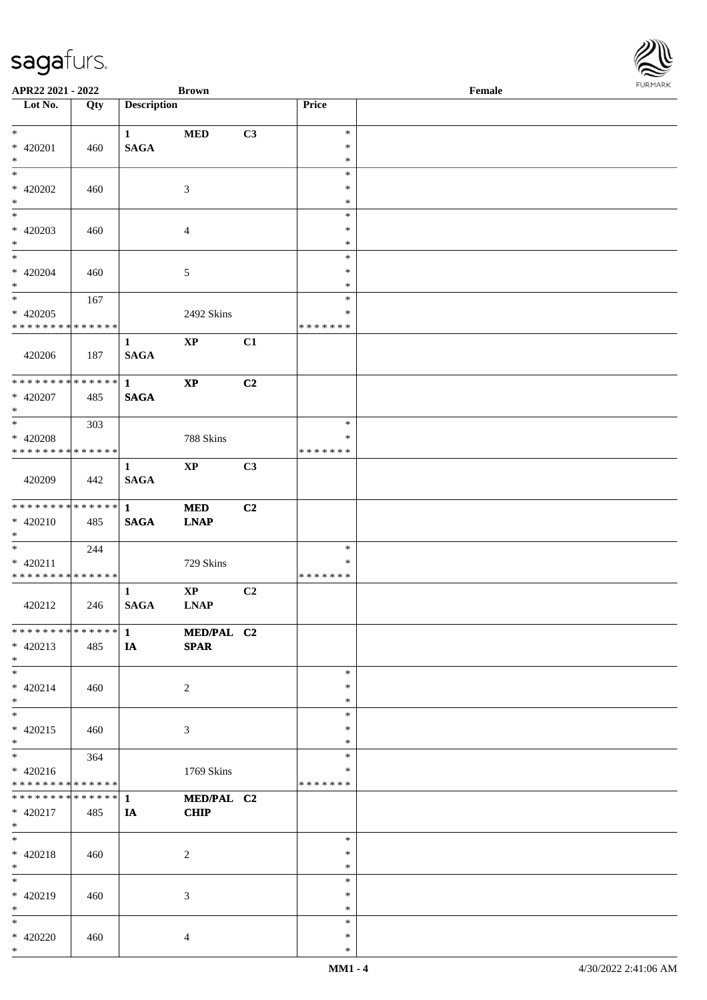| APR22 2021 - 2022            |     |                    | <b>Brown</b>   |                |                  | Female |
|------------------------------|-----|--------------------|----------------|----------------|------------------|--------|
| Lot No.                      | Qty | <b>Description</b> |                |                | Price            |        |
|                              |     |                    |                |                |                  |        |
| $\ast$                       |     | $\mathbf{1}$       | <b>MED</b>     | C3             | $\ast$           |        |
| * 420201<br>$\ast$           | 460 | <b>SAGA</b>        |                |                | $\ast$           |        |
| $*$                          |     |                    |                |                | $\ast$<br>$\ast$ |        |
|                              |     |                    |                |                | $\ast$           |        |
| $* 420202$<br>$\ast$         | 460 |                    | $\mathfrak{Z}$ |                | $\ast$           |        |
| $\overline{\phantom{0}}$     |     |                    |                |                | $\ast$           |        |
| $* 420203$                   |     |                    |                |                | $\ast$           |        |
| $*$                          | 460 |                    | $\overline{4}$ |                | $\ast$           |        |
| $\overline{\phantom{0}}$     |     |                    |                |                | $\ast$           |        |
| $* 420204$                   | 460 |                    | $\sqrt{5}$     |                | $\ast$           |        |
| $\ast$                       |     |                    |                |                | $\ast$           |        |
| $*$                          | 167 |                    |                |                | $\ast$           |        |
| $* 420205$                   |     |                    | 2492 Skins     |                | $\ast$           |        |
| * * * * * * * * * * * * * *  |     |                    |                |                | * * * * * * *    |        |
|                              |     | $\mathbf{1}$       | $\bold{XP}$    | C1             |                  |        |
| 420206                       | 187 | <b>SAGA</b>        |                |                |                  |        |
|                              |     |                    |                |                |                  |        |
| ******** <mark>******</mark> |     | $\mathbf{1}$       | $\bold{XP}$    | C2             |                  |        |
| * 420207                     | 485 | <b>SAGA</b>        |                |                |                  |        |
| $*$                          |     |                    |                |                |                  |        |
| $*$                          | 303 |                    |                |                | $\ast$           |        |
| * 420208                     |     |                    | 788 Skins      |                | ∗                |        |
| * * * * * * * * * * * * * *  |     |                    |                |                | * * * * * * *    |        |
|                              |     | $\mathbf{1}$       | $\mathbf{XP}$  | C3             |                  |        |
| 420209                       | 442 | <b>SAGA</b>        |                |                |                  |        |
|                              |     |                    |                |                |                  |        |
| ******** <mark>******</mark> |     | $\mathbf{1}$       | <b>MED</b>     | C <sub>2</sub> |                  |        |
| $* 420210$                   | 485 | $\mathbf{SAGA}$    | <b>LNAP</b>    |                |                  |        |
| $*$                          |     |                    |                |                |                  |        |
| $*$                          | 244 |                    |                |                | $\ast$           |        |
| $* 420211$                   |     |                    | 729 Skins      |                | $\ast$           |        |
| * * * * * * * * * * * * * *  |     |                    |                |                | *******          |        |
|                              |     | $\mathbf{1}$       | $\bold{XP}$    | C2             |                  |        |
| 420212                       | 246 | $\mathbf{SAGA}$    | <b>LNAP</b>    |                |                  |        |
|                              |     |                    |                |                |                  |        |
| ******** <mark>******</mark> |     | $\mathbf{1}$       | MED/PAL C2     |                |                  |        |
| $* 420213$                   | 485 | IA                 | <b>SPAR</b>    |                |                  |        |
| $*$                          |     |                    |                |                |                  |        |
| $*$                          |     |                    |                |                | $\ast$           |        |
| $* 420214$                   | 460 |                    | $\overline{c}$ |                | *                |        |
| $*$                          |     |                    |                |                | $\ast$           |        |
| $*$                          |     |                    |                |                | $\ast$           |        |
| $* 420215$                   | 460 |                    | $\mathfrak{Z}$ |                | $\ast$           |        |
| $*$                          |     |                    |                |                | $\ast$           |        |
| $\overline{\phantom{0}}$     | 364 |                    |                |                | $\ast$           |        |
| $* 420216$                   |     |                    | 1769 Skins     |                | ∗                |        |
| * * * * * * * * * * * * * *  |     |                    |                |                | * * * * * * *    |        |
| ******** <mark>******</mark> |     | $\mathbf{1}$       | MED/PAL C2     |                |                  |        |
| * 420217                     | 485 | <b>IA</b>          | <b>CHIP</b>    |                |                  |        |
| $*$ $-$                      |     |                    |                |                |                  |        |
| $*$                          |     |                    |                |                | $\ast$           |        |
| $* 420218$                   | 460 |                    | $\overline{c}$ |                | $\ast$           |        |
| $*$                          |     |                    |                |                | $\ast$           |        |
| $*$                          |     |                    |                |                | $\ast$           |        |
| * 420219                     | 460 |                    | 3              |                | $\ast$           |        |
| $*$                          |     |                    |                |                | $\ast$           |        |
| $*$                          |     |                    |                |                | $\ast$           |        |
| * 420220                     | 460 |                    | $\overline{4}$ |                | $\ast$           |        |
| $*$                          |     |                    |                |                | $\ast$           |        |

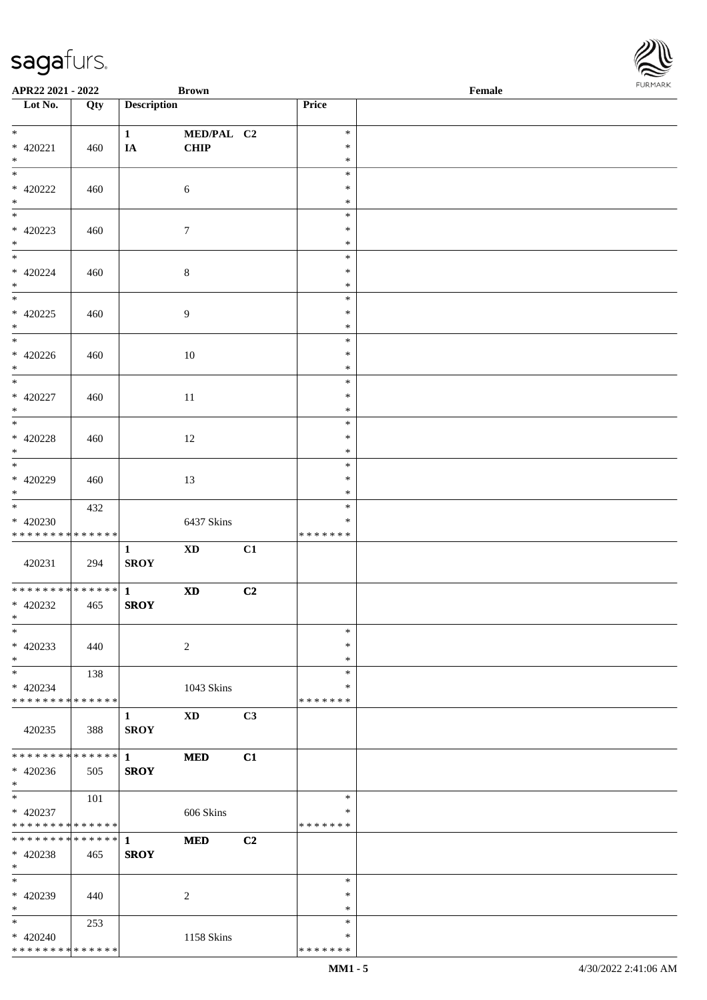| APR22 2021 - 2022             |     |                        | <b>Brown</b>               |    |                  | Female |
|-------------------------------|-----|------------------------|----------------------------|----|------------------|--------|
| Lot No.                       | Qty | <b>Description</b>     |                            |    | Price            |        |
|                               |     |                        |                            |    |                  |        |
| $*$                           |     | $\mathbf{1}$           | MED/PAL C2                 |    | $\ast$           |        |
| * 420221<br>$*$               | 460 | IA                     | <b>CHIP</b>                |    | $\ast$<br>$\ast$ |        |
|                               |     |                        |                            |    | $\ast$           |        |
| $* 420222$                    |     |                        |                            |    | $\ast$           |        |
| $\ast$                        | 460 |                        | 6                          |    | $\ast$           |        |
|                               |     |                        |                            |    | $\ast$           |        |
| $* 420223$                    |     |                        |                            |    | $\ast$           |        |
| $*$                           | 460 |                        | $\boldsymbol{7}$           |    | $\ast$           |        |
|                               |     |                        |                            |    | $\ast$           |        |
| $* 420224$                    | 460 |                        | $\,8\,$                    |    | $\ast$           |        |
| $*$                           |     |                        |                            |    | $\ast$           |        |
|                               |     |                        |                            |    | $\ast$           |        |
| $* 420225$                    | 460 |                        | 9                          |    | $\ast$           |        |
| $*$                           |     |                        |                            |    | $\ast$           |        |
| $*$                           |     |                        |                            |    | $\ast$           |        |
| $* 420226$                    | 460 |                        | 10                         |    | $\ast$           |        |
| $*$                           |     |                        |                            |    | $\ast$           |        |
| $*$                           |     |                        |                            |    | $\ast$           |        |
| $* 420227$                    | 460 |                        | 11                         |    | $\ast$           |        |
| $*$                           |     |                        |                            |    | $\ast$           |        |
|                               |     |                        |                            |    | $\ast$           |        |
| $* 420228$                    | 460 |                        | 12                         |    | $\ast$           |        |
| $*$                           |     |                        |                            |    | $\ast$           |        |
|                               |     |                        |                            |    | $\ast$           |        |
| $* 420229$<br>$*$             | 460 |                        | 13                         |    | $\ast$<br>$\ast$ |        |
|                               | 432 |                        |                            |    | $\ast$           |        |
| $* 420230$                    |     |                        | 6437 Skins                 |    | *                |        |
| * * * * * * * * * * * * * *   |     |                        |                            |    | * * * * * * *    |        |
|                               |     | $\mathbf{1}$           | $\mathbf{X}\mathbf{D}$     | C1 |                  |        |
| 420231                        | 294 | <b>SROY</b>            |                            |    |                  |        |
|                               |     |                        |                            |    |                  |        |
| * * * * * * * * * * * * * * * |     | $\mathbf{1}$           | $\boldsymbol{\mathrm{XD}}$ | C2 |                  |        |
| $* 420232$                    | 465 | <b>SROY</b>            |                            |    |                  |        |
| $*$ $*$                       |     |                        |                            |    |                  |        |
| $\ast$                        |     |                        |                            |    | $\ast$           |        |
| $* 420233$                    | 440 |                        | $\sqrt{2}$                 |    | $\ast$           |        |
| $*$                           |     |                        |                            |    | $\ast$<br>$\ast$ |        |
| $*$<br>$* 420234$             | 138 |                        |                            |    | *                |        |
| * * * * * * * * * * * * * *   |     |                        | 1043 Skins                 |    | *******          |        |
|                               |     | 1                      | XD                         | C3 |                  |        |
| 420235                        | 388 | <b>SROY</b>            |                            |    |                  |        |
|                               |     |                        |                            |    |                  |        |
| **************                |     | $1 \quad \blacksquare$ | <b>MED</b>                 | C1 |                  |        |
| $* 420236$                    | 505 | <b>SROY</b>            |                            |    |                  |        |
| $*$                           |     |                        |                            |    |                  |        |
| $*$                           | 101 |                        |                            |    | $\ast$           |        |
| $* 420237$                    |     |                        | 606 Skins                  |    | $\ast$           |        |
| * * * * * * * * * * * * * *   |     |                        |                            |    | *******          |        |
| * * * * * * * * * * * * * * * |     | $\mathbf{1}$           | <b>MED</b>                 | C2 |                  |        |
| $* 420238$<br>$*$             | 465 | <b>SROY</b>            |                            |    |                  |        |
| $*$                           |     |                        |                            |    | $\ast$           |        |
| * 420239                      | 440 |                        | 2                          |    | $\ast$           |        |
| $*$                           |     |                        |                            |    | $\ast$           |        |
| $*$                           | 253 |                        |                            |    | $\ast$           |        |
| $* 420240$                    |     |                        | 1158 Skins                 |    | *                |        |
| * * * * * * * * * * * * * *   |     |                        |                            |    | * * * * * * *    |        |

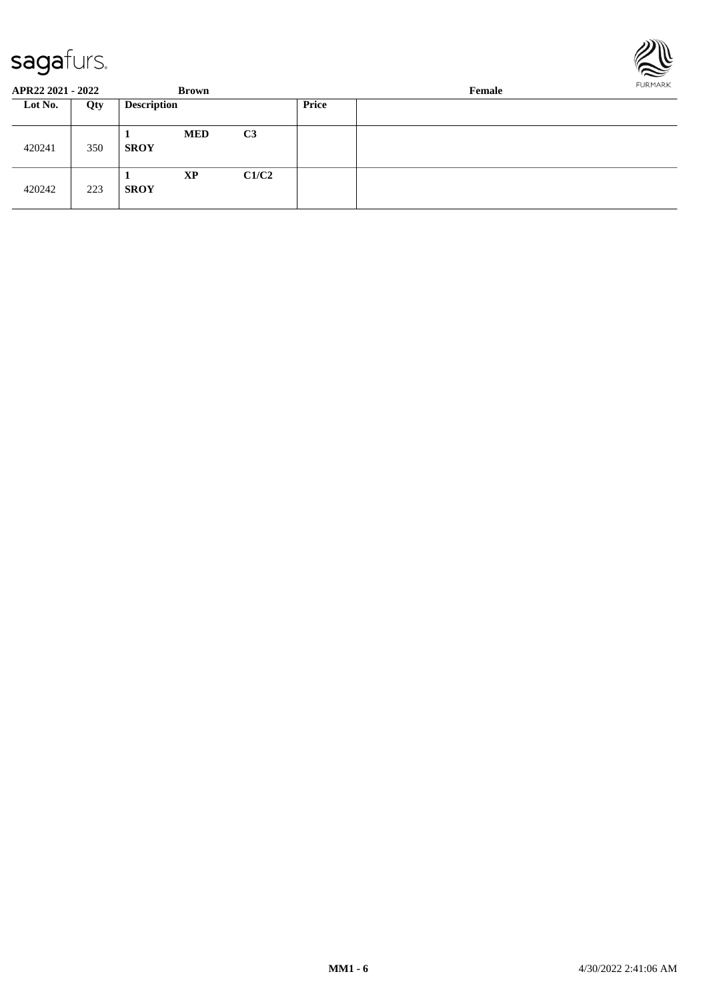

| APR22 2021 - 2022 |     |                    | Brown      |                | FURMARK<br>Female |  |  |  |  |
|-------------------|-----|--------------------|------------|----------------|-------------------|--|--|--|--|
| Lot No.           | Qty | <b>Description</b> |            |                | Price             |  |  |  |  |
| 420241            | 350 | <b>SROY</b>        | <b>MED</b> | C <sub>3</sub> |                   |  |  |  |  |
| 420242            | 223 | <b>SROY</b>        | <b>XP</b>  | C1/C2          |                   |  |  |  |  |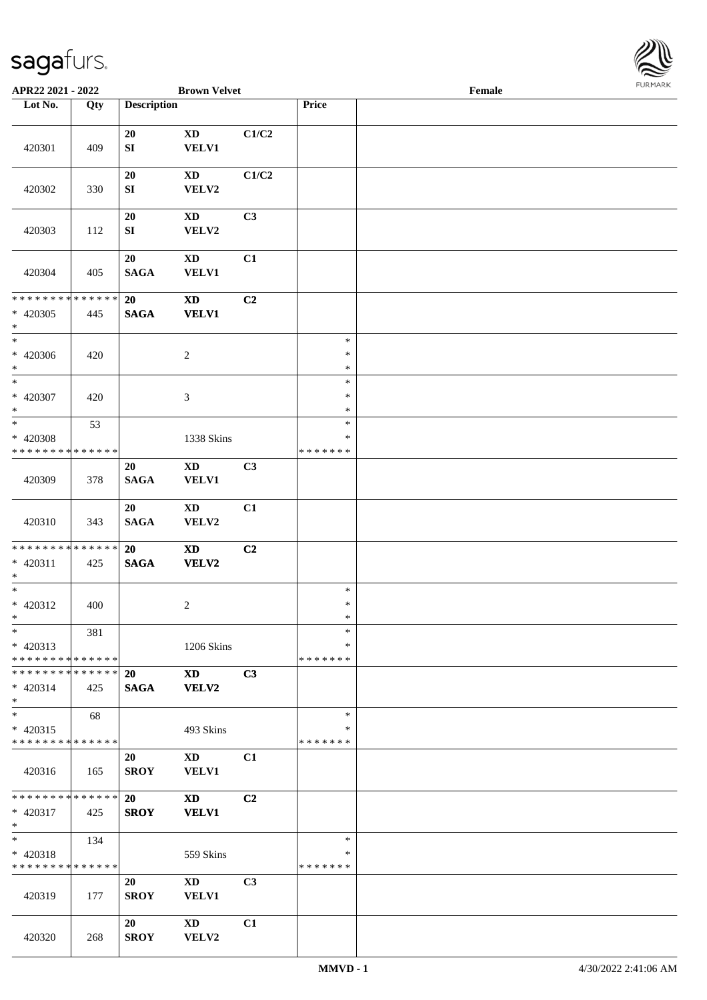

| APR22 2021 - 2022             |     |                    | <b>Brown Velvet</b>    |                |               | Female |  |
|-------------------------------|-----|--------------------|------------------------|----------------|---------------|--------|--|
| Lot No.                       | Qty | <b>Description</b> |                        |                | Price         |        |  |
|                               |     |                    |                        |                |               |        |  |
|                               |     | 20                 | <b>XD</b>              | C1/C2          |               |        |  |
| 420301                        | 409 | SI                 | <b>VELV1</b>           |                |               |        |  |
|                               |     |                    |                        |                |               |        |  |
|                               |     | 20                 | <b>XD</b>              | C1/C2          |               |        |  |
| 420302                        | 330 | SI                 | VELV2                  |                |               |        |  |
|                               |     |                    |                        |                |               |        |  |
|                               |     | 20                 | XD                     | C <sub>3</sub> |               |        |  |
| 420303                        | 112 | SI                 | VELV2                  |                |               |        |  |
|                               |     |                    |                        |                |               |        |  |
|                               |     | 20                 | $\mathbf{X}\mathbf{D}$ | C1             |               |        |  |
| 420304                        | 405 | <b>SAGA</b>        | <b>VELV1</b>           |                |               |        |  |
|                               |     |                    |                        |                |               |        |  |
| * * * * * * * * * * * * * *   |     | 20                 | <b>XD</b>              | C2             |               |        |  |
| $* 420305$                    |     | <b>SAGA</b>        | <b>VELV1</b>           |                |               |        |  |
| $*$                           | 445 |                    |                        |                |               |        |  |
| $\ast$                        |     |                    |                        |                | $\ast$        |        |  |
|                               |     |                    |                        |                | $\ast$        |        |  |
| * 420306                      | 420 |                    | $\boldsymbol{2}$       |                | $\ast$        |        |  |
| $\ast$<br>$*$                 |     |                    |                        |                | $\ast$        |        |  |
|                               |     |                    |                        |                |               |        |  |
| $* 420307$                    | 420 |                    | 3                      |                | $\ast$        |        |  |
| $\ast$                        |     |                    |                        |                | $\ast$        |        |  |
|                               | 53  |                    |                        |                | $\ast$        |        |  |
| * 420308                      |     |                    | 1338 Skins             |                | $\ast$        |        |  |
| * * * * * * * * * * * * * *   |     |                    |                        |                | * * * * * * * |        |  |
|                               |     | 20                 | XD                     | C <sub>3</sub> |               |        |  |
| 420309                        | 378 | <b>SAGA</b>        | <b>VELV1</b>           |                |               |        |  |
|                               |     |                    |                        |                |               |        |  |
|                               |     | 20                 | <b>XD</b>              | C1             |               |        |  |
| 420310                        | 343 | <b>SAGA</b>        | VELV2                  |                |               |        |  |
|                               |     |                    |                        |                |               |        |  |
| * * * * * * * * * * * * * * * |     | 20                 | <b>XD</b>              | C2             |               |        |  |
| $* 420311$                    | 425 | $\mathbf{SAGA}$    | VELV2                  |                |               |        |  |
| $*$                           |     |                    |                        |                |               |        |  |
| $*$                           |     |                    |                        |                | $\ast$        |        |  |
| * 420312                      | 400 |                    | $\overline{c}$         |                | $\ast$        |        |  |
| $*$                           |     |                    |                        |                | $\ast$        |        |  |
| $*$                           | 381 |                    |                        |                | $\ast$        |        |  |
| $* 420313$                    |     |                    | 1206 Skins             |                | ∗             |        |  |
| * * * * * * * * * * * * * * * |     |                    |                        |                | *******       |        |  |
| * * * * * * * * * * * * * * * |     | 20                 | <b>XD</b>              | C3             |               |        |  |
| $* 420314$                    | 425 | <b>SAGA</b>        | <b>VELV2</b>           |                |               |        |  |
| $*$                           |     |                    |                        |                |               |        |  |
| $*$                           | 68  |                    |                        |                | $\ast$        |        |  |
| $* 420315$                    |     |                    | 493 Skins              |                | ∗             |        |  |
| * * * * * * * * * * * * * *   |     |                    |                        |                | *******       |        |  |
|                               |     | 20                 | $\mathbf{X}\mathbf{D}$ | C1             |               |        |  |
| 420316                        | 165 | <b>SROY</b>        | <b>VELV1</b>           |                |               |        |  |
|                               |     |                    |                        |                |               |        |  |
| * * * * * * * * * * * * * * * |     | 20                 | <b>XD</b>              | C <sub>2</sub> |               |        |  |
| * 420317                      | 425 | <b>SROY</b>        | <b>VELV1</b>           |                |               |        |  |
| $*$                           |     |                    |                        |                |               |        |  |
| $*$ $*$                       | 134 |                    |                        |                | $\ast$        |        |  |
| * 420318                      |     |                    | 559 Skins              |                | $\ast$        |        |  |
| * * * * * * * * * * * * * *   |     |                    |                        |                | * * * * * * * |        |  |
|                               |     | 20                 | XD                     | C <sub>3</sub> |               |        |  |
| 420319                        | 177 | <b>SROY</b>        | <b>VELV1</b>           |                |               |        |  |
|                               |     |                    |                        |                |               |        |  |
|                               |     | 20                 | <b>XD</b>              | C1             |               |        |  |
| 420320                        |     | <b>SROY</b>        | VELV2                  |                |               |        |  |
|                               | 268 |                    |                        |                |               |        |  |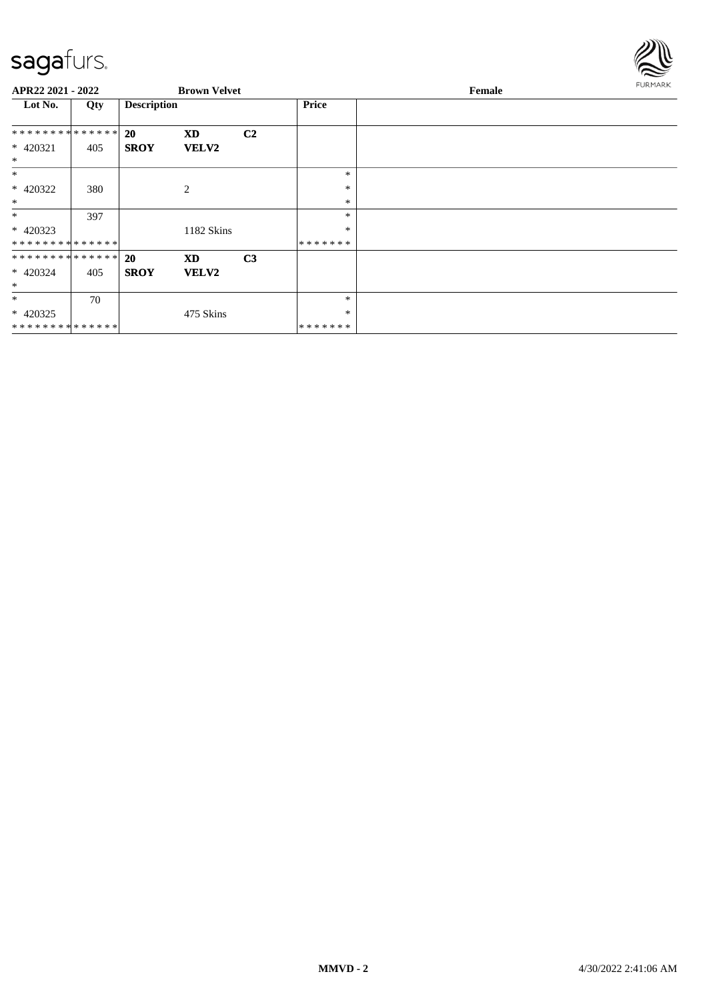

| APR22 2021 - 2022  |     |                    | <b>Brown Velvet</b> |                |              | <b>FURMARK</b><br>Female |
|--------------------|-----|--------------------|---------------------|----------------|--------------|--------------------------|
| Lot No.            | Qty | <b>Description</b> |                     |                | <b>Price</b> |                          |
| **************     |     | <b>20</b>          | <b>XD</b>           | C <sub>2</sub> |              |                          |
| * 420321           | 405 | <b>SROY</b>        | <b>VELV2</b>        |                |              |                          |
| $\ast$<br>$*$      |     |                    |                     |                | $\ast$       |                          |
| * 420322           | 380 |                    | $\mathbf{2}$        |                | $\ast$       |                          |
| $\ast$             |     |                    |                     |                | $\ast$       |                          |
| $\ast$             | 397 |                    |                     |                | *            |                          |
| $* 420323$         |     |                    | 1182 Skins          |                | $\ast$       |                          |
| **************     |     |                    |                     |                | *******      |                          |
| ************** 20  |     |                    | <b>XD</b>           | C <sub>3</sub> |              |                          |
| * 420324<br>$\ast$ | 405 | <b>SROY</b>        | <b>VELV2</b>        |                |              |                          |
| $*$                | 70  |                    |                     |                | $\ast$       |                          |
| $* 420325$         |     |                    | 475 Skins           |                | $\ast$       |                          |
| **************     |     |                    |                     |                | *******      |                          |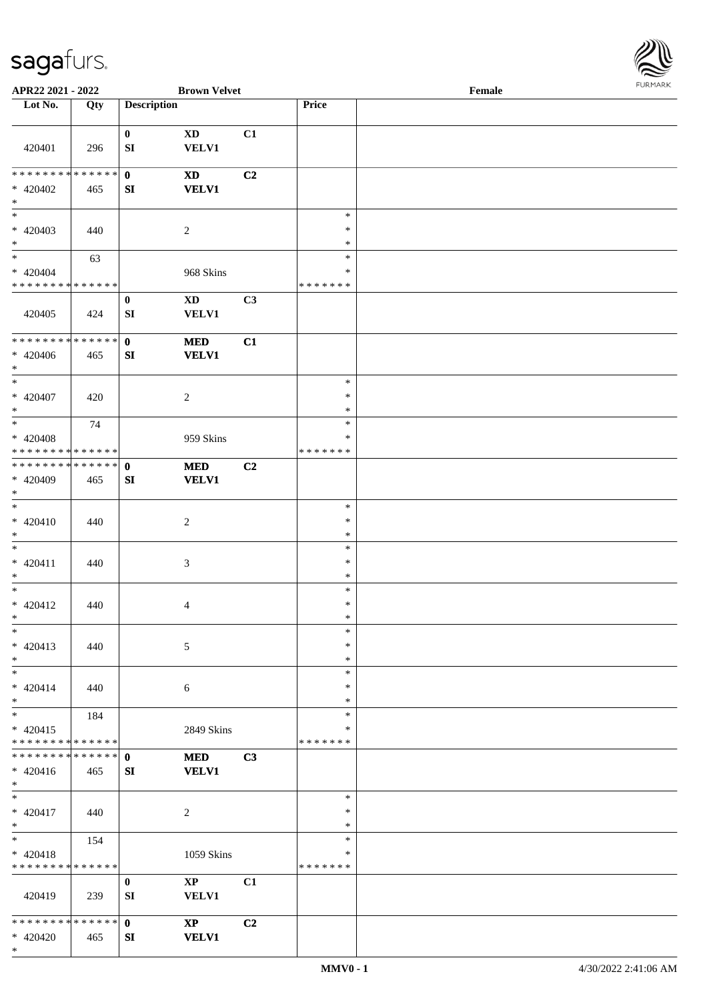

| APR22 2021 - 2022             |     |                    | <b>Brown Velvet</b>    |                |         | Female |  |
|-------------------------------|-----|--------------------|------------------------|----------------|---------|--------|--|
| Lot No.                       | Qty | <b>Description</b> |                        |                | Price   |        |  |
|                               |     |                    |                        |                |         |        |  |
|                               |     | $\bf{0}$           | <b>XD</b>              | C1             |         |        |  |
| 420401                        | 296 | SI                 | <b>VELV1</b>           |                |         |        |  |
|                               |     |                    |                        |                |         |        |  |
| * * * * * * * * * * * * * * * |     | $\mathbf{0}$       | <b>XD</b>              | C <sub>2</sub> |         |        |  |
| $* 420402$                    | 465 | SI                 | <b>VELV1</b>           |                |         |        |  |
| $*$                           |     |                    |                        |                |         |        |  |
| $\overline{\ast}$             |     |                    |                        |                | $\ast$  |        |  |
| $* 420403$                    | 440 |                    | $\boldsymbol{2}$       |                | $\ast$  |        |  |
| $*$                           |     |                    |                        |                | $\ast$  |        |  |
| $\ast$                        | 63  |                    |                        |                | $\ast$  |        |  |
| $* 420404$                    |     |                    | 968 Skins              |                | $\ast$  |        |  |
| * * * * * * * * * * * * * *   |     |                    |                        |                | ******* |        |  |
|                               |     | $\boldsymbol{0}$   | <b>XD</b>              | C3             |         |        |  |
| 420405                        | 424 | SI                 | <b>VELV1</b>           |                |         |        |  |
|                               |     |                    |                        |                |         |        |  |
| * * * * * * * * * * * * * * * |     | $\mathbf 0$        | <b>MED</b>             | C1             |         |        |  |
| $* 420406$                    | 465 | SI                 | <b>VELV1</b>           |                |         |        |  |
| $*$                           |     |                    |                        |                |         |        |  |
| $\ast$                        |     |                    |                        |                | $\ast$  |        |  |
| $* 420407$                    | 420 |                    | 2                      |                | $\ast$  |        |  |
| $*$                           |     |                    |                        |                | $\ast$  |        |  |
| $*$                           | 74  |                    |                        |                | $\ast$  |        |  |
| $* 420408$                    |     |                    |                        |                | ∗       |        |  |
| * * * * * * * * * * * * * *   |     |                    | 959 Skins              |                | ******* |        |  |
| * * * * * * * * * * * * * * * |     |                    |                        |                |         |        |  |
|                               |     | $\mathbf{0}$       | <b>MED</b>             | C2             |         |        |  |
| * 420409                      | 465 | SI                 | <b>VELV1</b>           |                |         |        |  |
| $*$<br>$*$                    |     |                    |                        |                |         |        |  |
|                               |     |                    |                        |                | $\ast$  |        |  |
| $* 420410$                    | 440 |                    | $\sqrt{2}$             |                | $\ast$  |        |  |
| $*$                           |     |                    |                        |                | $\ast$  |        |  |
| $*$                           |     |                    |                        |                | $\ast$  |        |  |
| $* 420411$                    | 440 |                    | $\mathfrak{Z}$         |                | $\ast$  |        |  |
| $*$                           |     |                    |                        |                | $\ast$  |        |  |
| $*$                           |     |                    |                        |                | $\ast$  |        |  |
| $* 420412$                    | 440 |                    | $\overline{4}$         |                | $\ast$  |        |  |
| $*$                           |     |                    |                        |                | $\ast$  |        |  |
| $\ast$                        |     |                    |                        |                | $\ast$  |        |  |
| $* 420413$                    | 440 |                    | 5                      |                | $\ast$  |        |  |
| $*$                           |     |                    |                        |                | $\ast$  |        |  |
| $*$                           |     |                    |                        |                | $\ast$  |        |  |
| $* 420414$                    | 440 |                    | 6                      |                | $\ast$  |        |  |
| $*$                           |     |                    |                        |                | $\ast$  |        |  |
| $*$                           | 184 |                    |                        |                | $\ast$  |        |  |
| $* 420415$                    |     |                    | 2849 Skins             |                | $\ast$  |        |  |
| * * * * * * * * * * * * * *   |     |                    |                        |                | ******* |        |  |
| * * * * * * * * * * * * * * * |     | $\mathbf{0}$       | <b>MED</b>             | C3             |         |        |  |
| $* 420416$                    | 465 | SI                 | <b>VELV1</b>           |                |         |        |  |
| $*$                           |     |                    |                        |                |         |        |  |
| $*$                           |     |                    |                        |                | $\ast$  |        |  |
| $* 420417$                    | 440 |                    | $\sqrt{2}$             |                | $\ast$  |        |  |
| $*$                           |     |                    |                        |                | $\ast$  |        |  |
| $*$ and $*$                   | 154 |                    |                        |                | $\ast$  |        |  |
| $* 420418$                    |     |                    | 1059 Skins             |                | $\ast$  |        |  |
| * * * * * * * * * * * * * *   |     |                    |                        |                | ******* |        |  |
|                               |     | $\bf{0}$           | $\mathbf{X}\mathbf{P}$ | C1             |         |        |  |
| 420419                        | 239 | SI                 | VELV1                  |                |         |        |  |
|                               |     |                    |                        |                |         |        |  |
| * * * * * * * * * * * * * * * |     | $\mathbf{0}$       | $\bold{X}\bold{P}$     | C <sub>2</sub> |         |        |  |
| * 420420                      | 465 | SI                 | <b>VELV1</b>           |                |         |        |  |
|                               |     |                    |                        |                |         |        |  |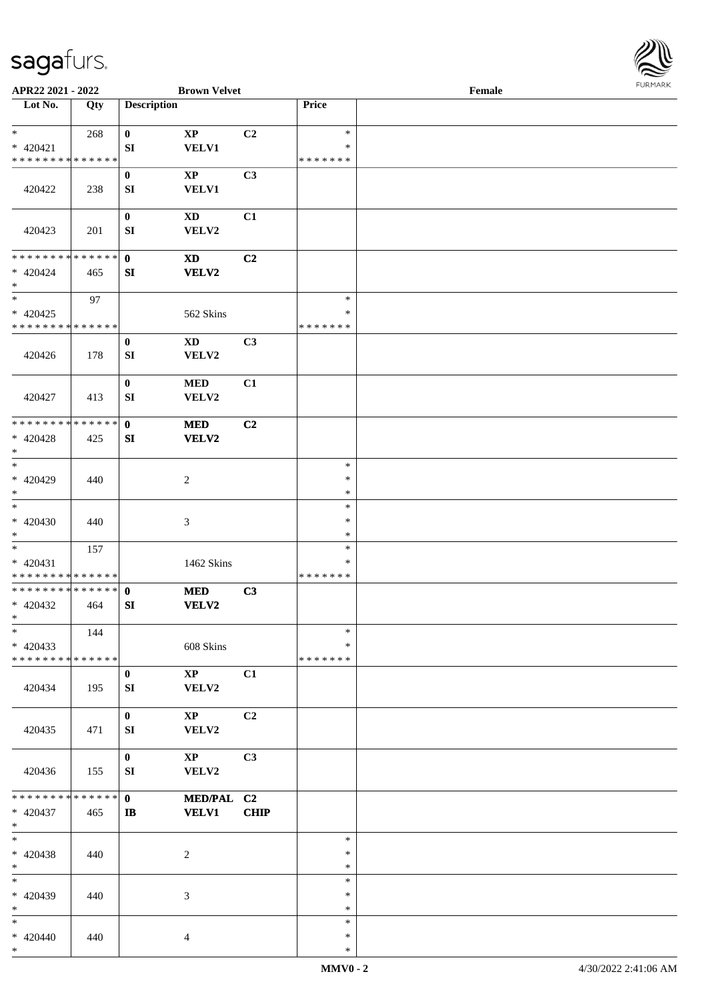

| APR22 2021 - 2022             |     |                    | <b>Brown Velvet</b>         |             |                  | Female |  |
|-------------------------------|-----|--------------------|-----------------------------|-------------|------------------|--------|--|
| Lot No.                       | Qty | <b>Description</b> |                             |             | Price            |        |  |
| $*$                           |     |                    |                             |             | $\ast$           |        |  |
| $* 420421$                    | 268 | $\bf{0}$<br>SI     | $\bold{XP}$<br><b>VELV1</b> | C2          | ∗                |        |  |
| * * * * * * * * * * * * * *   |     |                    |                             |             | * * * * * * *    |        |  |
|                               |     | $\bf{0}$           | $\mathbf{XP}$               | C3          |                  |        |  |
| 420422                        | 238 | SI                 | <b>VELV1</b>                |             |                  |        |  |
|                               |     |                    |                             |             |                  |        |  |
|                               |     | $\boldsymbol{0}$   | XD                          | C1          |                  |        |  |
| 420423                        | 201 | SI                 | VELV2                       |             |                  |        |  |
| * * * * * * * * * * * * * *   |     |                    |                             |             |                  |        |  |
| $* 420424$                    | 465 | $\mathbf{0}$<br>SI | <b>XD</b><br>VELV2          | C2          |                  |        |  |
| $\ast$                        |     |                    |                             |             |                  |        |  |
| $\ast$                        | 97  |                    |                             |             | $\ast$           |        |  |
| $* 420425$                    |     |                    | 562 Skins                   |             | $\ast$           |        |  |
| * * * * * * * * * * * * * *   |     |                    |                             |             | * * * * * * *    |        |  |
|                               |     | $\bf{0}$           | $\mathbf{X}\mathbf{D}$      | C3          |                  |        |  |
| 420426                        | 178 | SI                 | VELV2                       |             |                  |        |  |
|                               |     |                    |                             |             |                  |        |  |
| 420427                        | 413 | $\bf{0}$<br>SI     | <b>MED</b><br>VELV2         | C1          |                  |        |  |
|                               |     |                    |                             |             |                  |        |  |
| * * * * * * * * * * * * * *   |     | $\mathbf{0}$       | <b>MED</b>                  | C2          |                  |        |  |
| $* 420428$                    | 425 | SI                 | <b>VELV2</b>                |             |                  |        |  |
| $*$                           |     |                    |                             |             |                  |        |  |
| $\ast$                        |     |                    |                             |             | $\ast$           |        |  |
| $* 420429$                    | 440 |                    | $\overline{c}$              |             | $\ast$<br>$\ast$ |        |  |
| $*$<br>$\ast$                 |     |                    |                             |             | $\ast$           |        |  |
| $* 420430$                    | 440 |                    | $\mathfrak{Z}$              |             | $\ast$           |        |  |
| $*$                           |     |                    |                             |             | $\ast$           |        |  |
| $*$                           | 157 |                    |                             |             | $\ast$           |        |  |
| $* 420431$                    |     |                    | 1462 Skins                  |             | $\ast$           |        |  |
| * * * * * * * * * * * * * *   |     |                    |                             |             | * * * * * * *    |        |  |
| **************                |     | $\mathbf 0$        | $\bf MED$                   | C3          |                  |        |  |
| $* 420432$<br>$*$             | 464 | SI                 | <b>VELV2</b>                |             |                  |        |  |
| $\ast$                        | 144 |                    |                             |             | $\ast$           |        |  |
| $* 420433$                    |     |                    | 608 Skins                   |             | ∗                |        |  |
| * * * * * * * * * * * * * *   |     |                    |                             |             | * * * * * * *    |        |  |
|                               |     | $\bf{0}$           | $\mathbf{XP}$               | C1          |                  |        |  |
| 420434                        | 195 | SI                 | VELV2                       |             |                  |        |  |
|                               |     |                    |                             |             |                  |        |  |
|                               |     | $\mathbf 0$        | $\mathbf{X}\mathbf{P}$      | C2          |                  |        |  |
| 420435                        | 471 | SI                 | VELV2                       |             |                  |        |  |
|                               |     | $\bf{0}$           | $\mathbf{XP}$               | C3          |                  |        |  |
| 420436                        | 155 | SI                 | VELV2                       |             |                  |        |  |
|                               |     |                    |                             |             |                  |        |  |
| * * * * * * * * * * * * * * * |     | $\mathbf{0}$       | MED/PAL C2                  |             |                  |        |  |
| $* 420437$                    | 465 | IB                 | <b>VELV1</b>                | <b>CHIP</b> |                  |        |  |
| $*$<br>$*$                    |     |                    |                             |             | $\ast$           |        |  |
| $* 420438$                    | 440 |                    | $\overline{c}$              |             | $\ast$           |        |  |
| $*$                           |     |                    |                             |             | $\ast$           |        |  |
| $\ast$                        |     |                    |                             |             | $\ast$           |        |  |
| $* 420439$                    | 440 |                    | 3                           |             | ∗                |        |  |
| $*$                           |     |                    |                             |             | $\ast$           |        |  |
| $*$                           |     |                    |                             |             | $\ast$           |        |  |
| $* 420440$<br>$*$             | 440 |                    | $\overline{4}$              |             | $\ast$<br>$\ast$ |        |  |
|                               |     |                    |                             |             |                  |        |  |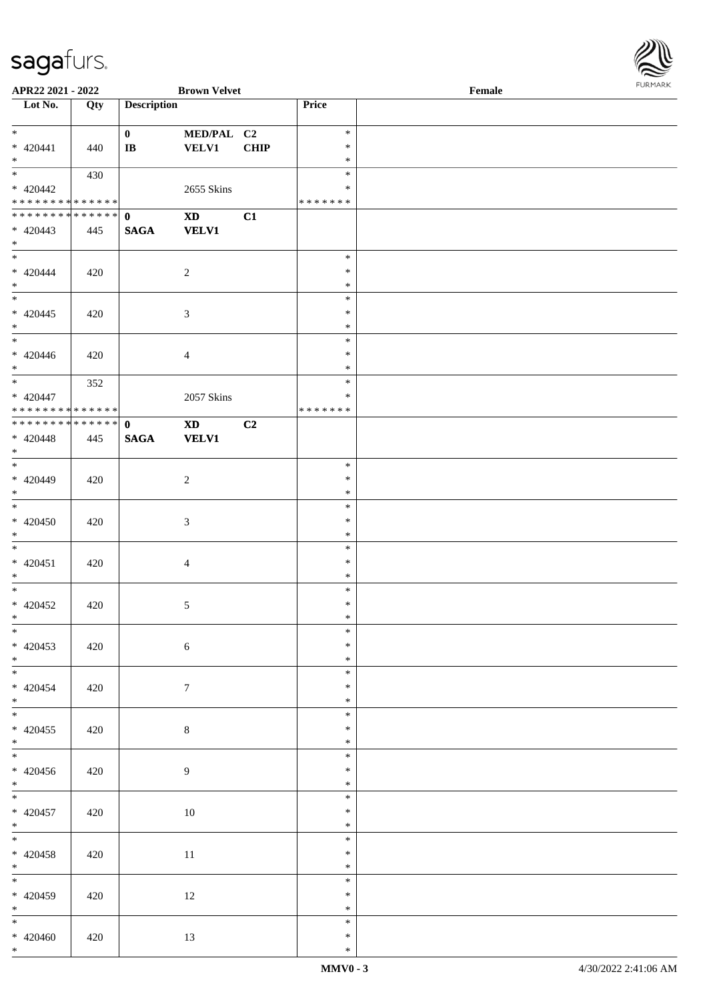

| APR22 2021 - 2022                          |     |                        | <b>Brown Velvet</b>    |             |               | Female |
|--------------------------------------------|-----|------------------------|------------------------|-------------|---------------|--------|
| Lot No.                                    | Qty | <b>Description</b>     |                        |             | Price         |        |
|                                            |     |                        |                        |             |               |        |
| $*$                                        |     | $\mathbf{0}$           | MED/PAL C2             |             | $\ast$        |        |
| $* 420441$                                 | 440 | $\mathbf{I}\mathbf{B}$ | <b>VELV1</b>           | <b>CHIP</b> | $\ast$        |        |
| $*$ $-$                                    |     |                        |                        |             | $\ast$        |        |
|                                            |     |                        |                        |             | $\ast$        |        |
|                                            | 430 |                        |                        |             |               |        |
| $* 420442$                                 |     |                        | 2655 Skins             |             | ∗             |        |
| * * * * * * * * <mark>* * * * * * *</mark> |     |                        |                        |             | * * * * * * * |        |
| * * * * * * * * * * * * * * *              |     | $\mathbf{0}$           | $\mathbf{X}\mathbf{D}$ | C1          |               |        |
| $* 420443$                                 | 445 | <b>SAGA</b>            | <b>VELV1</b>           |             |               |        |
| $*$                                        |     |                        |                        |             |               |        |
|                                            |     |                        |                        |             | $\ast$        |        |
| $* 420444$                                 | 420 |                        | $\overline{2}$         |             | $\ast$        |        |
| $*$                                        |     |                        |                        |             | $\ast$        |        |
|                                            |     |                        |                        |             |               |        |
|                                            |     |                        |                        |             | $\ast$        |        |
| $* 420445$                                 | 420 |                        | $\sqrt{3}$             |             | $\ast$        |        |
| $*$                                        |     |                        |                        |             | $\ast$        |        |
|                                            |     |                        |                        |             | $\ast$        |        |
| $* 420446$                                 | 420 |                        | $\overline{4}$         |             | $\ast$        |        |
| $*$                                        |     |                        |                        |             | $\ast$        |        |
|                                            | 352 |                        |                        |             | $\ast$        |        |
| $* 420447$                                 |     |                        | 2057 Skins             |             | $\ast$        |        |
| * * * * * * * * * * * * * * *              |     |                        |                        |             | *******       |        |
| * * * * * * * * * * * * * * *              |     |                        |                        |             |               |        |
|                                            |     | $\mathbf{0}$           | <b>XD</b>              | C2          |               |        |
| $* 420448$                                 | 445 | <b>SAGA</b>            | <b>VELV1</b>           |             |               |        |
| $*$                                        |     |                        |                        |             |               |        |
|                                            |     |                        |                        |             | $\ast$        |        |
| $* 420449$                                 | 420 |                        | $\overline{2}$         |             | $\ast$        |        |
| $*$                                        |     |                        |                        |             | $\ast$        |        |
| $*$                                        |     |                        |                        |             | $\ast$        |        |
| $* 420450$                                 | 420 |                        | $\sqrt{3}$             |             | $\ast$        |        |
| $*$                                        |     |                        |                        |             | $\ast$        |        |
| $*$                                        |     |                        |                        |             | $\ast$        |        |
|                                            |     |                        |                        |             | $\ast$        |        |
| $* 420451$                                 | 420 |                        | $\overline{4}$         |             |               |        |
| $*$                                        |     |                        |                        |             | $\ast$        |        |
| $*$                                        |     |                        |                        |             | $\ast$        |        |
| $* 420452$                                 | 420 |                        | $\sqrt{5}$             |             | $\ast$        |        |
| $*$ $-$                                    |     |                        |                        |             | $\ast$        |        |
| $*$                                        |     |                        |                        |             | $\ast$        |        |
| $* 420453$                                 | 420 |                        | $\sqrt{6}$             |             | $\ast$        |        |
| $*$                                        |     |                        |                        |             | $\ast$        |        |
| $*$                                        |     |                        |                        |             | $\ast$        |        |
| $* 420454$                                 | 420 |                        | $\tau$                 |             | $\ast$        |        |
| $*$                                        |     |                        |                        |             | $\ast$        |        |
|                                            |     |                        |                        |             |               |        |
|                                            |     |                        |                        |             | $\ast$        |        |
| $* 420455$                                 | 420 |                        | 8                      |             | $\ast$        |        |
| $*$                                        |     |                        |                        |             | $\ast$        |        |
| $*$                                        |     |                        |                        |             | $\ast$        |        |
| $* 420456$                                 | 420 |                        | $\overline{9}$         |             | ∗             |        |
| $*$                                        |     |                        |                        |             | $\ast$        |        |
| $*$                                        |     |                        |                        |             | $\ast$        |        |
| $* 420457$                                 | 420 |                        | 10                     |             | $\ast$        |        |
| $*$ $*$                                    |     |                        |                        |             | $\ast$        |        |
| $*$                                        |     |                        |                        |             | $\ast$        |        |
|                                            |     |                        |                        |             | $\ast$        |        |
| $* 420458$                                 | 420 |                        | 11                     |             |               |        |
| $*$ $*$                                    |     |                        |                        |             | $\ast$        |        |
| $*$                                        |     |                        |                        |             | $\ast$        |        |
| $* 420459$                                 | 420 |                        | 12                     |             | $\ast$        |        |
| $*$ $*$                                    |     |                        |                        |             | $\ast$        |        |
| $*$                                        |     |                        |                        |             | $\ast$        |        |
| $* 420460$                                 | 420 |                        | 13                     |             | $\ast$        |        |
| $*$                                        |     |                        |                        |             | $\ast$        |        |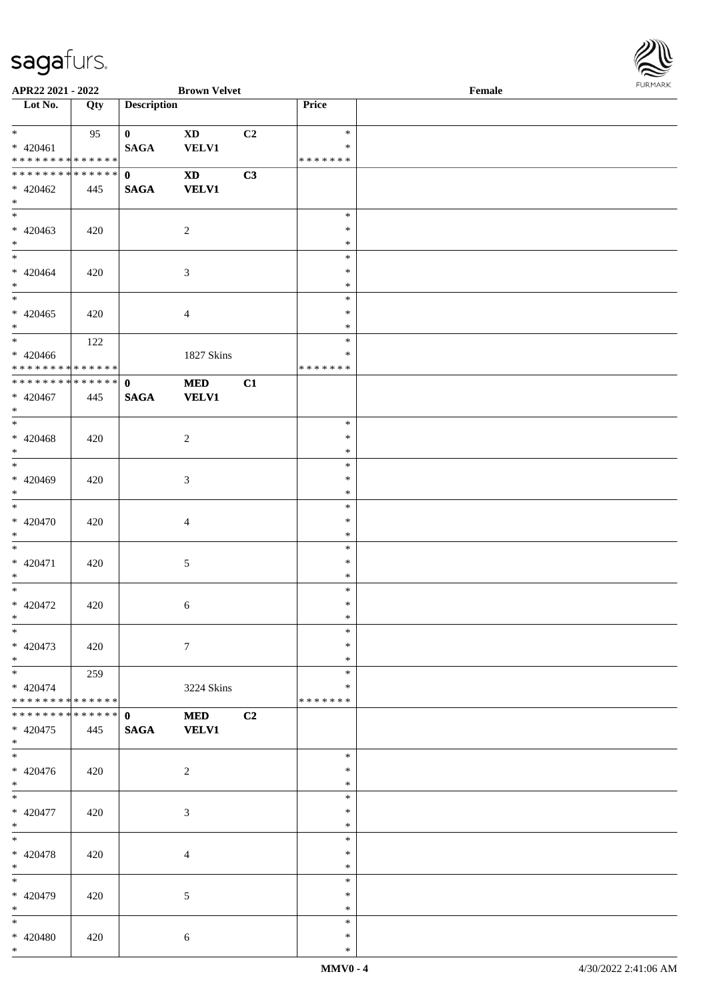

| APR22 2021 - 2022                           |             |                    | <b>Brown Velvet</b>    |    |               | Female |  |
|---------------------------------------------|-------------|--------------------|------------------------|----|---------------|--------|--|
| Lot No.                                     | Qty         | <b>Description</b> |                        |    | Price         |        |  |
|                                             |             |                    |                        |    |               |        |  |
| $*$                                         | 95          | $\mathbf{0}$       | <b>XD</b>              | C2 | $\ast$        |        |  |
| $* 420461$                                  |             | <b>SAGA</b>        | <b>VELV1</b>           |    | $\ast$        |        |  |
| * * * * * * * * * * * * * * *               |             |                    |                        |    | * * * * * * * |        |  |
| ******** <mark>******</mark>                |             | $\mathbf{0}$       | $\mathbf{X}\mathbf{D}$ | C3 |               |        |  |
| $* 420462$                                  | 445         | <b>SAGA</b>        | <b>VELV1</b>           |    |               |        |  |
| $*$                                         |             |                    |                        |    |               |        |  |
|                                             |             |                    |                        |    | $\ast$        |        |  |
| $* 420463$                                  | 420         |                    | $\overline{c}$         |    | $\ast$        |        |  |
| $*$                                         |             |                    |                        |    | $\ast$        |        |  |
| $*$                                         |             |                    |                        |    | $\ast$        |        |  |
| $* 420464$                                  | 420         |                    | 3                      |    | $\ast$        |        |  |
| $*$                                         |             |                    |                        |    | $\ast$        |        |  |
|                                             |             |                    |                        |    | $\ast$        |        |  |
| $* 420465$                                  | 420         |                    | $\overline{4}$         |    | $\ast$        |        |  |
| $*$                                         |             |                    |                        |    | $\ast$        |        |  |
| $*$                                         | 122         |                    |                        |    | $\ast$        |        |  |
| $* 420466$                                  |             |                    | 1827 Skins             |    | $\ast$        |        |  |
| ******** <mark>******</mark>                |             |                    |                        |    | * * * * * * * |        |  |
| ******** <mark>******</mark>                |             | $\mathbf{0}$       | <b>MED</b>             | C1 |               |        |  |
| $* 420467$                                  | 445         | <b>SAGA</b>        | <b>VELV1</b>           |    |               |        |  |
| $\ast$                                      |             |                    |                        |    |               |        |  |
|                                             |             |                    |                        |    | $\ast$        |        |  |
| $* 420468$                                  | 420         |                    | $\overline{c}$         |    | $\ast$        |        |  |
| $*$                                         |             |                    |                        |    | $\ast$        |        |  |
|                                             |             |                    |                        |    | $\ast$        |        |  |
| * 420469                                    | 420         |                    | 3                      |    | $\ast$        |        |  |
| $*$                                         |             |                    |                        |    | $\ast$        |        |  |
|                                             |             |                    |                        |    | $\ast$        |        |  |
| * 420470                                    | 420         |                    | $\overline{4}$         |    | $\ast$        |        |  |
| $*$                                         |             |                    |                        |    | $\ast$        |        |  |
| $*$                                         |             |                    |                        |    | $\ast$        |        |  |
| $* 420471$                                  | 420         |                    | $\sqrt{5}$             |    | $\ast$        |        |  |
| $*$                                         |             |                    |                        |    | $\ast$        |        |  |
| $*$                                         |             |                    |                        |    | $\ast$        |        |  |
| $* 420472$                                  | 420         |                    |                        |    | $\ast$        |        |  |
| $*$                                         |             |                    | 6                      |    | $\ast$        |        |  |
| $*$                                         |             |                    |                        |    | $\ast$        |        |  |
| $* 420473$                                  |             |                    | $\tau$                 |    | $\ast$        |        |  |
| $*$                                         | 420         |                    |                        |    | $\ast$        |        |  |
| $*$ $*$                                     |             |                    |                        |    | $\ast$        |        |  |
|                                             | 259         |                    |                        |    | $\ast$        |        |  |
| $* 420474$<br>* * * * * * * * * * * * * * * |             |                    | 3224 Skins             |    | *******       |        |  |
| * * * * * * * *                             | * * * * * * |                    |                        |    |               |        |  |
|                                             |             | $\mathbf 0$        | <b>MED</b>             | C2 |               |        |  |
| $* 420475$<br>$*$                           | 445         | <b>SAGA</b>        | <b>VELV1</b>           |    |               |        |  |
| $*$                                         |             |                    |                        |    | $\ast$        |        |  |
| $* 420476$                                  |             |                    |                        |    | $\ast$        |        |  |
| $*$                                         | 420         |                    | 2                      |    | $\ast$        |        |  |
|                                             |             |                    |                        |    |               |        |  |
| $*$                                         |             |                    |                        |    | $\ast$        |        |  |
| $* 420477$                                  | 420         |                    | 3                      |    | $\ast$        |        |  |
| $*$                                         |             |                    |                        |    | $\ast$        |        |  |
| $*$                                         |             |                    |                        |    | $\ast$        |        |  |
| * 420478                                    | 420         |                    | $\overline{4}$         |    | $\ast$        |        |  |
| $*$                                         |             |                    |                        |    | $\ast$        |        |  |
| $*$                                         |             |                    |                        |    | $\ast$        |        |  |
| * 420479                                    | 420         |                    | 5                      |    | $\ast$        |        |  |
| $*$                                         |             |                    |                        |    | $\ast$        |        |  |
| $*$                                         |             |                    |                        |    | $\ast$        |        |  |
| * 420480                                    | 420         |                    | $\sqrt{6}$             |    | $\ast$        |        |  |
| $*$                                         |             |                    |                        |    | $\ast$        |        |  |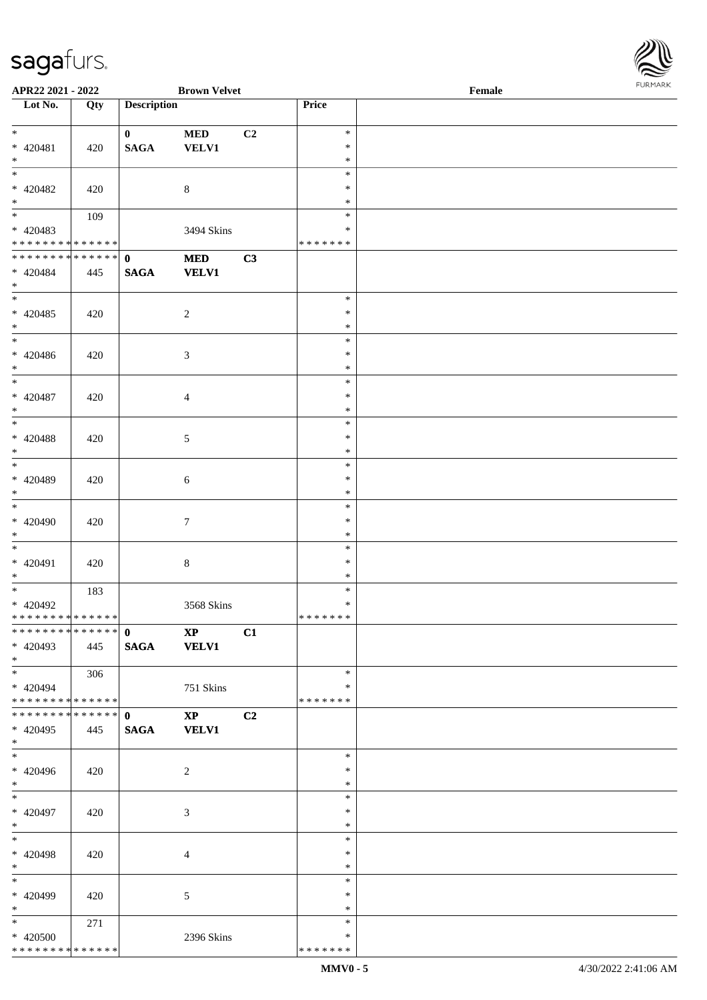

| APR22 2021 - 2022             |     |                                      | <b>Brown Velvet</b> |                |               | Female |
|-------------------------------|-----|--------------------------------------|---------------------|----------------|---------------|--------|
| Lot No.                       | Qty | <b>Description</b>                   |                     |                | Price         |        |
|                               |     |                                      |                     |                |               |        |
| $\overline{\ast}$             |     | $\mathbf{0}$                         | $\bf MED$           | C <sub>2</sub> | $\ast$        |        |
| $* 420481$                    | 420 | $\mathbf{SAGA}$                      | <b>VELV1</b>        |                | $\ast$        |        |
| $\ast$                        |     |                                      |                     |                | $\ast$        |        |
| $\overline{\phantom{a}^*}$    |     |                                      |                     |                | $\ast$        |        |
|                               |     |                                      |                     |                | $\ast$        |        |
| $* 420482$                    | 420 |                                      | $8\,$               |                |               |        |
| $\ast$                        |     |                                      |                     |                | $\ast$        |        |
| $\overline{\phantom{0}}$      | 109 |                                      |                     |                | $\ast$        |        |
| $* 420483$                    |     |                                      | 3494 Skins          |                | $\ast$        |        |
| * * * * * * * * * * * * * *   |     |                                      |                     |                | * * * * * * * |        |
| **************                |     | $\mathbf{0}$                         | $\bf MED$           | C3             |               |        |
| $* 420484$                    | 445 | <b>SAGA</b>                          | <b>VELV1</b>        |                |               |        |
| $*$                           |     |                                      |                     |                |               |        |
| $\overline{\phantom{a}^*}$    |     |                                      |                     |                | $\ast$        |        |
| * 420485                      |     |                                      |                     |                | $\ast$        |        |
|                               | 420 |                                      | $\overline{2}$      |                |               |        |
| $\ast$<br>$_{\ast}^{-}$       |     |                                      |                     |                | $\ast$        |        |
|                               |     |                                      |                     |                | $\ast$        |        |
| $* 420486$                    | 420 |                                      | $\mathfrak{Z}$      |                | $\ast$        |        |
| $\ast$                        |     |                                      |                     |                | $\ast$        |        |
| $_{\ast}$                     |     |                                      |                     |                | $\ast$        |        |
| $* 420487$                    | 420 |                                      | $\overline{4}$      |                | $\ast$        |        |
| $\ast$                        |     |                                      |                     |                | $\ast$        |        |
| $\overline{\phantom{0}}$      |     |                                      |                     |                | $\ast$        |        |
|                               |     |                                      |                     |                |               |        |
| * 420488                      | 420 |                                      | $\mathfrak{S}$      |                | $\ast$        |        |
| $\ast$                        |     |                                      |                     |                | $\ast$        |        |
| $\overline{\phantom{0}}$      |     |                                      |                     |                | $\ast$        |        |
| * 420489                      | 420 |                                      | $\sqrt{6}$          |                | $\ast$        |        |
| $*$                           |     |                                      |                     |                | $\ast$        |        |
| $\overline{\phantom{0}}$      |     |                                      |                     |                | $\ast$        |        |
| $* 420490$                    | 420 |                                      | $\tau$              |                | $\ast$        |        |
| $*$                           |     |                                      |                     |                | $\ast$        |        |
| $\ast$                        |     |                                      |                     |                | $\ast$        |        |
|                               |     |                                      |                     |                |               |        |
| $* 420491$                    | 420 |                                      | $\,8\,$             |                | $\ast$        |        |
| $*$                           |     |                                      |                     |                | $\ast$        |        |
| $\ast$                        | 183 |                                      |                     |                | $\ast$        |        |
| * 420492                      |     |                                      | 3568 Skins          |                | $\ast$        |        |
| * * * * * * * * * * * * * * * |     |                                      |                     |                | *******       |        |
| ************** 0              |     | $\overline{\mathbf{X}}$ $\mathbf{X}$ |                     | C1             |               |        |
| $* 420493$                    | 445 | SAGA VELV1                           |                     |                |               |        |
| $*$                           |     |                                      |                     |                |               |        |
| $*$                           |     |                                      |                     |                | $\ast$        |        |
|                               | 306 |                                      |                     |                | *             |        |
| $* 420494$                    |     |                                      | 751 Skins           |                |               |        |
| ******** <mark>******</mark>  |     |                                      |                     |                | * * * * * * * |        |
| * * * * * * * * * * * * * * * |     | $\mathbf{0}$                         | $\mathbf{XP}$       | C2             |               |        |
| $* 420495$                    | 445 | <b>SAGA</b>                          | <b>VELV1</b>        |                |               |        |
| $*$                           |     |                                      |                     |                |               |        |
| $\overline{\phantom{0}}$      |     |                                      |                     |                | $\ast$        |        |
| $* 420496$                    | 420 |                                      | $\overline{2}$      |                | $\ast$        |        |
| $*$                           |     |                                      |                     |                | $\ast$        |        |
| $*$                           |     |                                      |                     |                | $\ast$        |        |
| $* 420497$                    |     |                                      |                     |                | $\ast$        |        |
| $*$                           | 420 |                                      | 3                   |                | $\ast$        |        |
|                               |     |                                      |                     |                |               |        |
| $*$                           |     |                                      |                     |                | $\ast$        |        |
| * 420498                      | 420 |                                      | 4                   |                | $\ast$        |        |
| $*$                           |     |                                      |                     |                | $\ast$        |        |
| $\overline{\phantom{0}}$      |     |                                      |                     |                | $\ast$        |        |
| * 420499                      | 420 |                                      | 5                   |                | $\ast$        |        |
| $*$                           |     |                                      |                     |                | $\ast$        |        |
| $*$                           | 271 |                                      |                     |                | $\ast$        |        |
| * 420500                      |     |                                      |                     |                | $\ast$        |        |
|                               |     |                                      | 2396 Skins          |                |               |        |
| * * * * * * * * * * * * * *   |     |                                      |                     |                | *******       |        |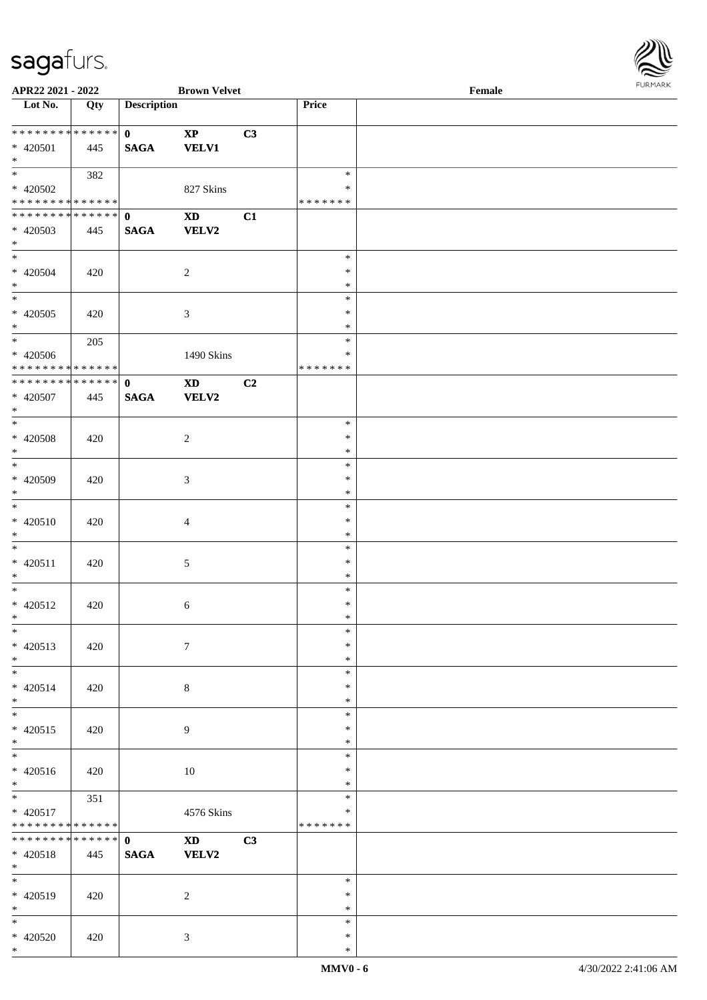

| APR22 2021 - 2022                          |     |                    | <b>Brown Velvet</b>    |    |               | Female |
|--------------------------------------------|-----|--------------------|------------------------|----|---------------|--------|
| Lot No.                                    | Qty | <b>Description</b> |                        |    | Price         |        |
|                                            |     |                    |                        |    |               |        |
|                                            |     | $\mathbf{0}$       | $\mathbf{XP}$          | C3 |               |        |
| * 420501                                   | 445 | <b>SAGA</b>        | <b>VELV1</b>           |    |               |        |
| $*$                                        |     |                    |                        |    |               |        |
| $\overline{\ast}$                          |     |                    |                        |    | $\ast$        |        |
|                                            | 382 |                    |                        |    |               |        |
| * 420502                                   |     |                    | 827 Skins              |    | *             |        |
| * * * * * * * * <mark>* * * * * * *</mark> |     |                    |                        |    | * * * * * * * |        |
| * * * * * * * * <mark>* * * * * * *</mark> |     | $\mathbf{0}$       | $\mathbf{X}\mathbf{D}$ | C1 |               |        |
| * 420503                                   | 445 | <b>SAGA</b>        | <b>VELV2</b>           |    |               |        |
| $*$                                        |     |                    |                        |    |               |        |
| $*$                                        |     |                    |                        |    | $\ast$        |        |
| * 420504                                   |     |                    |                        |    | $\ast$        |        |
|                                            | 420 |                    | $\overline{2}$         |    |               |        |
| $*$                                        |     |                    |                        |    | $\ast$        |        |
|                                            |     |                    |                        |    | $\ast$        |        |
| $* 420505$                                 | 420 |                    | $\mathfrak{Z}$         |    | $\ast$        |        |
| $*$                                        |     |                    |                        |    | $\ast$        |        |
|                                            | 205 |                    |                        |    | $\ast$        |        |
| * 420506                                   |     |                    | 1490 Skins             |    | $\ast$        |        |
| * * * * * * * * <mark>* * * * * * *</mark> |     |                    |                        |    | *******       |        |
| **************                             |     |                    |                        |    |               |        |
|                                            |     | $\mathbf{0}$       | <b>XD</b>              | C2 |               |        |
| $* 420507$                                 | 445 | <b>SAGA</b>        | <b>VELV2</b>           |    |               |        |
| $*$                                        |     |                    |                        |    |               |        |
|                                            |     |                    |                        |    | $\ast$        |        |
| $* 420508$                                 | 420 |                    | 2                      |    | $\ast$        |        |
| $*$                                        |     |                    |                        |    | $\ast$        |        |
| $\overline{\phantom{0}}$                   |     |                    |                        |    | $\ast$        |        |
| * 420509                                   |     |                    |                        |    | $\ast$        |        |
|                                            | 420 |                    | $\mathfrak{Z}$         |    |               |        |
| $*$                                        |     |                    |                        |    | $\ast$        |        |
|                                            |     |                    |                        |    | $\ast$        |        |
| * 420510                                   | 420 |                    | $\overline{4}$         |    | $\ast$        |        |
| $*$                                        |     |                    |                        |    | $\ast$        |        |
| $*$                                        |     |                    |                        |    | $\ast$        |        |
| $* 420511$                                 | 420 |                    | $\mathfrak{S}$         |    | $\ast$        |        |
| $*$                                        |     |                    |                        |    | $\ast$        |        |
| $*$ $-$                                    |     |                    |                        |    |               |        |
|                                            |     |                    |                        |    | $\ast$        |        |
| $* 420512$                                 | 420 |                    | 6                      |    | $\ast$        |        |
| $*$ $\qquad$                               |     |                    |                        |    | $\ast$        |        |
| $*$                                        |     |                    |                        |    | $\ast$        |        |
| * 420513                                   | 420 |                    | $\tau$                 |    | $\ast$        |        |
| $*$                                        |     |                    |                        |    | $\ast$        |        |
| $*$                                        |     |                    |                        |    | $\ast$        |        |
|                                            |     |                    |                        |    |               |        |
| $* 420514$                                 | 420 |                    | $8\,$                  |    | $\ast$        |        |
| $\ast$                                     |     |                    |                        |    | $\ast$        |        |
|                                            |     |                    |                        |    | $\ast$        |        |
| $* 420515$                                 | 420 |                    | $\overline{9}$         |    | $\ast$        |        |
| $*$                                        |     |                    |                        |    | $\ast$        |        |
| $\ast$                                     |     |                    |                        |    | $\ast$        |        |
| * 420516                                   | 420 |                    | 10                     |    | $\ast$        |        |
| $*$                                        |     |                    |                        |    | $\ast$        |        |
|                                            |     |                    |                        |    |               |        |
|                                            | 351 |                    |                        |    | $\ast$        |        |
| * 420517                                   |     |                    | 4576 Skins             |    | $\ast$        |        |
| * * * * * * * * * * * * * * *              |     |                    |                        |    | * * * * * * * |        |
| * * * * * * * * <mark>* * * * * * *</mark> |     | $\mathbf{0}$       | $\mathbf{X}\mathbf{D}$ | C3 |               |        |
| * 420518                                   | 445 | $\mathbf{SAGA}$    | <b>VELV2</b>           |    |               |        |
| $*$                                        |     |                    |                        |    |               |        |
| $*$                                        |     |                    |                        |    | $\ast$        |        |
|                                            |     |                    |                        |    |               |        |
| * 420519                                   | 420 |                    | 2                      |    | $\ast$        |        |
| $*$                                        |     |                    |                        |    | $\ast$        |        |
| $*$                                        |     |                    |                        |    | $\ast$        |        |
| * 420520                                   | 420 |                    | $\mathfrak{Z}$         |    | ∗             |        |
| $*$                                        |     |                    |                        |    | $\ast$        |        |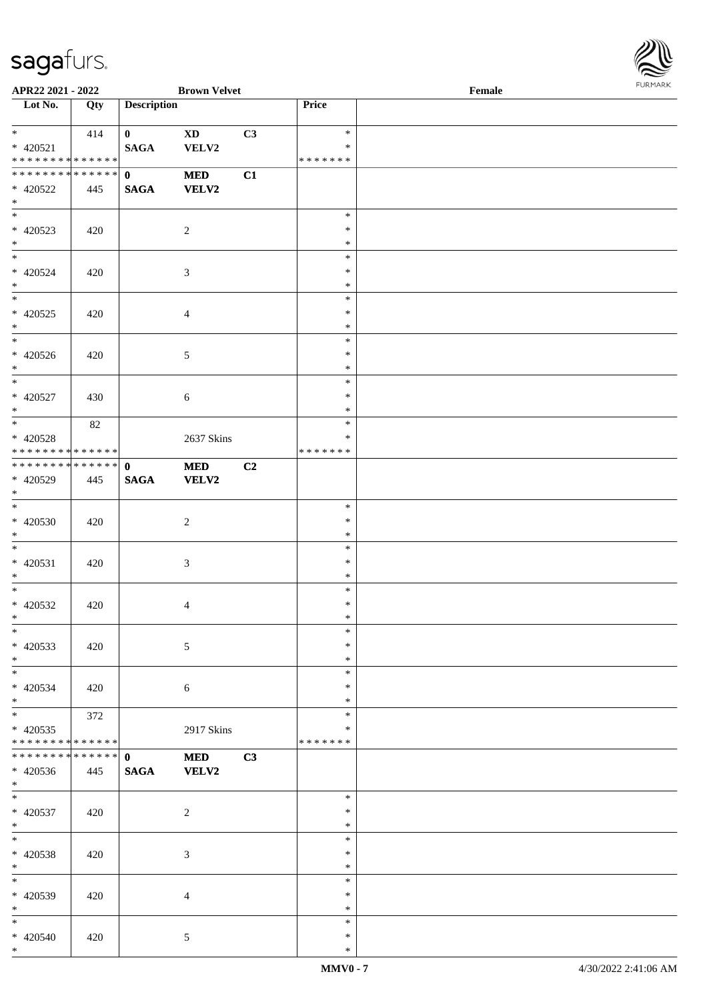

| APR22 2021 - 2022                                  |     |                                 | <b>Brown Velvet</b> |    |                                   | Female |  |
|----------------------------------------------------|-----|---------------------------------|---------------------|----|-----------------------------------|--------|--|
| Lot No.                                            | Qty | <b>Description</b>              |                     |    | Price                             |        |  |
| $*$<br>$* 420521$<br>* * * * * * * * * * * * * * * | 414 | $\mathbf{0}$<br><b>SAGA</b>     | <b>XD</b><br>VELV2  | C3 | $\ast$<br>$\ast$<br>* * * * * * * |        |  |
| * * * * * * * * * * * * * * *<br>* 420522<br>$*$   | 445 | $\mathbf{0}$<br><b>SAGA</b>     | <b>MED</b><br>VELV2 | C1 |                                   |        |  |
| $* 420523$<br>$*$                                  | 420 |                                 | $\overline{c}$      |    | $\ast$<br>$\ast$<br>$\ast$        |        |  |
| $*$<br>$* 420524$<br>$*$                           | 420 |                                 | $\mathfrak{Z}$      |    | $\ast$<br>$\ast$<br>$\ast$        |        |  |
| $* 420525$<br>$*$                                  | 420 |                                 | $\overline{4}$      |    | $\ast$<br>$\ast$<br>$\ast$        |        |  |
| * 420526<br>$*$                                    | 420 |                                 | $\mathfrak{S}$      |    | $\ast$<br>$\ast$<br>$\ast$        |        |  |
| $*$<br>$* 420527$<br>$*$                           | 430 |                                 | 6                   |    | $\ast$<br>$\ast$<br>$\ast$        |        |  |
| * 420528<br>* * * * * * * * * * * * * * *          | 82  |                                 | 2637 Skins          |    | $\ast$<br>∗<br>* * * * * * *      |        |  |
| * * * * * * * * * * * * * * *<br>$* 420529$<br>$*$ | 445 | $\mathbf{0}$<br>$\mathbf{SAGA}$ | $\bf MED$<br>VELV2  | C2 |                                   |        |  |
| $* 420530$<br>$*$                                  | 420 |                                 | $\overline{c}$      |    | $\ast$<br>$\ast$<br>$\ast$        |        |  |
| $*$<br>$* 420531$<br>$*$                           | 420 |                                 | $\mathfrak{Z}$      |    | $\ast$<br>$\ast$<br>$\ast$        |        |  |
| $*$<br>$* 420532$<br>$*$ $*$                       | 420 |                                 | $\overline{4}$      |    | $\ast$<br>$\ast$<br>$\ast$        |        |  |
| $\ast$<br>$* 420533$<br>$*$                        | 420 |                                 | 5                   |    | $\ast$<br>$\ast$<br>$\ast$        |        |  |
| $*$<br>* 420534<br>$*$                             | 420 |                                 | 6                   |    | $\ast$<br>∗<br>$\ast$             |        |  |
| $*$<br>$* 420535$<br>* * * * * * * * * * * * * *   | 372 |                                 | 2917 Skins          |    | $\ast$<br>$\ast$<br>* * * * * * * |        |  |
| * * * * * * * * * * * * * * *<br>$* 420536$<br>$*$ | 445 | $\mathbf{0}$<br>$\mathbf{SAGA}$ | <b>MED</b><br>VELV2 | C3 |                                   |        |  |
| $*$<br>$* 420537$<br>$*$                           | 420 |                                 | $\overline{c}$      |    | $\ast$<br>$\ast$<br>$\ast$        |        |  |
| $*$<br>* 420538<br>$*$                             | 420 |                                 | 3                   |    | $\ast$<br>$\ast$<br>$\ast$        |        |  |
| $*$<br>* 420539<br>$*$                             | 420 |                                 | $\overline{4}$      |    | $\ast$<br>$\ast$<br>$\ast$        |        |  |
| $*$<br>* 420540<br>$*$                             | 420 |                                 | 5                   |    | $\ast$<br>$\ast$<br>$\ast$        |        |  |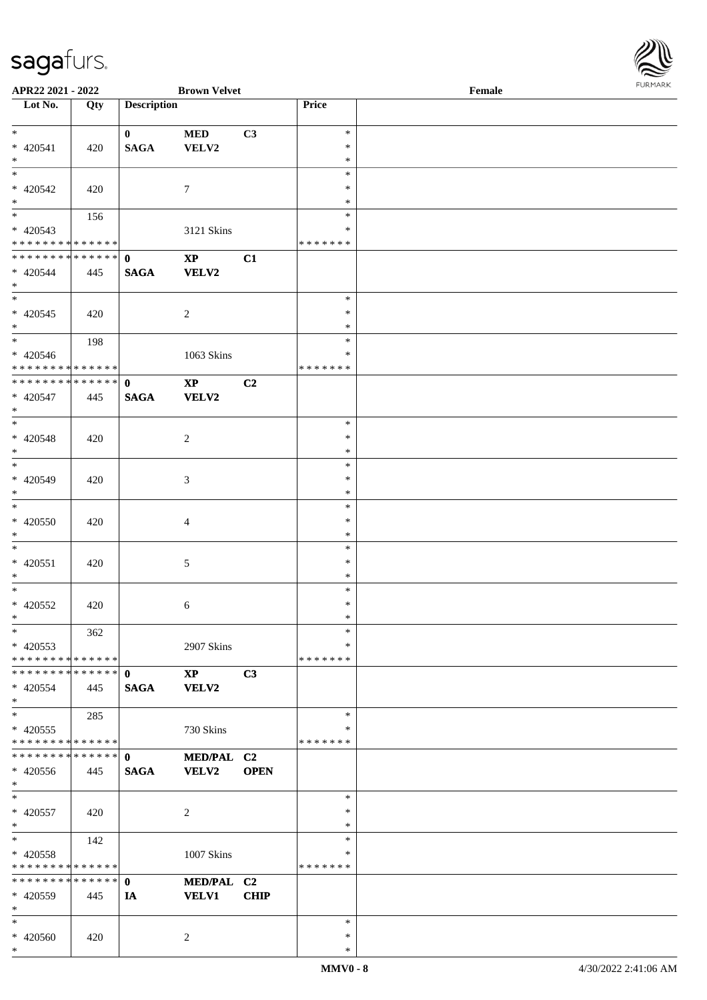| <b>FURMARK</b> |
|----------------|
|                |
|                |
|                |
|                |
|                |

| APR22 2021 - 2022                         |     |                             | <b>Brown Velvet</b>    |                |                    | Female | <b>FURMARK</b> |
|-------------------------------------------|-----|-----------------------------|------------------------|----------------|--------------------|--------|----------------|
| Lot No.                                   | Qty | <b>Description</b>          |                        |                | Price              |        |                |
|                                           |     |                             |                        |                |                    |        |                |
| $*$<br>$* 420541$                         | 420 | $\mathbf{0}$<br><b>SAGA</b> | <b>MED</b><br>VELV2    | C3             | $\ast$<br>$\ast$   |        |                |
| $\ast$                                    |     |                             |                        |                | $\ast$             |        |                |
| $_{\ast}$                                 |     |                             |                        |                | $\ast$             |        |                |
| $* 420542$                                | 420 |                             | $\tau$                 |                | $\ast$             |        |                |
| $\ast$<br>$\overline{\phantom{a}^*}$      | 156 |                             |                        |                | $\ast$<br>$\ast$   |        |                |
| $* 420543$                                |     |                             | 3121 Skins             |                | $\ast$             |        |                |
| * * * * * * * * * * * * * *               |     |                             |                        |                | * * * * * * *      |        |                |
| * * * * * * * * * * * * * *               |     | $\mathbf{0}$                | $\mathbf{X}\mathbf{P}$ | C1             |                    |        |                |
| $* 420544$<br>$*$                         | 445 | <b>SAGA</b>                 | <b>VELV2</b>           |                |                    |        |                |
| $\overline{\phantom{a}^*}$                |     |                             |                        |                | $\ast$             |        |                |
| $* 420545$                                | 420 |                             | $\overline{c}$         |                | $\ast$             |        |                |
| $*$                                       |     |                             |                        |                | $\ast$             |        |                |
| $\overline{\phantom{0}}$                  | 198 |                             |                        |                | $\ast$             |        |                |
| * 420546<br>******** <mark>******</mark>  |     |                             | $1063$ Skins           |                | ∗<br>* * * * * * * |        |                |
| ******** <mark>******</mark>              |     | $\mathbf{0}$                | $\mathbf{X}\mathbf{P}$ | C <sub>2</sub> |                    |        |                |
| * 420547                                  | 445 | <b>SAGA</b>                 | <b>VELV2</b>           |                |                    |        |                |
| $*$<br>$\overline{\phantom{0}}$           |     |                             |                        |                |                    |        |                |
| $* 420548$                                |     |                             | $\sqrt{2}$             |                | $\ast$<br>$\ast$   |        |                |
| $*$                                       | 420 |                             |                        |                | $\ast$             |        |                |
| $*$                                       |     |                             |                        |                | $\ast$             |        |                |
| $* 420549$                                | 420 |                             | $\mathfrak{Z}$         |                | $\ast$             |        |                |
| $*$<br>$\ast$                             |     |                             |                        |                | $\ast$<br>$\ast$   |        |                |
| $* 420550$                                | 420 |                             | $\overline{4}$         |                | $\ast$             |        |                |
| $*$                                       |     |                             |                        |                | $\ast$             |        |                |
| $*$                                       |     |                             |                        |                | $\ast$             |        |                |
| $* 420551$                                | 420 |                             | $\mathfrak{S}$         |                | $\ast$             |        |                |
| $*$<br>$\overline{\phantom{0}}$           |     |                             |                        |                | $\ast$<br>$\ast$   |        |                |
| $* 420552$                                | 420 |                             | 6                      |                | $\ast$             |        |                |
| $\ast$                                    |     |                             |                        |                | $\ast$             |        |                |
| $\ast$                                    | 362 |                             |                        |                | $\ast$             |        |                |
| $* 420553$<br>* * * * * * * * * * * * * * |     |                             | 2907 Skins             |                | ∗<br>* * * * * * * |        |                |
| * * * * * * * * * * * * * * *             |     | $\mathbf{0}$                | $\mathbf{X}\mathbf{P}$ | C3             |                    |        |                |
| $* 420554$                                | 445 | <b>SAGA</b>                 | <b>VELV2</b>           |                |                    |        |                |
| $\ast$                                    |     |                             |                        |                |                    |        |                |
| $\ast$                                    | 285 |                             |                        |                | $\ast$             |        |                |
| $* 420555$<br>* * * * * * * * * * * * * * |     |                             | 730 Skins              |                | ∗<br>* * * * * * * |        |                |
| * * * * * * * * * * * * * *               |     | $\mathbf{0}$                | MED/PAL C2             |                |                    |        |                |
| $* 420556$                                | 445 | <b>SAGA</b>                 | VELV2                  | <b>OPEN</b>    |                    |        |                |
| $*$                                       |     |                             |                        |                |                    |        |                |
| $\ast$                                    |     |                             |                        |                | ∗<br>$\ast$        |        |                |
| * 420557<br>$\ast$                        | 420 |                             | $\overline{c}$         |                | $\ast$             |        |                |
| $\ast$                                    | 142 |                             |                        |                | $\ast$             |        |                |
| * 420558                                  |     |                             | 1007 Skins             |                | ∗                  |        |                |
| * * * * * * * * * * * * * *               |     |                             |                        |                | * * * * * * *      |        |                |
| * * * * * * * * * * * * * *               |     | $\mathbf{0}$                | MED/PAL C2             |                |                    |        |                |
| $* 420559$<br>$\ast$                      | 445 | IA                          | <b>VELV1</b>           | <b>CHIP</b>    |                    |        |                |
| $\ast$                                    |     |                             |                        |                | ∗                  |        |                |
| * 420560                                  | 420 |                             | $\overline{c}$         |                | $\ast$             |        |                |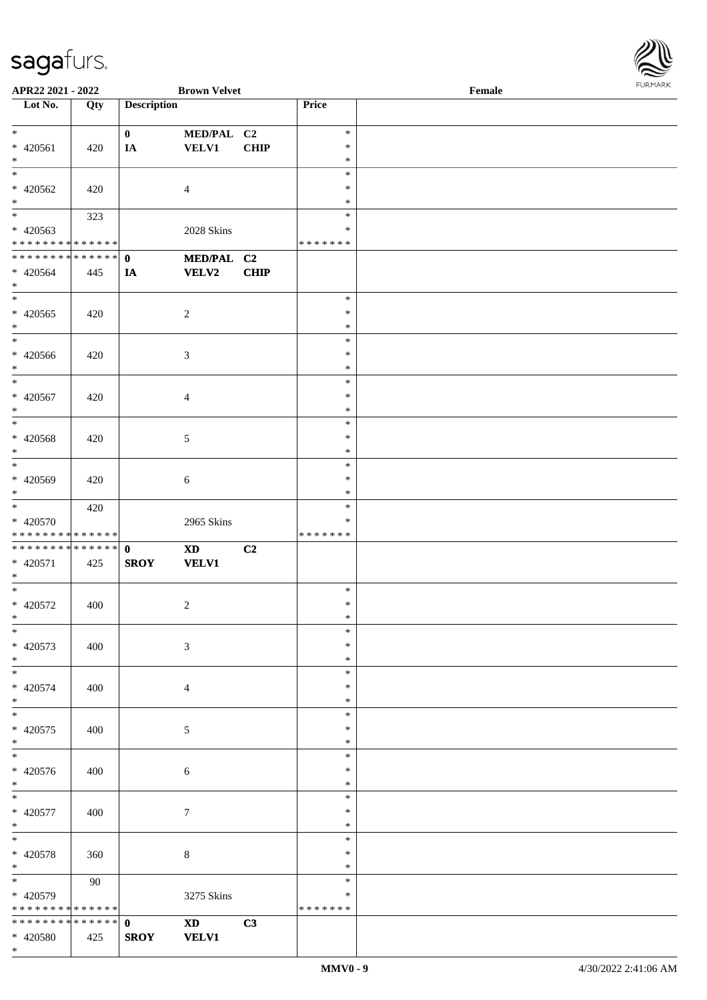

| APR22 2021 - 2022            |             |                    | <b>Brown Velvet</b>                                                                                                                                                                                                            |                |               | Female |
|------------------------------|-------------|--------------------|--------------------------------------------------------------------------------------------------------------------------------------------------------------------------------------------------------------------------------|----------------|---------------|--------|
| Lot No.                      | Qty         | <b>Description</b> |                                                                                                                                                                                                                                |                | Price         |        |
|                              |             |                    |                                                                                                                                                                                                                                |                |               |        |
| $\ast$                       |             | $\mathbf{0}$       | MED/PAL C2                                                                                                                                                                                                                     |                | $\ast$        |        |
|                              |             |                    |                                                                                                                                                                                                                                |                | $\ast$        |        |
| $* 420561$                   | 420         | IA                 | <b>VELV1</b>                                                                                                                                                                                                                   | <b>CHIP</b>    |               |        |
| $\ast$                       |             |                    |                                                                                                                                                                                                                                |                | $\ast$        |        |
| $\ast$                       |             |                    |                                                                                                                                                                                                                                |                | $\ast$        |        |
| $* 420562$                   | 420         |                    | 4                                                                                                                                                                                                                              |                | ∗             |        |
| $\ast$                       |             |                    |                                                                                                                                                                                                                                |                | $\ast$        |        |
| $\overline{\phantom{a}^*}$   |             |                    |                                                                                                                                                                                                                                |                | $\ast$        |        |
|                              | 323         |                    |                                                                                                                                                                                                                                |                |               |        |
| $* 420563$                   |             |                    | 2028 Skins                                                                                                                                                                                                                     |                | $\ast$        |        |
| * * * * * * * * * * * * * *  |             |                    |                                                                                                                                                                                                                                |                | * * * * * * * |        |
| **************               |             | $\mathbf{0}$       | MED/PAL C2                                                                                                                                                                                                                     |                |               |        |
|                              |             |                    |                                                                                                                                                                                                                                |                |               |        |
| $* 420564$                   | 445         | IA                 | <b>VELV2</b>                                                                                                                                                                                                                   | <b>CHIP</b>    |               |        |
| $\ast$                       |             |                    |                                                                                                                                                                                                                                |                |               |        |
| $\ast$                       |             |                    |                                                                                                                                                                                                                                |                | $\ast$        |        |
| $* 420565$                   | 420         |                    | $\overline{c}$                                                                                                                                                                                                                 |                | $\ast$        |        |
| $\ast$                       |             |                    |                                                                                                                                                                                                                                |                | $\ast$        |        |
| $\overline{\phantom{1}}$     |             |                    |                                                                                                                                                                                                                                |                |               |        |
|                              |             |                    |                                                                                                                                                                                                                                |                | $\ast$        |        |
| $* 420566$                   | 420         |                    | $\mathfrak{Z}$                                                                                                                                                                                                                 |                | $\ast$        |        |
| $\ast$                       |             |                    |                                                                                                                                                                                                                                |                | $\ast$        |        |
| $\ast$                       |             |                    |                                                                                                                                                                                                                                |                | $\ast$        |        |
| $* 420567$                   |             |                    |                                                                                                                                                                                                                                |                | $\ast$        |        |
|                              | 420         |                    | $\overline{4}$                                                                                                                                                                                                                 |                |               |        |
| $\ast$                       |             |                    |                                                                                                                                                                                                                                |                | $\ast$        |        |
| $\ast$                       |             |                    |                                                                                                                                                                                                                                |                | $\ast$        |        |
| * 420568                     | 420         |                    | $\mathfrak{S}$                                                                                                                                                                                                                 |                | $\ast$        |        |
| $\ast$                       |             |                    |                                                                                                                                                                                                                                |                | $\ast$        |        |
| $\ast$                       |             |                    |                                                                                                                                                                                                                                |                |               |        |
|                              |             |                    |                                                                                                                                                                                                                                |                | $\ast$        |        |
| * 420569                     | 420         |                    | 6                                                                                                                                                                                                                              |                | $\ast$        |        |
| $\ast$                       |             |                    |                                                                                                                                                                                                                                |                | $\ast$        |        |
| $\overline{\phantom{0}}$     | 420         |                    |                                                                                                                                                                                                                                |                | $\ast$        |        |
|                              |             |                    |                                                                                                                                                                                                                                |                | $\ast$        |        |
| * 420570                     |             |                    | 2965 Skins                                                                                                                                                                                                                     |                |               |        |
| * * * * * * * * * * * * * *  |             |                    |                                                                                                                                                                                                                                |                | * * * * * * * |        |
| **************               |             | $\mathbf{0}$       | $\boldsymbol{\mathrm{XD}}$                                                                                                                                                                                                     | C <sub>2</sub> |               |        |
| $* 420571$                   | 425         | <b>SROY</b>        | <b>VELV1</b>                                                                                                                                                                                                                   |                |               |        |
| $*$                          |             |                    |                                                                                                                                                                                                                                |                |               |        |
| $*$                          |             |                    |                                                                                                                                                                                                                                |                | $\ast$        |        |
|                              |             |                    |                                                                                                                                                                                                                                |                |               |        |
| $* 420572$                   | 400         |                    | $\overline{c}$                                                                                                                                                                                                                 |                | $\ast$        |        |
| $*$                          |             |                    |                                                                                                                                                                                                                                |                | $\ast$        |        |
| $*$                          |             |                    |                                                                                                                                                                                                                                |                | $\ast$        |        |
| $* 420573$                   | 400         |                    |                                                                                                                                                                                                                                |                | $\ast$        |        |
|                              |             |                    | 3                                                                                                                                                                                                                              |                |               |        |
| $*$                          |             |                    |                                                                                                                                                                                                                                |                | $\ast$        |        |
| $\overline{\phantom{0}}$     |             |                    |                                                                                                                                                                                                                                |                | $\ast$        |        |
| $* 420574$                   | 400         |                    | $\overline{4}$                                                                                                                                                                                                                 |                | ∗             |        |
| $*$                          |             |                    |                                                                                                                                                                                                                                |                | $\ast$        |        |
| $\overline{\ast}$            |             |                    |                                                                                                                                                                                                                                |                | $\ast$        |        |
|                              |             |                    |                                                                                                                                                                                                                                |                |               |        |
| $* 420575$                   | 400         |                    | 5                                                                                                                                                                                                                              |                | $\ast$        |        |
| $*$                          |             |                    |                                                                                                                                                                                                                                |                | $\ast$        |        |
| $\overline{\phantom{0}}$     |             |                    |                                                                                                                                                                                                                                |                | $\ast$        |        |
| $* 420576$                   | 400         |                    |                                                                                                                                                                                                                                |                | $\ast$        |        |
|                              |             |                    | 6                                                                                                                                                                                                                              |                |               |        |
| $*$                          |             |                    |                                                                                                                                                                                                                                |                | $\ast$        |        |
| $*$                          |             |                    |                                                                                                                                                                                                                                |                | $\ast$        |        |
| * 420577                     | 400         |                    | $\overline{7}$                                                                                                                                                                                                                 |                | $\ast$        |        |
| $*$                          |             |                    |                                                                                                                                                                                                                                |                | $\ast$        |        |
| $\ast$                       |             |                    |                                                                                                                                                                                                                                |                |               |        |
|                              |             |                    |                                                                                                                                                                                                                                |                | $\ast$        |        |
| * 420578                     | 360         |                    | 8                                                                                                                                                                                                                              |                | $\ast$        |        |
| $*$                          |             |                    |                                                                                                                                                                                                                                |                | $\ast$        |        |
| $\overline{\phantom{0}}$     | 90          |                    |                                                                                                                                                                                                                                |                | $\ast$        |        |
|                              |             |                    |                                                                                                                                                                                                                                |                | ∗             |        |
| * 420579                     |             |                    | 3275 Skins                                                                                                                                                                                                                     |                |               |        |
| * * * * * * * *              | * * * * * * |                    |                                                                                                                                                                                                                                |                | * * * * * * * |        |
| ******** <mark>******</mark> |             | $\mathbf{0}$       | XD and the set of the set of the set of the set of the set of the set of the set of the set of the set of the set of the set of the set of the set of the set of the set of the set of the set of the set of the set of the se | C3             |               |        |
| * 420580                     | 425         | <b>SROY</b>        | <b>VELV1</b>                                                                                                                                                                                                                   |                |               |        |
| $*$                          |             |                    |                                                                                                                                                                                                                                |                |               |        |
|                              |             |                    |                                                                                                                                                                                                                                |                |               |        |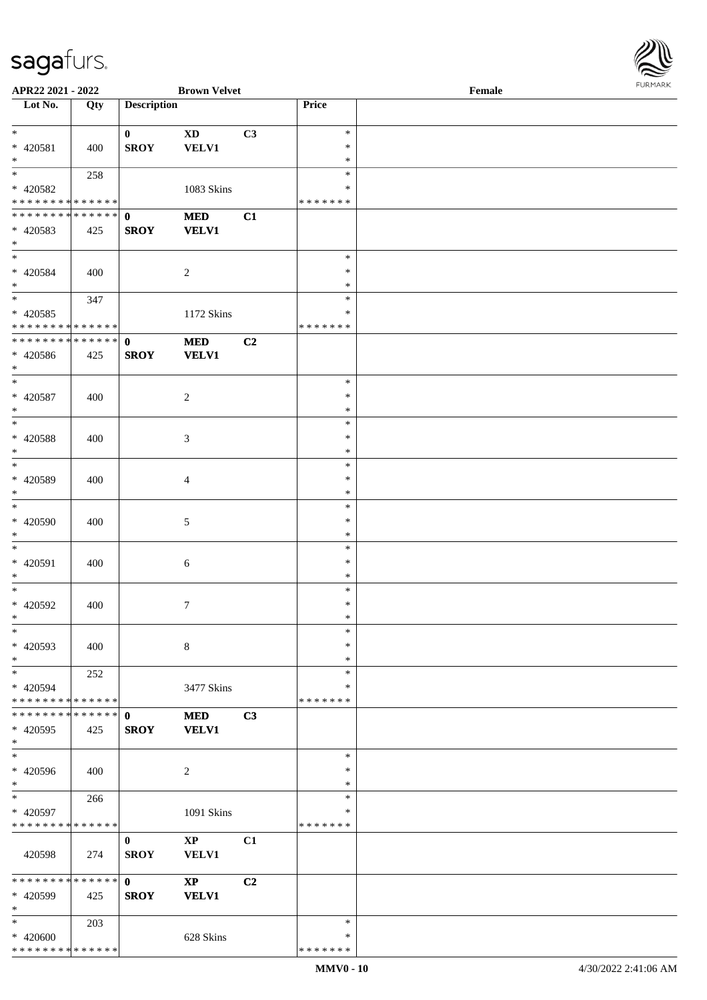\*

| APR22 2021 - 2022                       |     |                    | <b>Brown Velvet</b>    |    |                  | Female |
|-----------------------------------------|-----|--------------------|------------------------|----|------------------|--------|
| Lot No.                                 | Qty | <b>Description</b> |                        |    | Price            |        |
|                                         |     |                    |                        |    |                  |        |
| $\ast$                                  |     | $\bf{0}$           | <b>XD</b>              | C3 | $\ast$           |        |
| * 420581                                | 400 | <b>SROY</b>        | <b>VELV1</b>           |    | $\ast$           |        |
| $\ast$<br>$\overline{\ast}$             |     |                    |                        |    | $\ast$<br>$\ast$ |        |
|                                         | 258 |                    |                        |    | *                |        |
| * 420582<br>* * * * * * * * * * * * * * |     |                    | 1083 Skins             |    | * * * * * * *    |        |
| **************                          |     | $\mathbf{0}$       | $\bf MED$              | C1 |                  |        |
| * 420583                                | 425 | <b>SROY</b>        | <b>VELV1</b>           |    |                  |        |
| $\ast$                                  |     |                    |                        |    |                  |        |
| $\overline{\ast}$                       |     |                    |                        |    | $\ast$           |        |
| * 420584                                | 400 |                    | $\overline{c}$         |    | $\ast$           |        |
| $\ast$                                  |     |                    |                        |    | $\ast$           |        |
| $\overline{\phantom{1}}$                | 347 |                    |                        |    | $\ast$           |        |
| $* 420585$                              |     |                    | 1172 Skins             |    | $\ast$           |        |
| * * * * * * * * * * * * * * *           |     |                    |                        |    | * * * * * * *    |        |
| **************                          |     | $\mathbf{0}$       | <b>MED</b>             | C2 |                  |        |
| * 420586                                | 425 | <b>SROY</b>        | <b>VELV1</b>           |    |                  |        |
| $\ast$                                  |     |                    |                        |    |                  |        |
| $\ast$                                  |     |                    |                        |    | $\ast$           |        |
| $* 420587$                              | 400 |                    | $\overline{2}$         |    | $\ast$           |        |
| $\ast$                                  |     |                    |                        |    | $\ast$           |        |
| $\ast$                                  |     |                    |                        |    | $\ast$           |        |
| * 420588                                | 400 |                    | $\mathfrak{Z}$         |    | $\ast$           |        |
| $\ast$                                  |     |                    |                        |    | $\ast$           |        |
| $\overline{\phantom{a}^*}$              |     |                    |                        |    | $\ast$           |        |
| * 420589                                | 400 |                    | $\overline{4}$         |    | $\ast$           |        |
| $\ast$                                  |     |                    |                        |    | $\ast$           |        |
| $\ast$                                  |     |                    |                        |    | $\ast$           |        |
| $* 420590$                              | 400 |                    | $\mathfrak{S}$         |    | $\ast$           |        |
| $\ast$                                  |     |                    |                        |    | $\ast$           |        |
| $\ast$                                  |     |                    |                        |    | $\ast$           |        |
| * 420591                                | 400 |                    | $6\,$                  |    | $\ast$           |        |
| $\ast$                                  |     |                    |                        |    | $\ast$           |        |
| $\ast$                                  |     |                    |                        |    | $\ast$           |        |
| * 420592                                | 400 |                    | $\tau$                 |    | $\ast$           |        |
| $*$                                     |     |                    |                        |    | $\ast$           |        |
| $\ast$                                  |     |                    |                        |    | $\ast$           |        |
| * 420593                                | 400 |                    | $\,8\,$                |    | $\ast$           |        |
| $\ast$                                  |     |                    |                        |    | $\ast$           |        |
| $\ast$                                  | 252 |                    |                        |    | $\ast$           |        |
| * 420594                                |     |                    | 3477 Skins             |    | *                |        |
| * * * * * * * * * * * * * *             |     |                    |                        |    | * * * * * * *    |        |
| * * * * * * * * * * * * * * *           |     | $\mathbf 0$        | <b>MED</b>             | C3 |                  |        |
| $* 420595$                              | 425 | <b>SROY</b>        | <b>VELV1</b>           |    |                  |        |
| $\ast$<br>$\overline{\ast}$             |     |                    |                        |    |                  |        |
|                                         |     |                    |                        |    | $\ast$           |        |
| * 420596<br>$*$                         | 400 |                    | 2                      |    | *                |        |
| $*$                                     |     |                    |                        |    | $\ast$           |        |
|                                         | 266 |                    |                        |    | $\ast$<br>$\ast$ |        |
| * 420597<br>* * * * * * * * * * * * * * |     |                    | 1091 Skins             |    | * * * * * * *    |        |
|                                         |     | $\bf{0}$           | $\mathbf{X}\mathbf{P}$ | C1 |                  |        |
| 420598                                  | 274 | <b>SROY</b>        | <b>VELV1</b>           |    |                  |        |
|                                         |     |                    |                        |    |                  |        |
| * * * * * * * * * * * * * * *           |     | $\mathbf{0}$       | $\mathbf{X}\mathbf{P}$ | C2 |                  |        |
| * 420599                                | 425 | <b>SROY</b>        | <b>VELV1</b>           |    |                  |        |
| $\ast$                                  |     |                    |                        |    |                  |        |
| $*$                                     | 203 |                    |                        |    | $\ast$           |        |
| * 420600                                |     |                    | 628 Skins              |    | *                |        |
| * * * * * * * * * * * * * *             |     |                    |                        |    | * * * * * * *    |        |
|                                         |     |                    |                        |    |                  |        |

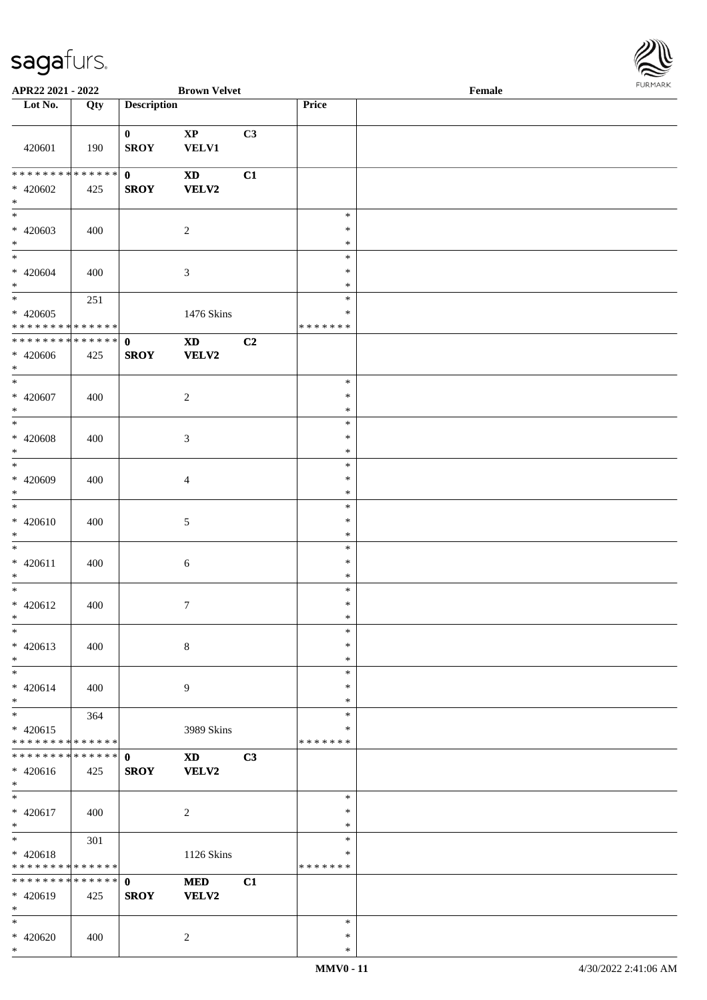

| APR22 2021 - 2022                                  |                    |                             | <b>Brown Velvet</b>                        |    |                                   | Female |  |
|----------------------------------------------------|--------------------|-----------------------------|--------------------------------------------|----|-----------------------------------|--------|--|
| Lot No.                                            | Qty                | <b>Description</b>          |                                            |    | Price                             |        |  |
|                                                    |                    |                             |                                            |    |                                   |        |  |
| 420601                                             | 190                | $\mathbf{0}$<br><b>SROY</b> | $\mathbf{X}\mathbf{P}$<br><b>VELV1</b>     | C3 |                                   |        |  |
| * * * * * * * * * * * * * * *<br>$* 420602$<br>$*$ | 425                | $\mathbf{0}$<br><b>SROY</b> | <b>XD</b><br><b>VELV2</b>                  | C1 |                                   |        |  |
| $* 420603$<br>$*$<br>$\overline{\phantom{0}}$      | 400                |                             | $\overline{2}$                             |    | $\ast$<br>$\ast$<br>$\ast$        |        |  |
| $* 420604$<br>$*$                                  | 400                |                             | $\mathfrak{Z}$                             |    | $\ast$<br>$\ast$<br>$\ast$        |        |  |
| $* 420605$<br>* * * * * * * * * * * * * *          | 251                |                             | 1476 Skins                                 |    | $\ast$<br>$\ast$<br>* * * * * * * |        |  |
| * * * * * * * *<br>$* 420606$<br>$\ast$            | * * * * * *<br>425 | $\mathbf{0}$<br><b>SROY</b> | $\boldsymbol{\mathrm{XD}}$<br><b>VELV2</b> | C2 |                                   |        |  |
| $*$<br>$* 420607$<br>$*$                           | 400                |                             | $\overline{2}$                             |    | $\ast$<br>$\ast$<br>$\ast$        |        |  |
| $*$<br>$* 420608$<br>$*$                           | 400                |                             | $\mathfrak{Z}$                             |    | $\ast$<br>$\ast$<br>$\ast$        |        |  |
| $\ast$<br>* 420609<br>$\ast$                       | 400                |                             | $\overline{4}$                             |    | $\ast$<br>$\ast$<br>$\ast$        |        |  |
| $*$<br>$* 420610$<br>$*$                           | 400                |                             | 5                                          |    | $\ast$<br>$\ast$<br>$\ast$        |        |  |
| $*$<br>$* 420611$<br>$*$                           | 400                |                             | $\sqrt{6}$                                 |    | $\ast$<br>$\ast$<br>$\ast$        |        |  |
| $*$<br>$* 420612$<br>$*$                           | 400                |                             | $7\phantom{.0}$                            |    | $\ast$<br>$\ast$<br>$\ast$        |        |  |
| $\ast$<br>$* 420613$<br>$*$                        | 400                |                             | $\,8\,$                                    |    | $\ast$<br>$\ast$<br>$\ast$        |        |  |
| $*$<br>$* 420614$<br>$\ast$                        | 400                |                             | 9                                          |    | $\ast$<br>$\ast$<br>$\ast$        |        |  |
| $*$<br>$* 420615$<br>* * * * * * * * * * * * * *   | 364                |                             | 3989 Skins                                 |    | $\ast$<br>$\ast$<br>* * * * * * * |        |  |
| * * * * * * * * * * * * * * *<br>* 420616<br>$*$   | 425                | $\mathbf 0$<br><b>SROY</b>  | <b>XD</b><br>VELV2                         | C3 |                                   |        |  |
| $*$<br>* 420617<br>$*$                             | 400                |                             | $\sqrt{2}$                                 |    | $\ast$<br>$\ast$<br>$\ast$        |        |  |
| $*$ $*$<br>* 420618<br>* * * * * * * * * * * * * * | 301                |                             | 1126 Skins                                 |    | $\ast$<br>$\ast$<br>*******       |        |  |
| * * * * * * * * * * * * * * *<br>* 420619<br>$*$   | 425                | $\mathbf{0}$<br><b>SROY</b> | <b>MED</b><br><b>VELV2</b>                 | C1 |                                   |        |  |
| $*$<br>$* 420620$<br>$\ast$                        | 400                |                             | $\overline{2}$                             |    | $\ast$<br>∗<br>$\ast$             |        |  |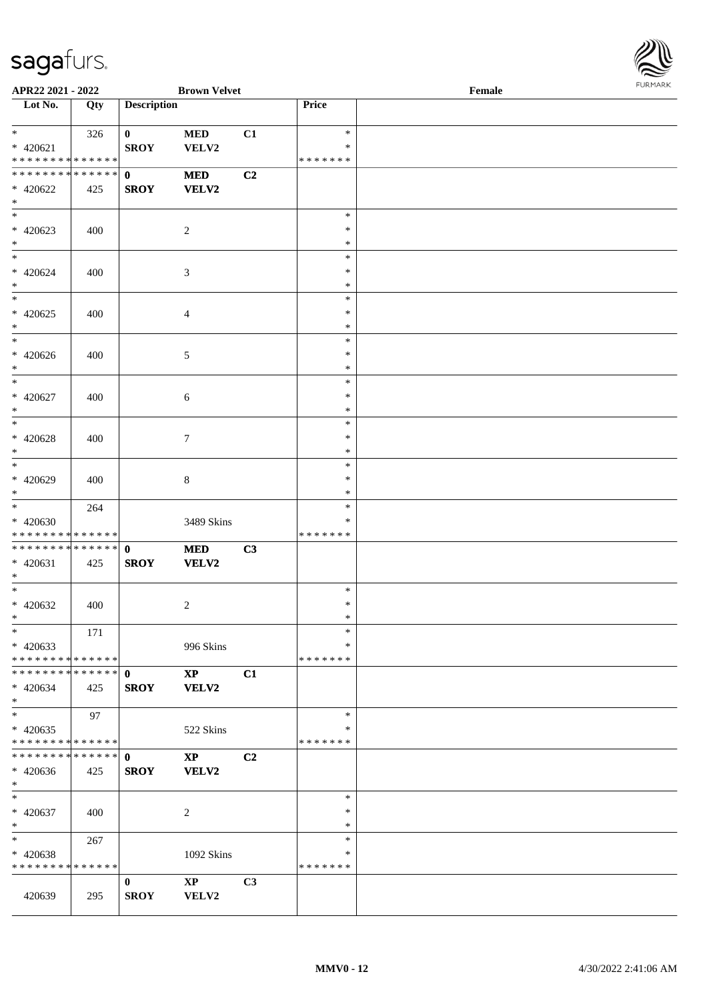

| APR22 2021 - 2022                           |     |                    | <b>Brown Velvet</b>    |    |                         | Female | FURMARK |
|---------------------------------------------|-----|--------------------|------------------------|----|-------------------------|--------|---------|
| Lot No.                                     | Qty | <b>Description</b> |                        |    | Price                   |        |         |
| $*$ and $*$                                 | 326 | $\mathbf{0}$       | <b>MED</b>             | C1 | $\ast$                  |        |         |
| $* 420621$                                  |     | <b>SROY</b>        | VELV2                  |    | ∗                       |        |         |
| * * * * * * * * <mark>* * * * * *</mark>    |     |                    |                        |    | * * * * * * *           |        |         |
| ******** <mark>******</mark>                |     | $\mathbf{0}$       | <b>MED</b>             | C2 |                         |        |         |
| $* 420622$                                  | 425 | <b>SROY</b>        | VELV2                  |    |                         |        |         |
| $*$                                         |     |                    |                        |    |                         |        |         |
| $*$                                         |     |                    |                        |    | $\ast$<br>$\ast$        |        |         |
| $* 420623$<br>$*$                           | 400 |                    | 2                      |    | $\ast$                  |        |         |
| $*$                                         |     |                    |                        |    | ∗                       |        |         |
| $* 420624$                                  | 400 |                    | 3                      |    | $\ast$                  |        |         |
| $*$                                         |     |                    |                        |    | $\ast$                  |        |         |
|                                             |     |                    |                        |    | $\ast$                  |        |         |
| $* 420625$                                  | 400 |                    | 4                      |    | $\ast$                  |        |         |
| $*$                                         |     |                    |                        |    | $\ast$                  |        |         |
| $\overline{\phantom{0}}$                    |     |                    |                        |    | $\ast$                  |        |         |
| $* 420626$                                  | 400 |                    | 5                      |    | $\ast$                  |        |         |
| $*$<br>$\overline{\ast}$                    |     |                    |                        |    | $\ast$<br>$\ast$        |        |         |
| $* 420627$                                  | 400 |                    | $\sqrt{6}$             |    | $\ast$                  |        |         |
| $*$                                         |     |                    |                        |    | $\ast$                  |        |         |
| $*$                                         |     |                    |                        |    | $\ast$                  |        |         |
| $* 420628$                                  | 400 |                    | $\tau$                 |    | $\ast$                  |        |         |
| $*$                                         |     |                    |                        |    | $\ast$                  |        |         |
| $\overline{\phantom{0}}$                    |     |                    |                        |    | $\ast$                  |        |         |
| $* 420629$                                  | 400 |                    | 8                      |    | $\ast$<br>*             |        |         |
| $*$<br>$\overline{\ast}$                    | 264 |                    |                        |    | $\ast$                  |        |         |
| $* 420630$                                  |     |                    | 3489 Skins             |    | ∗                       |        |         |
| * * * * * * * * * * * * * *                 |     |                    |                        |    | * * * * * * *           |        |         |
| * * * * * * * * * * * * * * <mark>*</mark>  |     | $\mathbf{0}$       | <b>MED</b>             | C3 |                         |        |         |
| $* 420631$                                  | 425 | <b>SROY</b>        | VELV2                  |    |                         |        |         |
| $\ast$                                      |     |                    |                        |    |                         |        |         |
| $*$                                         |     |                    |                        |    | $\ast$<br>$\ast$        |        |         |
| * 420632<br>$\ast$                          | 400 |                    | 2                      |    | *                       |        |         |
| $*$                                         | 171 |                    |                        |    | $\ast$                  |        |         |
| $* 420633$                                  |     |                    | 996 Skins              |    | ∗                       |        |         |
| * * * * * * * * <mark>* * * * * *</mark>    |     |                    |                        |    | * * * * * * *           |        |         |
| * * * * * * * * * * * * * * <mark>*</mark>  |     | $\mathbf{0}$       | $\mathbf{XP}$          | C1 |                         |        |         |
| $* 420634$                                  | 425 | <b>SROY</b>        | <b>VELV2</b>           |    |                         |        |         |
| $*$                                         |     |                    |                        |    |                         |        |         |
| $*$                                         | 97  |                    |                        |    | $\ast$                  |        |         |
| $* 420635$<br>* * * * * * * * * * * * * * * |     |                    | 522 Skins              |    | $\ast$<br>* * * * * * * |        |         |
| **************                              |     | $\mathbf{0}$       | $\mathbf{X}\mathbf{P}$ | C2 |                         |        |         |
| $* 420636$                                  | 425 | <b>SROY</b>        | <b>VELV2</b>           |    |                         |        |         |
| $*$                                         |     |                    |                        |    |                         |        |         |
| $*$                                         |     |                    |                        |    | $\ast$                  |        |         |
| $* 420637$                                  | 400 |                    | 2                      |    | $\ast$                  |        |         |
| $\ast$                                      |     |                    |                        |    | $\ast$                  |        |         |
| $*$ $-$                                     | 267 |                    |                        |    | $\ast$<br>*             |        |         |
| * 420638<br>* * * * * * * * * * * * * *     |     |                    | 1092 Skins             |    | * * * * * * *           |        |         |
|                                             |     | $\bf{0}$           | $\mathbf{X}\mathbf{P}$ | C3 |                         |        |         |
| 420639                                      | 295 | <b>SROY</b>        | VELV2                  |    |                         |        |         |
|                                             |     |                    |                        |    |                         |        |         |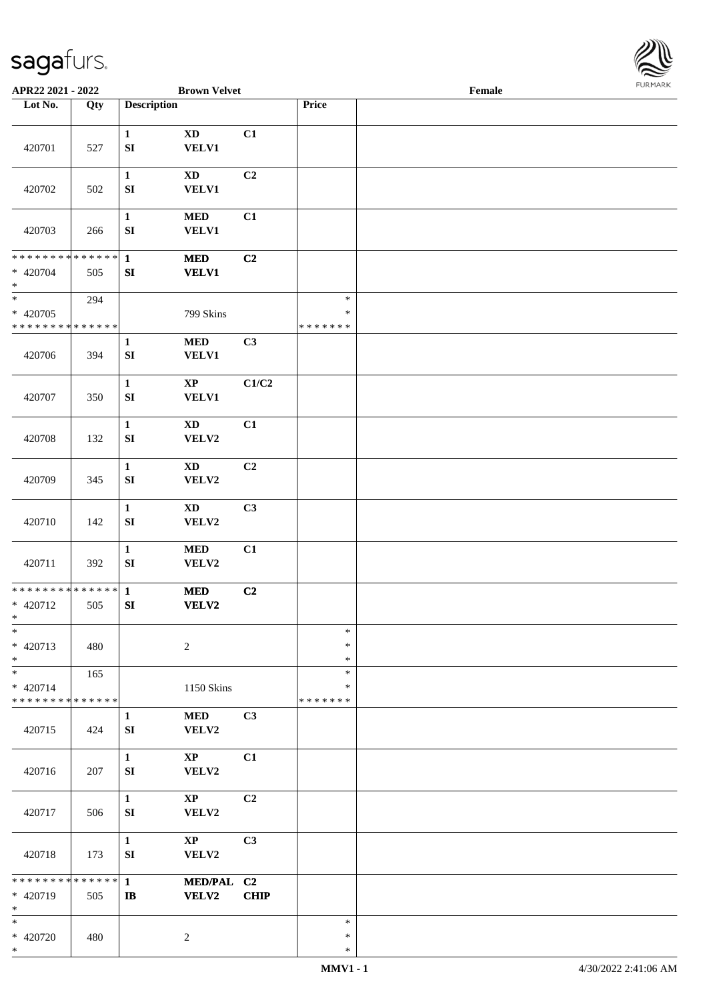

| APR22 2021 - 2022                                   |     |                                  | <b>Brown Velvet</b>                    |                               |                                   | Female |  |
|-----------------------------------------------------|-----|----------------------------------|----------------------------------------|-------------------------------|-----------------------------------|--------|--|
| Lot No.                                             | Qty | <b>Description</b>               |                                        |                               | Price                             |        |  |
| 420701                                              | 527 | $\mathbf{1}$<br>${\bf S}{\bf I}$ | <b>XD</b><br><b>VELV1</b>              | C1                            |                                   |        |  |
| 420702                                              | 502 | $\mathbf{1}$<br>${\bf S}{\bf I}$ | $\mathbf{X}\mathbf{D}$<br><b>VELV1</b> | C2                            |                                   |        |  |
| 420703                                              | 266 | $\mathbf{1}$<br>${\bf S}{\bf I}$ | $\bf MED$<br><b>VELV1</b>              | C1                            |                                   |        |  |
| * * * * * * * * * * * * * *<br>$* 420704$<br>$\ast$ | 505 | $\mathbf{1}$<br>${\bf SI}$       | <b>MED</b><br><b>VELV1</b>             | C2                            |                                   |        |  |
| $\ast$<br>$* 420705$<br>* * * * * * * * * * * * * * | 294 |                                  | 799 Skins                              |                               | $\ast$<br>$\ast$<br>* * * * * * * |        |  |
| 420706                                              | 394 | $\mathbf 1$<br>${\bf SI}$        | $\bf MED$<br><b>VELV1</b>              | C3                            |                                   |        |  |
| 420707                                              | 350 | $\mathbf{1}$<br>${\bf S}{\bf I}$ | $\bold{XP}$<br><b>VELV1</b>            | C1/C2                         |                                   |        |  |
| 420708                                              | 132 | $\mathbf{1}$<br>${\bf S}{\bf I}$ | <b>XD</b><br>VELV2                     | C1                            |                                   |        |  |
| 420709                                              | 345 | $\mathbf{1}$<br>${\bf S}{\bf I}$ | <b>XD</b><br>VELV2                     | C <sub>2</sub>                |                                   |        |  |
| 420710                                              | 142 | $\mathbf{1}$<br>${\bf S}{\bf I}$ | <b>XD</b><br>VELV2                     | C3                            |                                   |        |  |
| 420711                                              | 392 | $\mathbf{1}$<br>SI               | $\bf MED$<br>VELV2                     | C1                            |                                   |        |  |
| ******** <mark>******</mark><br>* 420712<br>$*$     | 505 | $\mathbf{1}$<br>${\bf S}{\bf I}$ | <b>MED</b><br><b>VELV2</b>             | C2                            |                                   |        |  |
| $\ast$<br>* 420713<br>$\ast$                        | 480 |                                  | $\overline{c}$                         |                               | $\ast$<br>$\ast$<br>$\ast$        |        |  |
| $\ast$<br>$* 420714$<br>* * * * * * * * * * * * * * | 165 |                                  | 1150 Skins                             |                               | $\ast$<br>∗<br>* * * * * * *      |        |  |
| 420715                                              | 424 | 1<br>${\bf S}{\bf I}$            | <b>MED</b><br>VELV2                    | C3                            |                                   |        |  |
| 420716                                              | 207 | $\mathbf{1}$<br>${\bf S}{\bf I}$ | $\mathbf{X}\mathbf{P}$<br>VELV2        | C1                            |                                   |        |  |
| 420717                                              | 506 | $\mathbf{1}$<br>SI               | $\mathbf{X}\mathbf{P}$<br>VELV2        | C2                            |                                   |        |  |
| 420718                                              | 173 | $\mathbf{1}$<br>SI               | $\bold{XP}$<br>VELV2                   | C3                            |                                   |        |  |
| * * * * * * * * * * * * * *<br>* 420719<br>$\ast$   | 505 | $\mathbf{1}$<br>$\mathbf{I}$     | <b>MED/PAL</b><br>VELV2                | C <sub>2</sub><br><b>CHIP</b> |                                   |        |  |
| $\ast$<br>$* 420720$<br>$\ast$                      | 480 |                                  | $\overline{c}$                         |                               | $\ast$<br>$\ast$<br>$\ast$        |        |  |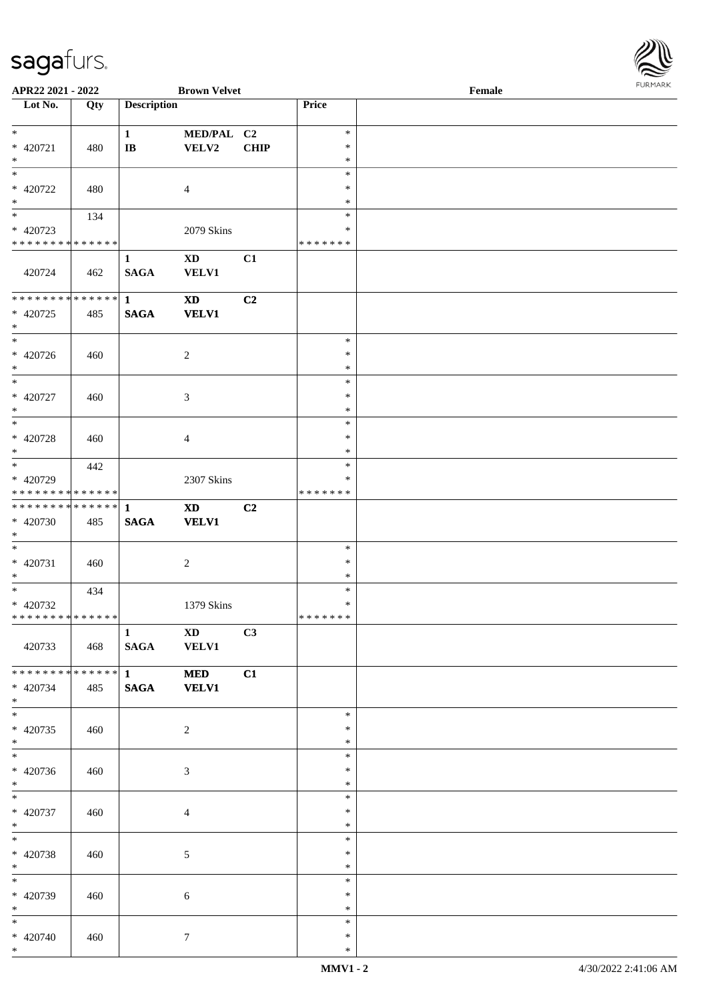| APR22 2021 - 2022                       |     |                    | <b>Brown Velvet</b>        |      |                  | <b>FURMARK</b><br>$\ensuremath{\textnormal{\textbf{Female}}}$ |  |  |
|-----------------------------------------|-----|--------------------|----------------------------|------|------------------|---------------------------------------------------------------|--|--|
| $\overline{\phantom{1}}$ Lot No.        | Qty | <b>Description</b> |                            |      | Price            |                                                               |  |  |
| $*$                                     |     | $\mathbf{1}$       | MED/PAL C2                 |      | $\ast$           |                                                               |  |  |
| $* 420721$                              | 480 | $\bf I\bf B$       | VELV2                      | CHIP | $\ast$           |                                                               |  |  |
| $\ast$                                  |     |                    |                            |      | $\ast$           |                                                               |  |  |
| $_{\ast}$                               |     |                    |                            |      | $\ast$           |                                                               |  |  |
| * 420722                                | 480 |                    | $\overline{4}$             |      | $\ast$           |                                                               |  |  |
| $\ast$<br>$\overline{\phantom{a}}$      |     |                    |                            |      | $\ast$           |                                                               |  |  |
|                                         | 134 |                    |                            |      | $\ast$<br>*      |                                                               |  |  |
| * 420723<br>* * * * * * * * * * * * * * |     |                    | 2079 Skins                 |      | * * * * * * *    |                                                               |  |  |
|                                         |     | $\mathbf{1}$       | $\mathbf{X}\mathbf{D}$     | C1   |                  |                                                               |  |  |
| 420724                                  | 462 | <b>SAGA</b>        | <b>VELV1</b>               |      |                  |                                                               |  |  |
| **************                          |     | $\mathbf{1}$       | $\boldsymbol{\mathrm{XD}}$ | C2   |                  |                                                               |  |  |
| $* 420725$<br>$*$                       | 485 | $\mathbf{SAGA}$    | <b>VELV1</b>               |      |                  |                                                               |  |  |
| $\overline{\phantom{0}}$                |     |                    |                            |      | $\ast$           |                                                               |  |  |
| * 420726                                | 460 |                    | $\overline{2}$             |      | $\ast$           |                                                               |  |  |
| $\ast$                                  |     |                    |                            |      | $\ast$           |                                                               |  |  |
| $\overline{\phantom{0}}$                |     |                    |                            |      | $\ast$           |                                                               |  |  |
| $* 420727$<br>$\ast$                    | 460 |                    | $\mathfrak{Z}$             |      | $\ast$<br>$\ast$ |                                                               |  |  |
| $\overline{\phantom{a}^*}$              |     |                    |                            |      | $\ast$           |                                                               |  |  |
| $* 420728$                              | 460 |                    | $\overline{4}$             |      | $\ast$           |                                                               |  |  |
| $\ast$                                  |     |                    |                            |      | $\ast$           |                                                               |  |  |
| $\overline{\phantom{0}}$                | 442 |                    |                            |      | $\ast$           |                                                               |  |  |
| * 420729                                |     |                    | 2307 Skins                 |      | *                |                                                               |  |  |
| * * * * * * * * * * * * * *             |     |                    |                            |      | * * * * * * *    |                                                               |  |  |
| ******** <mark>******</mark>            |     | $\mathbf{1}$       | $\mathbf{X}\mathbf{D}$     | C2   |                  |                                                               |  |  |
| $* 420730$<br>$\ast$                    | 485 | <b>SAGA</b>        | <b>VELV1</b>               |      |                  |                                                               |  |  |
| $*$                                     |     |                    |                            |      | $\ast$           |                                                               |  |  |
| $* 420731$                              | 460 |                    | $\overline{2}$             |      | $\ast$           |                                                               |  |  |
| $\ast$                                  |     |                    |                            |      | $\ast$           |                                                               |  |  |
| $\overline{\phantom{0}}$                | 434 |                    |                            |      | $\ast$           |                                                               |  |  |
| $* 420732$                              |     |                    | 1379 Skins                 |      | $\ast$           |                                                               |  |  |
| * * * * * * * * * * * * * * *           |     |                    |                            |      | * * * * * * *    |                                                               |  |  |
|                                         |     | $\mathbf{1}$       | $\mathbf{X}\mathbf{D}$     | C3   |                  |                                                               |  |  |
| 420733                                  | 468 | <b>SAGA</b>        | <b>VELV1</b>               |      |                  |                                                               |  |  |
| * * * * * * * * * * * * * * *           |     | $\mathbf{1}$       | <b>MED</b>                 | C1   |                  |                                                               |  |  |
| $* 420734$                              | 485 | <b>SAGA</b>        | <b>VELV1</b>               |      |                  |                                                               |  |  |
| $*$<br>$\overline{\phantom{0}}$         |     |                    |                            |      | $\ast$           |                                                               |  |  |
| $* 420735$                              | 460 |                    | $\sqrt{2}$                 |      | $\ast$           |                                                               |  |  |
| $*$                                     |     |                    |                            |      | $\ast$           |                                                               |  |  |
| $\overline{\phantom{0}}$                |     |                    |                            |      | $\ast$           |                                                               |  |  |
| $* 420736$                              | 460 |                    | 3                          |      | $\ast$           |                                                               |  |  |
| $*$                                     |     |                    |                            |      | $\ast$           |                                                               |  |  |
| $*$                                     |     |                    |                            |      | $\ast$           |                                                               |  |  |
| * 420737                                | 460 |                    | $\overline{4}$             |      | $\ast$           |                                                               |  |  |
| $*$<br>$*$                              |     |                    |                            |      | $\ast$<br>$\ast$ |                                                               |  |  |
| $* 420738$                              | 460 |                    |                            |      | $\ast$           |                                                               |  |  |
| $*$                                     |     |                    | 5                          |      | $\ast$           |                                                               |  |  |
| $\overline{\phantom{a}^*}$              |     |                    |                            |      | $\ast$           |                                                               |  |  |
| * 420739                                | 460 |                    | 6                          |      | $\ast$           |                                                               |  |  |
| $*$                                     |     |                    |                            |      | $\ast$           |                                                               |  |  |
| $*$                                     |     |                    |                            |      | $\ast$           |                                                               |  |  |
| $* 420740$                              | 460 |                    | 7                          |      | $\ast$           |                                                               |  |  |
| $*$                                     |     |                    |                            |      | $\ast$           |                                                               |  |  |

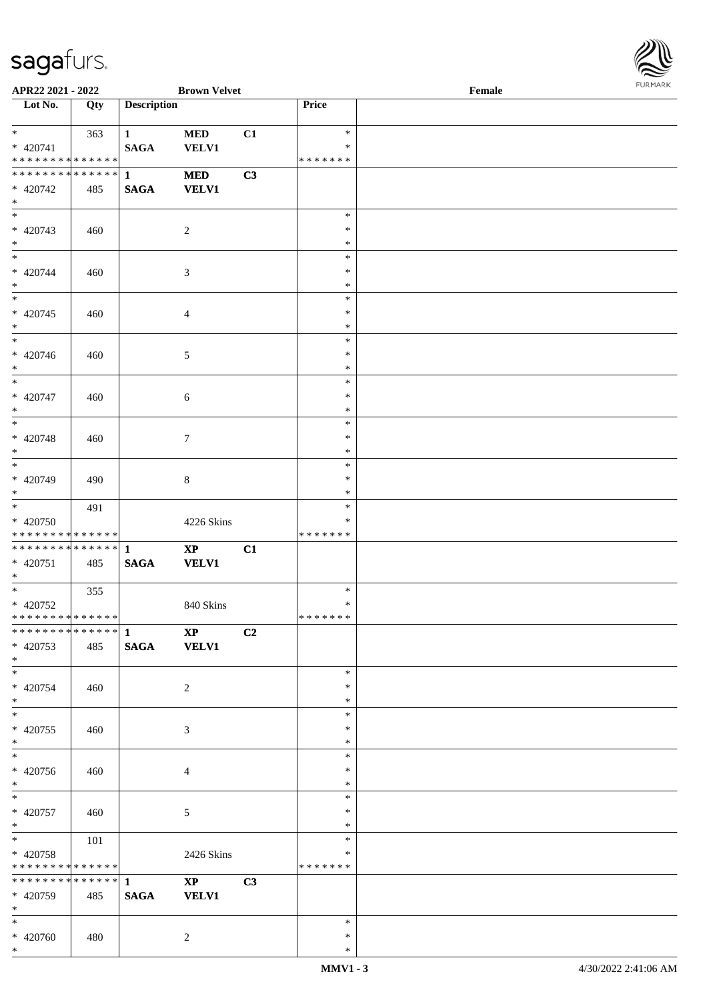

| APR22 2021 - 2022                                                          |     |                                 | <b>Brown Velvet</b>                    |    |                              | $\ensuremath{\textnormal{\textbf{Female}}}$ | <b>FURPIARR</b> |
|----------------------------------------------------------------------------|-----|---------------------------------|----------------------------------------|----|------------------------------|---------------------------------------------|-----------------|
| Lot No.                                                                    | Qty | <b>Description</b>              |                                        |    | Price                        |                                             |                 |
| $*$<br>$* 420741$                                                          | 363 | 1<br><b>SAGA</b>                | $\bf MED$<br><b>VELV1</b>              | C1 | $\ast$<br>$\ast$             |                                             |                 |
| * * * * * * * * * * * * * *<br>* * * * * * * * * * * * * * *<br>$* 420742$ | 485 | $\mathbf{1}$<br>$\mathbf{SAGA}$ | <b>MED</b><br><b>VELV1</b>             | C3 | *******                      |                                             |                 |
| $*$<br>$*$<br>$* 420743$<br>$*$                                            | 460 |                                 | 2                                      |    | $\ast$<br>$\ast$<br>$\ast$   |                                             |                 |
| $*$<br>$* 420744$<br>$*$                                                   | 460 |                                 | 3                                      |    | $\ast$<br>$\ast$<br>$\ast$   |                                             |                 |
| $* 420745$<br>$\ast$                                                       | 460 |                                 | $\overline{4}$                         |    | $\ast$<br>$\ast$<br>$\ast$   |                                             |                 |
| $* 420746$<br>$*$                                                          | 460 |                                 | 5                                      |    | $\ast$<br>$\ast$<br>$\ast$   |                                             |                 |
| $*$<br>$* 420747$<br>$*$                                                   | 460 |                                 | $\sqrt{6}$                             |    | $\ast$<br>$\ast$<br>$\ast$   |                                             |                 |
| $*$<br>$* 420748$<br>$*$                                                   | 460 |                                 | $\tau$                                 |    | $\ast$<br>$\ast$<br>$\ast$   |                                             |                 |
| * 420749<br>$*$                                                            | 490 |                                 | $\,8\,$                                |    | $\ast$<br>$\ast$<br>$\ast$   |                                             |                 |
| $*$<br>* 420750<br>* * * * * * * * * * * * * * *                           | 491 |                                 | 4226 Skins                             |    | $\ast$<br>∗<br>* * * * * * * |                                             |                 |
| * 420751<br>$*$                                                            | 485 | $\mathbf{SAGA}$                 | $\mathbf{XP}$<br><b>VELV1</b>          | C1 |                              |                                             |                 |
| $* 420752$<br>* * * * * * * * * * * * * * *                                | 355 |                                 | 840 Skins                              |    | $\ast$<br>$\ast$<br>*******  |                                             |                 |
| $* 420753$<br>$*$                                                          | 485 | <b>SAGA</b>                     | $\mathbf{X}\mathbf{P}$<br><b>VELV1</b> | C2 |                              |                                             |                 |
| $*$<br>$* 420754$<br>$*$                                                   | 460 |                                 | 2                                      |    | $\ast$<br>$\ast$<br>$\ast$   |                                             |                 |
| $*$<br>* 420755<br>$*$                                                     | 460 |                                 | 3                                      |    | $\ast$<br>∗<br>$\ast$        |                                             |                 |
| $*$<br>* 420756<br>$*$                                                     | 460 |                                 | $\overline{4}$                         |    | $\ast$<br>$\ast$<br>$\ast$   |                                             |                 |
| $*$<br>$* 420757$<br>$*$                                                   | 460 |                                 | 5                                      |    | $\ast$<br>$\ast$<br>$\ast$   |                                             |                 |
| $*$ $*$<br>* 420758<br>* * * * * * * * * * * * * * *                       | 101 |                                 | 2426 Skins                             |    | $\ast$<br>∗<br>*******       |                                             |                 |
| * 420759<br>$*$                                                            | 485 | <b>SAGA</b>                     | $\mathbf{X}\mathbf{P}$<br><b>VELV1</b> | C3 |                              |                                             |                 |
| $*$<br>$* 420760$<br>$*$                                                   | 480 |                                 | 2                                      |    | $\ast$<br>$\ast$<br>$\ast$   |                                             |                 |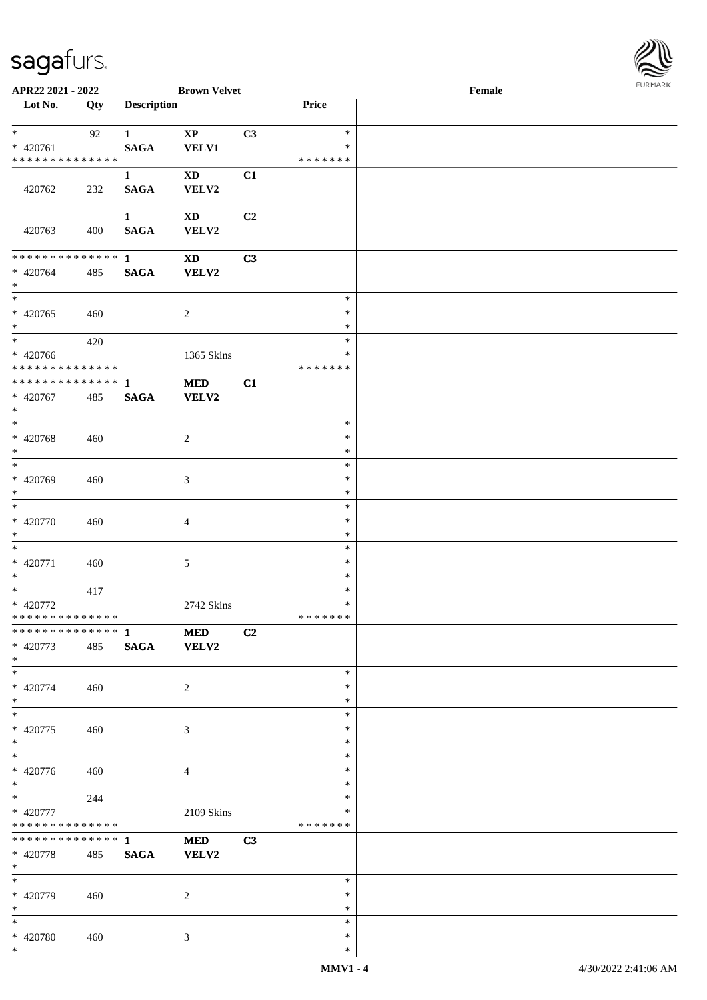

| APR22 2021 - 2022                                               |     |                             | <b>Brown Velvet</b>             |                |                                   | Female |  |
|-----------------------------------------------------------------|-----|-----------------------------|---------------------------------|----------------|-----------------------------------|--------|--|
| Lot No.                                                         | Qty | <b>Description</b>          |                                 |                | Price                             |        |  |
| $*$<br>$* 420761$<br>* * * * * * * * <mark>* * * * * * *</mark> | 92  | $\mathbf{1}$<br><b>SAGA</b> | $\mathbf{X}\mathbf{P}$<br>VELV1 | C3             | $\ast$<br>$\ast$<br>* * * * * * * |        |  |
| 420762                                                          | 232 | $\mathbf{1}$<br><b>SAGA</b> | $\mathbf{X}\mathbf{D}$<br>VELV2 | C1             |                                   |        |  |
| 420763                                                          | 400 | $\mathbf{1}$<br><b>SAGA</b> | <b>XD</b><br>VELV2              | C <sub>2</sub> |                                   |        |  |
| ******** <mark>******</mark><br>$* 420764$<br>$*$               | 485 | $\mathbf{1}$<br><b>SAGA</b> | $\mathbf{X}\mathbf{D}$<br>VELV2 | C3             |                                   |        |  |
| $\overline{\phantom{0}}$<br>$* 420765$<br>$*$                   | 460 |                             | $\sqrt{2}$                      |                | $\ast$<br>$\ast$<br>$\ast$        |        |  |
| $*$<br>$* 420766$<br>******** <mark>******</mark>               | 420 |                             | 1365 Skins                      |                | $\ast$<br>$\ast$<br>* * * * * * * |        |  |
| ******** <mark>******</mark><br>* 420767<br>$*$                 | 485 | $\mathbf{1}$<br><b>SAGA</b> | <b>MED</b><br>VELV2             | C1             |                                   |        |  |
| $*$<br>$* 420768$<br>$\ast$                                     | 460 |                             | $\overline{c}$                  |                | $\ast$<br>$\ast$<br>$\ast$        |        |  |
| $\overline{\phantom{0}}$<br>* 420769<br>$*$                     | 460 |                             | 3                               |                | $\ast$<br>$\ast$<br>$\ast$        |        |  |
| $*$<br>$* 420770$<br>$*$                                        | 460 |                             | 4                               |                | $\ast$<br>$\ast$<br>$\ast$        |        |  |
| $*$<br>$* 420771$<br>$*$                                        | 460 |                             | 5                               |                | $\ast$<br>$\ast$<br>$\ast$        |        |  |
| $*$<br>* 420772<br>******** <mark>******</mark>                 | 417 |                             | 2742 Skins                      |                | $\ast$<br>$\ast$<br>*******       |        |  |
| * 420773<br>$*$                                                 | 485 | <b>SAGA</b>                 | <b>MED</b><br><b>VELV2</b>      | C2             |                                   |        |  |
| $*$<br>$* 420774$<br>$*$                                        | 460 |                             | 2                               |                | $\ast$<br>$\ast$<br>$\ast$        |        |  |
| $*$<br>$* 420775$<br>$*$                                        | 460 |                             | 3                               |                | $\ast$<br>$\ast$<br>$\ast$        |        |  |
| $* 420776$<br>$*$                                               | 460 |                             | $\overline{4}$                  |                | $\ast$<br>$\ast$<br>$\ast$        |        |  |
| $*$<br>* 420777<br>* * * * * * * * * * * * * * *                | 244 |                             | 2109 Skins                      |                | $\ast$<br>$\ast$<br>*******       |        |  |
| ************** 1<br>* 420778<br>$*$                             | 485 | <b>SAGA</b>                 | <b>MED</b><br><b>VELV2</b>      | C3             |                                   |        |  |
| $*$<br>* 420779<br>$*$                                          | 460 |                             | 2                               |                | $\ast$<br>$\ast$<br>$\ast$        |        |  |
| $*$<br>* 420780<br>$*$                                          | 460 |                             | 3                               |                | $\ast$<br>$\ast$<br>$\ast$        |        |  |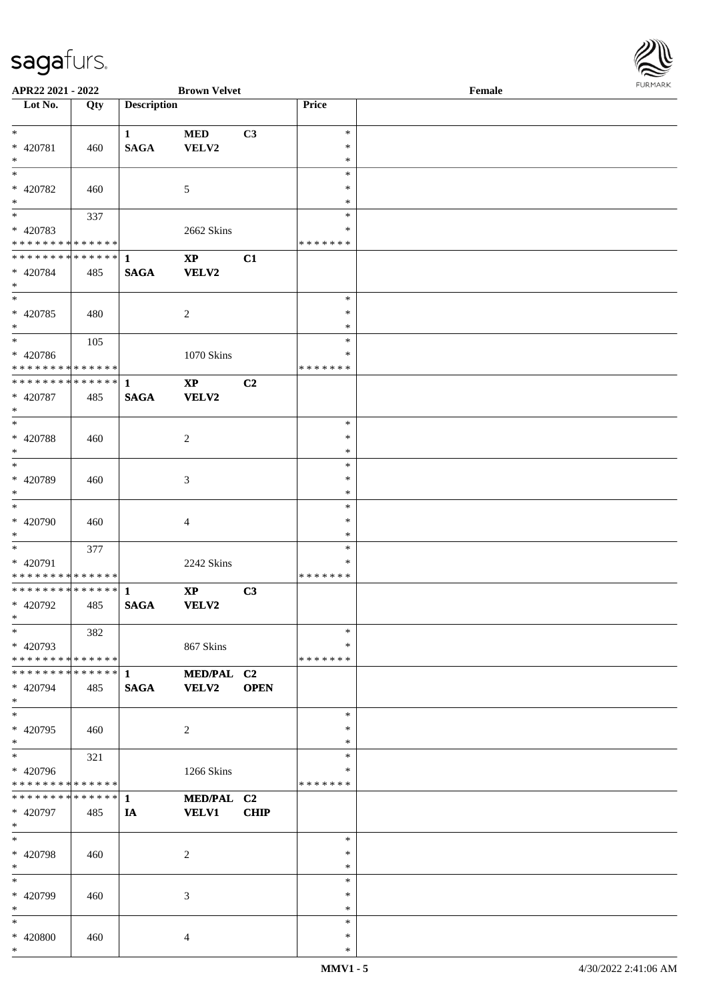

| APR22 2021 - 2022                          |     |                    | <b>Brown Velvet</b>    |             |               | Female |
|--------------------------------------------|-----|--------------------|------------------------|-------------|---------------|--------|
| Lot No.                                    | Qty | <b>Description</b> |                        |             | Price         |        |
|                                            |     |                    |                        |             |               |        |
| $*$                                        |     | $\mathbf{1}$       | <b>MED</b>             | C3          | $\ast$        |        |
|                                            |     |                    |                        |             | $\ast$        |        |
| * 420781                                   | 460 | <b>SAGA</b>        | VELV2                  |             |               |        |
| $*$                                        |     |                    |                        |             | $\ast$        |        |
|                                            |     |                    |                        |             | $\ast$        |        |
| * 420782                                   | 460 |                    | 5                      |             | $\ast$        |        |
| $*$                                        |     |                    |                        |             | $\ast$        |        |
|                                            |     |                    |                        |             | $\ast$        |        |
|                                            | 337 |                    |                        |             |               |        |
| * 420783                                   |     |                    | 2662 Skins             |             | $\ast$        |        |
| * * * * * * * * * * * * * *                |     |                    |                        |             | * * * * * * * |        |
| * * * * * * * * * * * * * * *              |     | $\mathbf{1}$       | $\mathbf{X}\mathbf{P}$ | C1          |               |        |
| * 420784                                   | 485 | <b>SAGA</b>        | <b>VELV2</b>           |             |               |        |
| $*$                                        |     |                    |                        |             |               |        |
|                                            |     |                    |                        |             |               |        |
|                                            |     |                    |                        |             | $\ast$        |        |
| * 420785                                   | 480 |                    | $\overline{c}$         |             | $\ast$        |        |
| $\ast$                                     |     |                    |                        |             | $\ast$        |        |
|                                            | 105 |                    |                        |             | $\ast$        |        |
| * 420786                                   |     |                    | 1070 Skins             |             | $\ast$        |        |
|                                            |     |                    |                        |             |               |        |
| * * * * * * * * <mark>* * * * * * *</mark> |     |                    |                        |             | * * * * * * * |        |
| ******** <mark>******</mark>               |     | $\mathbf{1}$       | $\mathbf{X}\mathbf{P}$ | C2          |               |        |
| * 420787                                   | 485 | <b>SAGA</b>        | VELV2                  |             |               |        |
| $*$                                        |     |                    |                        |             |               |        |
|                                            |     |                    |                        |             | $\ast$        |        |
|                                            |     |                    |                        |             |               |        |
| * 420788                                   | 460 |                    | 2                      |             | $\ast$        |        |
| $*$                                        |     |                    |                        |             | $\ast$        |        |
|                                            |     |                    |                        |             | $\ast$        |        |
| * 420789                                   | 460 |                    | $\mathfrak{Z}$         |             | $\ast$        |        |
| $*$                                        |     |                    |                        |             | $\ast$        |        |
| $\overline{\phantom{0}}$                   |     |                    |                        |             |               |        |
|                                            |     |                    |                        |             | $\ast$        |        |
| * 420790                                   | 460 |                    | $\overline{4}$         |             | $\ast$        |        |
| $*$                                        |     |                    |                        |             | $\ast$        |        |
| $*$                                        | 377 |                    |                        |             | $\ast$        |        |
| * 420791                                   |     |                    |                        |             | $\ast$        |        |
|                                            |     |                    | 2242 Skins             |             |               |        |
| * * * * * * * * * * * * * *                |     |                    |                        |             | *******       |        |
|                                            |     |                    | $\mathbf{X}\mathbf{P}$ | C3          |               |        |
| * 420792                                   | 485 | <b>SAGA</b>        | <b>VELV2</b>           |             |               |        |
| $*$ $-$                                    |     |                    |                        |             |               |        |
| $*$                                        | 382 |                    |                        |             | $\ast$        |        |
|                                            |     |                    |                        |             |               |        |
| * 420793                                   |     |                    | 867 Skins              |             | $\ast$        |        |
| * * * * * * * * <mark>* * * * * *</mark>   |     |                    |                        |             | *******       |        |
| * * * * * * * * * * * * * * <mark>*</mark> |     | $\mathbf{1}$       | MED/PAL C2             |             |               |        |
| * 420794                                   | 485 | <b>SAGA</b>        | <b>VELV2</b>           | <b>OPEN</b> |               |        |
| $*$                                        |     |                    |                        |             |               |        |
| $*$                                        |     |                    |                        |             |               |        |
|                                            |     |                    |                        |             | $\ast$        |        |
| * 420795                                   | 460 |                    | $\overline{c}$         |             | $\ast$        |        |
| $*$                                        |     |                    |                        |             | $\ast$        |        |
| $*$                                        | 321 |                    |                        |             | $\ast$        |        |
| * 420796                                   |     |                    | 1266 Skins             |             | ∗             |        |
|                                            |     |                    |                        |             | *******       |        |
| * * * * * * * * <mark>* * * * * *</mark>   |     |                    |                        |             |               |        |
|                                            |     |                    | MED/PAL C2             |             |               |        |
| * 420797                                   | 485 | IA                 | <b>VELV1</b>           | <b>CHIP</b> |               |        |
| $*$                                        |     |                    |                        |             |               |        |
| $*$                                        |     |                    |                        |             | $\ast$        |        |
|                                            |     |                    |                        |             | $\ast$        |        |
| * 420798                                   | 460 |                    | 2                      |             |               |        |
| $*$                                        |     |                    |                        |             | $\ast$        |        |
| $*$                                        |     |                    |                        |             | $\ast$        |        |
| * 420799                                   | 460 |                    | 3                      |             | $\ast$        |        |
| $*$                                        |     |                    |                        |             | $\ast$        |        |
| $\ast$                                     |     |                    |                        |             | $\ast$        |        |
|                                            |     |                    |                        |             |               |        |
| * 420800                                   | 460 |                    | $\overline{4}$         |             | $\ast$        |        |
| $\ast$                                     |     |                    |                        |             | $\ast$        |        |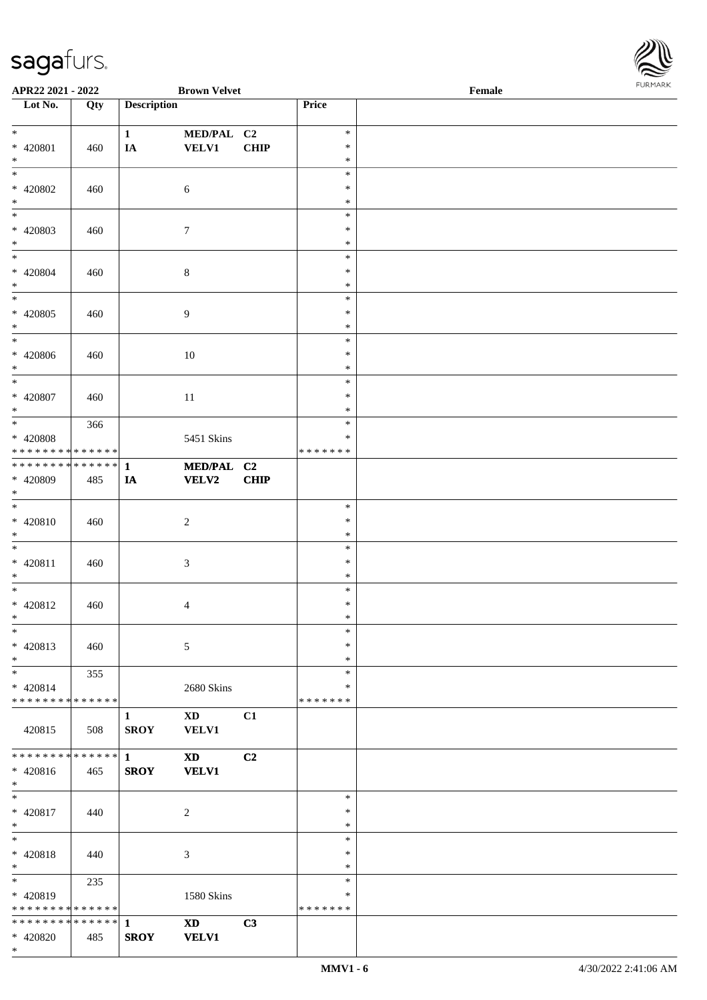

| APR22 2021 - 2022                          |     |                    | <b>Brown Velvet</b>    |             |               | Female | $1.9151$ <i>W</i> $11.915$ |
|--------------------------------------------|-----|--------------------|------------------------|-------------|---------------|--------|----------------------------|
| $\overline{\phantom{1}}$ Lot No.           | Qty | <b>Description</b> |                        |             | Price         |        |                            |
|                                            |     |                    |                        |             |               |        |                            |
| $*$                                        |     | $\mathbf{1}$       | MED/PAL C2             |             | $\ast$        |        |                            |
| * 420801                                   | 460 | IA                 | VELV1                  | <b>CHIP</b> | $\ast$        |        |                            |
| $*$                                        |     |                    |                        |             | $\ast$        |        |                            |
| $*$                                        |     |                    |                        |             | $\ast$        |        |                            |
| * 420802                                   | 460 |                    | 6                      |             | $\ast$        |        |                            |
| $\ast$                                     |     |                    |                        |             | $\ast$        |        |                            |
| $\overline{\ast}$                          |     |                    |                        |             | $\ast$        |        |                            |
| * 420803                                   | 460 |                    | $\boldsymbol{7}$       |             | ∗             |        |                            |
| $*$                                        |     |                    |                        |             | $\ast$        |        |                            |
| $*$                                        |     |                    |                        |             | $\ast$        |        |                            |
| * 420804                                   | 460 |                    | $\,8\,$                |             | $\ast$        |        |                            |
| $\ast$                                     |     |                    |                        |             | $\ast$        |        |                            |
| $\overline{\phantom{0}}$                   |     |                    |                        |             | $\ast$        |        |                            |
| $* 420805$                                 | 460 |                    | 9                      |             | $\ast$        |        |                            |
| $\ast$                                     |     |                    |                        |             | $\ast$        |        |                            |
| $*$                                        |     |                    |                        |             | $\ast$        |        |                            |
| * 420806                                   | 460 |                    | 10                     |             | $\ast$        |        |                            |
| $\ast$                                     |     |                    |                        |             | $\ast$        |        |                            |
| $*$                                        |     |                    |                        |             | $\ast$        |        |                            |
| * 420807                                   | 460 |                    | 11                     |             | $\ast$        |        |                            |
| $*$                                        |     |                    |                        |             | ∗             |        |                            |
| $*$                                        | 366 |                    |                        |             | $\ast$        |        |                            |
| $* 420808$                                 |     |                    | 5451 Skins             |             | ∗             |        |                            |
| * * * * * * * * <mark>* * * * * * *</mark> |     |                    |                        |             | * * * * * * * |        |                            |
|                                            |     |                    | MED/PAL C2             |             |               |        |                            |
| * 420809                                   | 485 | IA                 | <b>VELV2</b>           | <b>CHIP</b> |               |        |                            |
| $*$                                        |     |                    |                        |             |               |        |                            |
| $*$                                        |     |                    |                        |             | $\ast$        |        |                            |
| $* 420810$                                 | 460 |                    | $\boldsymbol{2}$       |             | $\ast$        |        |                            |
| $*$                                        |     |                    |                        |             | $\ast$        |        |                            |
| $*$                                        |     |                    |                        |             | $\ast$        |        |                            |
| $* 420811$                                 | 460 |                    | $\mathfrak{Z}$         |             | $\ast$        |        |                            |
| $*$                                        |     |                    |                        |             | $\ast$        |        |                            |
| $*$                                        |     |                    |                        |             | $\ast$        |        |                            |
| $* 420812$                                 | 460 |                    | 4                      |             | $\ast$        |        |                            |
| $*$ $-$                                    |     |                    |                        |             | $\ast$        |        |                            |
| $*$                                        |     |                    |                        |             | $\ast$        |        |                            |
| $* 420813$                                 | 460 |                    | 5                      |             | $\ast$        |        |                            |
| $*$                                        |     |                    |                        |             | $\ast$        |        |                            |
| $\ast$                                     | 355 |                    |                        |             | $\ast$        |        |                            |
| $* 420814$                                 |     |                    | 2680 Skins             |             | ∗             |        |                            |
| * * * * * * * * * * * * * * *              |     |                    |                        |             | * * * * * * * |        |                            |
|                                            |     | 1                  | $\mathbf{X}\mathbf{D}$ | C1          |               |        |                            |
| 420815                                     | 508 | <b>SROY</b>        | <b>VELV1</b>           |             |               |        |                            |
|                                            |     |                    |                        |             |               |        |                            |
| * * * * * * * * * * * * * * *              |     | $\mathbf{1}$       | $\mathbf{X}\mathbf{D}$ | C2          |               |        |                            |
| * 420816                                   | 465 | <b>SROY</b>        | <b>VELV1</b>           |             |               |        |                            |
| $*$                                        |     |                    |                        |             |               |        |                            |
| $*$                                        |     |                    |                        |             | $\ast$        |        |                            |
| * 420817                                   | 440 |                    | 2                      |             | $\ast$        |        |                            |
| $*$                                        |     |                    |                        |             | $\ast$        |        |                            |
| $*$                                        |     |                    |                        |             | $\ast$        |        |                            |
| * 420818                                   | 440 |                    | 3                      |             | ∗             |        |                            |
| $*$                                        |     |                    |                        |             | $\ast$        |        |                            |
| $*$ $-$                                    | 235 |                    |                        |             | $\ast$        |        |                            |
| * 420819                                   |     |                    |                        |             | $\ast$        |        |                            |
| * * * * * * * * * * * * * *                |     |                    | 1580 Skins             |             | * * * * * * * |        |                            |
| * * * * * * * * * * * * * * *              |     |                    |                        |             |               |        |                            |
|                                            |     | 1                  | <b>XD</b>              | C3          |               |        |                            |
| * 420820                                   | 485 | <b>SROY</b>        | <b>VELV1</b>           |             |               |        |                            |
| $\ast$                                     |     |                    |                        |             |               |        |                            |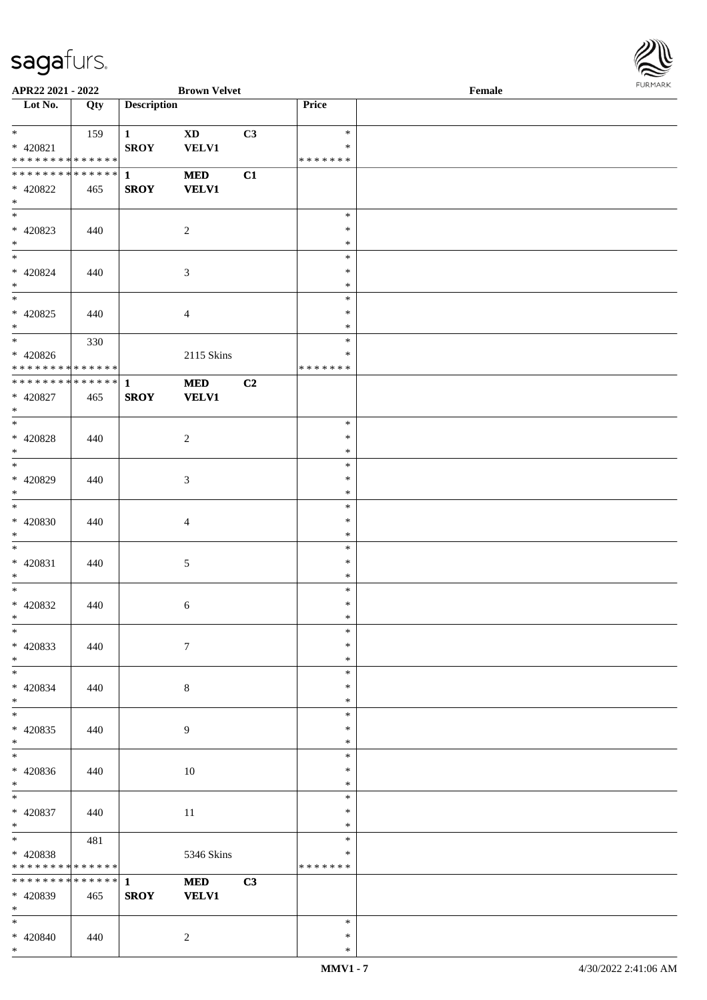

| APR22 2021 - 2022                                               |     |                             | <b>Brown Velvet</b>        |    |                                      | Female |  |
|-----------------------------------------------------------------|-----|-----------------------------|----------------------------|----|--------------------------------------|--------|--|
| Lot No.                                                         | Qty | <b>Description</b>          |                            |    | Price                                |        |  |
| $*$<br>* 420821<br>* * * * * * * * * * * * * * *                | 159 | $\mathbf{1}$<br><b>SROY</b> | <b>XD</b><br><b>VELV1</b>  | C3 | $\ast$<br>$\ast$<br>* * * * * * *    |        |  |
| * * * * * * * * * * * * * * *<br>* 420822<br>$*$                | 465 | $\mathbf{1}$<br><b>SROY</b> | <b>MED</b><br><b>VELV1</b> | C1 |                                      |        |  |
| $* 420823$<br>$*$                                               | 440 |                             | $\overline{c}$             |    | $\ast$<br>$\ast$<br>$\ast$           |        |  |
| $* 420824$<br>$*$                                               | 440 |                             | $\mathfrak{Z}$             |    | $\ast$<br>$\ast$<br>$\ast$           |        |  |
| $* 420825$<br>$*$                                               | 440 |                             | 4                          |    | $\ast$<br>$\ast$<br>$\ast$           |        |  |
| $*$<br>$* 420826$<br>* * * * * * * * <mark>* * * * * * *</mark> | 330 |                             | 2115 Skins                 |    | $\ast$<br>$\ast$<br>* * * * * * *    |        |  |
| ******** <mark>******</mark><br>$* 420827$<br>$*$               | 465 | $\mathbf{1}$<br><b>SROY</b> | <b>MED</b><br><b>VELV1</b> | C2 |                                      |        |  |
| $* 420828$<br>$\ast$                                            | 440 |                             | $\overline{c}$             |    | $\ast$<br>$\ast$<br>$\ast$           |        |  |
| * 420829<br>$*$                                                 | 440 |                             | 3                          |    | $\ast$<br>$\ast$<br>$\ast$           |        |  |
| $* 420830$<br>$*$<br>$*$                                        | 440 |                             | $\overline{4}$             |    | $\ast$<br>$\ast$<br>$\ast$           |        |  |
| $* 420831$<br>$*$<br>$*$                                        | 440 |                             | $\sqrt{5}$                 |    | $\ast$<br>$\ast$<br>$\ast$<br>$\ast$ |        |  |
| $* 420832$<br>$*$ $-$<br>$\ast$                                 | 440 |                             | 6                          |    | $\ast$<br>$\ast$<br>$\ast$           |        |  |
| * 420833<br>$*$<br>$*$                                          | 440 |                             | $\tau$                     |    | $\ast$<br>$\ast$<br>$\ast$           |        |  |
| * 420834<br>$*$<br>$*$                                          | 440 |                             | $\,8\,$                    |    | $\ast$<br>$\ast$<br>$\ast$           |        |  |
| * 420835<br>$*$<br>$*$                                          | 440 |                             | 9                          |    | $\ast$<br>$\ast$<br>$\ast$           |        |  |
| $* 420836$<br>$*$                                               | 440 |                             | $10\,$                     |    | $\ast$<br>$\ast$                     |        |  |
| $*$<br>* 420837<br>$*$                                          | 440 |                             | $11\,$                     |    | $\ast$<br>$\ast$<br>$\ast$           |        |  |
| $*$<br>* 420838<br>* * * * * * * * * * * * * *                  | 481 |                             | 5346 Skins                 |    | $\ast$<br>$\ast$<br>* * * * * * *    |        |  |
| * * * * * * * * * * * * * * *<br>* 420839<br>$*$                | 465 | $\mathbf{1}$<br><b>SROY</b> | <b>MED</b><br><b>VELV1</b> | C3 |                                      |        |  |
| $*$<br>* 420840<br>$*$                                          | 440 |                             | $\overline{c}$             |    | $\ast$<br>$\ast$<br>$\ast$           |        |  |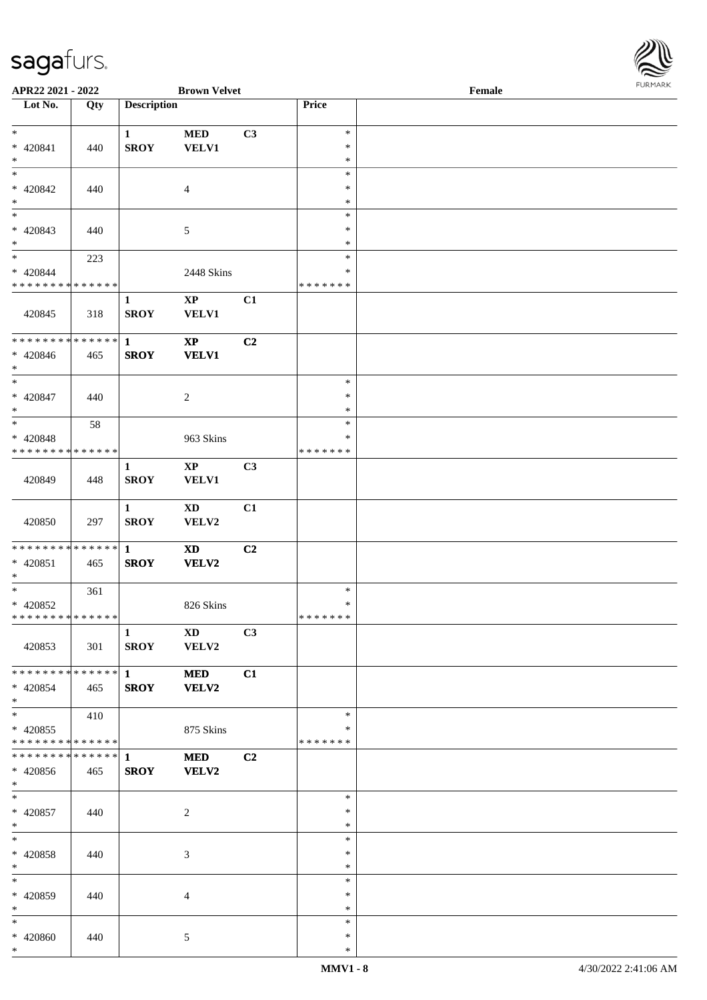| <b>FURMARK</b> |
|----------------|
|                |
|                |

| APR22 2021 - 2022                          |     |                    | <b>Brown Velvet</b>    |    |               | Female | 10111111111 |
|--------------------------------------------|-----|--------------------|------------------------|----|---------------|--------|-------------|
| Lot No.                                    | Qty | <b>Description</b> |                        |    | Price         |        |             |
|                                            |     |                    |                        |    |               |        |             |
| $*$                                        |     | $\mathbf{1}$       | <b>MED</b>             | C3 | $\ast$        |        |             |
| * 420841                                   | 440 | <b>SROY</b>        | <b>VELV1</b>           |    | $\ast$        |        |             |
| $*$                                        |     |                    |                        |    | $\ast$        |        |             |
| $\overline{\phantom{0}}$                   |     |                    |                        |    | $\ast$        |        |             |
| * 420842                                   | 440 |                    | $\overline{4}$         |    | $\ast$        |        |             |
| $*$                                        |     |                    |                        |    | $\ast$        |        |             |
|                                            |     |                    |                        |    | $\ast$        |        |             |
| * 420843                                   | 440 |                    | 5                      |    | $\ast$        |        |             |
| $*$                                        |     |                    |                        |    | $\ast$        |        |             |
|                                            | 223 |                    |                        |    | $\ast$        |        |             |
| * 420844                                   |     |                    | 2448 Skins             |    | $\ast$        |        |             |
| * * * * * * * * * * * * * *                |     |                    |                        |    | * * * * * * * |        |             |
|                                            |     | 1                  | $\mathbf{X}\mathbf{P}$ | C1 |               |        |             |
| 420845                                     | 318 | <b>SROY</b>        | <b>VELV1</b>           |    |               |        |             |
|                                            |     |                    |                        |    |               |        |             |
| * * * * * * * * * * * * * * *              |     | $\mathbf{1}$       | $\mathbf{X}\mathbf{P}$ | C2 |               |        |             |
| $* 420846$                                 | 465 | <b>SROY</b>        | <b>VELV1</b>           |    |               |        |             |
| $*$                                        |     |                    |                        |    |               |        |             |
|                                            |     |                    |                        |    | $\ast$        |        |             |
| $* 420847$                                 | 440 |                    | $\overline{c}$         |    | $\ast$        |        |             |
| $*$                                        |     |                    |                        |    | $\ast$        |        |             |
| $*$                                        | 58  |                    |                        |    | $\ast$        |        |             |
| * 420848                                   |     |                    | 963 Skins              |    | $\ast$        |        |             |
| * * * * * * * * * * * * * * *              |     |                    |                        |    | * * * * * * * |        |             |
|                                            |     | $\mathbf{1}$       | $\mathbf{X}\mathbf{P}$ | C3 |               |        |             |
| 420849                                     | 448 | <b>SROY</b>        | <b>VELV1</b>           |    |               |        |             |
|                                            |     |                    |                        |    |               |        |             |
|                                            |     | $\mathbf{1}$       | <b>XD</b>              | C1 |               |        |             |
| 420850                                     | 297 | <b>SROY</b>        | VELV2                  |    |               |        |             |
|                                            |     |                    |                        |    |               |        |             |
| * * * * * * * * <mark>* * * * * * *</mark> |     | $\mathbf{1}$       | <b>XD</b>              | C2 |               |        |             |
| * 420851                                   | 465 | <b>SROY</b>        | VELV2                  |    |               |        |             |
| $*$                                        |     |                    |                        |    |               |        |             |
| $*$ $-$                                    | 361 |                    |                        |    | $\ast$        |        |             |
| * 420852                                   |     |                    | 826 Skins              |    | $\ast$        |        |             |
| * * * * * * * * * * * * * * *              |     |                    |                        |    | *******       |        |             |
|                                            |     | $\mathbf{1}$       | $\mathbf{X}\mathbf{D}$ | C3 |               |        |             |
| 420853                                     | 301 | <b>SROY</b>        | VELV2                  |    |               |        |             |
|                                            |     |                    |                        |    |               |        |             |
| * * * * * * * * * * * * * * <mark>*</mark> |     | $\mathbf 1$        | <b>MED</b>             | C1 |               |        |             |
| * 420854                                   | 465 | <b>SROY</b>        | <b>VELV2</b>           |    |               |        |             |
| $*$                                        |     |                    |                        |    |               |        |             |
| $*$ $-$                                    | 410 |                    |                        |    | $\ast$        |        |             |
| $* 420855$                                 |     |                    | 875 Skins              |    | ∗             |        |             |
| * * * * * * * * <mark>* * * * * * *</mark> |     |                    |                        |    | * * * * * * * |        |             |
|                                            |     |                    | <b>MED</b>             | C2 |               |        |             |
| * 420856                                   | 465 | <b>SROY</b>        | <b>VELV2</b>           |    |               |        |             |
| $*$                                        |     |                    |                        |    |               |        |             |
| $*$                                        |     |                    |                        |    | $\ast$        |        |             |
| $* 420857$                                 | 440 |                    | 2                      |    | $\ast$        |        |             |
| $*$                                        |     |                    |                        |    | $\ast$        |        |             |
| $*$                                        |     |                    |                        |    | $\ast$        |        |             |
| * 420858                                   | 440 |                    | $\mathfrak{Z}$         |    | $\ast$        |        |             |
| $\ast$                                     |     |                    |                        |    | $\ast$        |        |             |
| $*$                                        |     |                    |                        |    | $\ast$        |        |             |
| * 420859                                   | 440 |                    | $\overline{4}$         |    | $\ast$        |        |             |
| $*$                                        |     |                    |                        |    | $\ast$        |        |             |
| $*$                                        |     |                    |                        |    | $\ast$        |        |             |
| * 420860                                   | 440 |                    | 5                      |    | $\ast$        |        |             |
| $*$                                        |     |                    |                        |    | $\ast$        |        |             |
|                                            |     |                    |                        |    |               |        |             |